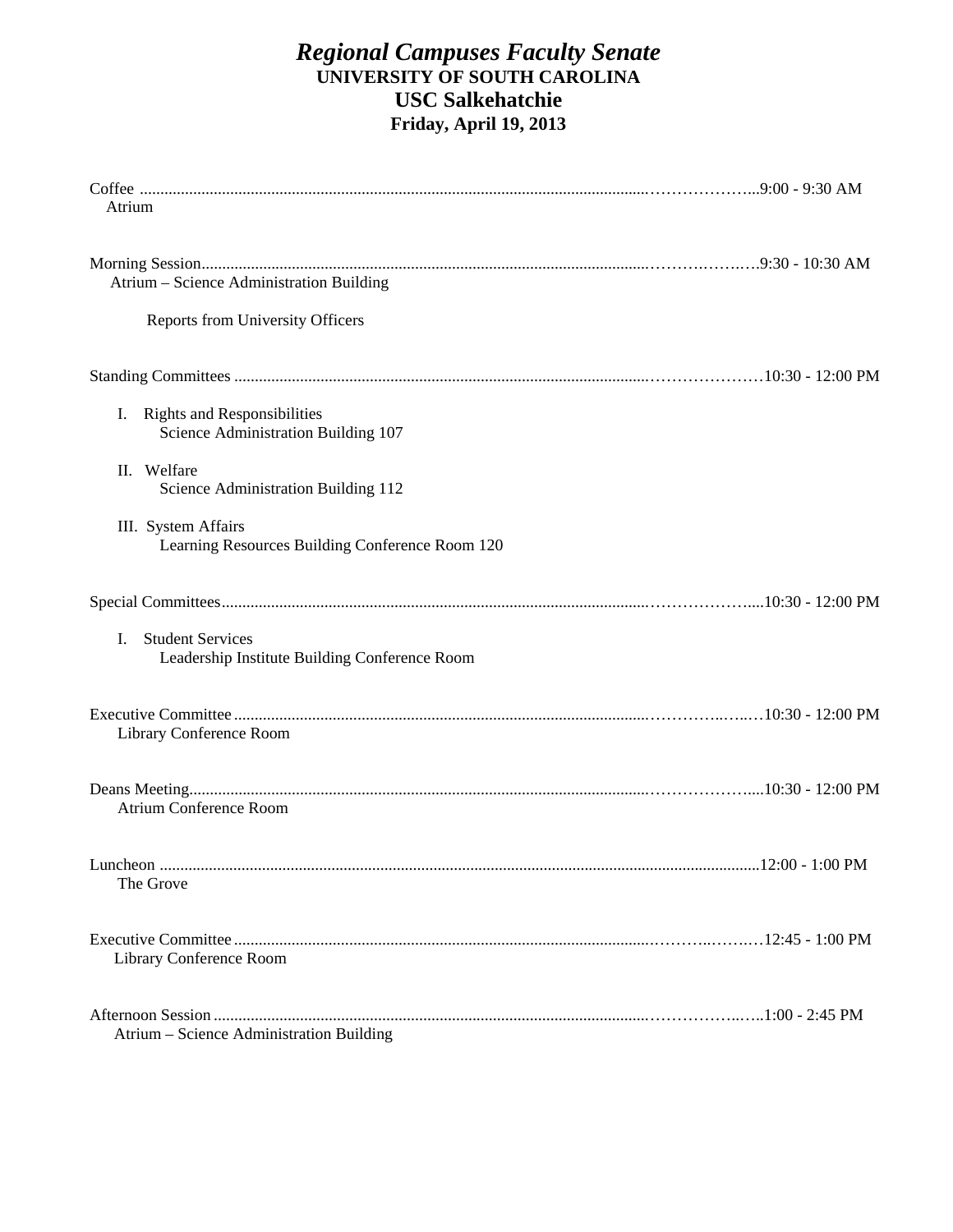# *Regional Campuses Faculty Senate*  **UNIVERSITY OF SOUTH CAROLINA USC Salkehatchie Friday, April 19, 2013**

| Atrium                                                                          |  |
|---------------------------------------------------------------------------------|--|
| Atrium – Science Administration Building                                        |  |
| <b>Reports from University Officers</b>                                         |  |
|                                                                                 |  |
| <b>Rights and Responsibilities</b><br>I.<br>Science Administration Building 107 |  |
| II. Welfare<br>Science Administration Building 112                              |  |
| III. System Affairs<br>Learning Resources Building Conference Room 120          |  |
|                                                                                 |  |
| <b>Student Services</b><br>L.<br>Leadership Institute Building Conference Room  |  |
| Library Conference Room                                                         |  |
| <b>Atrium Conference Room</b>                                                   |  |
| The Grove                                                                       |  |
| Library Conference Room                                                         |  |
| Atrium - Science Administration Building                                        |  |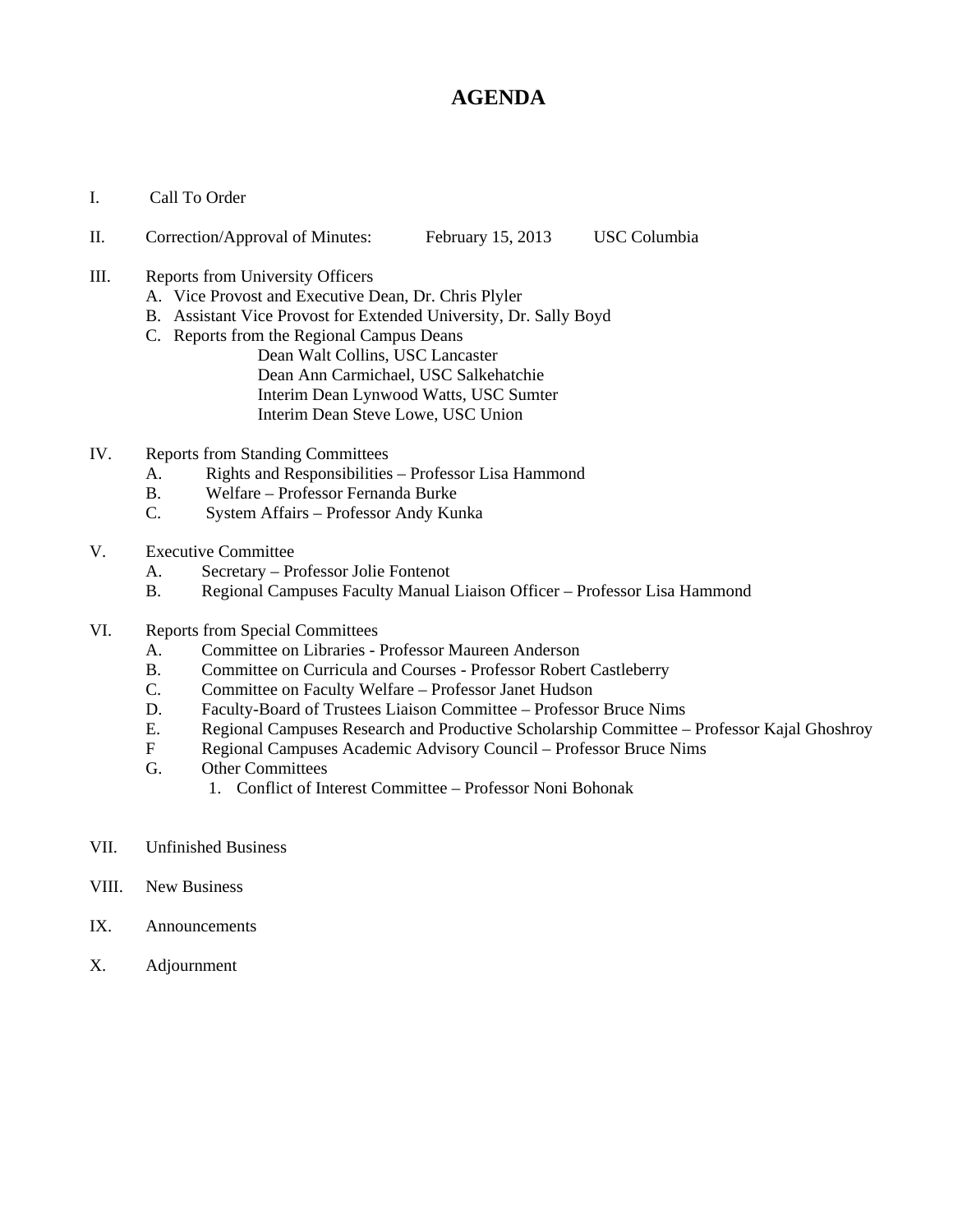# **AGENDA**

I. Call To Order

#### II. Correction/Approval of Minutes: February 15, 2013 USC Columbia

- III. Reports from University Officers
	- A. Vice Provost and Executive Dean, Dr. Chris Plyler
	- B. Assistant Vice Provost for Extended University, Dr. Sally Boyd
	- C. Reports from the Regional Campus Deans
		- Dean Walt Collins, USC Lancaster Dean Ann Carmichael, USC Salkehatchie Interim Dean Lynwood Watts, USC Sumter Interim Dean Steve Lowe, USC Union
- IV. Reports from Standing Committees
	- A. Rights and Responsibilities Professor Lisa Hammond
	- B. Welfare Professor Fernanda Burke
	- C. System Affairs Professor Andy Kunka
- V. Executive Committee
	- A. Secretary Professor Jolie Fontenot
	- B. Regional Campuses Faculty Manual Liaison Officer Professor Lisa Hammond
- VI. Reports from Special Committees
	- A. Committee on Libraries Professor Maureen Anderson
	- B. Committee on Curricula and Courses Professor Robert Castleberry
	- C. Committee on Faculty Welfare Professor Janet Hudson
	- D. Faculty-Board of Trustees Liaison Committee Professor Bruce Nims
	- E. Regional Campuses Research and Productive Scholarship Committee Professor Kajal Ghoshroy
	- F Regional Campuses Academic Advisory Council Professor Bruce Nims
	- G. Other Committees
		- 1. Conflict of Interest Committee Professor Noni Bohonak
- VII. Unfinished Business
- VIII. New Business
- IX. Announcements
- X. Adjournment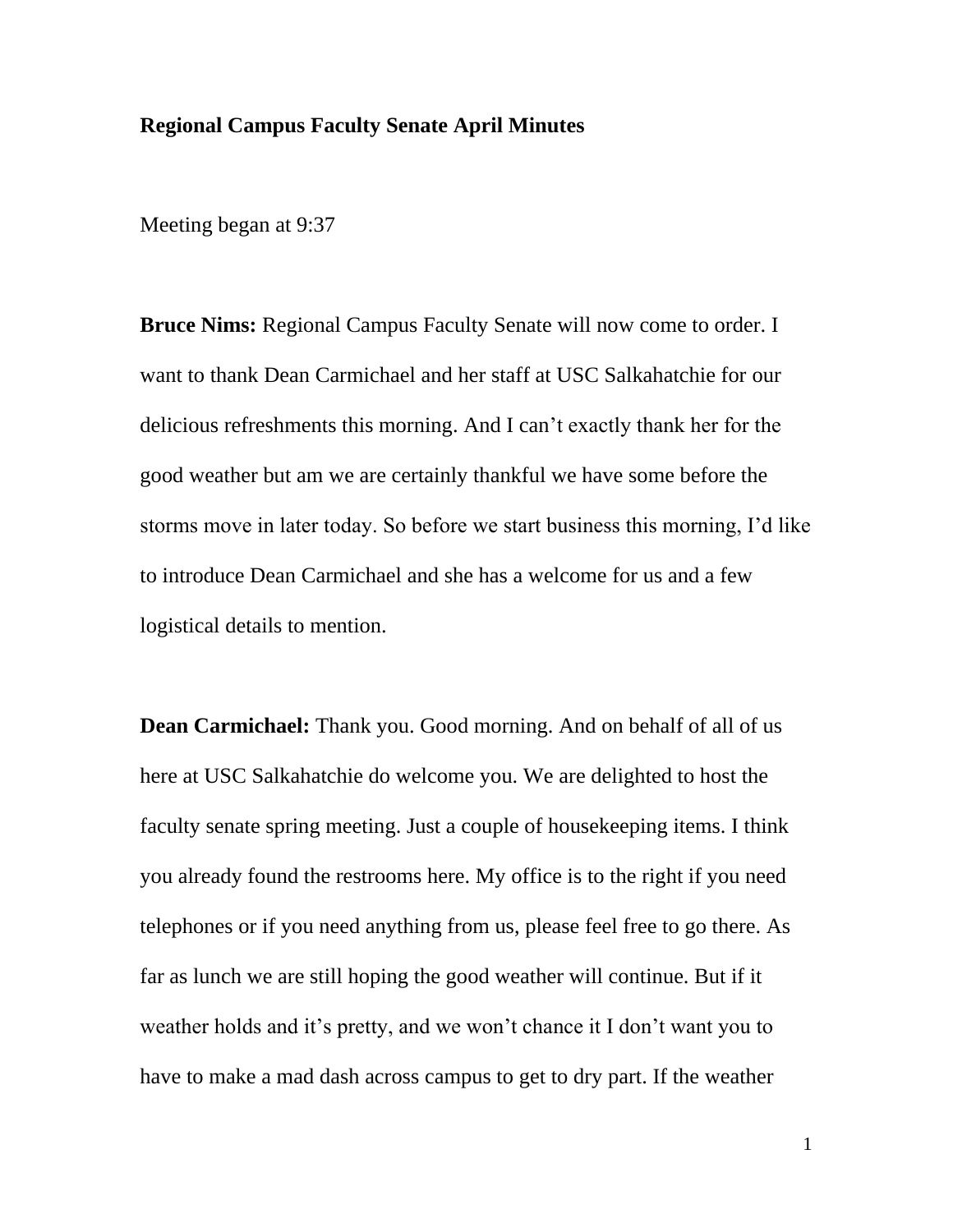#### **Regional Campus Faculty Senate April Minutes**

Meeting began at 9:37

**Bruce Nims:** Regional Campus Faculty Senate will now come to order. I want to thank Dean Carmichael and her staff at USC Salkahatchie for our delicious refreshments this morning. And I can't exactly thank her for the good weather but am we are certainly thankful we have some before the storms move in later today. So before we start business this morning, I'd like to introduce Dean Carmichael and she has a welcome for us and a few logistical details to mention.

**Dean Carmichael:** Thank you. Good morning. And on behalf of all of us here at USC Salkahatchie do welcome you. We are delighted to host the faculty senate spring meeting. Just a couple of housekeeping items. I think you already found the restrooms here. My office is to the right if you need telephones or if you need anything from us, please feel free to go there. As far as lunch we are still hoping the good weather will continue. But if it weather holds and it's pretty, and we won't chance it I don't want you to have to make a mad dash across campus to get to dry part. If the weather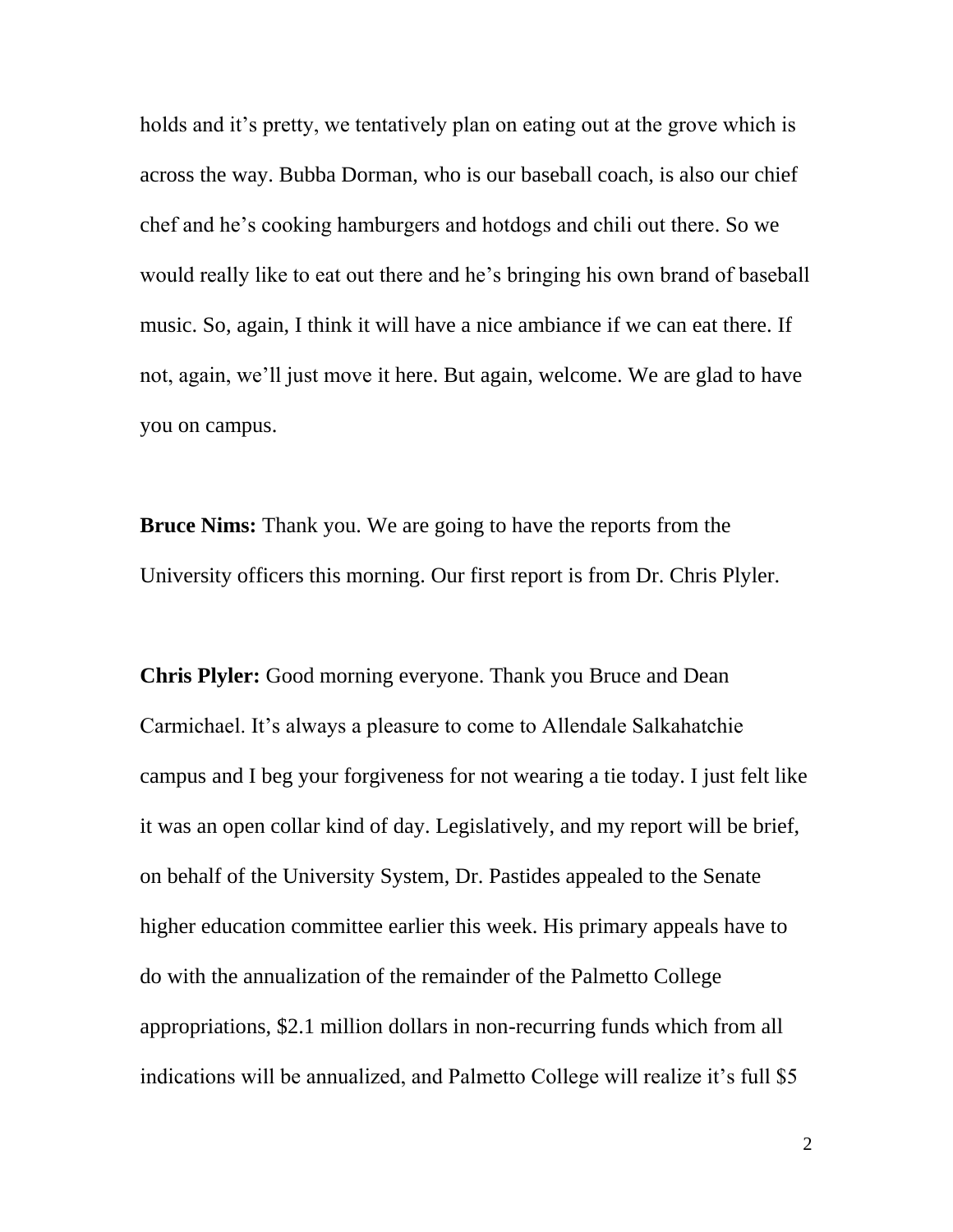holds and it's pretty, we tentatively plan on eating out at the grove which is across the way. Bubba Dorman, who is our baseball coach, is also our chief chef and he's cooking hamburgers and hotdogs and chili out there. So we would really like to eat out there and he's bringing his own brand of baseball music. So, again, I think it will have a nice ambiance if we can eat there. If not, again, we'll just move it here. But again, welcome. We are glad to have you on campus.

**Bruce Nims:** Thank you. We are going to have the reports from the University officers this morning. Our first report is from Dr. Chris Plyler.

**Chris Plyler:** Good morning everyone. Thank you Bruce and Dean Carmichael. It's always a pleasure to come to Allendale Salkahatchie campus and I beg your forgiveness for not wearing a tie today. I just felt like it was an open collar kind of day. Legislatively, and my report will be brief, on behalf of the University System, Dr. Pastides appealed to the Senate higher education committee earlier this week. His primary appeals have to do with the annualization of the remainder of the Palmetto College appropriations, \$2.1 million dollars in non-recurring funds which from all indications will be annualized, and Palmetto College will realize it's full \$5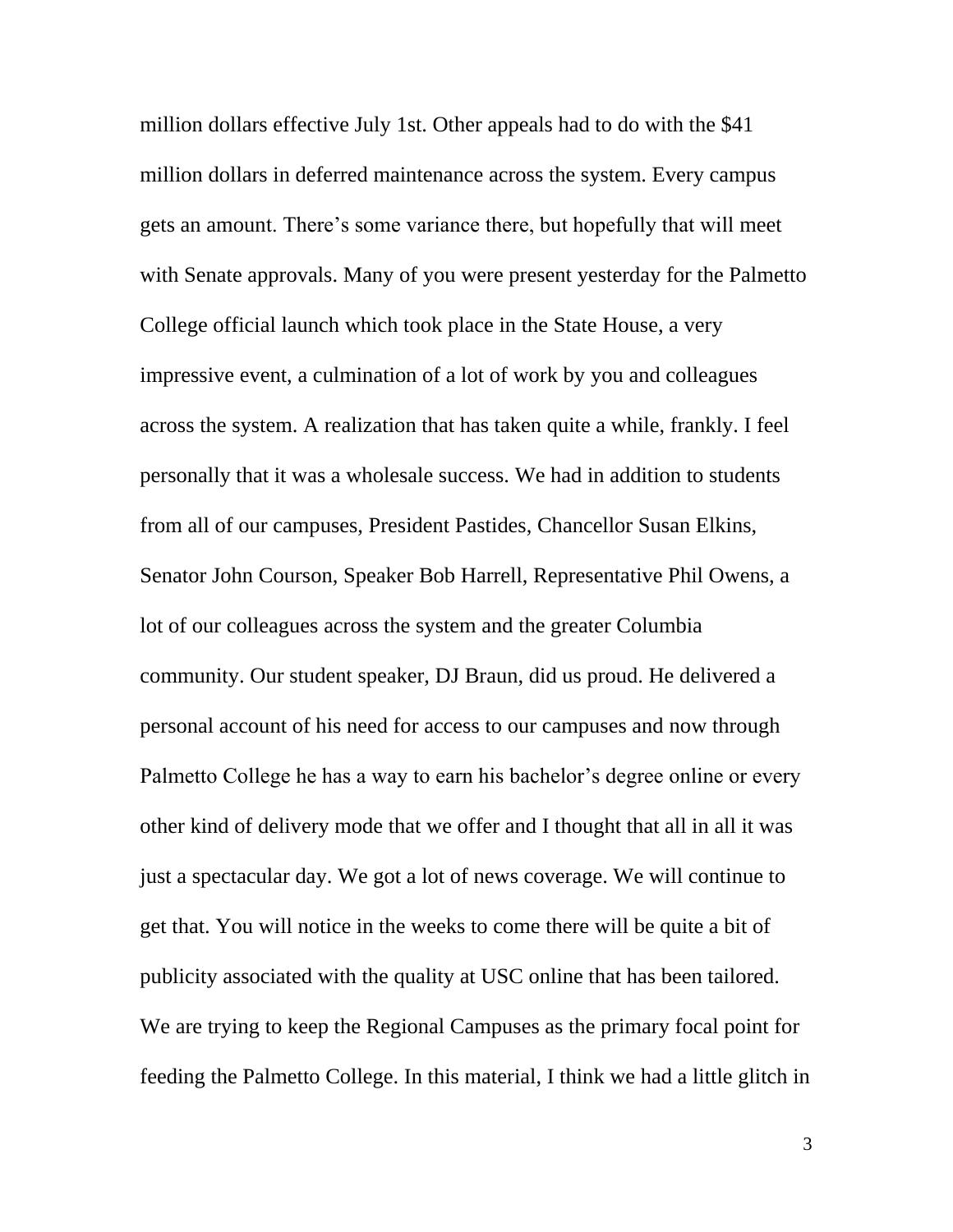million dollars effective July 1st. Other appeals had to do with the \$41 million dollars in deferred maintenance across the system. Every campus gets an amount. There's some variance there, but hopefully that will meet with Senate approvals. Many of you were present yesterday for the Palmetto College official launch which took place in the State House, a very impressive event, a culmination of a lot of work by you and colleagues across the system. A realization that has taken quite a while, frankly. I feel personally that it was a wholesale success. We had in addition to students from all of our campuses, President Pastides, Chancellor Susan Elkins, Senator John Courson, Speaker Bob Harrell, Representative Phil Owens, a lot of our colleagues across the system and the greater Columbia community. Our student speaker, DJ Braun, did us proud. He delivered a personal account of his need for access to our campuses and now through Palmetto College he has a way to earn his bachelor's degree online or every other kind of delivery mode that we offer and I thought that all in all it was just a spectacular day. We got a lot of news coverage. We will continue to get that. You will notice in the weeks to come there will be quite a bit of publicity associated with the quality at USC online that has been tailored. We are trying to keep the Regional Campuses as the primary focal point for feeding the Palmetto College. In this material, I think we had a little glitch in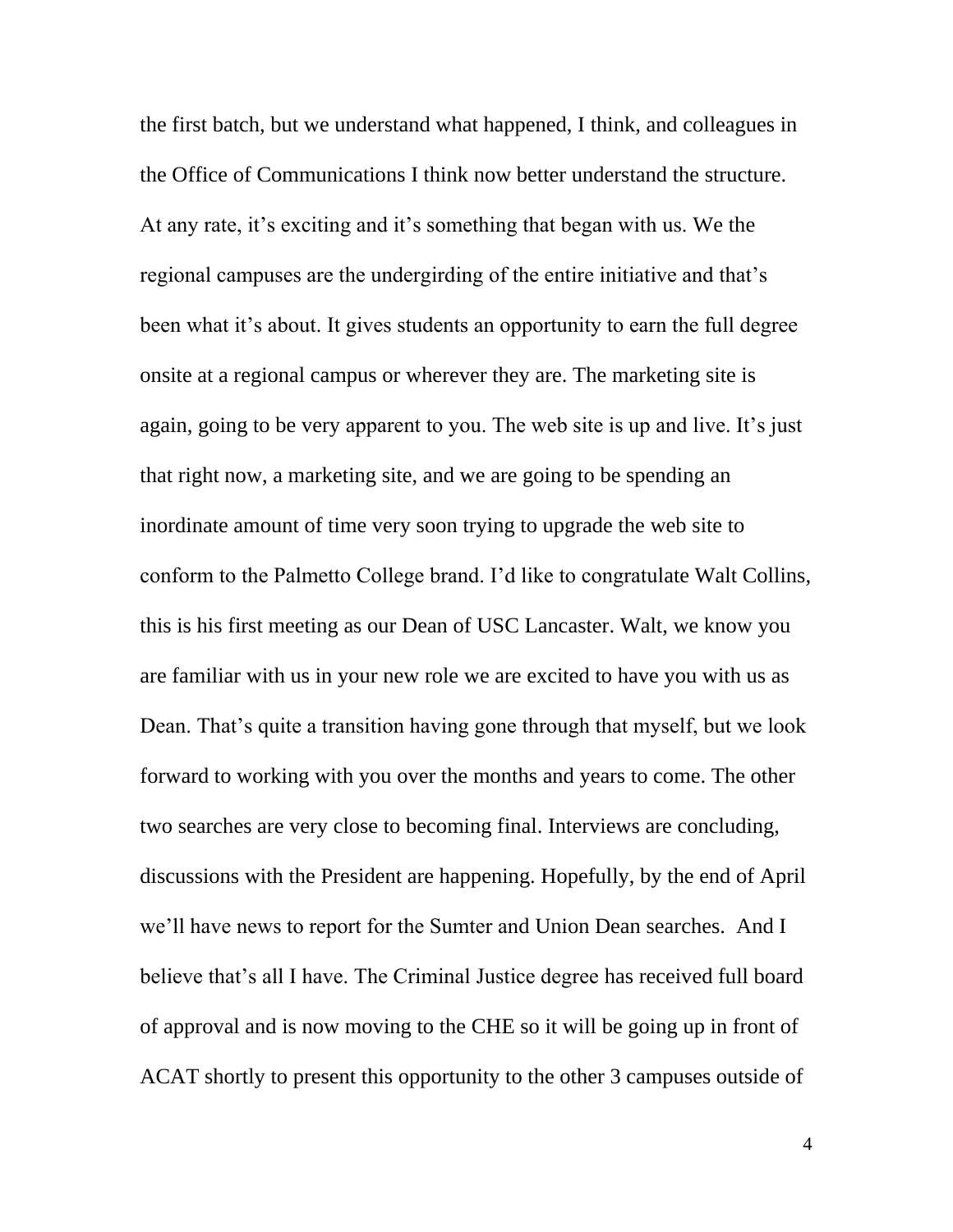the first batch, but we understand what happened, I think, and colleagues in the Office of Communications I think now better understand the structure. At any rate, it's exciting and it's something that began with us. We the regional campuses are the undergirding of the entire initiative and that's been what it's about. It gives students an opportunity to earn the full degree onsite at a regional campus or wherever they are. The marketing site is again, going to be very apparent to you. The web site is up and live. It's just that right now, a marketing site, and we are going to be spending an inordinate amount of time very soon trying to upgrade the web site to conform to the Palmetto College brand. I'd like to congratulate Walt Collins, this is his first meeting as our Dean of USC Lancaster. Walt, we know you are familiar with us in your new role we are excited to have you with us as Dean. That's quite a transition having gone through that myself, but we look forward to working with you over the months and years to come. The other two searches are very close to becoming final. Interviews are concluding, discussions with the President are happening. Hopefully, by the end of April we'll have news to report for the Sumter and Union Dean searches. And I believe that's all I have. The Criminal Justice degree has received full board of approval and is now moving to the CHE so it will be going up in front of ACAT shortly to present this opportunity to the other 3 campuses outside of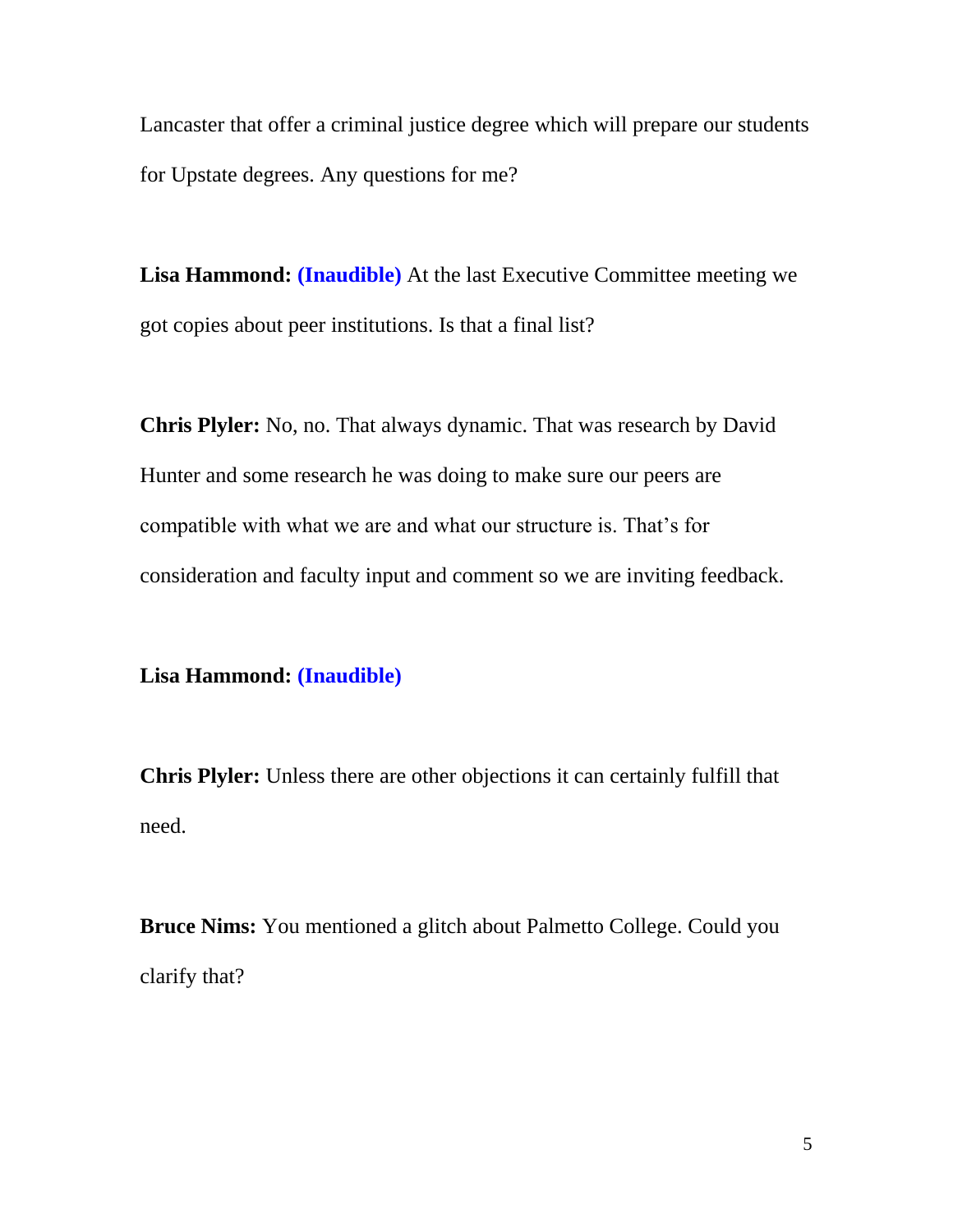Lancaster that offer a criminal justice degree which will prepare our students for Upstate degrees. Any questions for me?

**Lisa Hammond: (Inaudible)** At the last Executive Committee meeting we got copies about peer institutions. Is that a final list?

**Chris Plyler:** No, no. That always dynamic. That was research by David Hunter and some research he was doing to make sure our peers are compatible with what we are and what our structure is. That's for consideration and faculty input and comment so we are inviting feedback.

## **Lisa Hammond: (Inaudible)**

**Chris Plyler:** Unless there are other objections it can certainly fulfill that need.

**Bruce Nims:** You mentioned a glitch about Palmetto College. Could you clarify that?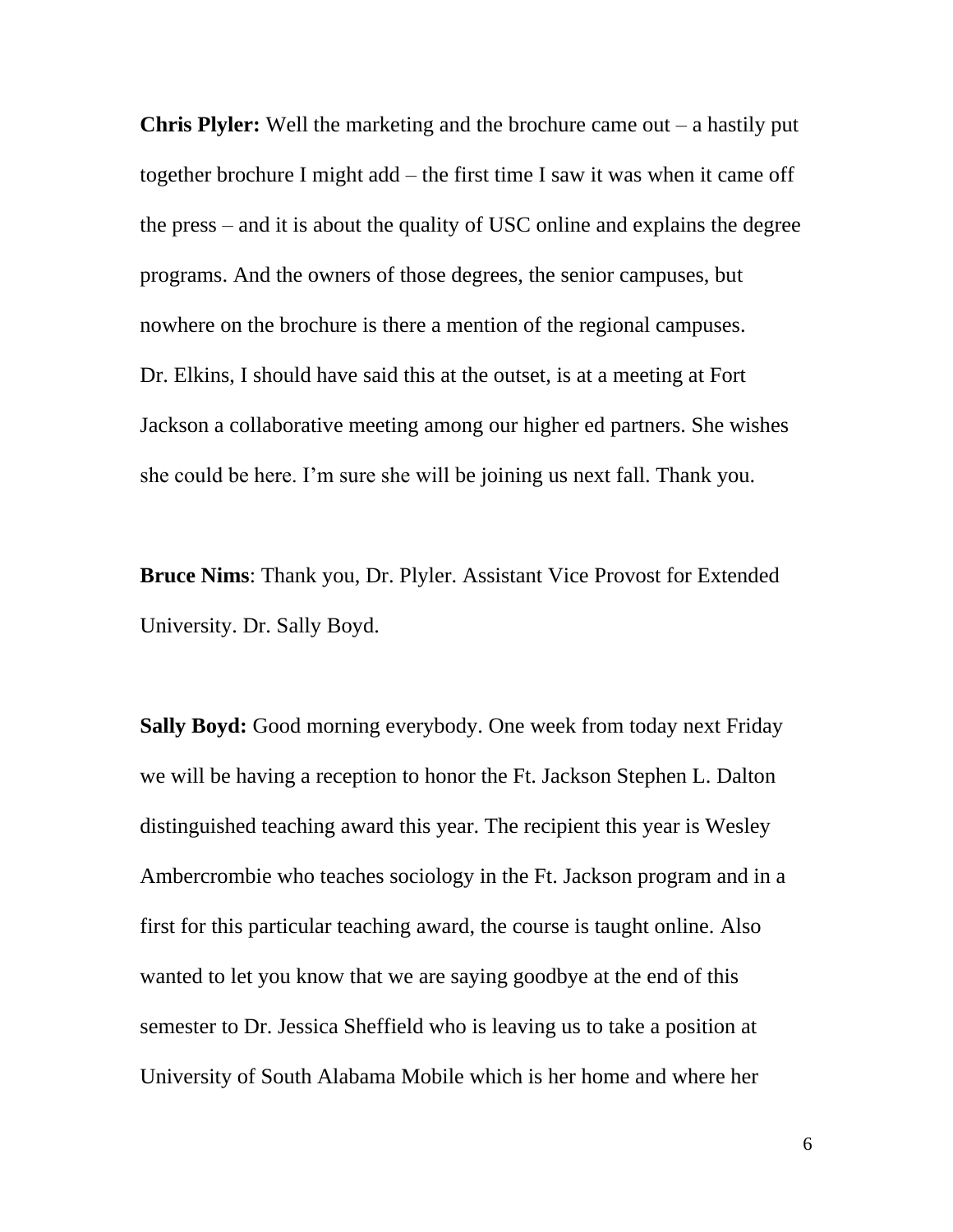**Chris Plyler:** Well the marketing and the brochure came out – a hastily put together brochure I might add – the first time I saw it was when it came off the press – and it is about the quality of USC online and explains the degree programs. And the owners of those degrees, the senior campuses, but nowhere on the brochure is there a mention of the regional campuses. Dr. Elkins, I should have said this at the outset, is at a meeting at Fort Jackson a collaborative meeting among our higher ed partners. She wishes she could be here. I'm sure she will be joining us next fall. Thank you.

**Bruce Nims**: Thank you, Dr. Plyler. Assistant Vice Provost for Extended University. Dr. Sally Boyd.

**Sally Boyd:** Good morning everybody. One week from today next Friday we will be having a reception to honor the Ft. Jackson Stephen L. Dalton distinguished teaching award this year. The recipient this year is Wesley Ambercrombie who teaches sociology in the Ft. Jackson program and in a first for this particular teaching award, the course is taught online. Also wanted to let you know that we are saying goodbye at the end of this semester to Dr. Jessica Sheffield who is leaving us to take a position at University of South Alabama Mobile which is her home and where her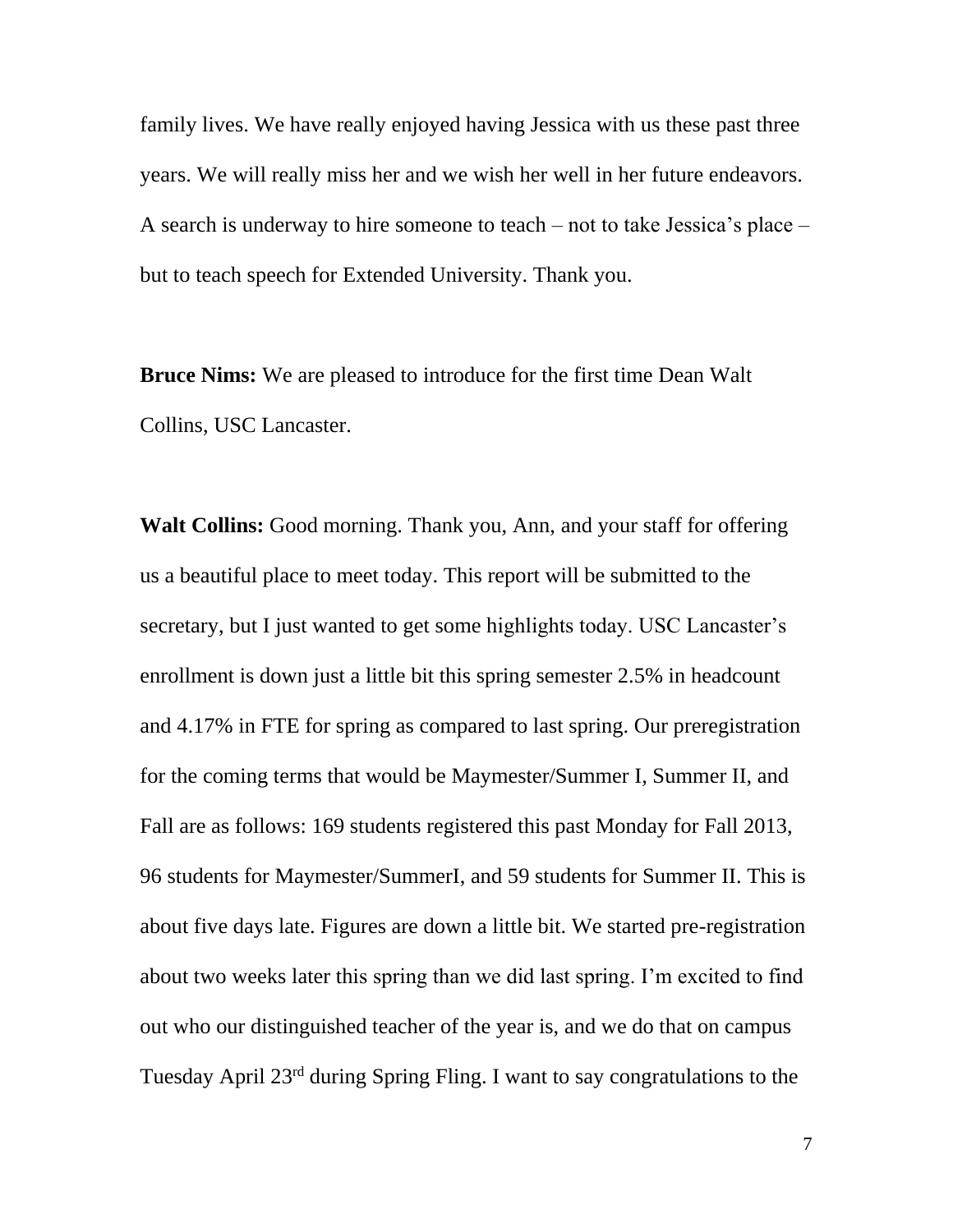family lives. We have really enjoyed having Jessica with us these past three years. We will really miss her and we wish her well in her future endeavors. A search is underway to hire someone to teach – not to take Jessica's place – but to teach speech for Extended University. Thank you.

**Bruce Nims:** We are pleased to introduce for the first time Dean Walt Collins, USC Lancaster.

**Walt Collins:** Good morning. Thank you, Ann, and your staff for offering us a beautiful place to meet today. This report will be submitted to the secretary, but I just wanted to get some highlights today. USC Lancaster's enrollment is down just a little bit this spring semester 2.5% in headcount and 4.17% in FTE for spring as compared to last spring. Our preregistration for the coming terms that would be Maymester/Summer I, Summer II, and Fall are as follows: 169 students registered this past Monday for Fall 2013, 96 students for Maymester/SummerI, and 59 students for Summer II. This is about five days late. Figures are down a little bit. We started pre-registration about two weeks later this spring than we did last spring. I'm excited to find out who our distinguished teacher of the year is, and we do that on campus Tuesday April 23rd during Spring Fling. I want to say congratulations to the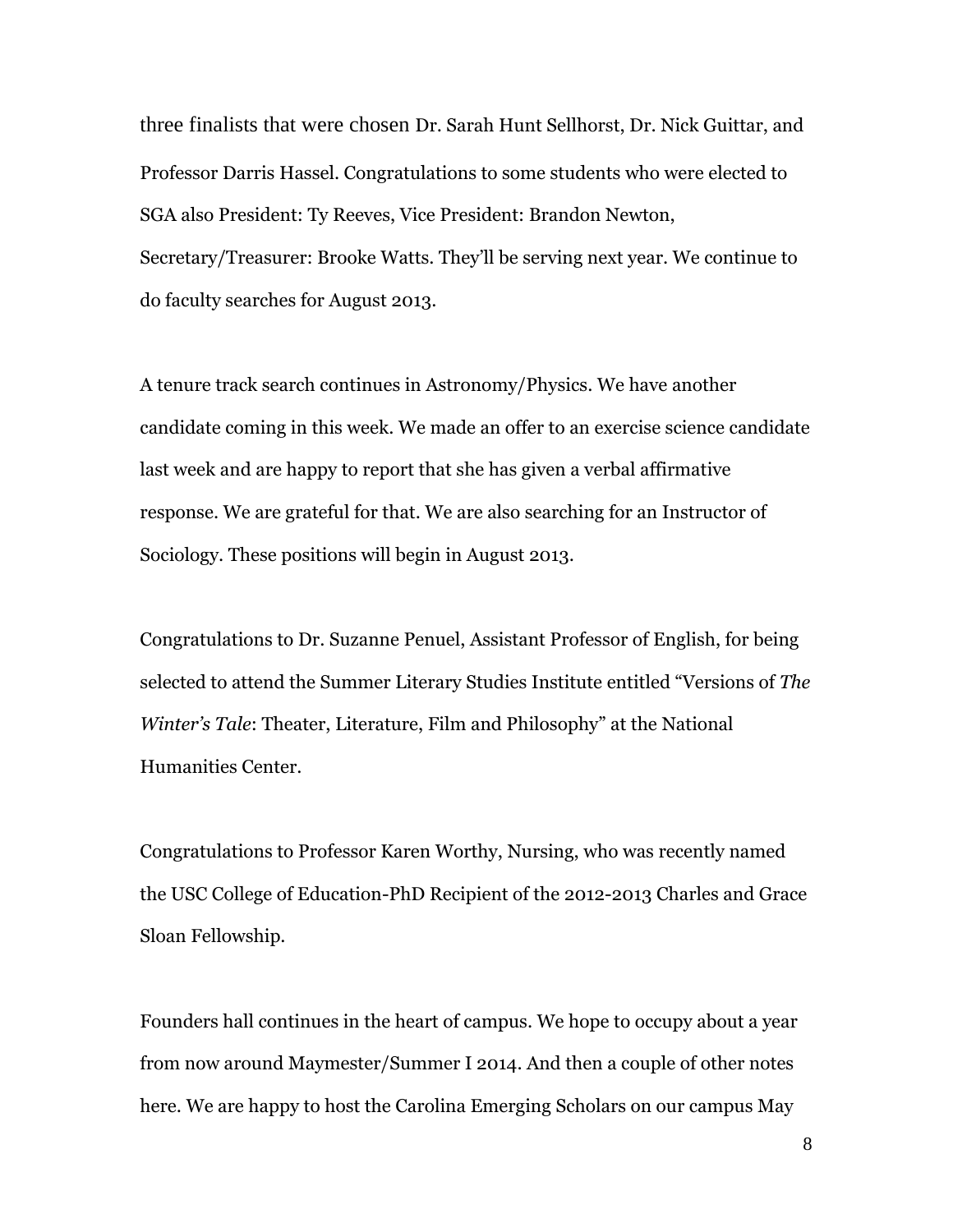three finalists that were chosen Dr. Sarah Hunt Sellhorst, Dr. Nick Guittar, and Professor Darris Hassel. Congratulations to some students who were elected to SGA also President: Ty Reeves, Vice President: Brandon Newton, Secretary/Treasurer: Brooke Watts. They'll be serving next year. We continue to do faculty searches for August 2013.

A tenure track search continues in Astronomy/Physics. We have another candidate coming in this week. We made an offer to an exercise science candidate last week and are happy to report that she has given a verbal affirmative response. We are grateful for that. We are also searching for an Instructor of Sociology. These positions will begin in August 2013.

Congratulations to Dr. Suzanne Penuel, Assistant Professor of English, for being selected to attend the Summer Literary Studies Institute entitled "Versions of *The Winter's Tale*: Theater, Literature, Film and Philosophy" at the National Humanities Center.

Congratulations to Professor Karen Worthy, Nursing, who was recently named the USC College of Education-PhD Recipient of the 2012-2013 Charles and Grace Sloan Fellowship.

Founders hall continues in the heart of campus. We hope to occupy about a year from now around Maymester/Summer I 2014. And then a couple of other notes here. We are happy to host the Carolina Emerging Scholars on our campus May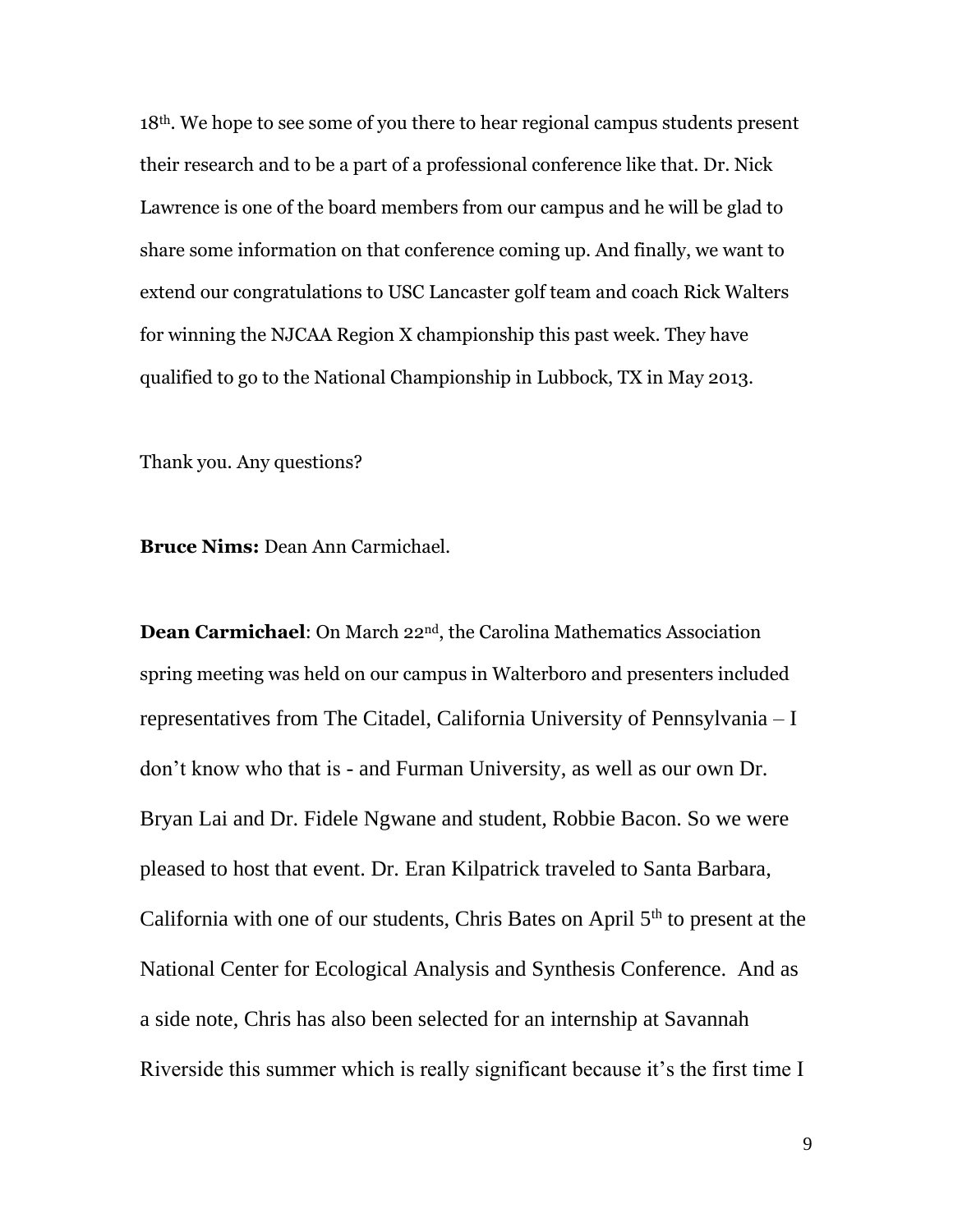18th. We hope to see some of you there to hear regional campus students present their research and to be a part of a professional conference like that. Dr. Nick Lawrence is one of the board members from our campus and he will be glad to share some information on that conference coming up. And finally, we want to extend our congratulations to USC Lancaster golf team and coach Rick Walters for winning the NJCAA Region X championship this past week. They have qualified to go to the National Championship in Lubbock, TX in May 2013.

Thank you. Any questions?

**Bruce Nims:** Dean Ann Carmichael.

**Dean Carmichael**: On March 22nd, the Carolina Mathematics Association spring meeting was held on our campus in Walterboro and presenters included representatives from The Citadel, California University of Pennsylvania – I don't know who that is - and Furman University, as well as our own Dr. Bryan Lai and Dr. Fidele Ngwane and student, Robbie Bacon. So we were pleased to host that event. Dr. Eran Kilpatrick traveled to Santa Barbara, California with one of our students, Chris Bates on April  $5<sup>th</sup>$  to present at the National Center for Ecological Analysis and Synthesis Conference. And as a side note, Chris has also been selected for an internship at Savannah Riverside this summer which is really significant because it's the first time I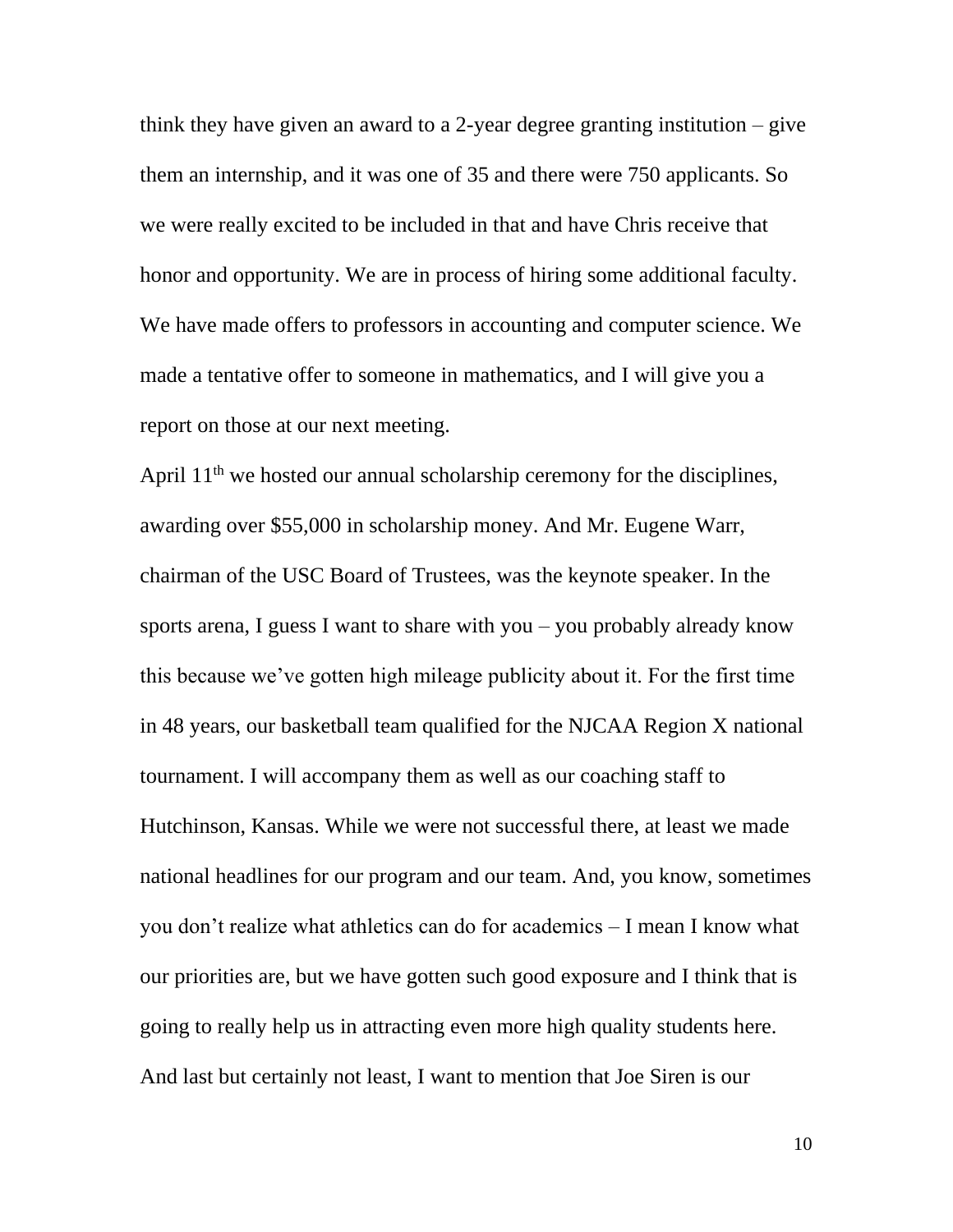think they have given an award to a 2-year degree granting institution – give them an internship, and it was one of 35 and there were 750 applicants. So we were really excited to be included in that and have Chris receive that honor and opportunity. We are in process of hiring some additional faculty. We have made offers to professors in accounting and computer science. We made a tentative offer to someone in mathematics, and I will give you a report on those at our next meeting.

April 11<sup>th</sup> we hosted our annual scholarship ceremony for the disciplines, awarding over \$55,000 in scholarship money. And Mr. Eugene Warr, chairman of the USC Board of Trustees, was the keynote speaker. In the sports arena, I guess I want to share with you – you probably already know this because we've gotten high mileage publicity about it. For the first time in 48 years, our basketball team qualified for the NJCAA Region X national tournament. I will accompany them as well as our coaching staff to Hutchinson, Kansas. While we were not successful there, at least we made national headlines for our program and our team. And, you know, sometimes you don't realize what athletics can do for academics – I mean I know what our priorities are, but we have gotten such good exposure and I think that is going to really help us in attracting even more high quality students here. And last but certainly not least, I want to mention that Joe Siren is our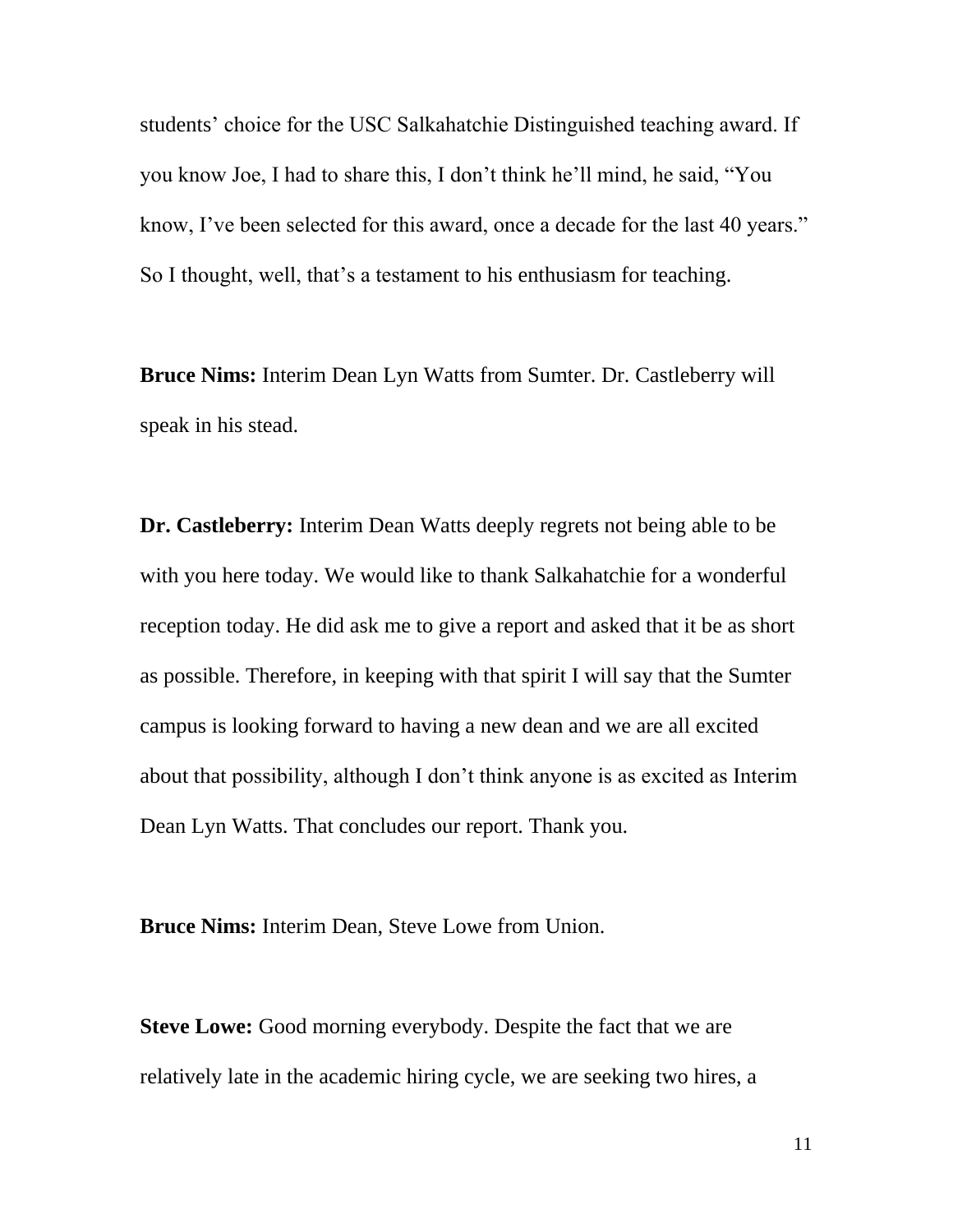students' choice for the USC Salkahatchie Distinguished teaching award. If you know Joe, I had to share this, I don't think he'll mind, he said, "You know, I've been selected for this award, once a decade for the last 40 years." So I thought, well, that's a testament to his enthusiasm for teaching.

**Bruce Nims:** Interim Dean Lyn Watts from Sumter. Dr. Castleberry will speak in his stead.

**Dr. Castleberry:** Interim Dean Watts deeply regrets not being able to be with you here today. We would like to thank Salkahatchie for a wonderful reception today. He did ask me to give a report and asked that it be as short as possible. Therefore, in keeping with that spirit I will say that the Sumter campus is looking forward to having a new dean and we are all excited about that possibility, although I don't think anyone is as excited as Interim Dean Lyn Watts. That concludes our report. Thank you.

**Bruce Nims:** Interim Dean, Steve Lowe from Union.

**Steve Lowe:** Good morning everybody. Despite the fact that we are relatively late in the academic hiring cycle, we are seeking two hires, a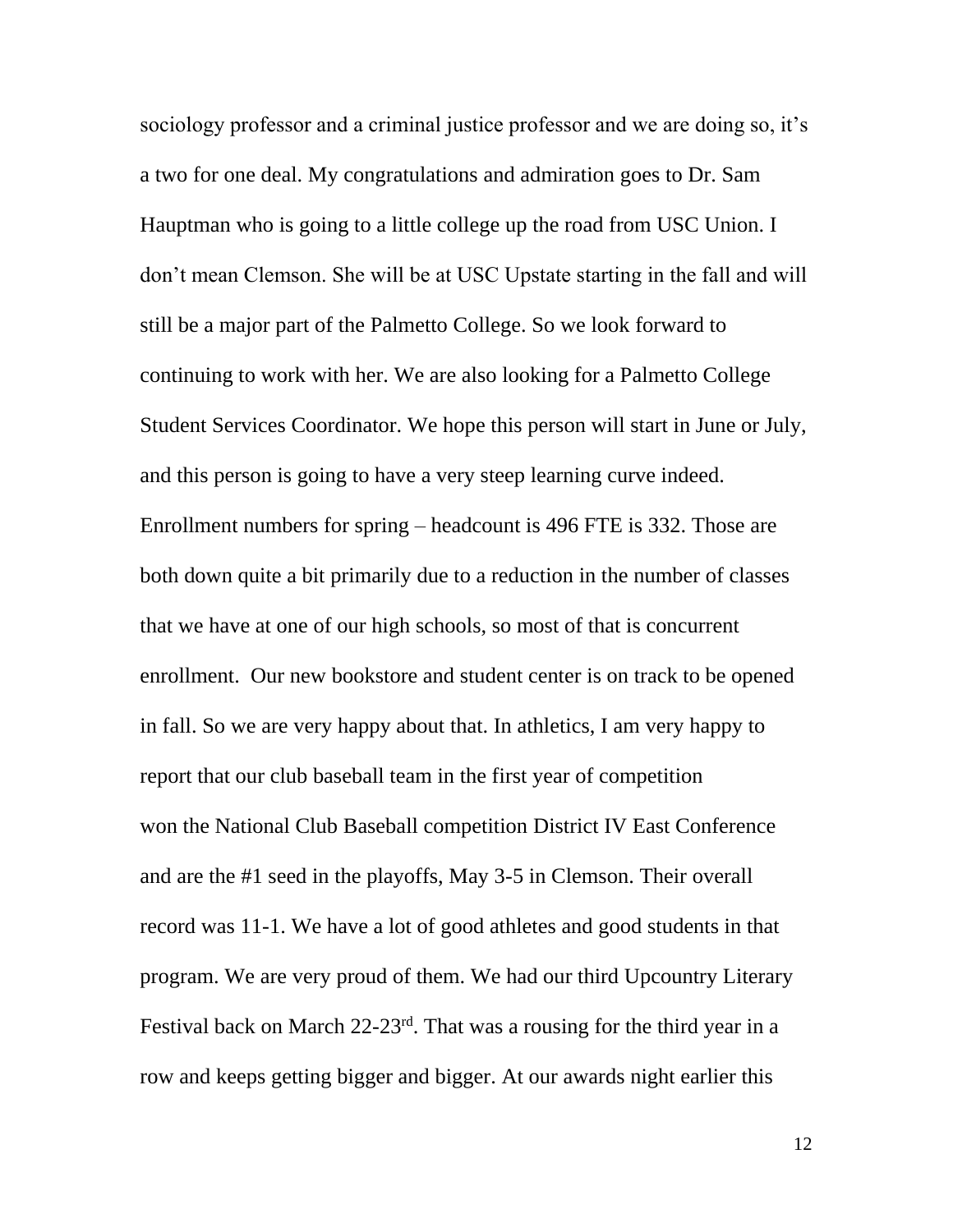sociology professor and a criminal justice professor and we are doing so, it's a two for one deal. My congratulations and admiration goes to Dr. Sam Hauptman who is going to a little college up the road from USC Union. I don't mean Clemson. She will be at USC Upstate starting in the fall and will still be a major part of the Palmetto College. So we look forward to continuing to work with her. We are also looking for a Palmetto College Student Services Coordinator. We hope this person will start in June or July, and this person is going to have a very steep learning curve indeed. Enrollment numbers for spring – headcount is 496 FTE is 332. Those are both down quite a bit primarily due to a reduction in the number of classes that we have at one of our high schools, so most of that is concurrent enrollment. Our new bookstore and student center is on track to be opened in fall. So we are very happy about that. In athletics, I am very happy to report that our club baseball team in the first year of competition won the National Club Baseball competition District IV East Conference and are the #1 seed in the playoffs, May 3-5 in Clemson. Their overall record was 11-1. We have a lot of good athletes and good students in that program. We are very proud of them. We had our third Upcountry Literary Festival back on March 22-23rd. That was a rousing for the third year in a row and keeps getting bigger and bigger. At our awards night earlier this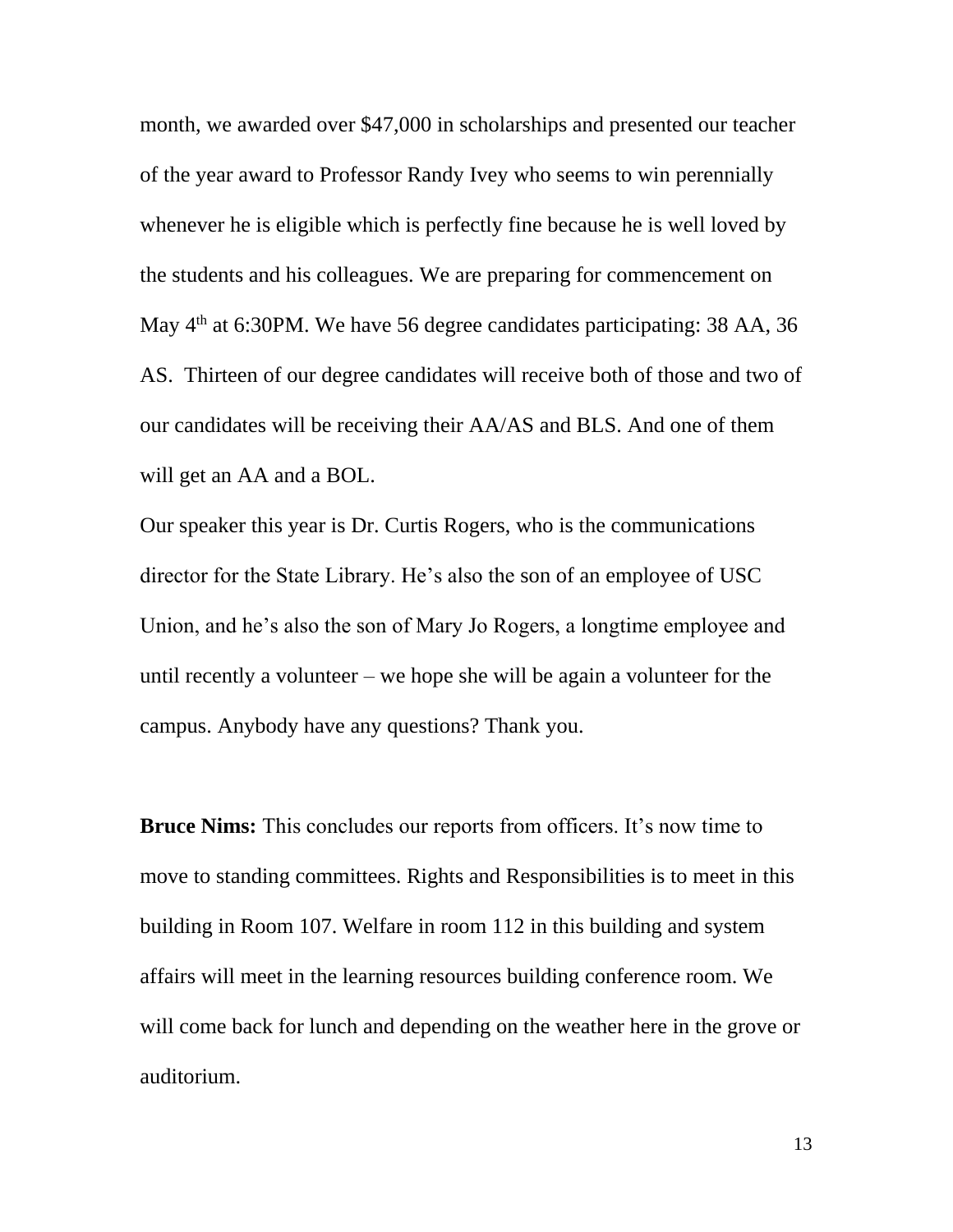month, we awarded over \$47,000 in scholarships and presented our teacher of the year award to Professor Randy Ivey who seems to win perennially whenever he is eligible which is perfectly fine because he is well loved by the students and his colleagues. We are preparing for commencement on May  $4<sup>th</sup>$  at 6:30PM. We have 56 degree candidates participating: 38 AA, 36 AS. Thirteen of our degree candidates will receive both of those and two of our candidates will be receiving their AA/AS and BLS. And one of them will get an AA and a BOL.

Our speaker this year is Dr. Curtis Rogers, who is the communications director for the State Library. He's also the son of an employee of USC Union, and he's also the son of Mary Jo Rogers, a longtime employee and until recently a volunteer – we hope she will be again a volunteer for the campus. Anybody have any questions? Thank you.

**Bruce Nims:** This concludes our reports from officers. It's now time to move to standing committees. Rights and Responsibilities is to meet in this building in Room 107. Welfare in room 112 in this building and system affairs will meet in the learning resources building conference room. We will come back for lunch and depending on the weather here in the grove or auditorium.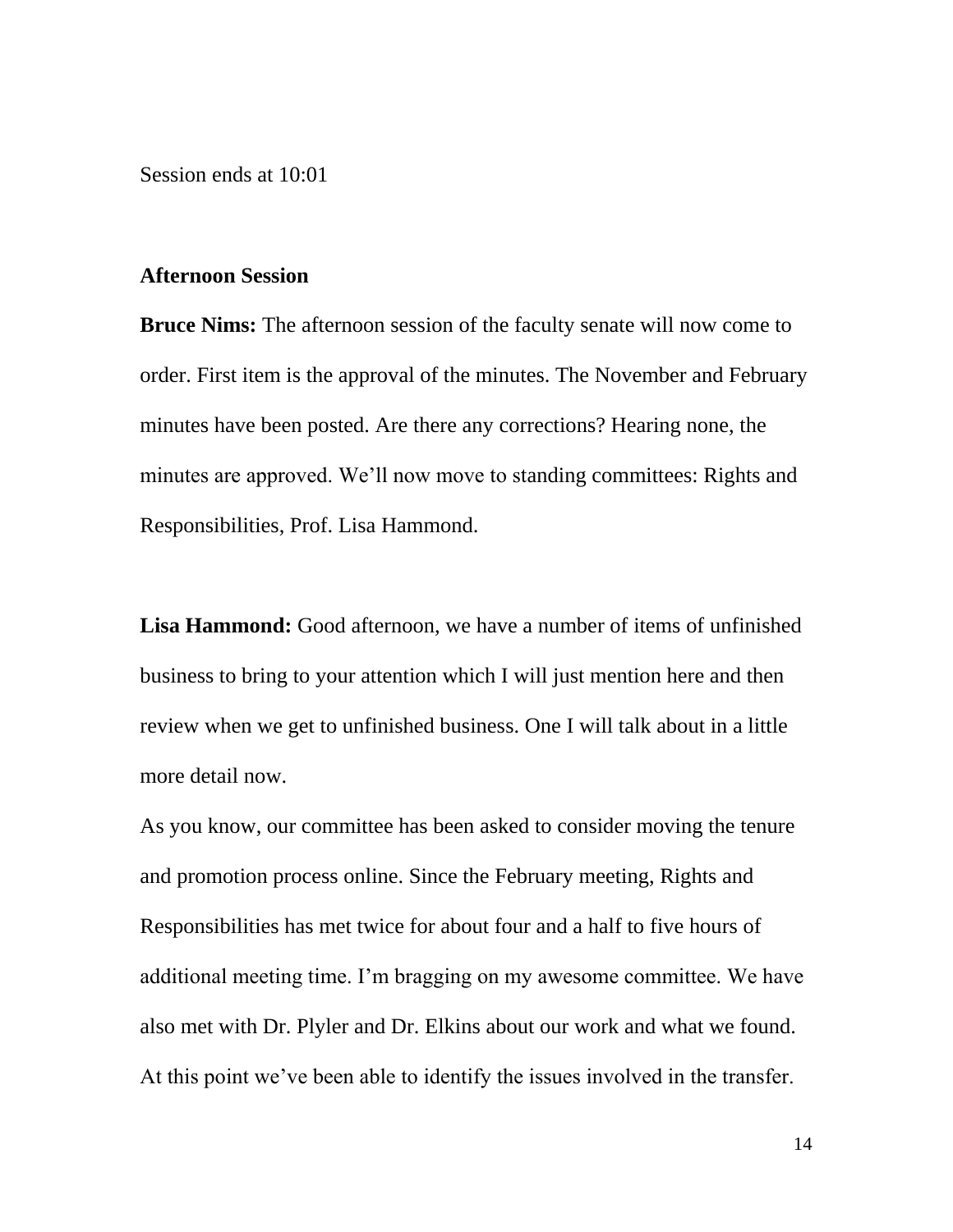Session ends at 10:01

#### **Afternoon Session**

**Bruce Nims:** The afternoon session of the faculty senate will now come to order. First item is the approval of the minutes. The November and February minutes have been posted. Are there any corrections? Hearing none, the minutes are approved. We'll now move to standing committees: Rights and Responsibilities, Prof. Lisa Hammond.

**Lisa Hammond:** Good afternoon, we have a number of items of unfinished business to bring to your attention which I will just mention here and then review when we get to unfinished business. One I will talk about in a little more detail now.

As you know, our committee has been asked to consider moving the tenure and promotion process online. Since the February meeting, Rights and Responsibilities has met twice for about four and a half to five hours of additional meeting time. I'm bragging on my awesome committee. We have also met with Dr. Plyler and Dr. Elkins about our work and what we found. At this point we've been able to identify the issues involved in the transfer.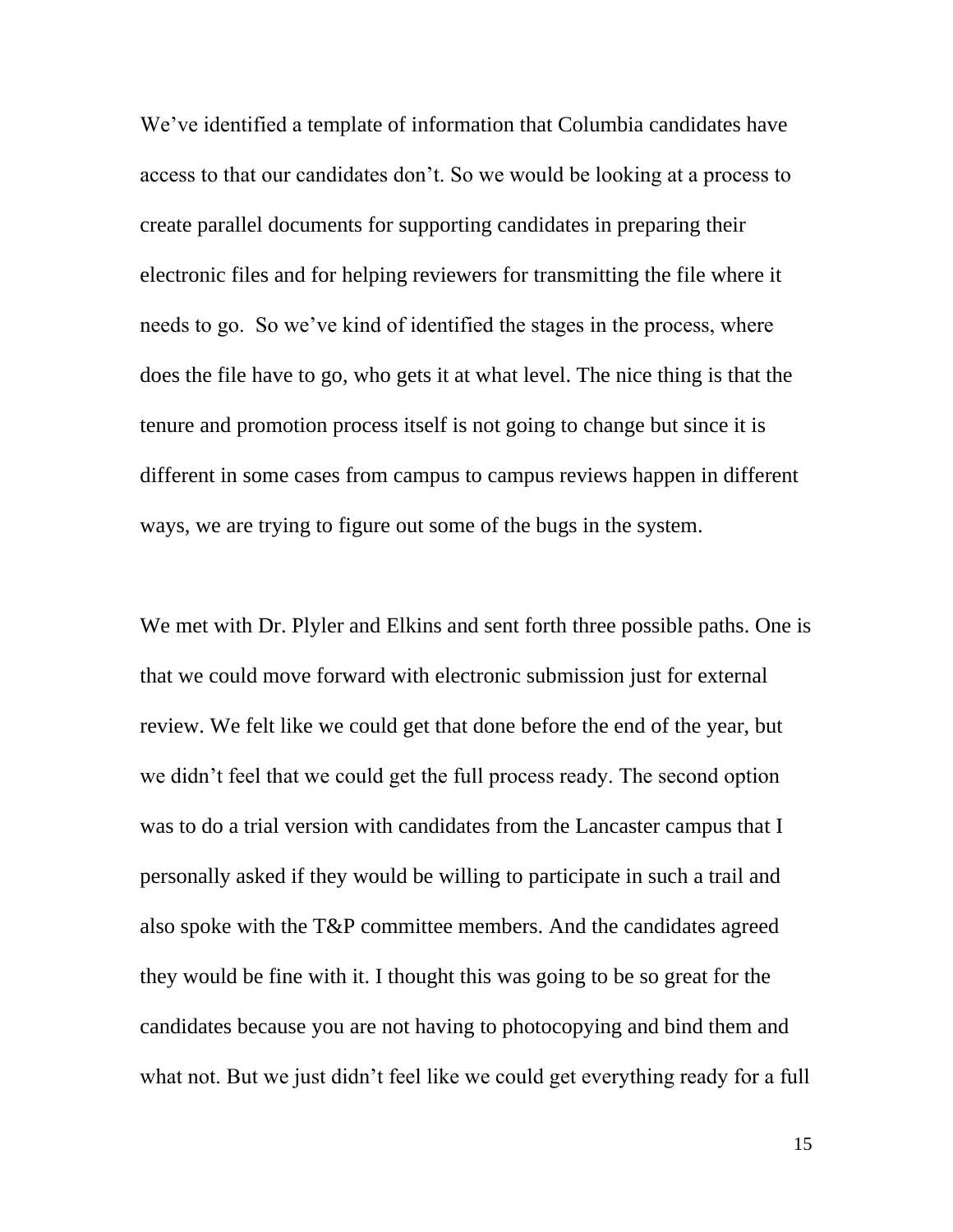We've identified a template of information that Columbia candidates have access to that our candidates don't. So we would be looking at a process to create parallel documents for supporting candidates in preparing their electronic files and for helping reviewers for transmitting the file where it needs to go. So we've kind of identified the stages in the process, where does the file have to go, who gets it at what level. The nice thing is that the tenure and promotion process itself is not going to change but since it is different in some cases from campus to campus reviews happen in different ways, we are trying to figure out some of the bugs in the system.

We met with Dr. Plyler and Elkins and sent forth three possible paths. One is that we could move forward with electronic submission just for external review. We felt like we could get that done before the end of the year, but we didn't feel that we could get the full process ready. The second option was to do a trial version with candidates from the Lancaster campus that I personally asked if they would be willing to participate in such a trail and also spoke with the T&P committee members. And the candidates agreed they would be fine with it. I thought this was going to be so great for the candidates because you are not having to photocopying and bind them and what not. But we just didn't feel like we could get everything ready for a full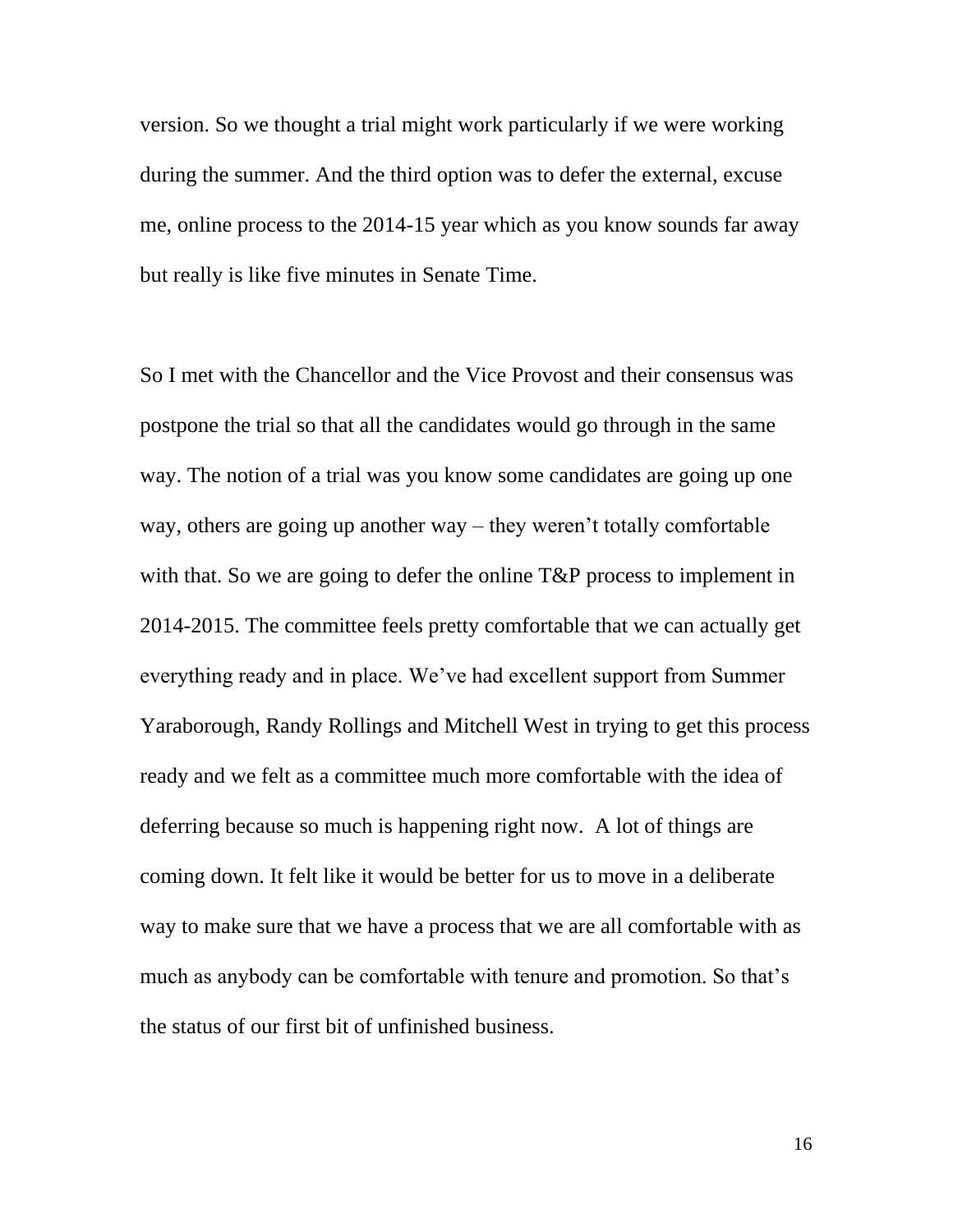version. So we thought a trial might work particularly if we were working during the summer. And the third option was to defer the external, excuse me, online process to the 2014-15 year which as you know sounds far away but really is like five minutes in Senate Time.

So I met with the Chancellor and the Vice Provost and their consensus was postpone the trial so that all the candidates would go through in the same way. The notion of a trial was you know some candidates are going up one way, others are going up another way – they weren't totally comfortable with that. So we are going to defer the online T&P process to implement in 2014-2015. The committee feels pretty comfortable that we can actually get everything ready and in place. We've had excellent support from Summer Yaraborough, Randy Rollings and Mitchell West in trying to get this process ready and we felt as a committee much more comfortable with the idea of deferring because so much is happening right now. A lot of things are coming down. It felt like it would be better for us to move in a deliberate way to make sure that we have a process that we are all comfortable with as much as anybody can be comfortable with tenure and promotion. So that's the status of our first bit of unfinished business.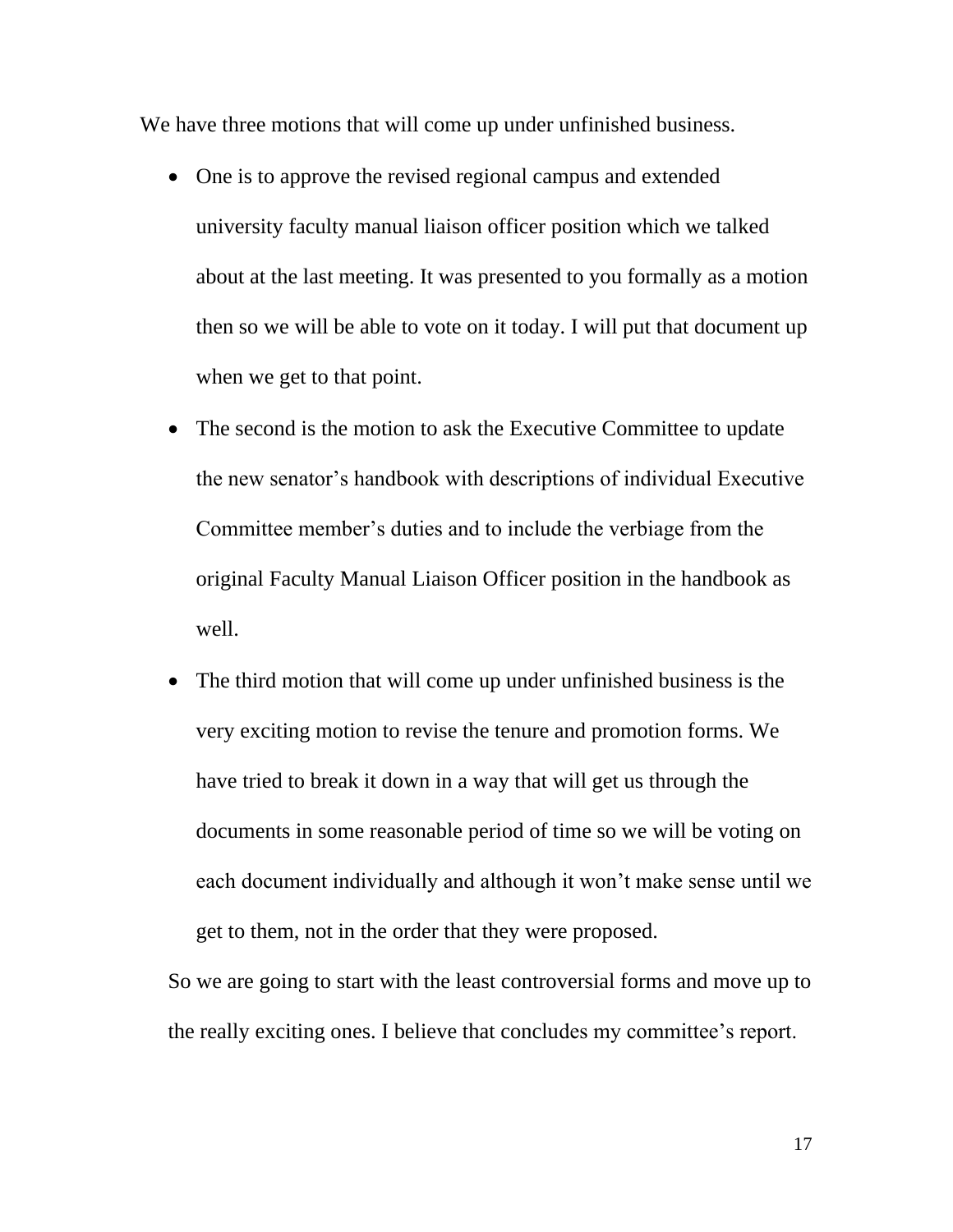We have three motions that will come up under unfinished business.

- One is to approve the revised regional campus and extended university faculty manual liaison officer position which we talked about at the last meeting. It was presented to you formally as a motion then so we will be able to vote on it today. I will put that document up when we get to that point.
- The second is the motion to ask the Executive Committee to update the new senator's handbook with descriptions of individual Executive Committee member's duties and to include the verbiage from the original Faculty Manual Liaison Officer position in the handbook as well.
- The third motion that will come up under unfinished business is the very exciting motion to revise the tenure and promotion forms. We have tried to break it down in a way that will get us through the documents in some reasonable period of time so we will be voting on each document individually and although it won't make sense until we get to them, not in the order that they were proposed.

So we are going to start with the least controversial forms and move up to the really exciting ones. I believe that concludes my committee's report.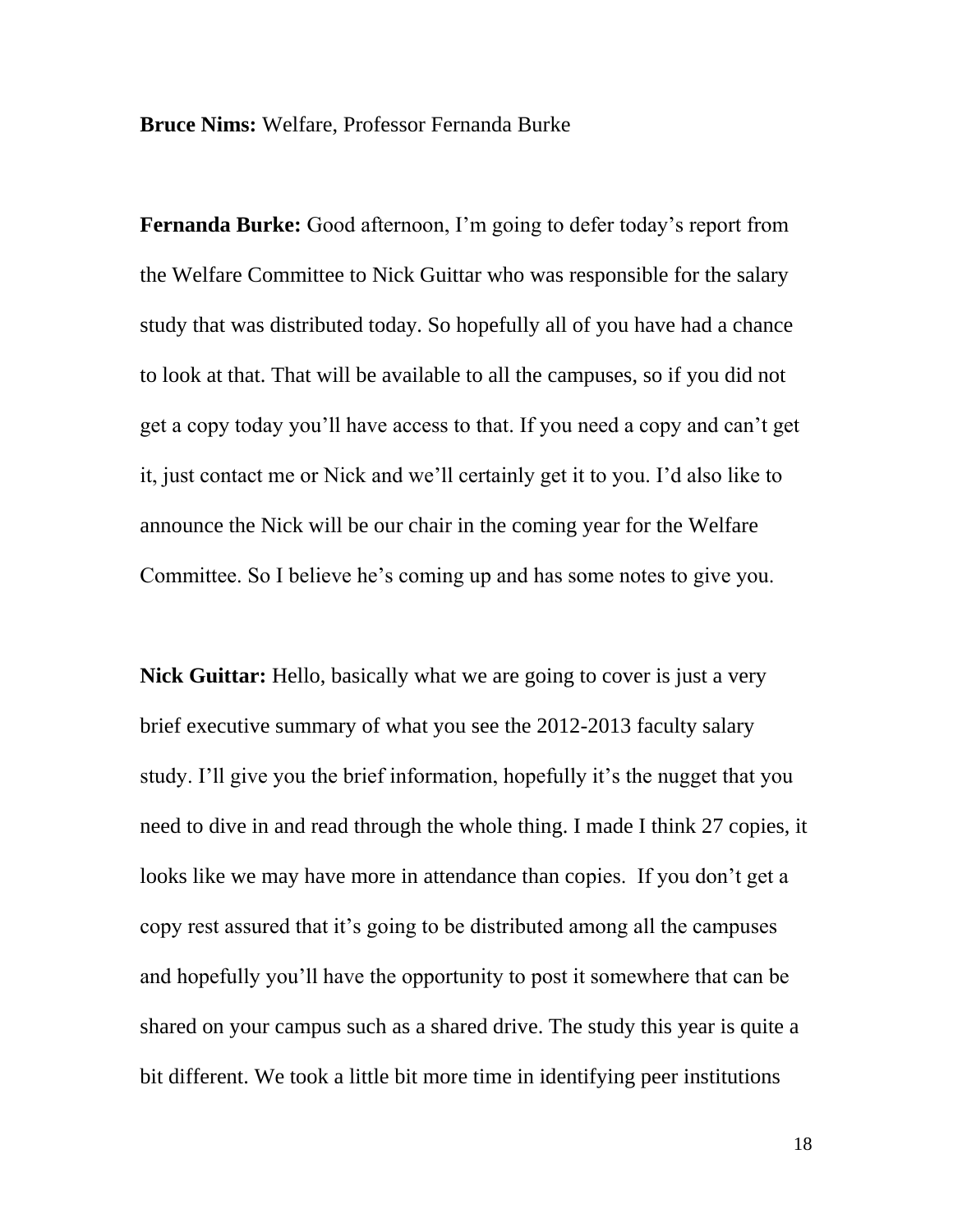**Bruce Nims:** Welfare, Professor Fernanda Burke

**Fernanda Burke:** Good afternoon, I'm going to defer today's report from the Welfare Committee to Nick Guittar who was responsible for the salary study that was distributed today. So hopefully all of you have had a chance to look at that. That will be available to all the campuses, so if you did not get a copy today you'll have access to that. If you need a copy and can't get it, just contact me or Nick and we'll certainly get it to you. I'd also like to announce the Nick will be our chair in the coming year for the Welfare Committee. So I believe he's coming up and has some notes to give you.

**Nick Guittar:** Hello, basically what we are going to cover is just a very brief executive summary of what you see the 2012-2013 faculty salary study. I'll give you the brief information, hopefully it's the nugget that you need to dive in and read through the whole thing. I made I think 27 copies, it looks like we may have more in attendance than copies. If you don't get a copy rest assured that it's going to be distributed among all the campuses and hopefully you'll have the opportunity to post it somewhere that can be shared on your campus such as a shared drive. The study this year is quite a bit different. We took a little bit more time in identifying peer institutions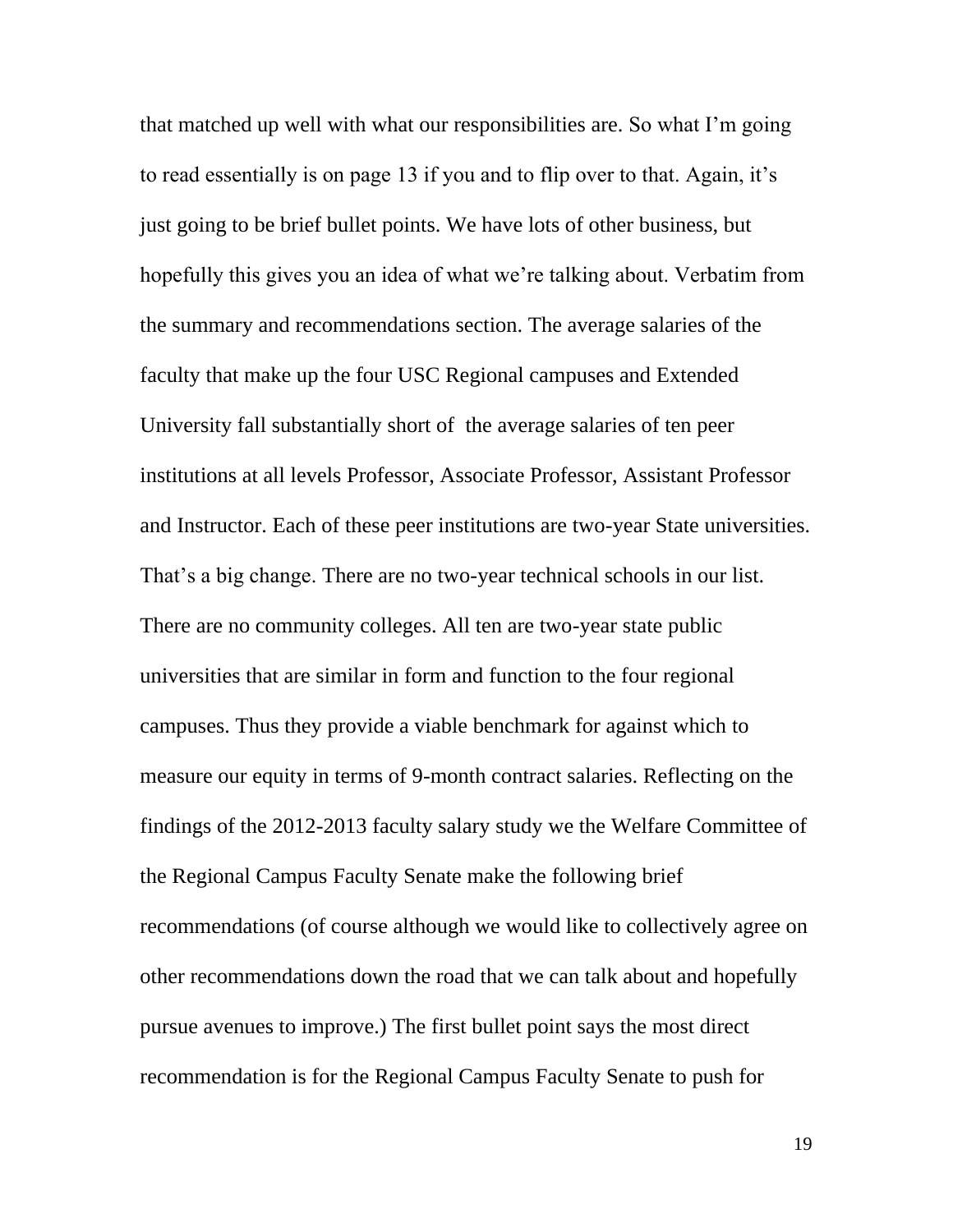that matched up well with what our responsibilities are. So what I'm going to read essentially is on page 13 if you and to flip over to that. Again, it's just going to be brief bullet points. We have lots of other business, but hopefully this gives you an idea of what we're talking about. Verbatim from the summary and recommendations section. The average salaries of the faculty that make up the four USC Regional campuses and Extended University fall substantially short of the average salaries of ten peer institutions at all levels Professor, Associate Professor, Assistant Professor and Instructor. Each of these peer institutions are two-year State universities. That's a big change. There are no two-year technical schools in our list. There are no community colleges. All ten are two-year state public universities that are similar in form and function to the four regional campuses. Thus they provide a viable benchmark for against which to measure our equity in terms of 9-month contract salaries. Reflecting on the findings of the 2012-2013 faculty salary study we the Welfare Committee of the Regional Campus Faculty Senate make the following brief recommendations (of course although we would like to collectively agree on other recommendations down the road that we can talk about and hopefully pursue avenues to improve.) The first bullet point says the most direct recommendation is for the Regional Campus Faculty Senate to push for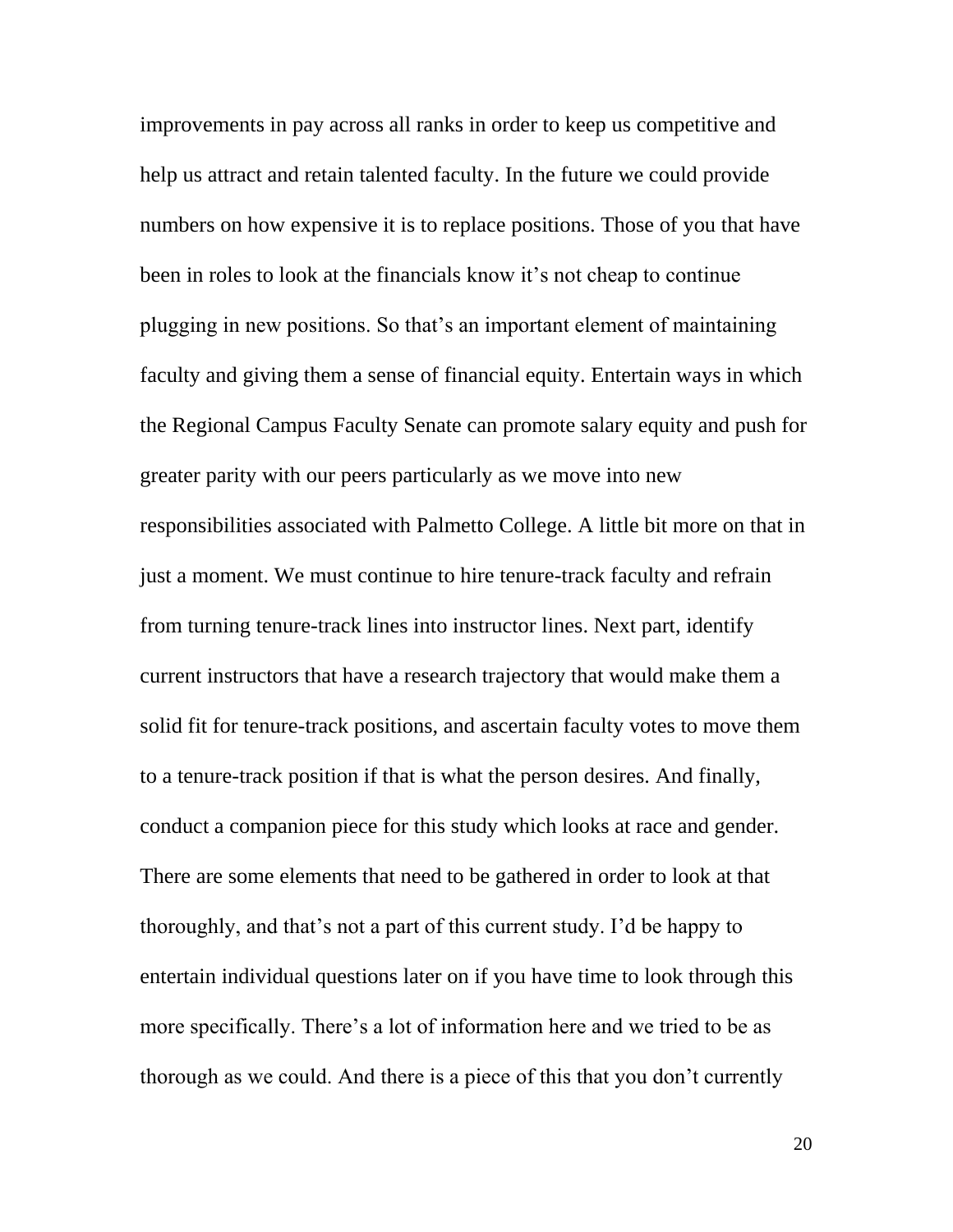improvements in pay across all ranks in order to keep us competitive and help us attract and retain talented faculty. In the future we could provide numbers on how expensive it is to replace positions. Those of you that have been in roles to look at the financials know it's not cheap to continue plugging in new positions. So that's an important element of maintaining faculty and giving them a sense of financial equity. Entertain ways in which the Regional Campus Faculty Senate can promote salary equity and push for greater parity with our peers particularly as we move into new responsibilities associated with Palmetto College. A little bit more on that in just a moment. We must continue to hire tenure-track faculty and refrain from turning tenure-track lines into instructor lines. Next part, identify current instructors that have a research trajectory that would make them a solid fit for tenure-track positions, and ascertain faculty votes to move them to a tenure-track position if that is what the person desires. And finally, conduct a companion piece for this study which looks at race and gender. There are some elements that need to be gathered in order to look at that thoroughly, and that's not a part of this current study. I'd be happy to entertain individual questions later on if you have time to look through this more specifically. There's a lot of information here and we tried to be as thorough as we could. And there is a piece of this that you don't currently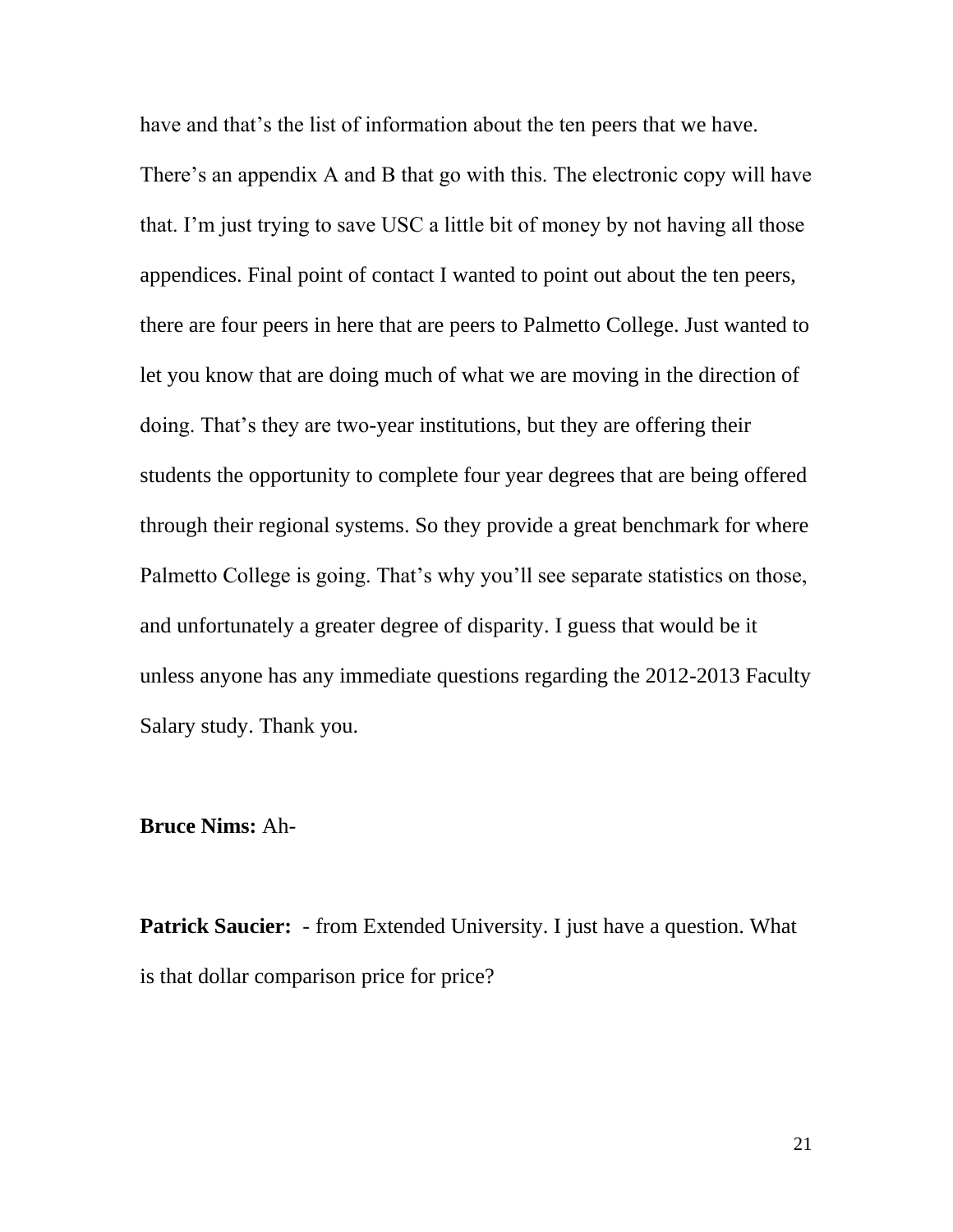have and that's the list of information about the ten peers that we have.

There's an appendix A and B that go with this. The electronic copy will have that. I'm just trying to save USC a little bit of money by not having all those appendices. Final point of contact I wanted to point out about the ten peers, there are four peers in here that are peers to Palmetto College. Just wanted to let you know that are doing much of what we are moving in the direction of doing. That's they are two-year institutions, but they are offering their students the opportunity to complete four year degrees that are being offered through their regional systems. So they provide a great benchmark for where Palmetto College is going. That's why you'll see separate statistics on those, and unfortunately a greater degree of disparity. I guess that would be it unless anyone has any immediate questions regarding the 2012-2013 Faculty Salary study. Thank you.

## **Bruce Nims:** Ah-

**Patrick Saucier:** - from Extended University. I just have a question. What is that dollar comparison price for price?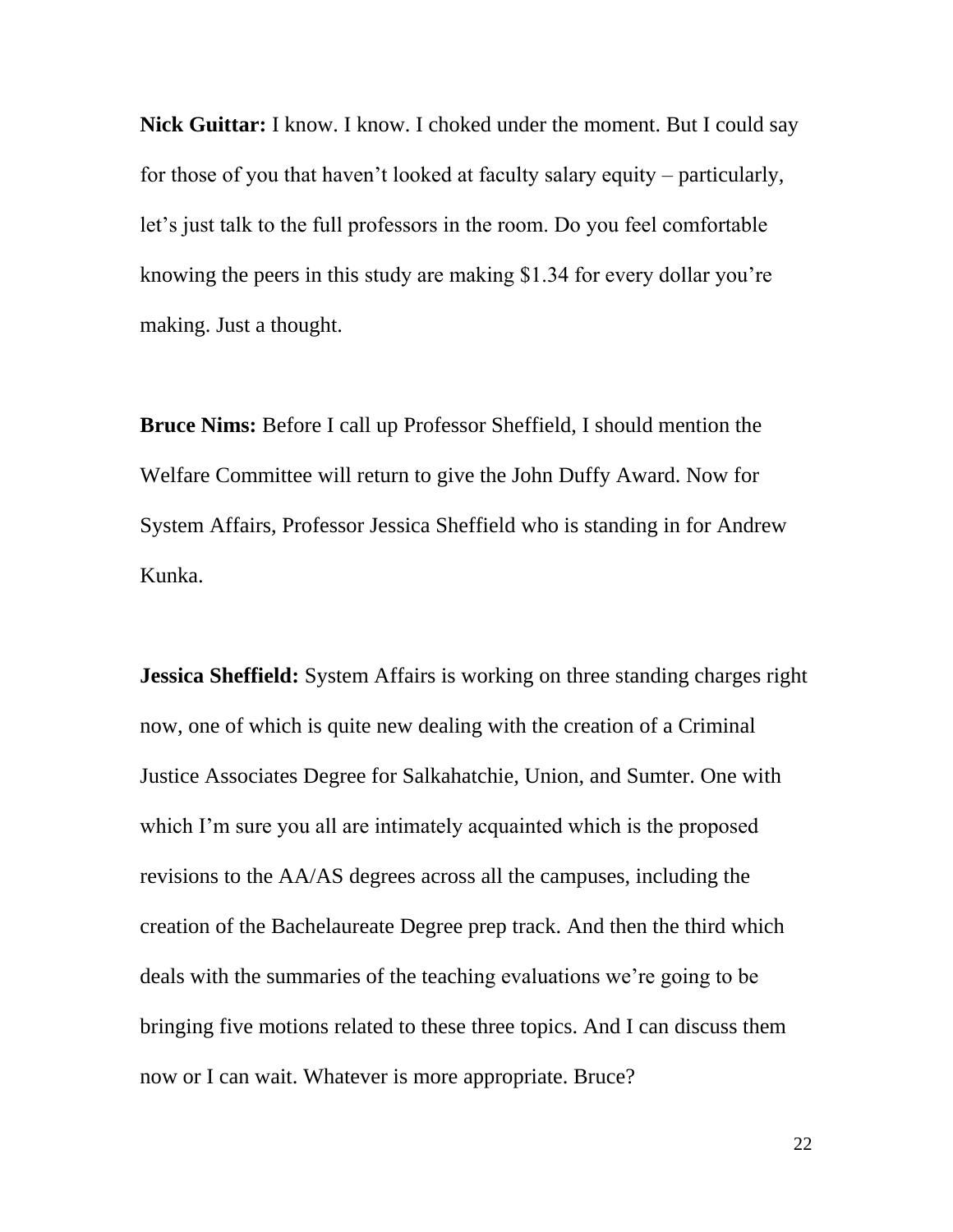**Nick Guittar:** I know. I know. I choked under the moment. But I could say for those of you that haven't looked at faculty salary equity – particularly, let's just talk to the full professors in the room. Do you feel comfortable knowing the peers in this study are making \$1.34 for every dollar you're making. Just a thought.

**Bruce Nims:** Before I call up Professor Sheffield, I should mention the Welfare Committee will return to give the John Duffy Award. Now for System Affairs, Professor Jessica Sheffield who is standing in for Andrew Kunka.

**Jessica Sheffield:** System Affairs is working on three standing charges right now, one of which is quite new dealing with the creation of a Criminal Justice Associates Degree for Salkahatchie, Union, and Sumter. One with which I'm sure you all are intimately acquainted which is the proposed revisions to the AA/AS degrees across all the campuses, including the creation of the Bachelaureate Degree prep track. And then the third which deals with the summaries of the teaching evaluations we're going to be bringing five motions related to these three topics. And I can discuss them now or I can wait. Whatever is more appropriate. Bruce?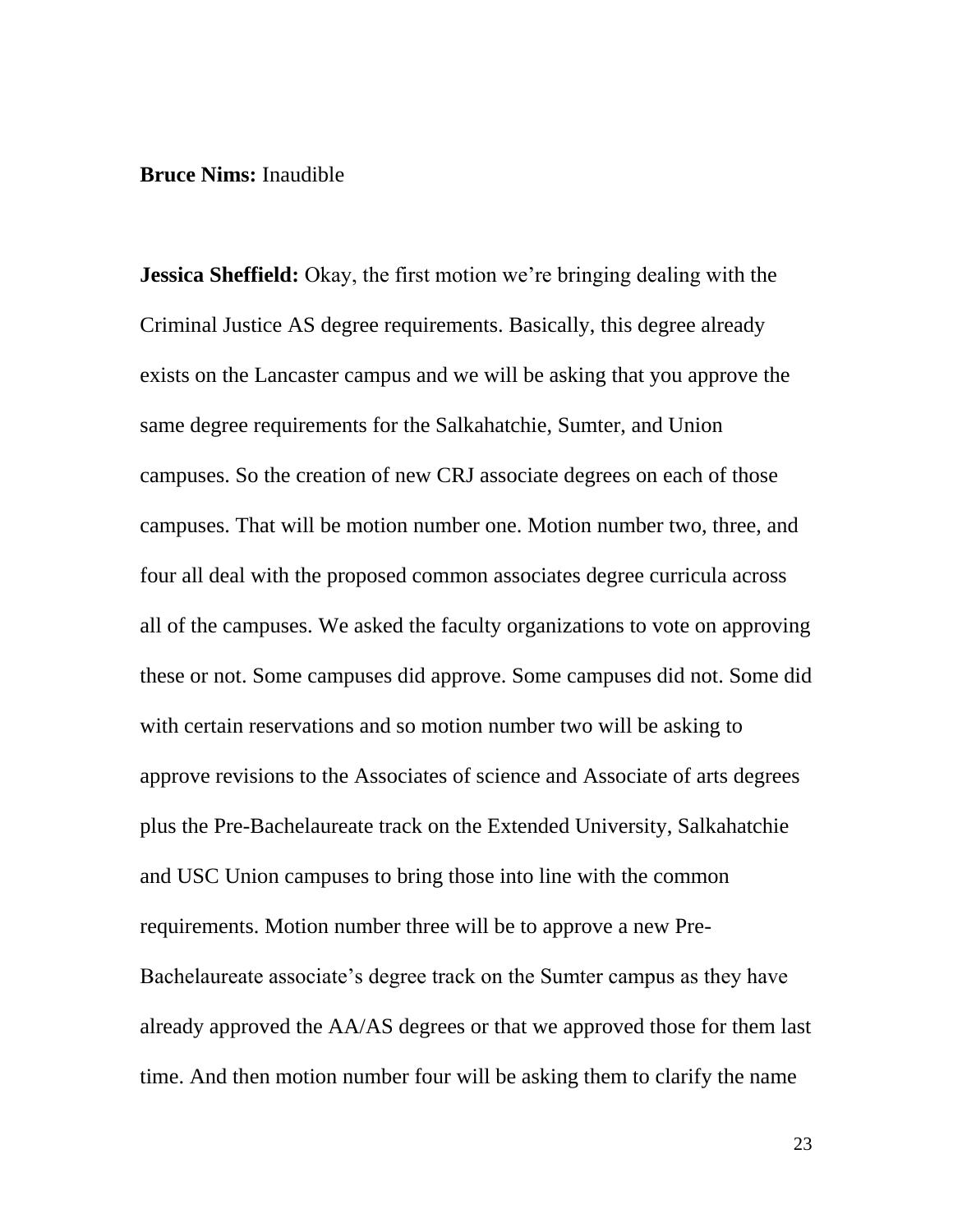#### **Bruce Nims:** Inaudible

**Jessica Sheffield:** Okay, the first motion we're bringing dealing with the Criminal Justice AS degree requirements. Basically, this degree already exists on the Lancaster campus and we will be asking that you approve the same degree requirements for the Salkahatchie, Sumter, and Union campuses. So the creation of new CRJ associate degrees on each of those campuses. That will be motion number one. Motion number two, three, and four all deal with the proposed common associates degree curricula across all of the campuses. We asked the faculty organizations to vote on approving these or not. Some campuses did approve. Some campuses did not. Some did with certain reservations and so motion number two will be asking to approve revisions to the Associates of science and Associate of arts degrees plus the Pre-Bachelaureate track on the Extended University, Salkahatchie and USC Union campuses to bring those into line with the common requirements. Motion number three will be to approve a new Pre-Bachelaureate associate's degree track on the Sumter campus as they have already approved the AA/AS degrees or that we approved those for them last time. And then motion number four will be asking them to clarify the name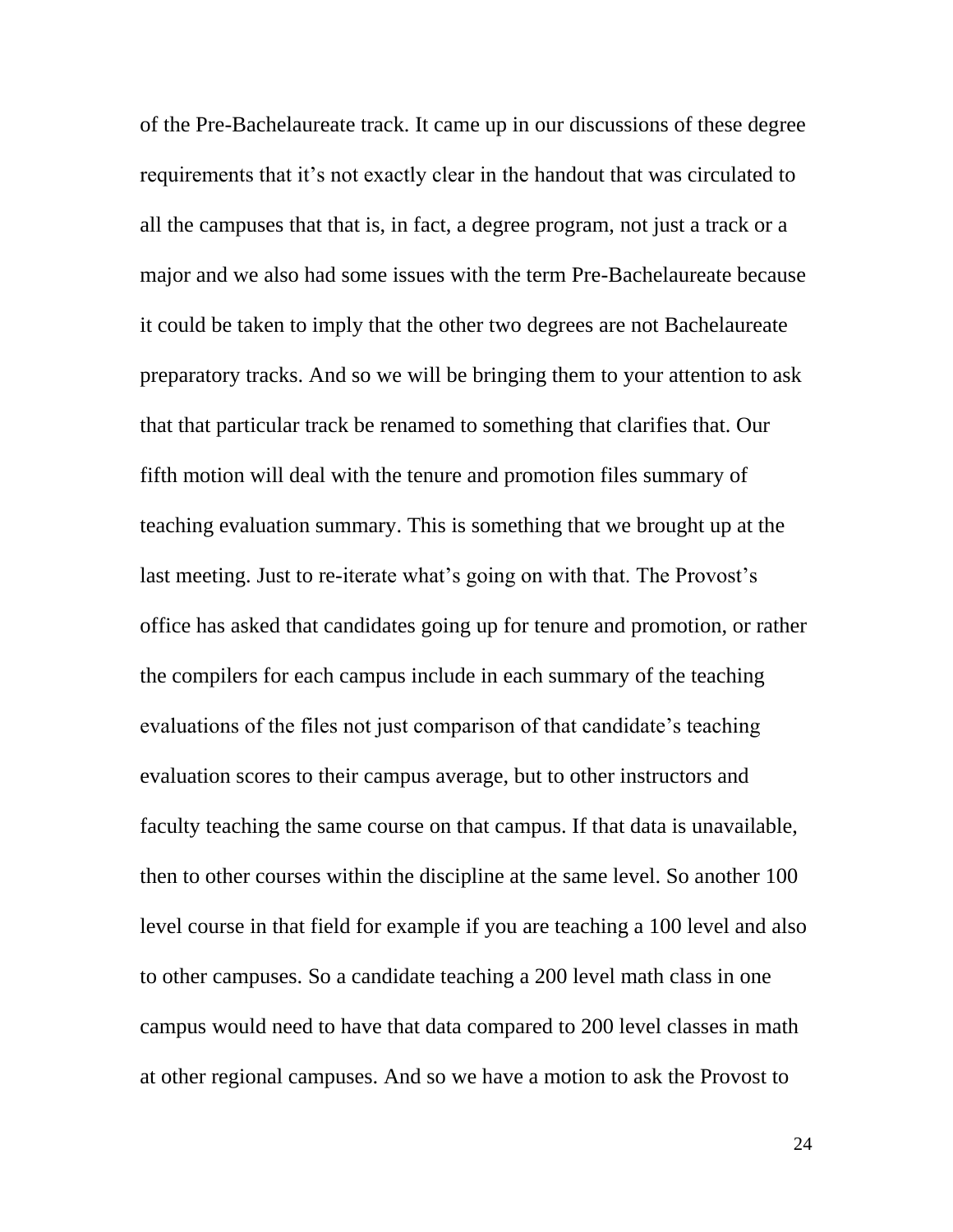of the Pre-Bachelaureate track. It came up in our discussions of these degree requirements that it's not exactly clear in the handout that was circulated to all the campuses that that is, in fact, a degree program, not just a track or a major and we also had some issues with the term Pre-Bachelaureate because it could be taken to imply that the other two degrees are not Bachelaureate preparatory tracks. And so we will be bringing them to your attention to ask that that particular track be renamed to something that clarifies that. Our fifth motion will deal with the tenure and promotion files summary of teaching evaluation summary. This is something that we brought up at the last meeting. Just to re-iterate what's going on with that. The Provost's office has asked that candidates going up for tenure and promotion, or rather the compilers for each campus include in each summary of the teaching evaluations of the files not just comparison of that candidate's teaching evaluation scores to their campus average, but to other instructors and faculty teaching the same course on that campus. If that data is unavailable, then to other courses within the discipline at the same level. So another 100 level course in that field for example if you are teaching a 100 level and also to other campuses. So a candidate teaching a 200 level math class in one campus would need to have that data compared to 200 level classes in math at other regional campuses. And so we have a motion to ask the Provost to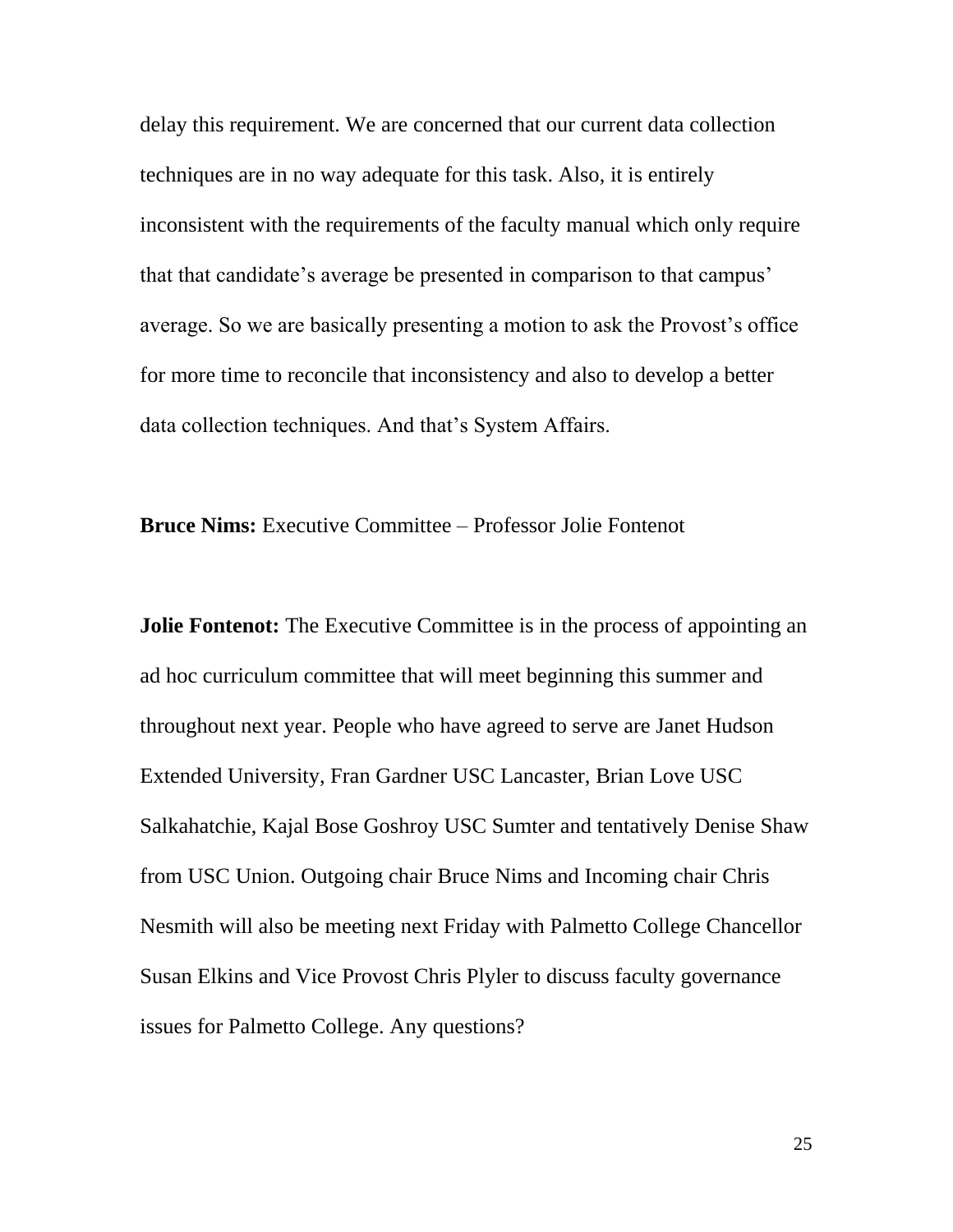delay this requirement. We are concerned that our current data collection techniques are in no way adequate for this task. Also, it is entirely inconsistent with the requirements of the faculty manual which only require that that candidate's average be presented in comparison to that campus' average. So we are basically presenting a motion to ask the Provost's office for more time to reconcile that inconsistency and also to develop a better data collection techniques. And that's System Affairs.

**Bruce Nims:** Executive Committee – Professor Jolie Fontenot

**Jolie Fontenot:** The Executive Committee is in the process of appointing an ad hoc curriculum committee that will meet beginning this summer and throughout next year. People who have agreed to serve are Janet Hudson Extended University, Fran Gardner USC Lancaster, Brian Love USC Salkahatchie, Kajal Bose Goshroy USC Sumter and tentatively Denise Shaw from USC Union. Outgoing chair Bruce Nims and Incoming chair Chris Nesmith will also be meeting next Friday with Palmetto College Chancellor Susan Elkins and Vice Provost Chris Plyler to discuss faculty governance issues for Palmetto College. Any questions?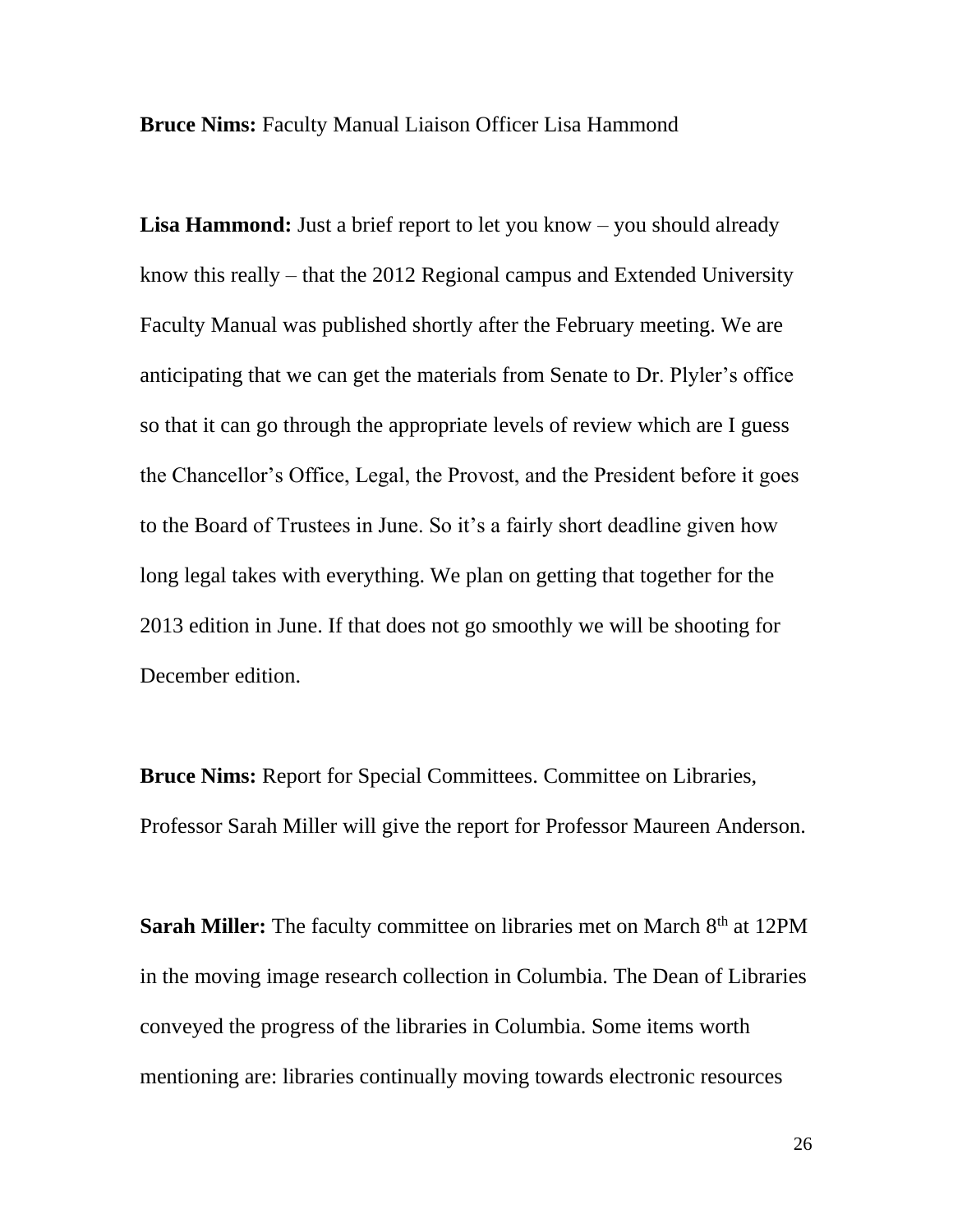**Bruce Nims:** Faculty Manual Liaison Officer Lisa Hammond

**Lisa Hammond:** Just a brief report to let you know – you should already know this really – that the 2012 Regional campus and Extended University Faculty Manual was published shortly after the February meeting. We are anticipating that we can get the materials from Senate to Dr. Plyler's office so that it can go through the appropriate levels of review which are I guess the Chancellor's Office, Legal, the Provost, and the President before it goes to the Board of Trustees in June. So it's a fairly short deadline given how long legal takes with everything. We plan on getting that together for the 2013 edition in June. If that does not go smoothly we will be shooting for December edition.

**Bruce Nims:** Report for Special Committees. Committee on Libraries, Professor Sarah Miller will give the report for Professor Maureen Anderson.

**Sarah Miller:** The faculty committee on libraries met on March 8<sup>th</sup> at 12PM in the moving image research collection in Columbia. The Dean of Libraries conveyed the progress of the libraries in Columbia. Some items worth mentioning are: libraries continually moving towards electronic resources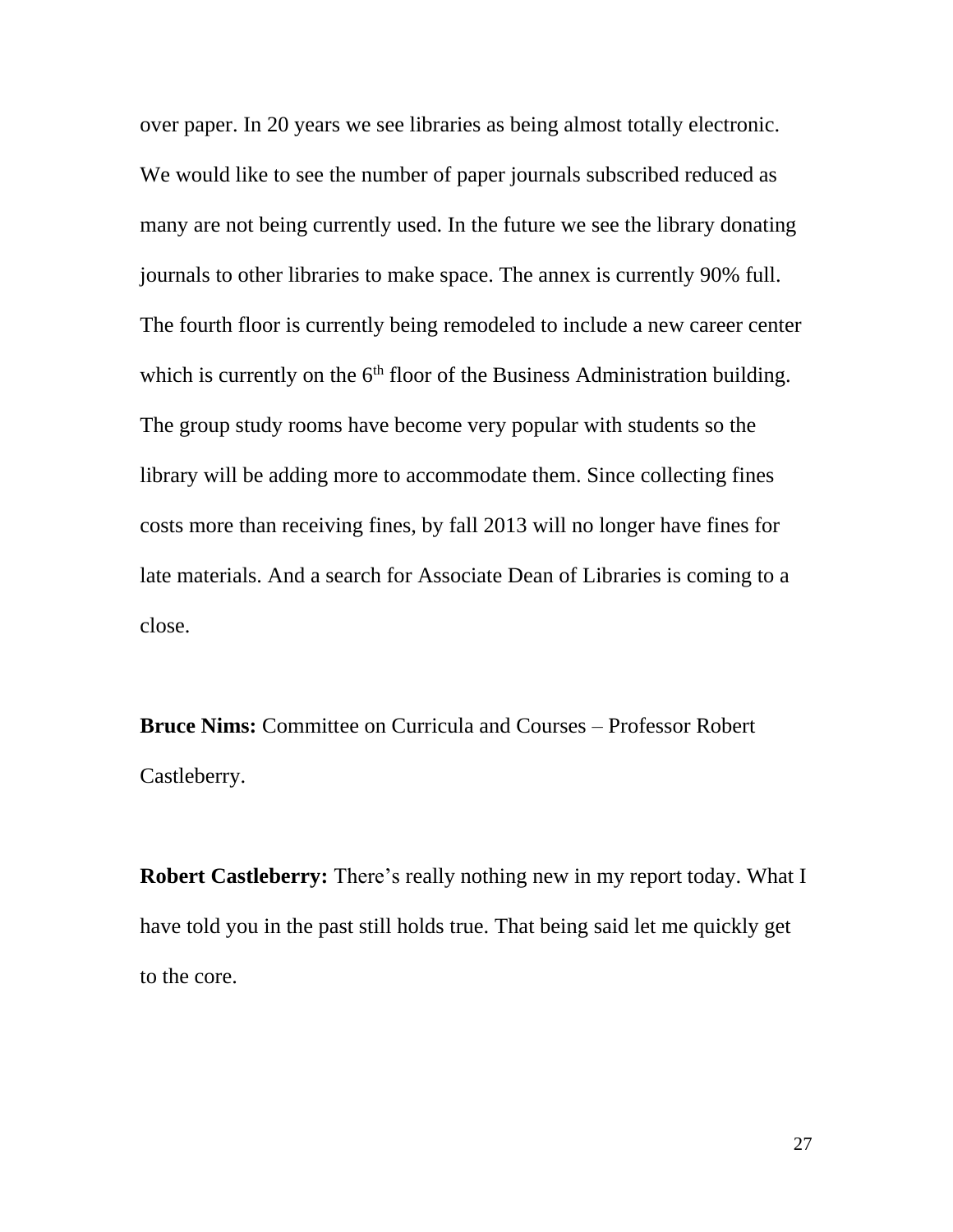over paper. In 20 years we see libraries as being almost totally electronic. We would like to see the number of paper journals subscribed reduced as many are not being currently used. In the future we see the library donating journals to other libraries to make space. The annex is currently 90% full. The fourth floor is currently being remodeled to include a new career center which is currently on the  $6<sup>th</sup>$  floor of the Business Administration building. The group study rooms have become very popular with students so the library will be adding more to accommodate them. Since collecting fines costs more than receiving fines, by fall 2013 will no longer have fines for late materials. And a search for Associate Dean of Libraries is coming to a close.

**Bruce Nims:** Committee on Curricula and Courses – Professor Robert Castleberry.

**Robert Castleberry:** There's really nothing new in my report today. What I have told you in the past still holds true. That being said let me quickly get to the core.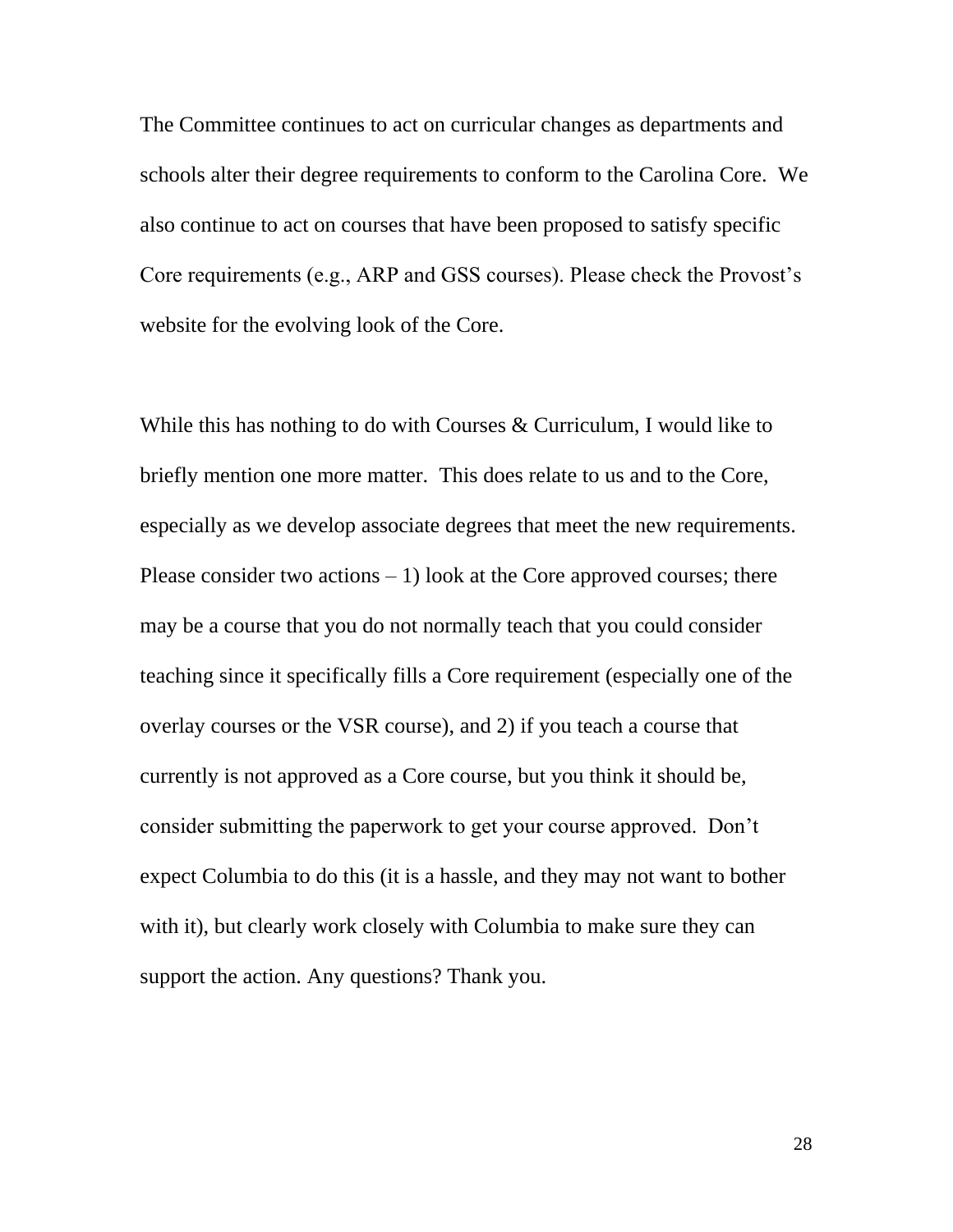The Committee continues to act on curricular changes as departments and schools alter their degree requirements to conform to the Carolina Core. We also continue to act on courses that have been proposed to satisfy specific Core requirements (e.g., ARP and GSS courses). Please check the Provost's website for the evolving look of the Core.

While this has nothing to do with Courses & Curriculum, I would like to briefly mention one more matter. This does relate to us and to the Core, especially as we develop associate degrees that meet the new requirements. Please consider two actions  $-1$ ) look at the Core approved courses; there may be a course that you do not normally teach that you could consider teaching since it specifically fills a Core requirement (especially one of the overlay courses or the VSR course), and 2) if you teach a course that currently is not approved as a Core course, but you think it should be, consider submitting the paperwork to get your course approved. Don't expect Columbia to do this (it is a hassle, and they may not want to bother with it), but clearly work closely with Columbia to make sure they can support the action. Any questions? Thank you.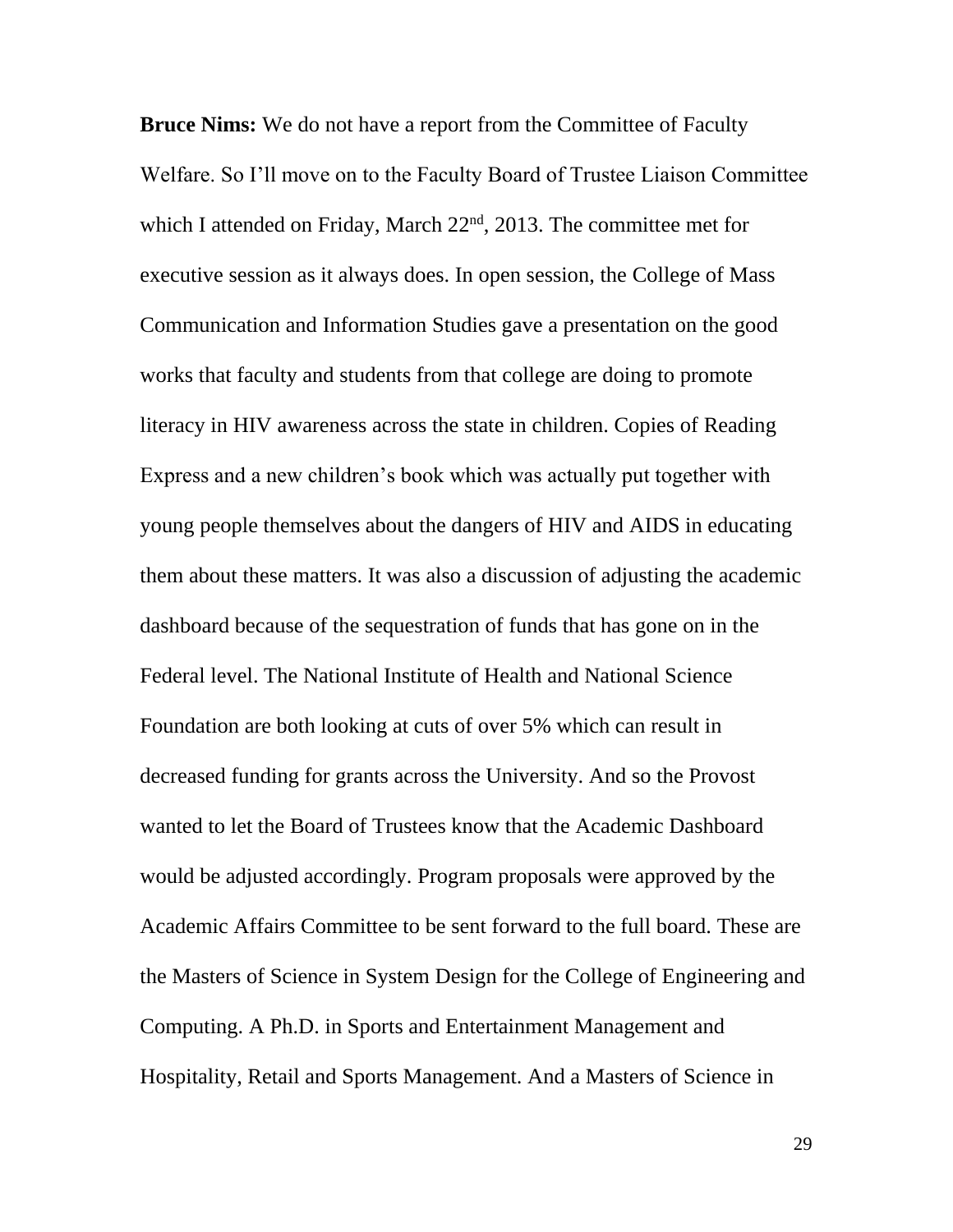**Bruce Nims:** We do not have a report from the Committee of Faculty Welfare. So I'll move on to the Faculty Board of Trustee Liaison Committee which I attended on Friday, March 22<sup>nd</sup>, 2013. The committee met for executive session as it always does. In open session, the College of Mass Communication and Information Studies gave a presentation on the good works that faculty and students from that college are doing to promote literacy in HIV awareness across the state in children. Copies of Reading Express and a new children's book which was actually put together with young people themselves about the dangers of HIV and AIDS in educating them about these matters. It was also a discussion of adjusting the academic dashboard because of the sequestration of funds that has gone on in the Federal level. The National Institute of Health and National Science Foundation are both looking at cuts of over 5% which can result in decreased funding for grants across the University. And so the Provost wanted to let the Board of Trustees know that the Academic Dashboard would be adjusted accordingly. Program proposals were approved by the Academic Affairs Committee to be sent forward to the full board. These are the Masters of Science in System Design for the College of Engineering and Computing. A Ph.D. in Sports and Entertainment Management and Hospitality, Retail and Sports Management. And a Masters of Science in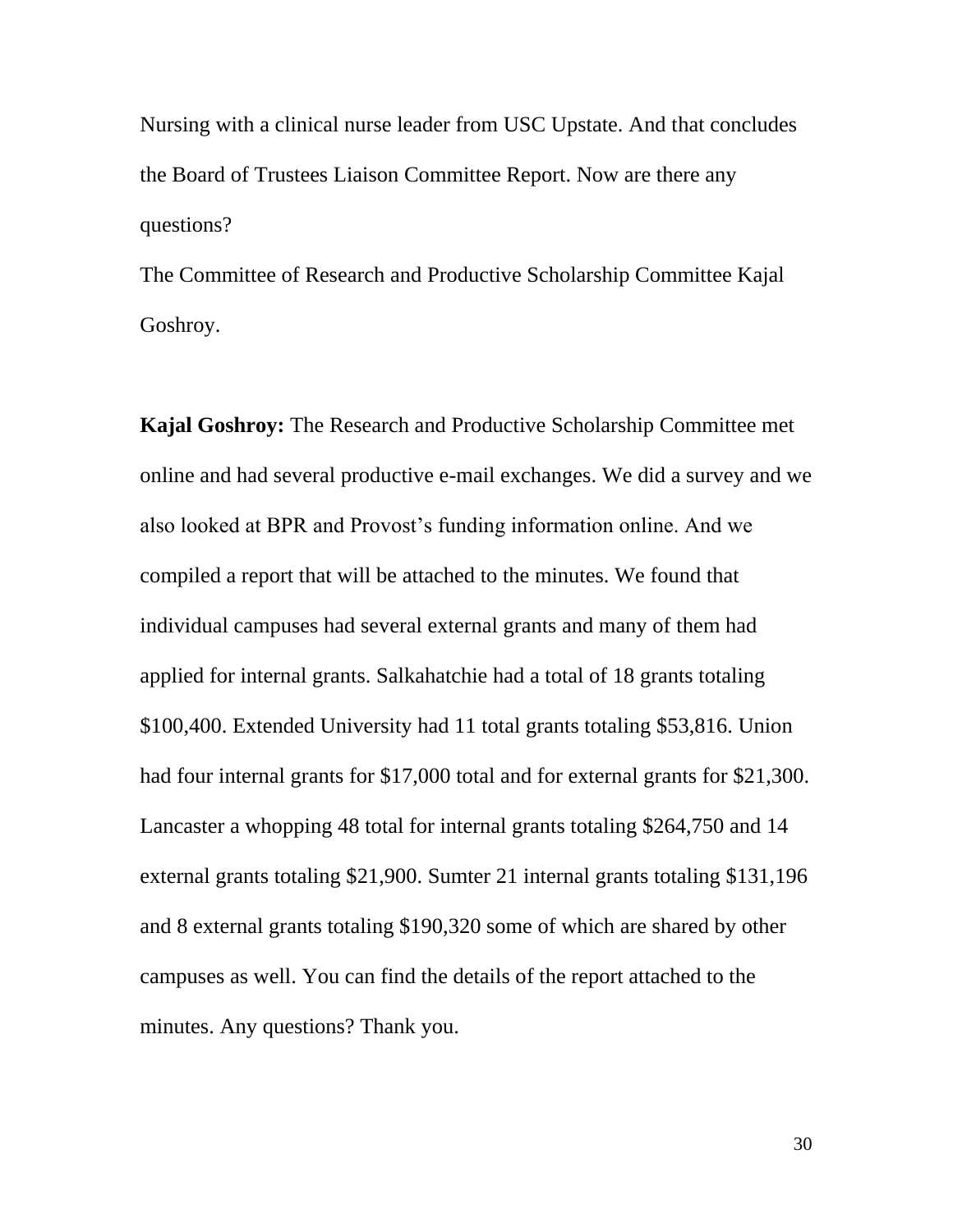Nursing with a clinical nurse leader from USC Upstate. And that concludes the Board of Trustees Liaison Committee Report. Now are there any questions?

The Committee of Research and Productive Scholarship Committee Kajal Goshroy.

**Kajal Goshroy:** The Research and Productive Scholarship Committee met online and had several productive e-mail exchanges. We did a survey and we also looked at BPR and Provost's funding information online. And we compiled a report that will be attached to the minutes. We found that individual campuses had several external grants and many of them had applied for internal grants. Salkahatchie had a total of 18 grants totaling \$100,400. Extended University had 11 total grants totaling \$53,816. Union had four internal grants for \$17,000 total and for external grants for \$21,300. Lancaster a whopping 48 total for internal grants totaling \$264,750 and 14 external grants totaling \$21,900. Sumter 21 internal grants totaling \$131,196 and 8 external grants totaling \$190,320 some of which are shared by other campuses as well. You can find the details of the report attached to the minutes. Any questions? Thank you.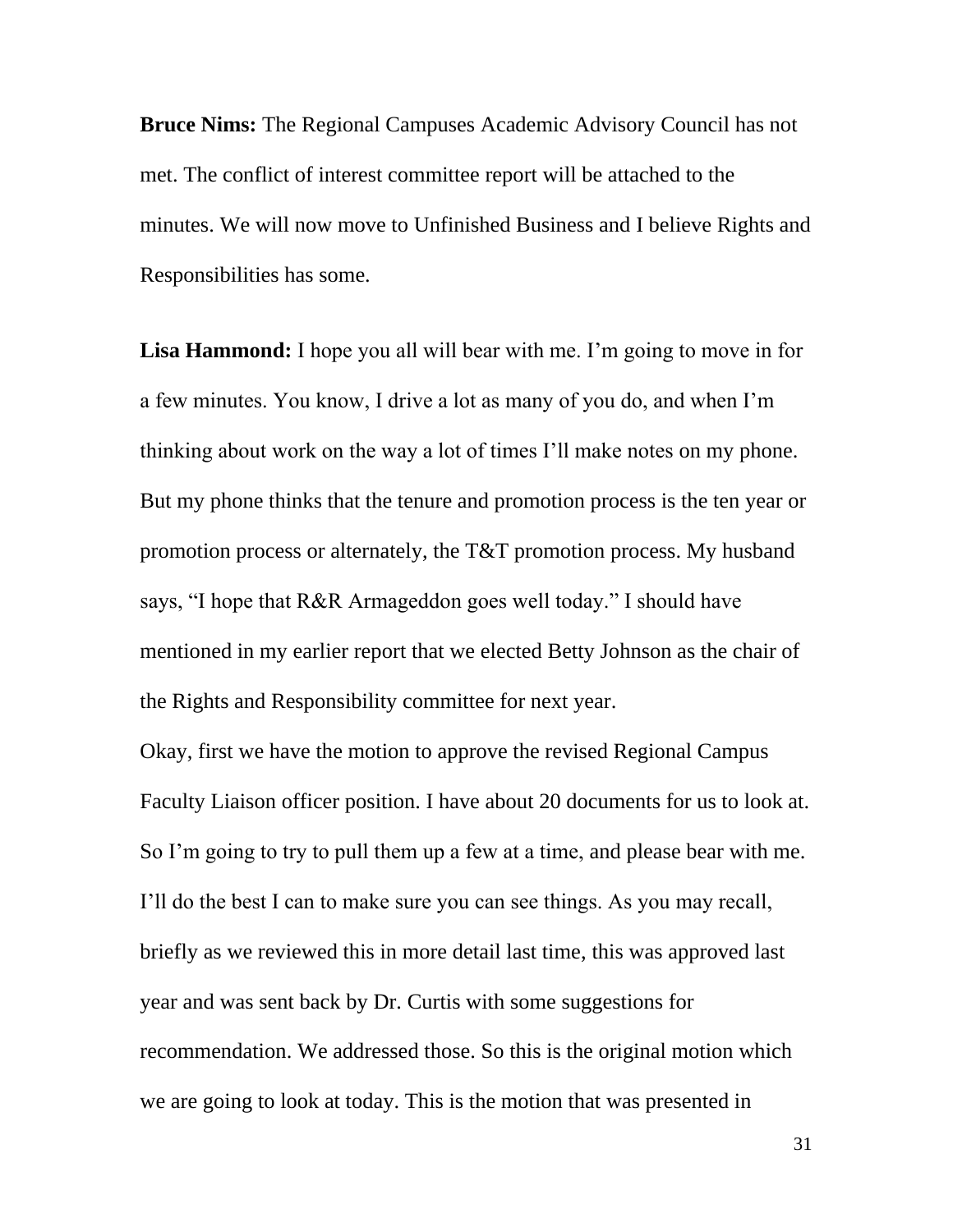**Bruce Nims:** The Regional Campuses Academic Advisory Council has not met. The conflict of interest committee report will be attached to the minutes. We will now move to Unfinished Business and I believe Rights and Responsibilities has some.

**Lisa Hammond:** I hope you all will bear with me. I'm going to move in for a few minutes. You know, I drive a lot as many of you do, and when I'm thinking about work on the way a lot of times I'll make notes on my phone. But my phone thinks that the tenure and promotion process is the ten year or promotion process or alternately, the T&T promotion process. My husband says, "I hope that R&R Armageddon goes well today." I should have mentioned in my earlier report that we elected Betty Johnson as the chair of the Rights and Responsibility committee for next year.

Okay, first we have the motion to approve the revised Regional Campus Faculty Liaison officer position. I have about 20 documents for us to look at. So I'm going to try to pull them up a few at a time, and please bear with me. I'll do the best I can to make sure you can see things. As you may recall, briefly as we reviewed this in more detail last time, this was approved last year and was sent back by Dr. Curtis with some suggestions for recommendation. We addressed those. So this is the original motion which we are going to look at today. This is the motion that was presented in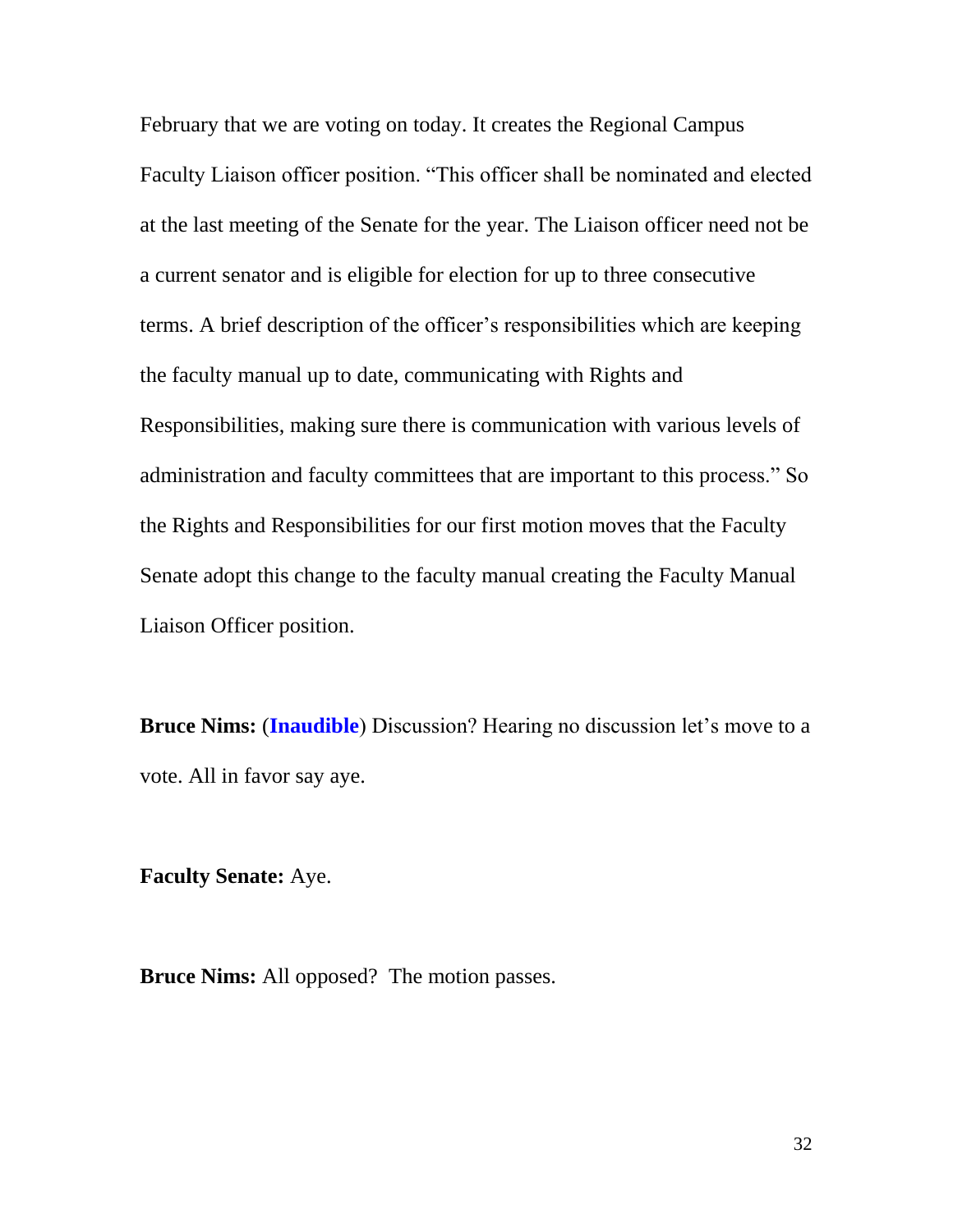February that we are voting on today. It creates the Regional Campus Faculty Liaison officer position. "This officer shall be nominated and elected at the last meeting of the Senate for the year. The Liaison officer need not be a current senator and is eligible for election for up to three consecutive terms. A brief description of the officer's responsibilities which are keeping the faculty manual up to date, communicating with Rights and Responsibilities, making sure there is communication with various levels of administration and faculty committees that are important to this process." So the Rights and Responsibilities for our first motion moves that the Faculty Senate adopt this change to the faculty manual creating the Faculty Manual Liaison Officer position.

**Bruce Nims: (Inaudible**) Discussion? Hearing no discussion let's move to a vote. All in favor say aye.

**Faculty Senate:** Aye.

**Bruce Nims:** All opposed? The motion passes.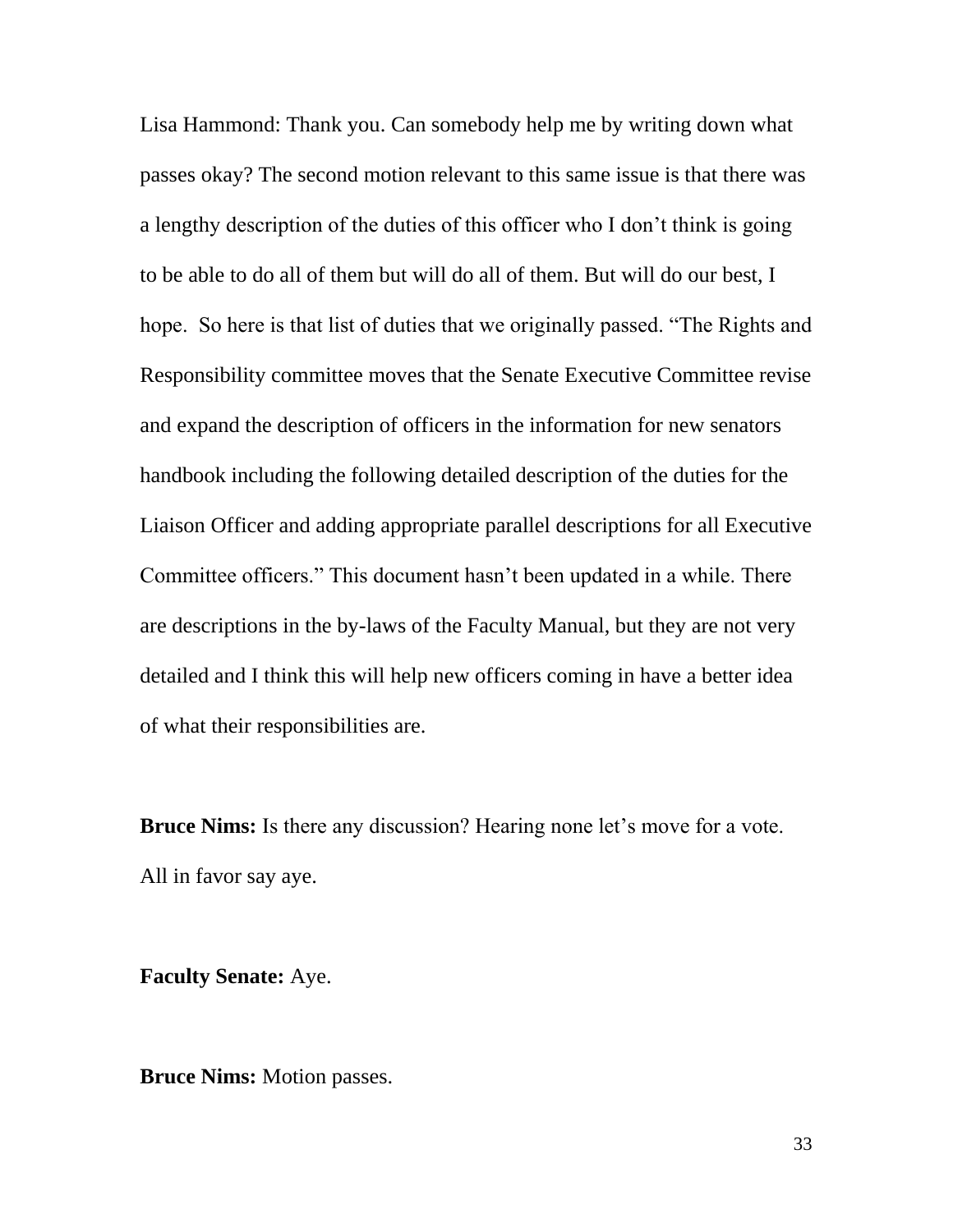Lisa Hammond: Thank you. Can somebody help me by writing down what passes okay? The second motion relevant to this same issue is that there was a lengthy description of the duties of this officer who I don't think is going to be able to do all of them but will do all of them. But will do our best, I hope. So here is that list of duties that we originally passed. "The Rights and Responsibility committee moves that the Senate Executive Committee revise and expand the description of officers in the information for new senators handbook including the following detailed description of the duties for the Liaison Officer and adding appropriate parallel descriptions for all Executive Committee officers." This document hasn't been updated in a while. There are descriptions in the by-laws of the Faculty Manual, but they are not very detailed and I think this will help new officers coming in have a better idea of what their responsibilities are.

**Bruce Nims:** Is there any discussion? Hearing none let's move for a vote. All in favor say aye.

**Faculty Senate:** Aye.

**Bruce Nims:** Motion passes.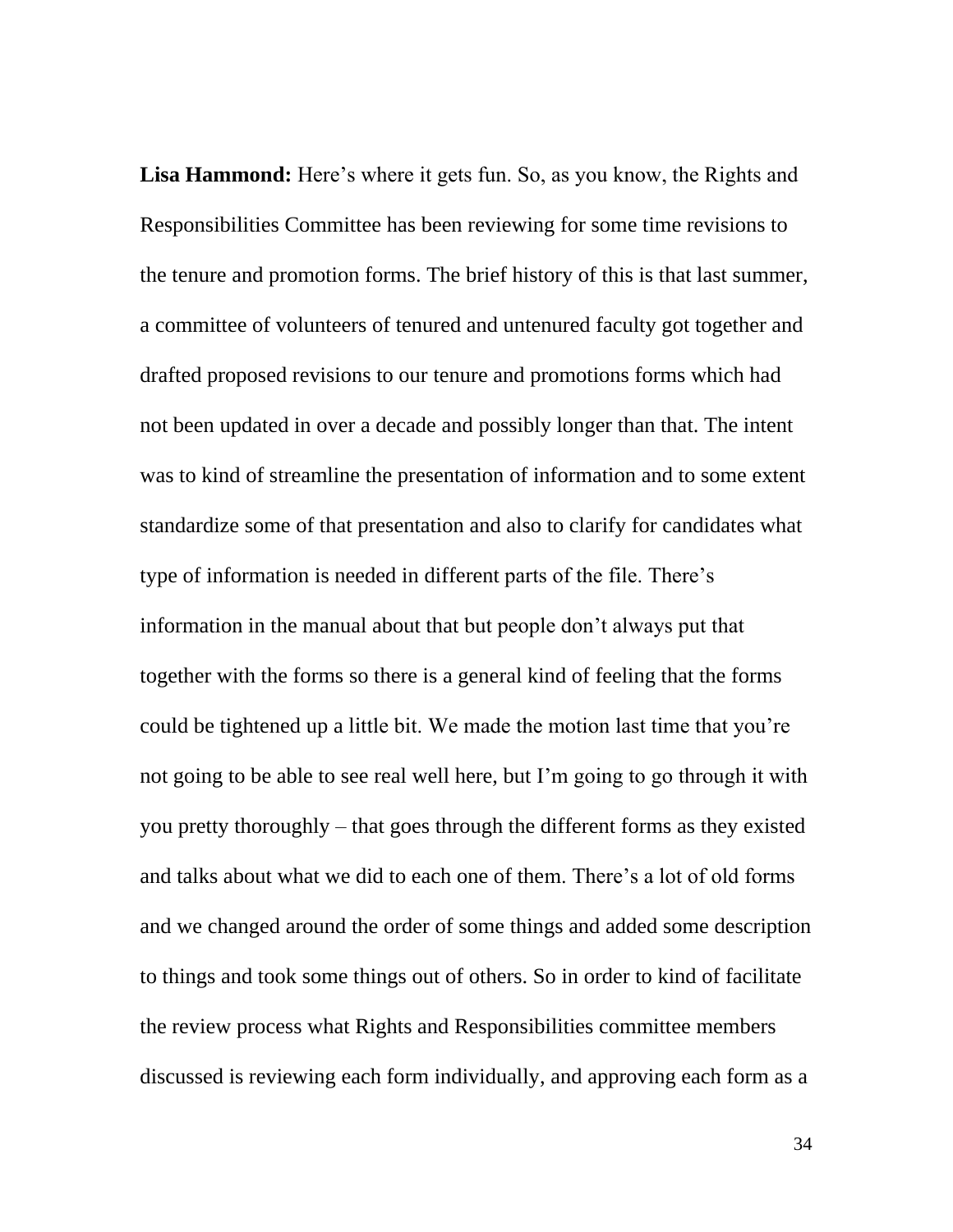**Lisa Hammond:** Here's where it gets fun. So, as you know, the Rights and Responsibilities Committee has been reviewing for some time revisions to the tenure and promotion forms. The brief history of this is that last summer, a committee of volunteers of tenured and untenured faculty got together and drafted proposed revisions to our tenure and promotions forms which had not been updated in over a decade and possibly longer than that. The intent was to kind of streamline the presentation of information and to some extent standardize some of that presentation and also to clarify for candidates what type of information is needed in different parts of the file. There's information in the manual about that but people don't always put that together with the forms so there is a general kind of feeling that the forms could be tightened up a little bit. We made the motion last time that you're not going to be able to see real well here, but I'm going to go through it with you pretty thoroughly – that goes through the different forms as they existed and talks about what we did to each one of them. There's a lot of old forms and we changed around the order of some things and added some description to things and took some things out of others. So in order to kind of facilitate the review process what Rights and Responsibilities committee members discussed is reviewing each form individually, and approving each form as a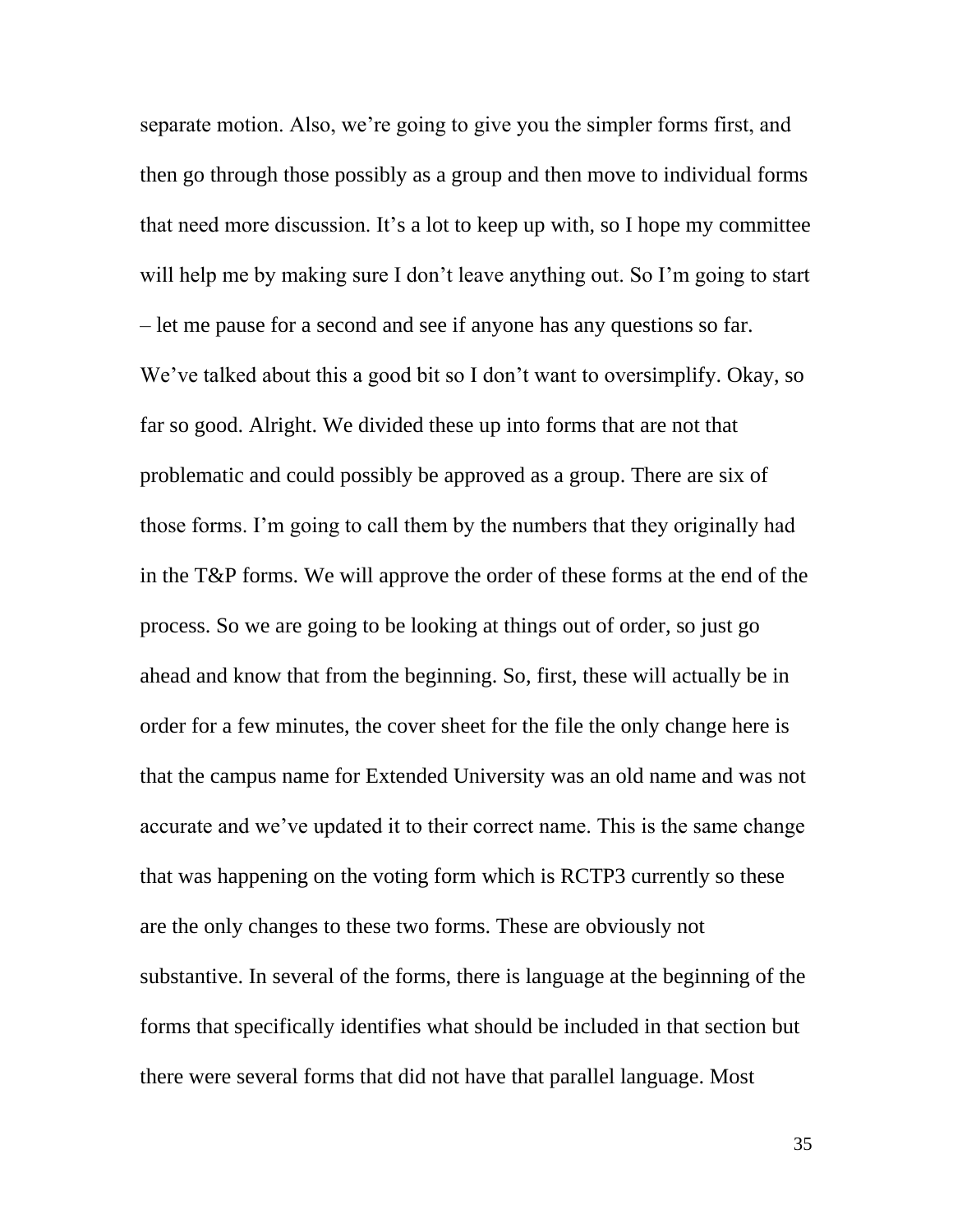separate motion. Also, we're going to give you the simpler forms first, and then go through those possibly as a group and then move to individual forms that need more discussion. It's a lot to keep up with, so I hope my committee will help me by making sure I don't leave anything out. So I'm going to start – let me pause for a second and see if anyone has any questions so far. We've talked about this a good bit so I don't want to oversimplify. Okay, so far so good. Alright. We divided these up into forms that are not that problematic and could possibly be approved as a group. There are six of those forms. I'm going to call them by the numbers that they originally had in the T&P forms. We will approve the order of these forms at the end of the process. So we are going to be looking at things out of order, so just go ahead and know that from the beginning. So, first, these will actually be in order for a few minutes, the cover sheet for the file the only change here is that the campus name for Extended University was an old name and was not accurate and we've updated it to their correct name. This is the same change that was happening on the voting form which is RCTP3 currently so these are the only changes to these two forms. These are obviously not substantive. In several of the forms, there is language at the beginning of the forms that specifically identifies what should be included in that section but there were several forms that did not have that parallel language. Most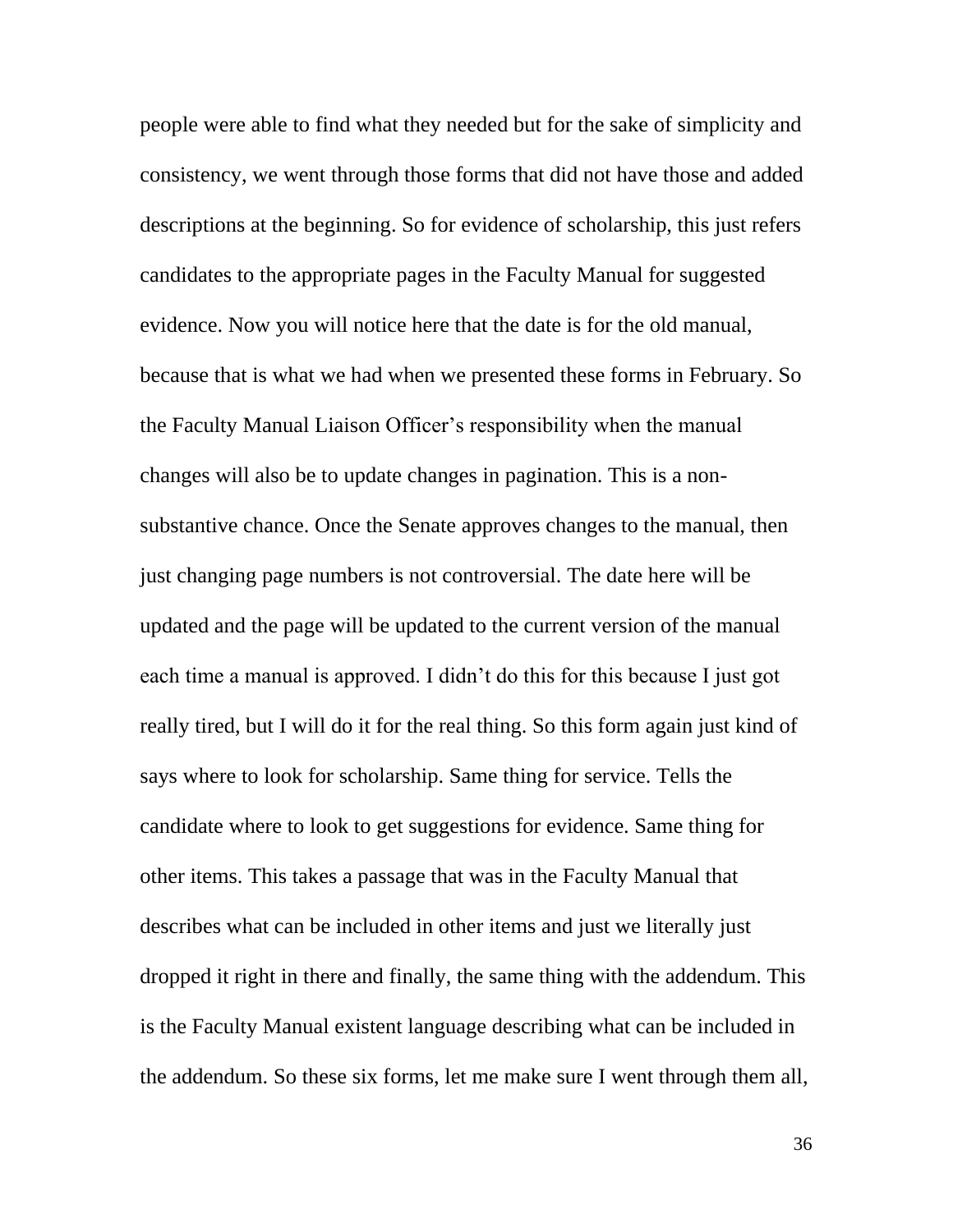people were able to find what they needed but for the sake of simplicity and consistency, we went through those forms that did not have those and added descriptions at the beginning. So for evidence of scholarship, this just refers candidates to the appropriate pages in the Faculty Manual for suggested evidence. Now you will notice here that the date is for the old manual, because that is what we had when we presented these forms in February. So the Faculty Manual Liaison Officer's responsibility when the manual changes will also be to update changes in pagination. This is a nonsubstantive chance. Once the Senate approves changes to the manual, then just changing page numbers is not controversial. The date here will be updated and the page will be updated to the current version of the manual each time a manual is approved. I didn't do this for this because I just got really tired, but I will do it for the real thing. So this form again just kind of says where to look for scholarship. Same thing for service. Tells the candidate where to look to get suggestions for evidence. Same thing for other items. This takes a passage that was in the Faculty Manual that describes what can be included in other items and just we literally just dropped it right in there and finally, the same thing with the addendum. This is the Faculty Manual existent language describing what can be included in the addendum. So these six forms, let me make sure I went through them all,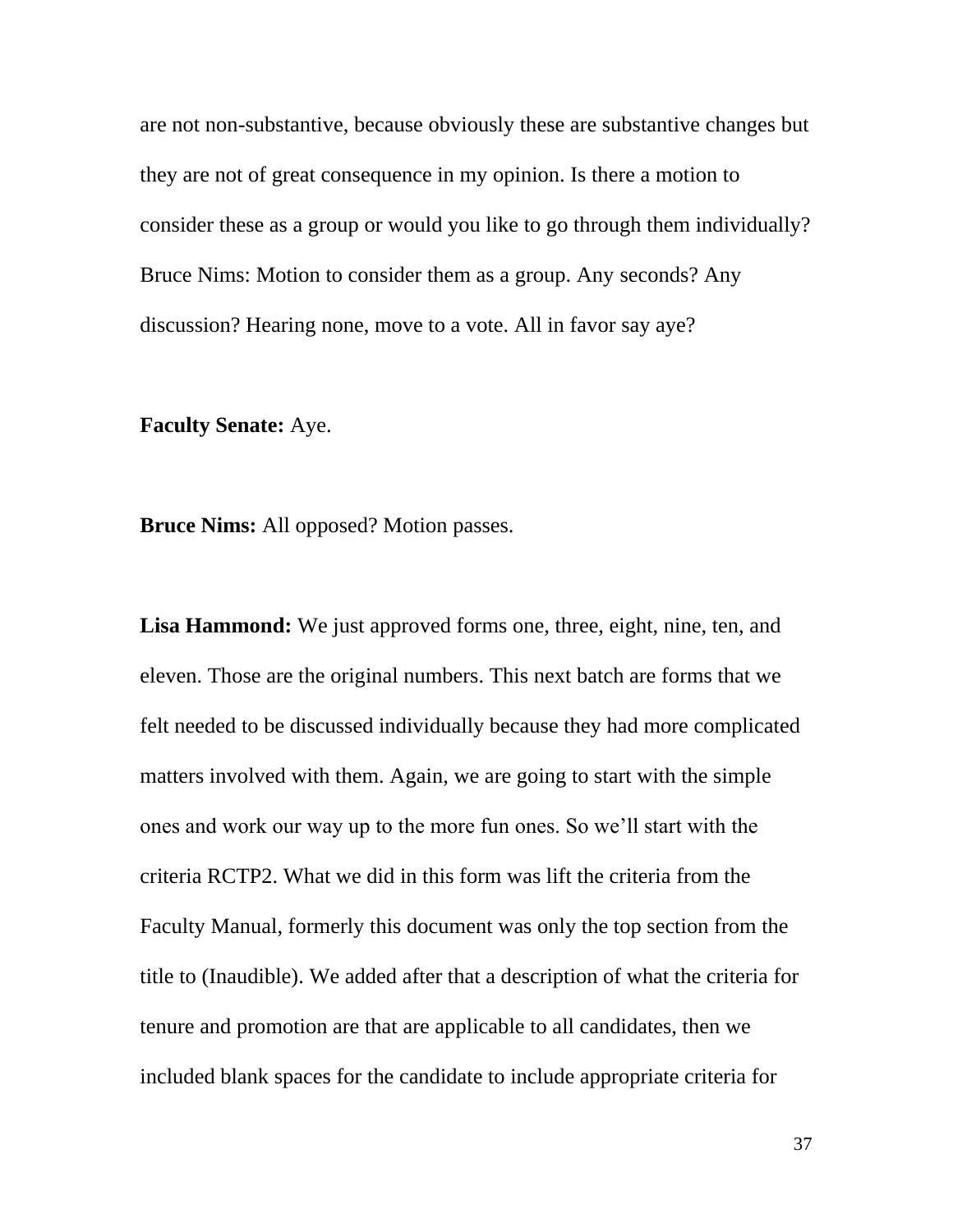are not non-substantive, because obviously these are substantive changes but they are not of great consequence in my opinion. Is there a motion to consider these as a group or would you like to go through them individually? Bruce Nims: Motion to consider them as a group. Any seconds? Any discussion? Hearing none, move to a vote. All in favor say aye?

## **Faculty Senate:** Aye.

**Bruce Nims:** All opposed? Motion passes.

**Lisa Hammond:** We just approved forms one, three, eight, nine, ten, and eleven. Those are the original numbers. This next batch are forms that we felt needed to be discussed individually because they had more complicated matters involved with them. Again, we are going to start with the simple ones and work our way up to the more fun ones. So we'll start with the criteria RCTP2. What we did in this form was lift the criteria from the Faculty Manual, formerly this document was only the top section from the title to (Inaudible). We added after that a description of what the criteria for tenure and promotion are that are applicable to all candidates, then we included blank spaces for the candidate to include appropriate criteria for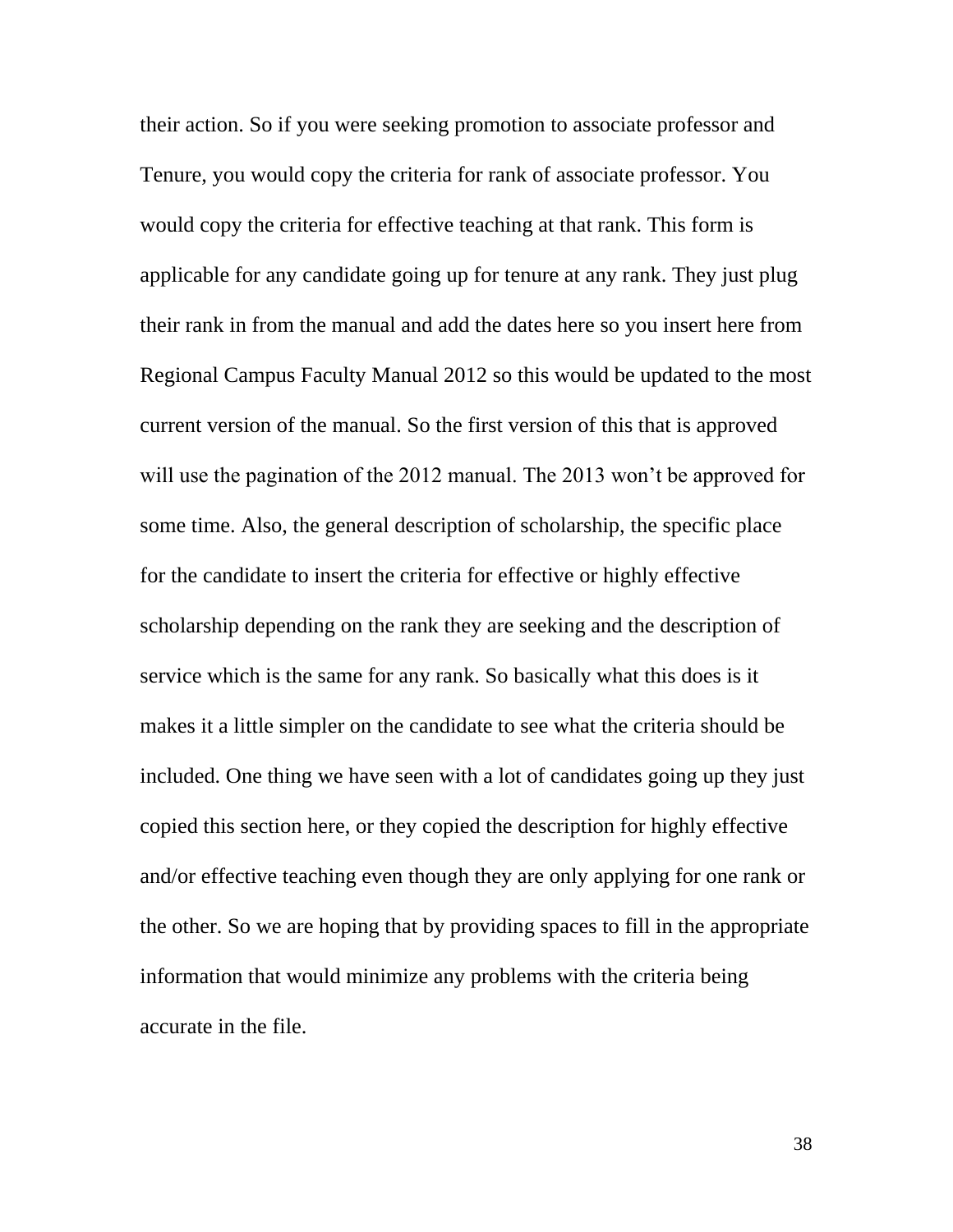their action. So if you were seeking promotion to associate professor and Tenure, you would copy the criteria for rank of associate professor. You would copy the criteria for effective teaching at that rank. This form is applicable for any candidate going up for tenure at any rank. They just plug their rank in from the manual and add the dates here so you insert here from Regional Campus Faculty Manual 2012 so this would be updated to the most current version of the manual. So the first version of this that is approved will use the pagination of the 2012 manual. The 2013 won't be approved for some time. Also, the general description of scholarship, the specific place for the candidate to insert the criteria for effective or highly effective scholarship depending on the rank they are seeking and the description of service which is the same for any rank. So basically what this does is it makes it a little simpler on the candidate to see what the criteria should be included. One thing we have seen with a lot of candidates going up they just copied this section here, or they copied the description for highly effective and/or effective teaching even though they are only applying for one rank or the other. So we are hoping that by providing spaces to fill in the appropriate information that would minimize any problems with the criteria being accurate in the file.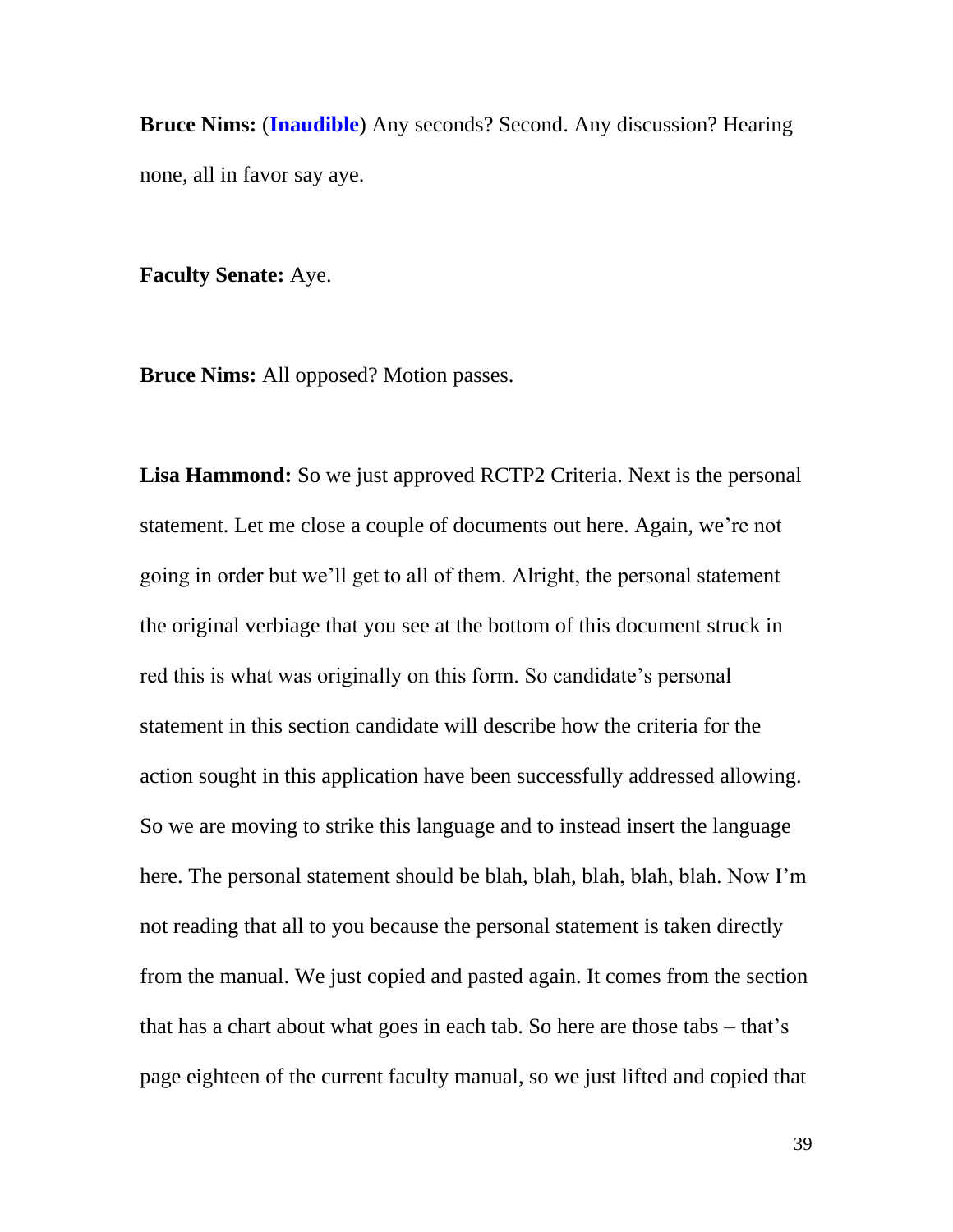**Bruce Nims:** (**Inaudible**) Any seconds? Second. Any discussion? Hearing none, all in favor say aye.

**Faculty Senate:** Aye.

**Bruce Nims:** All opposed? Motion passes.

**Lisa Hammond:** So we just approved RCTP2 Criteria. Next is the personal statement. Let me close a couple of documents out here. Again, we're not going in order but we'll get to all of them. Alright, the personal statement the original verbiage that you see at the bottom of this document struck in red this is what was originally on this form. So candidate's personal statement in this section candidate will describe how the criteria for the action sought in this application have been successfully addressed allowing. So we are moving to strike this language and to instead insert the language here. The personal statement should be blah, blah, blah, blah, blah. Now I'm not reading that all to you because the personal statement is taken directly from the manual. We just copied and pasted again. It comes from the section that has a chart about what goes in each tab. So here are those tabs – that's page eighteen of the current faculty manual, so we just lifted and copied that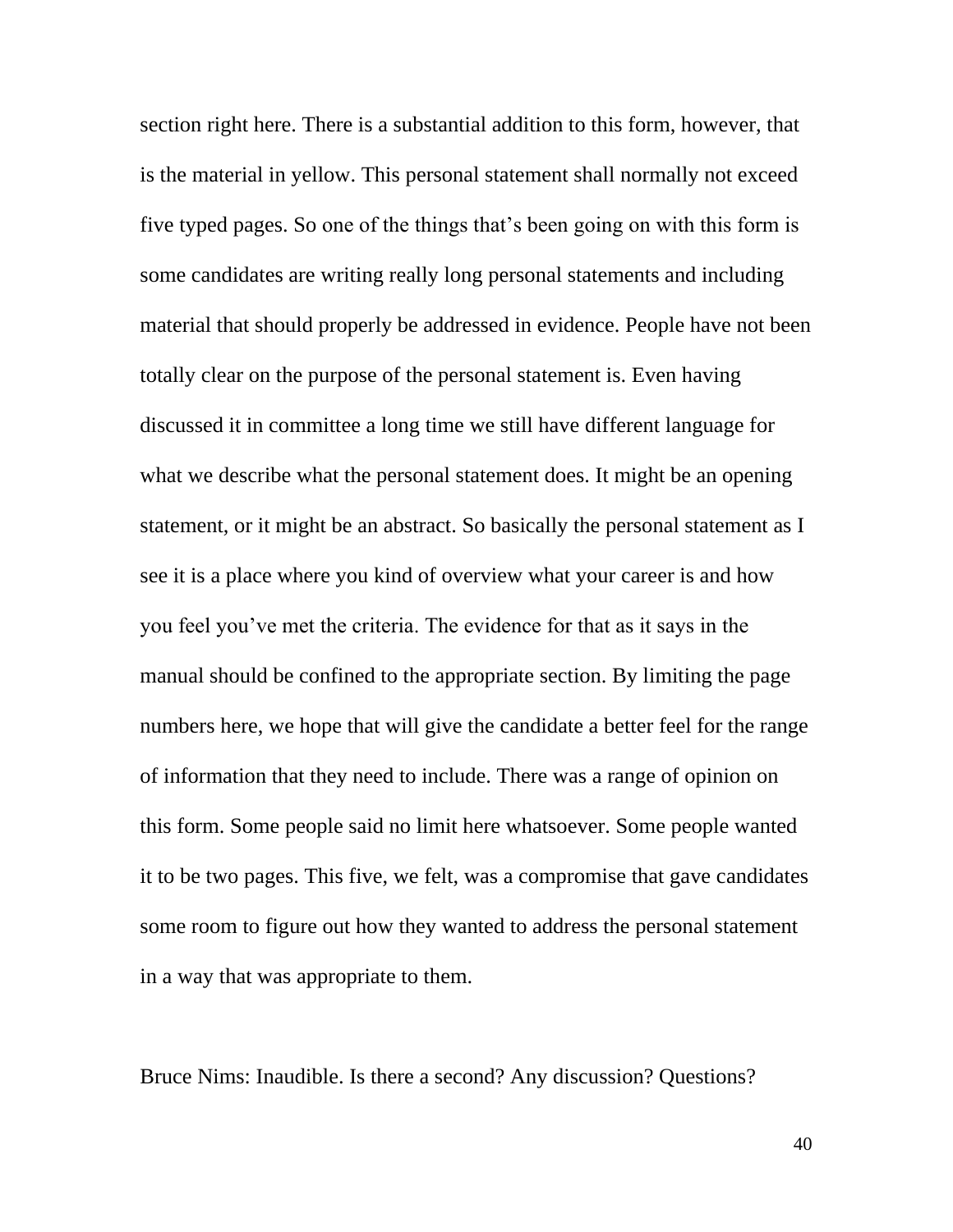section right here. There is a substantial addition to this form, however, that is the material in yellow. This personal statement shall normally not exceed five typed pages. So one of the things that's been going on with this form is some candidates are writing really long personal statements and including material that should properly be addressed in evidence. People have not been totally clear on the purpose of the personal statement is. Even having discussed it in committee a long time we still have different language for what we describe what the personal statement does. It might be an opening statement, or it might be an abstract. So basically the personal statement as I see it is a place where you kind of overview what your career is and how you feel you've met the criteria. The evidence for that as it says in the manual should be confined to the appropriate section. By limiting the page numbers here, we hope that will give the candidate a better feel for the range of information that they need to include. There was a range of opinion on this form. Some people said no limit here whatsoever. Some people wanted it to be two pages. This five, we felt, was a compromise that gave candidates some room to figure out how they wanted to address the personal statement in a way that was appropriate to them.

Bruce Nims: Inaudible. Is there a second? Any discussion? Questions?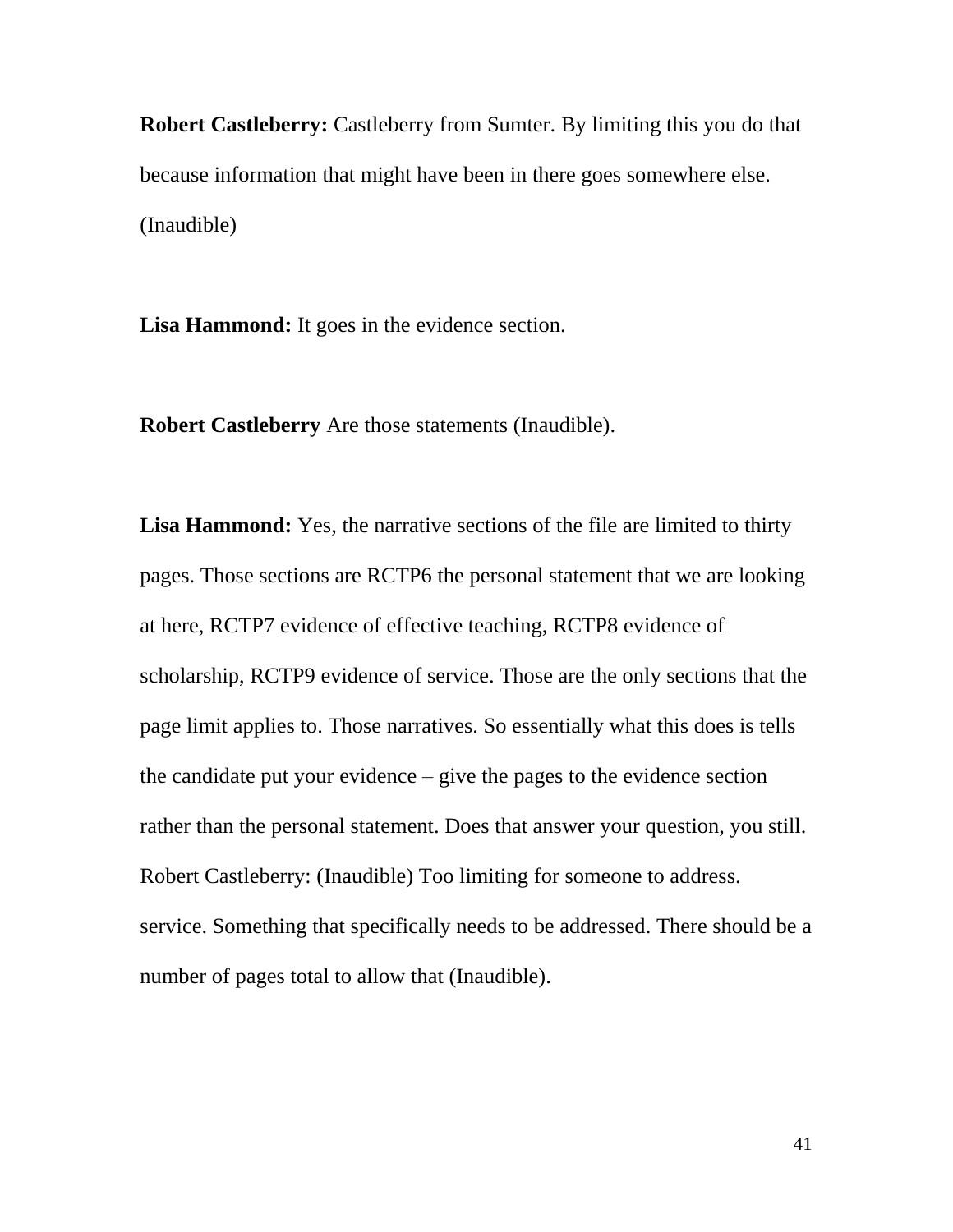**Robert Castleberry:** Castleberry from Sumter. By limiting this you do that because information that might have been in there goes somewhere else. (Inaudible)

**Lisa Hammond:** It goes in the evidence section.

**Robert Castleberry** Are those statements (Inaudible).

**Lisa Hammond:** Yes, the narrative sections of the file are limited to thirty pages. Those sections are RCTP6 the personal statement that we are looking at here, RCTP7 evidence of effective teaching, RCTP8 evidence of scholarship, RCTP9 evidence of service. Those are the only sections that the page limit applies to. Those narratives. So essentially what this does is tells the candidate put your evidence – give the pages to the evidence section rather than the personal statement. Does that answer your question, you still. Robert Castleberry: (Inaudible) Too limiting for someone to address. service. Something that specifically needs to be addressed. There should be a number of pages total to allow that (Inaudible).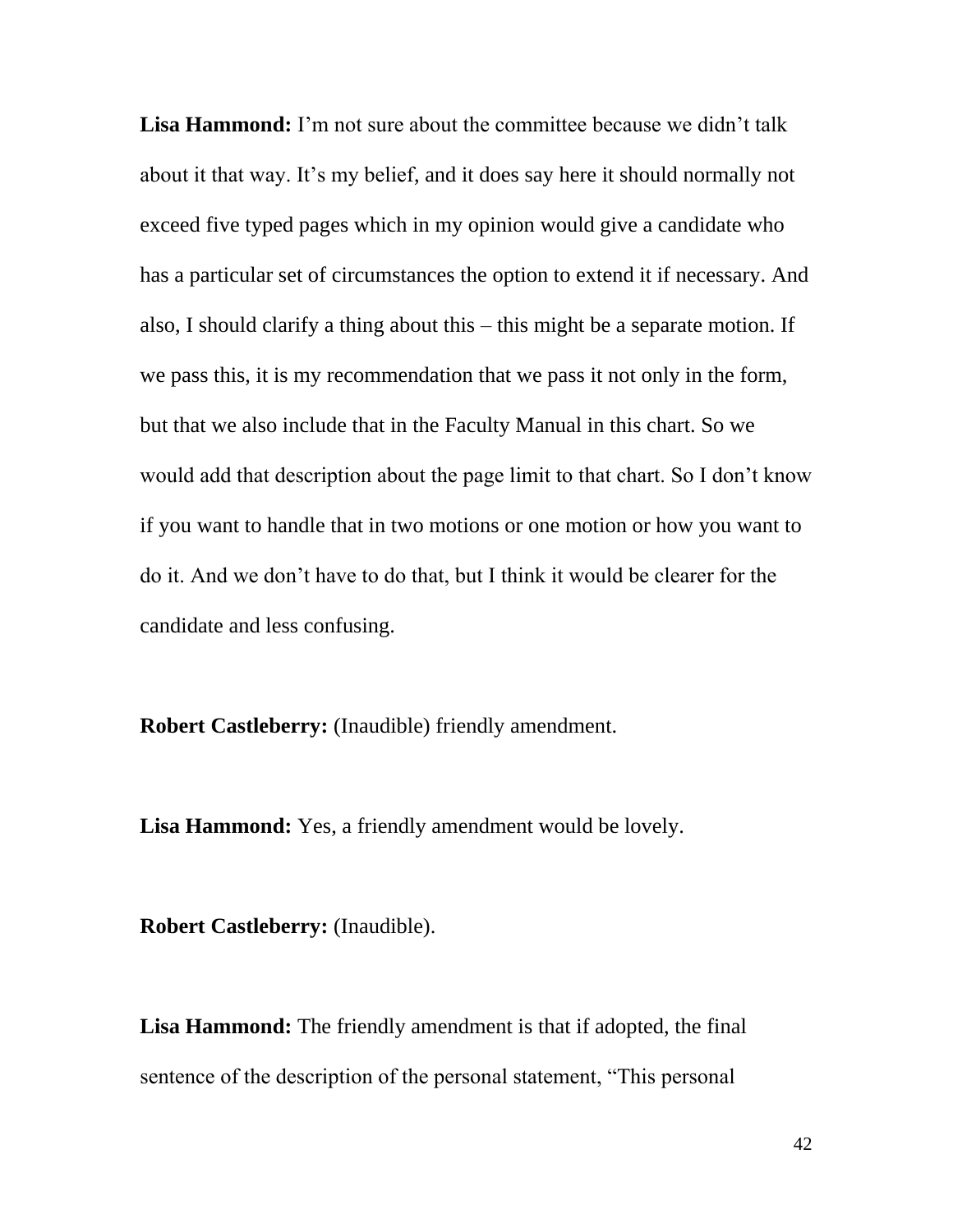**Lisa Hammond:** I'm not sure about the committee because we didn't talk about it that way. It's my belief, and it does say here it should normally not exceed five typed pages which in my opinion would give a candidate who has a particular set of circumstances the option to extend it if necessary. And also, I should clarify a thing about this – this might be a separate motion. If we pass this, it is my recommendation that we pass it not only in the form, but that we also include that in the Faculty Manual in this chart. So we would add that description about the page limit to that chart. So I don't know if you want to handle that in two motions or one motion or how you want to do it. And we don't have to do that, but I think it would be clearer for the candidate and less confusing.

**Robert Castleberry:** (Inaudible) friendly amendment.

**Lisa Hammond:** Yes, a friendly amendment would be lovely.

**Robert Castleberry:** (Inaudible).

**Lisa Hammond:** The friendly amendment is that if adopted, the final sentence of the description of the personal statement, "This personal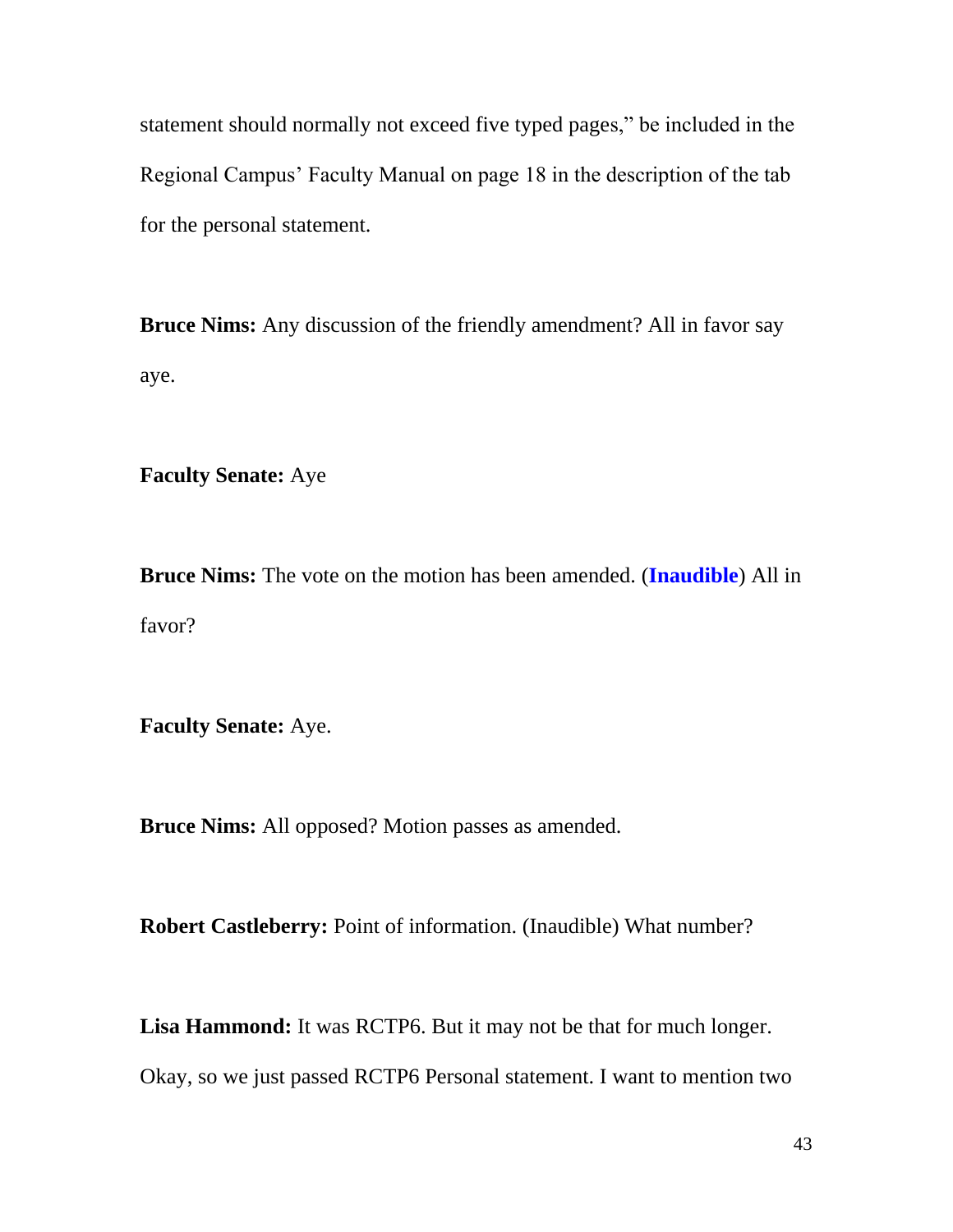statement should normally not exceed five typed pages," be included in the Regional Campus' Faculty Manual on page 18 in the description of the tab for the personal statement.

**Bruce Nims:** Any discussion of the friendly amendment? All in favor say aye.

**Faculty Senate:** Aye

**Bruce Nims:** The vote on the motion has been amended. (**Inaudible**) All in favor?

**Faculty Senate:** Aye.

**Bruce Nims:** All opposed? Motion passes as amended.

**Robert Castleberry:** Point of information. (Inaudible) What number?

**Lisa Hammond:** It was RCTP6. But it may not be that for much longer.

Okay, so we just passed RCTP6 Personal statement. I want to mention two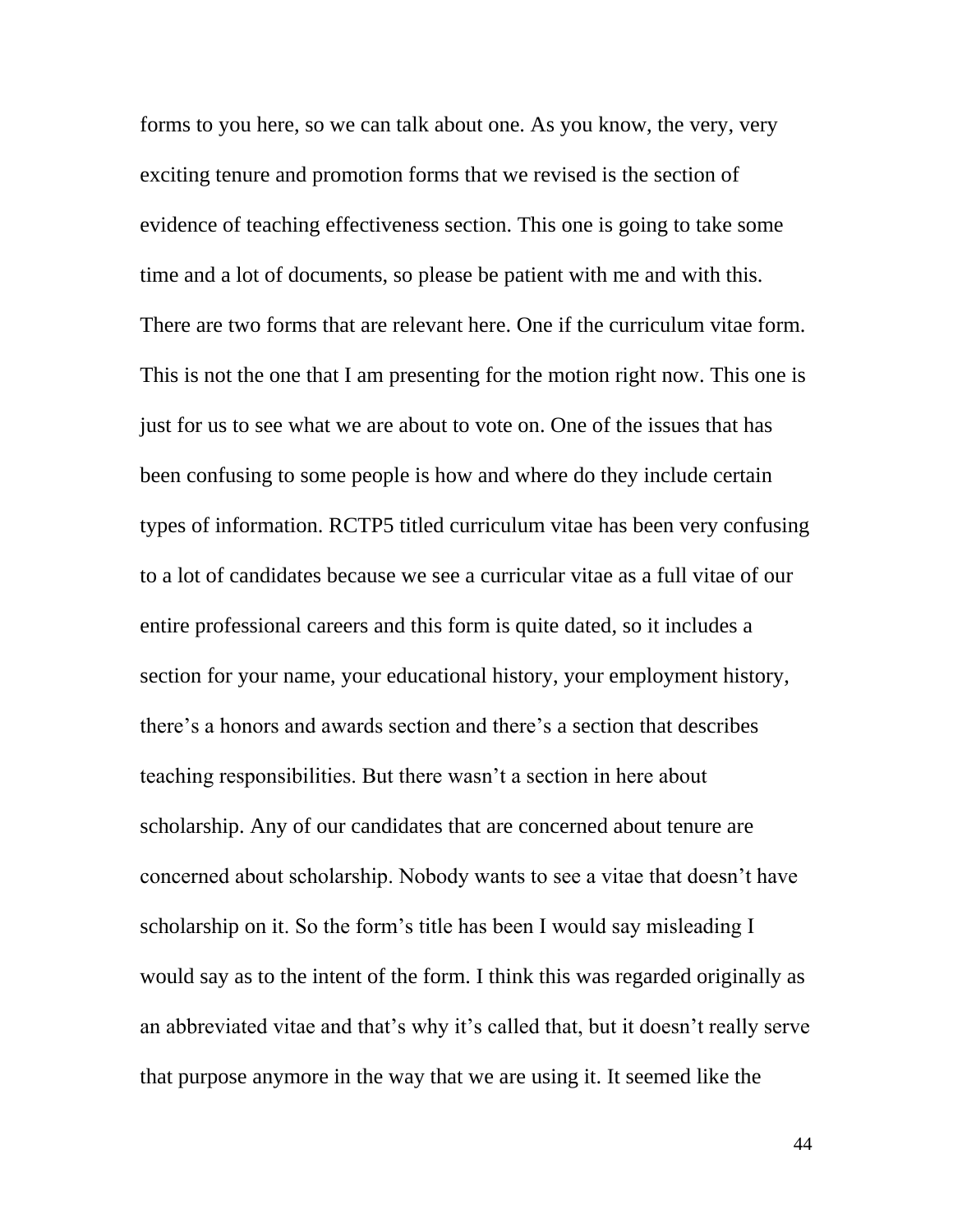forms to you here, so we can talk about one. As you know, the very, very exciting tenure and promotion forms that we revised is the section of evidence of teaching effectiveness section. This one is going to take some time and a lot of documents, so please be patient with me and with this. There are two forms that are relevant here. One if the curriculum vitae form. This is not the one that I am presenting for the motion right now. This one is just for us to see what we are about to vote on. One of the issues that has been confusing to some people is how and where do they include certain types of information. RCTP5 titled curriculum vitae has been very confusing to a lot of candidates because we see a curricular vitae as a full vitae of our entire professional careers and this form is quite dated, so it includes a section for your name, your educational history, your employment history, there's a honors and awards section and there's a section that describes teaching responsibilities. But there wasn't a section in here about scholarship. Any of our candidates that are concerned about tenure are concerned about scholarship. Nobody wants to see a vitae that doesn't have scholarship on it. So the form's title has been I would say misleading I would say as to the intent of the form. I think this was regarded originally as an abbreviated vitae and that's why it's called that, but it doesn't really serve that purpose anymore in the way that we are using it. It seemed like the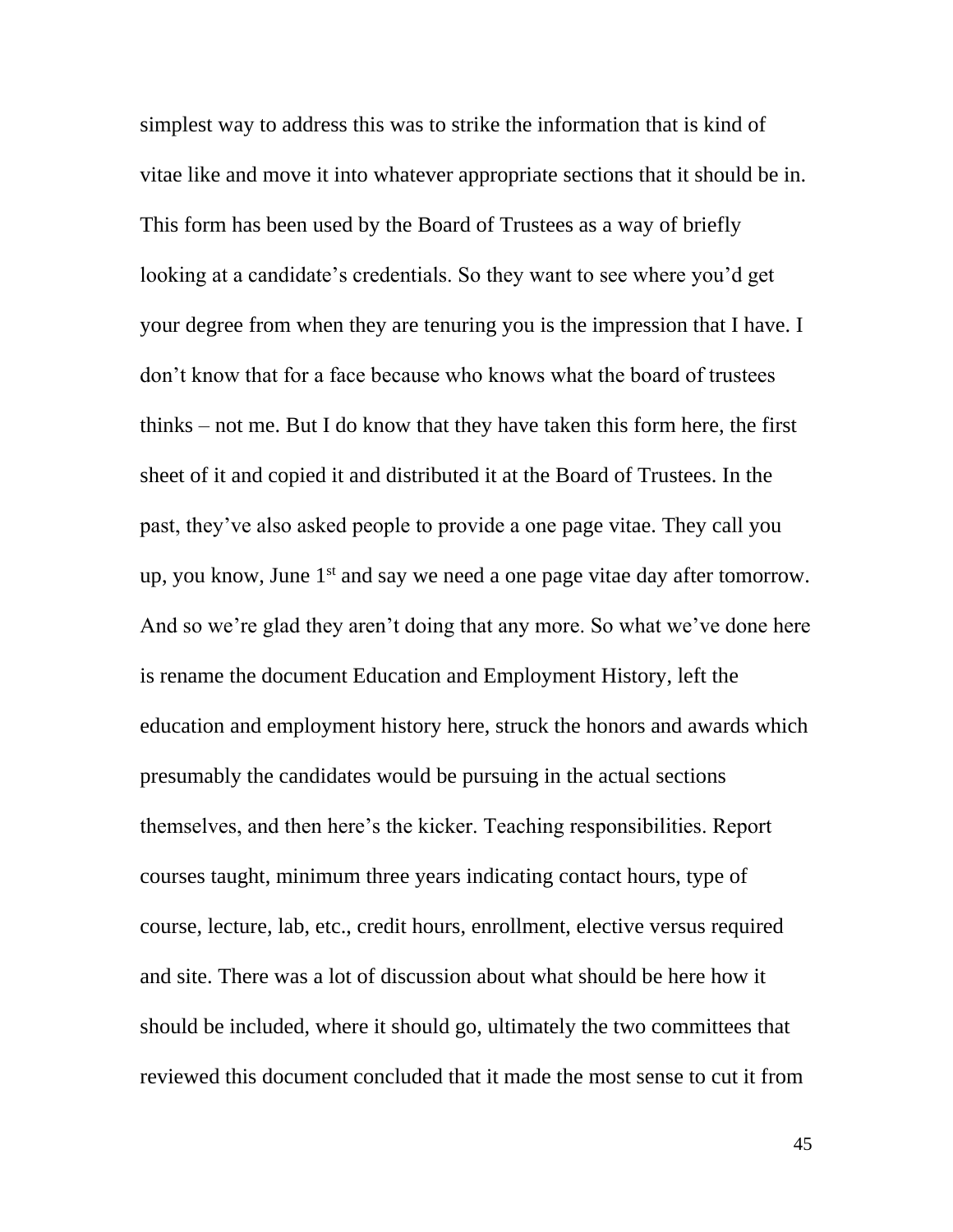simplest way to address this was to strike the information that is kind of vitae like and move it into whatever appropriate sections that it should be in. This form has been used by the Board of Trustees as a way of briefly looking at a candidate's credentials. So they want to see where you'd get your degree from when they are tenuring you is the impression that I have. I don't know that for a face because who knows what the board of trustees thinks – not me. But I do know that they have taken this form here, the first sheet of it and copied it and distributed it at the Board of Trustees. In the past, they've also asked people to provide a one page vitae. They call you up, you know, June  $1<sup>st</sup>$  and say we need a one page vitae day after tomorrow. And so we're glad they aren't doing that any more. So what we've done here is rename the document Education and Employment History, left the education and employment history here, struck the honors and awards which presumably the candidates would be pursuing in the actual sections themselves, and then here's the kicker. Teaching responsibilities. Report courses taught, minimum three years indicating contact hours, type of course, lecture, lab, etc., credit hours, enrollment, elective versus required and site. There was a lot of discussion about what should be here how it should be included, where it should go, ultimately the two committees that reviewed this document concluded that it made the most sense to cut it from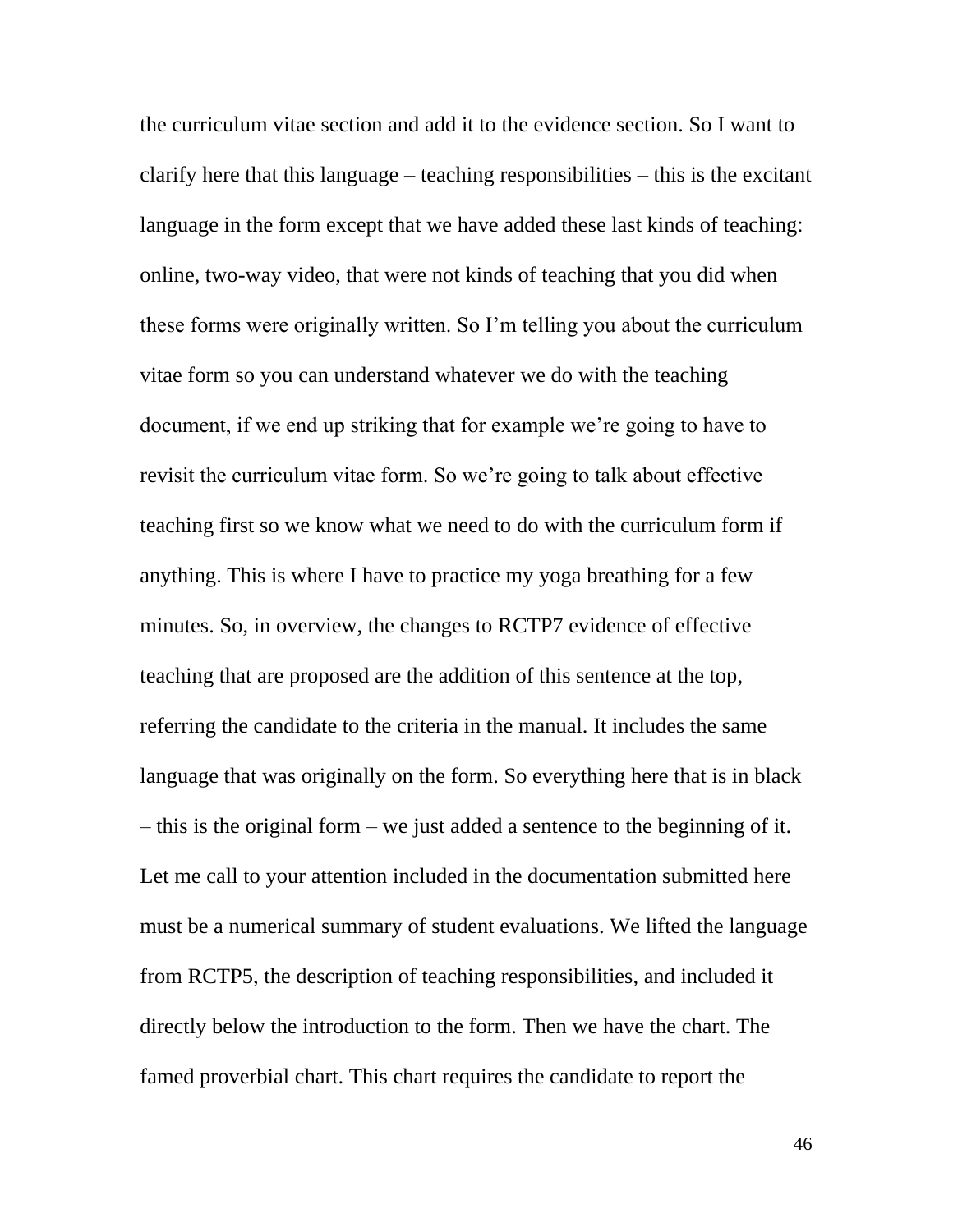the curriculum vitae section and add it to the evidence section. So I want to clarify here that this language – teaching responsibilities – this is the excitant language in the form except that we have added these last kinds of teaching: online, two-way video, that were not kinds of teaching that you did when these forms were originally written. So I'm telling you about the curriculum vitae form so you can understand whatever we do with the teaching document, if we end up striking that for example we're going to have to revisit the curriculum vitae form. So we're going to talk about effective teaching first so we know what we need to do with the curriculum form if anything. This is where I have to practice my yoga breathing for a few minutes. So, in overview, the changes to RCTP7 evidence of effective teaching that are proposed are the addition of this sentence at the top, referring the candidate to the criteria in the manual. It includes the same language that was originally on the form. So everything here that is in black – this is the original form – we just added a sentence to the beginning of it. Let me call to your attention included in the documentation submitted here must be a numerical summary of student evaluations. We lifted the language from RCTP5, the description of teaching responsibilities, and included it directly below the introduction to the form. Then we have the chart. The famed proverbial chart. This chart requires the candidate to report the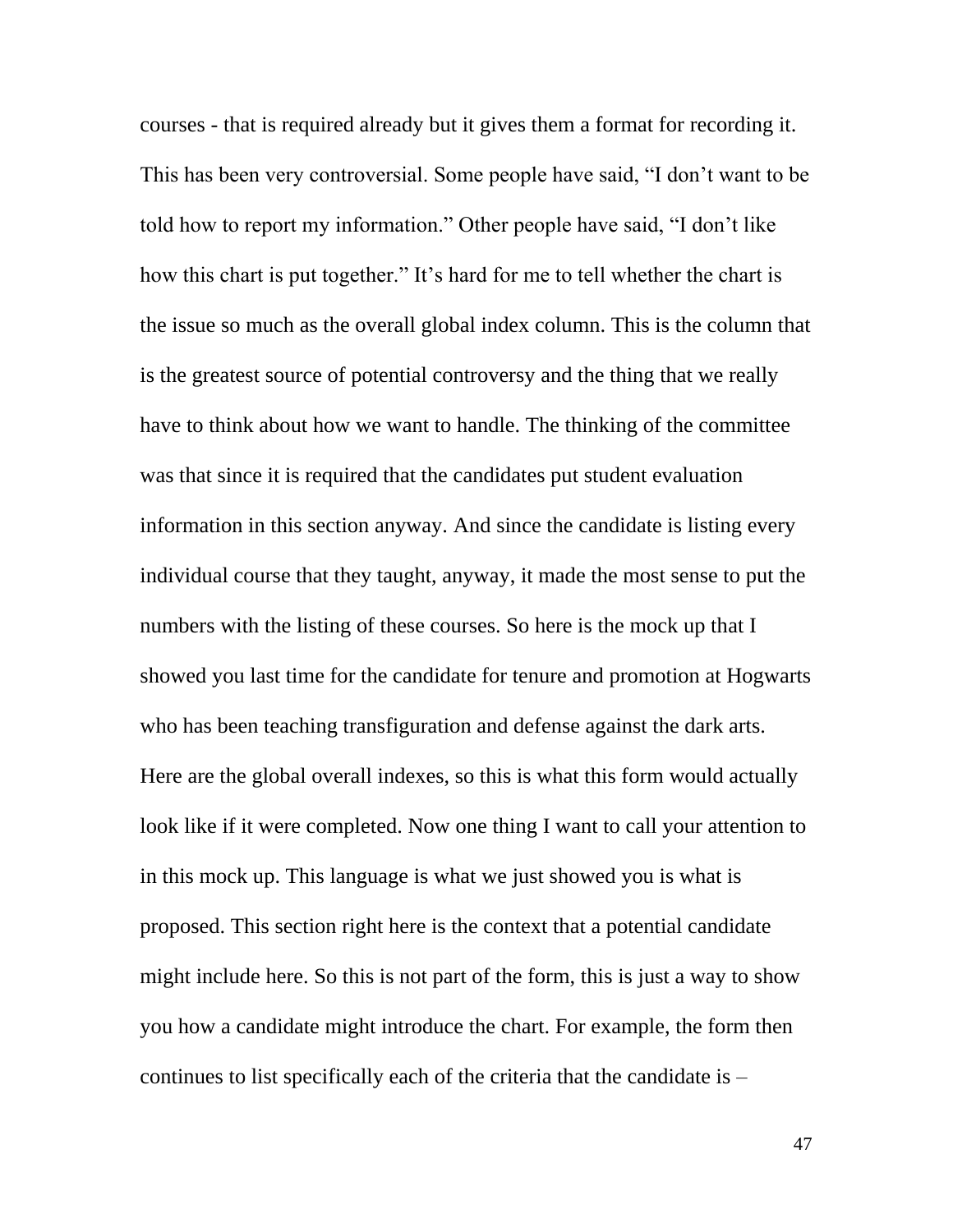courses - that is required already but it gives them a format for recording it. This has been very controversial. Some people have said, "I don't want to be told how to report my information." Other people have said, "I don't like how this chart is put together." It's hard for me to tell whether the chart is the issue so much as the overall global index column. This is the column that is the greatest source of potential controversy and the thing that we really have to think about how we want to handle. The thinking of the committee was that since it is required that the candidates put student evaluation information in this section anyway. And since the candidate is listing every individual course that they taught, anyway, it made the most sense to put the numbers with the listing of these courses. So here is the mock up that I showed you last time for the candidate for tenure and promotion at Hogwarts who has been teaching transfiguration and defense against the dark arts. Here are the global overall indexes, so this is what this form would actually look like if it were completed. Now one thing I want to call your attention to in this mock up. This language is what we just showed you is what is proposed. This section right here is the context that a potential candidate might include here. So this is not part of the form, this is just a way to show you how a candidate might introduce the chart. For example, the form then continues to list specifically each of the criteria that the candidate is –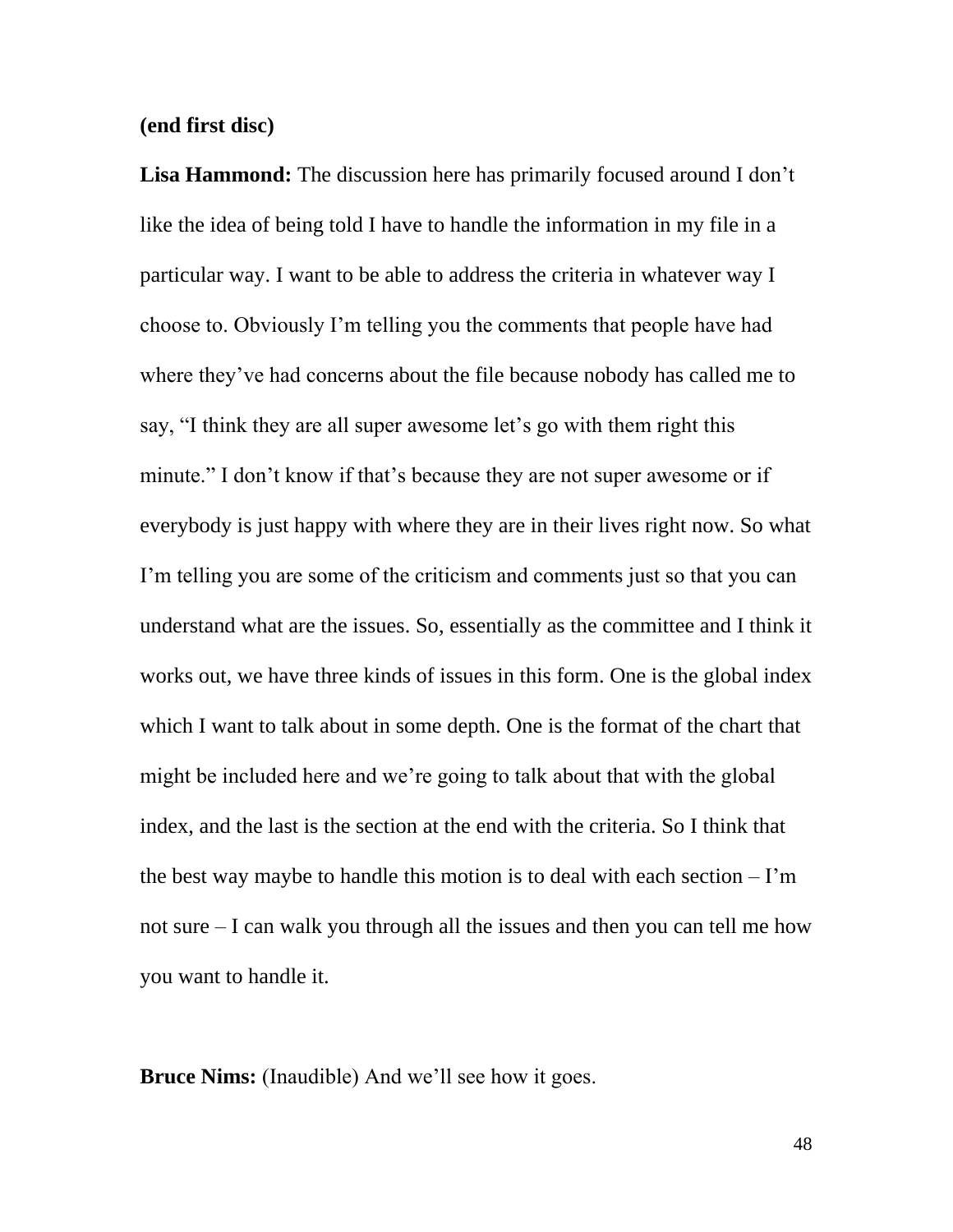## **(end first disc)**

**Lisa Hammond:** The discussion here has primarily focused around I don't like the idea of being told I have to handle the information in my file in a particular way. I want to be able to address the criteria in whatever way I choose to. Obviously I'm telling you the comments that people have had where they've had concerns about the file because nobody has called me to say, "I think they are all super awesome let's go with them right this minute." I don't know if that's because they are not super awesome or if everybody is just happy with where they are in their lives right now. So what I'm telling you are some of the criticism and comments just so that you can understand what are the issues. So, essentially as the committee and I think it works out, we have three kinds of issues in this form. One is the global index which I want to talk about in some depth. One is the format of the chart that might be included here and we're going to talk about that with the global index, and the last is the section at the end with the criteria. So I think that the best way maybe to handle this motion is to deal with each section – I'm not sure – I can walk you through all the issues and then you can tell me how you want to handle it.

**Bruce Nims:** (Inaudible) And we'll see how it goes.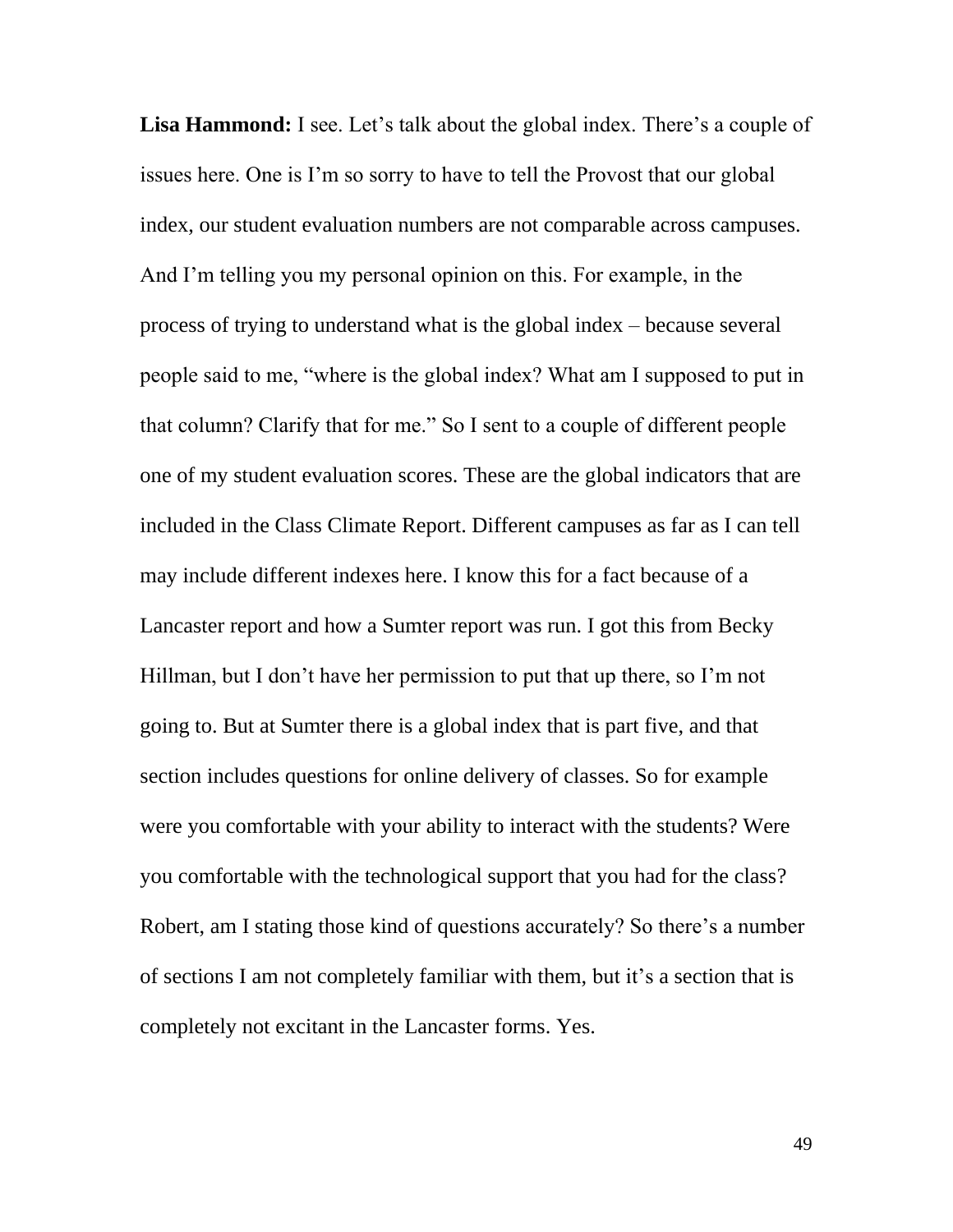**Lisa Hammond:** I see. Let's talk about the global index. There's a couple of issues here. One is I'm so sorry to have to tell the Provost that our global index, our student evaluation numbers are not comparable across campuses. And I'm telling you my personal opinion on this. For example, in the process of trying to understand what is the global index – because several people said to me, "where is the global index? What am I supposed to put in that column? Clarify that for me." So I sent to a couple of different people one of my student evaluation scores. These are the global indicators that are included in the Class Climate Report. Different campuses as far as I can tell may include different indexes here. I know this for a fact because of a Lancaster report and how a Sumter report was run. I got this from Becky Hillman, but I don't have her permission to put that up there, so I'm not going to. But at Sumter there is a global index that is part five, and that section includes questions for online delivery of classes. So for example were you comfortable with your ability to interact with the students? Were you comfortable with the technological support that you had for the class? Robert, am I stating those kind of questions accurately? So there's a number of sections I am not completely familiar with them, but it's a section that is completely not excitant in the Lancaster forms. Yes.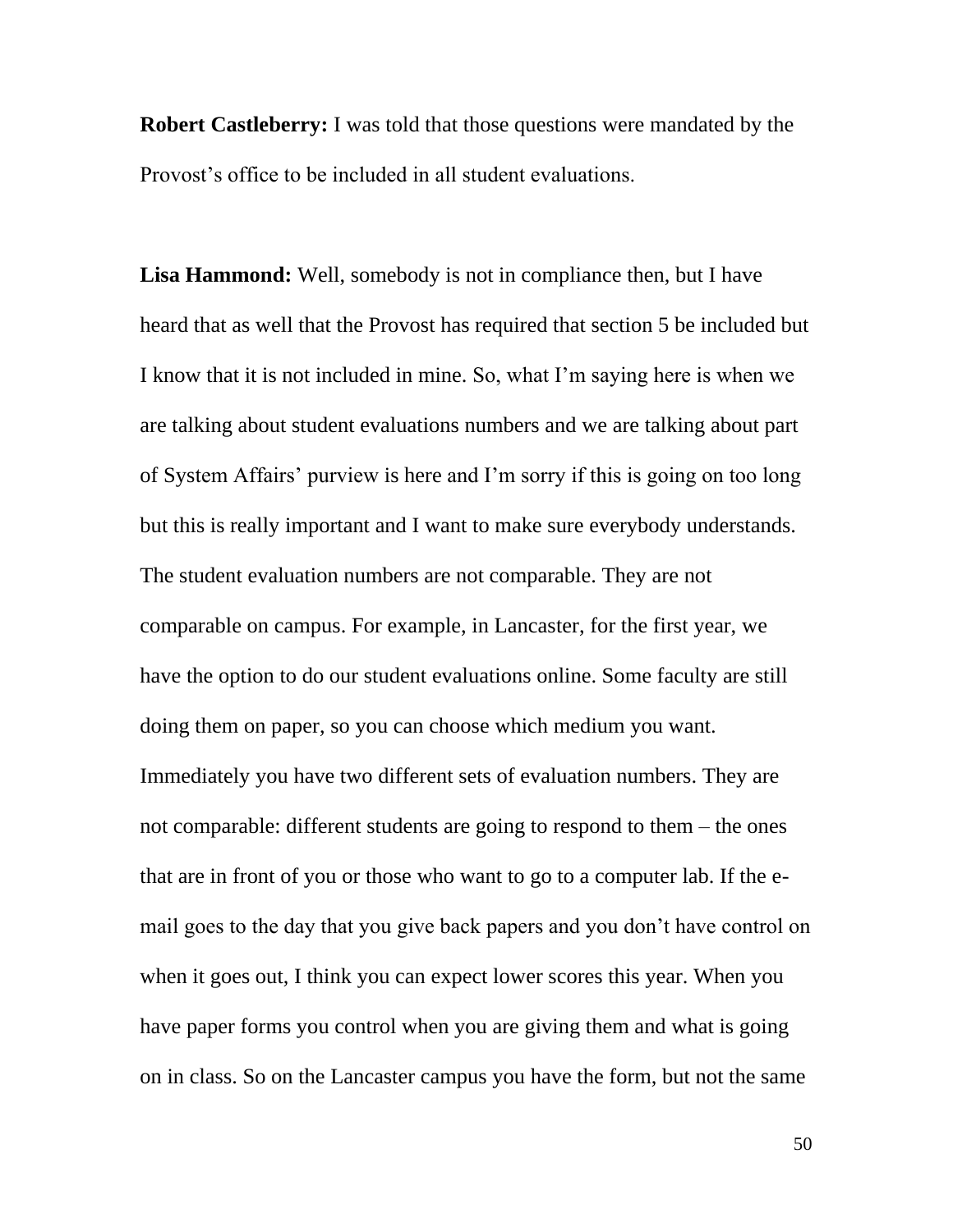**Robert Castleberry:** I was told that those questions were mandated by the Provost's office to be included in all student evaluations.

**Lisa Hammond:** Well, somebody is not in compliance then, but I have heard that as well that the Provost has required that section 5 be included but I know that it is not included in mine. So, what I'm saying here is when we are talking about student evaluations numbers and we are talking about part of System Affairs' purview is here and I'm sorry if this is going on too long but this is really important and I want to make sure everybody understands. The student evaluation numbers are not comparable. They are not comparable on campus. For example, in Lancaster, for the first year, we have the option to do our student evaluations online. Some faculty are still doing them on paper, so you can choose which medium you want. Immediately you have two different sets of evaluation numbers. They are not comparable: different students are going to respond to them – the ones that are in front of you or those who want to go to a computer lab. If the email goes to the day that you give back papers and you don't have control on when it goes out, I think you can expect lower scores this year. When you have paper forms you control when you are giving them and what is going on in class. So on the Lancaster campus you have the form, but not the same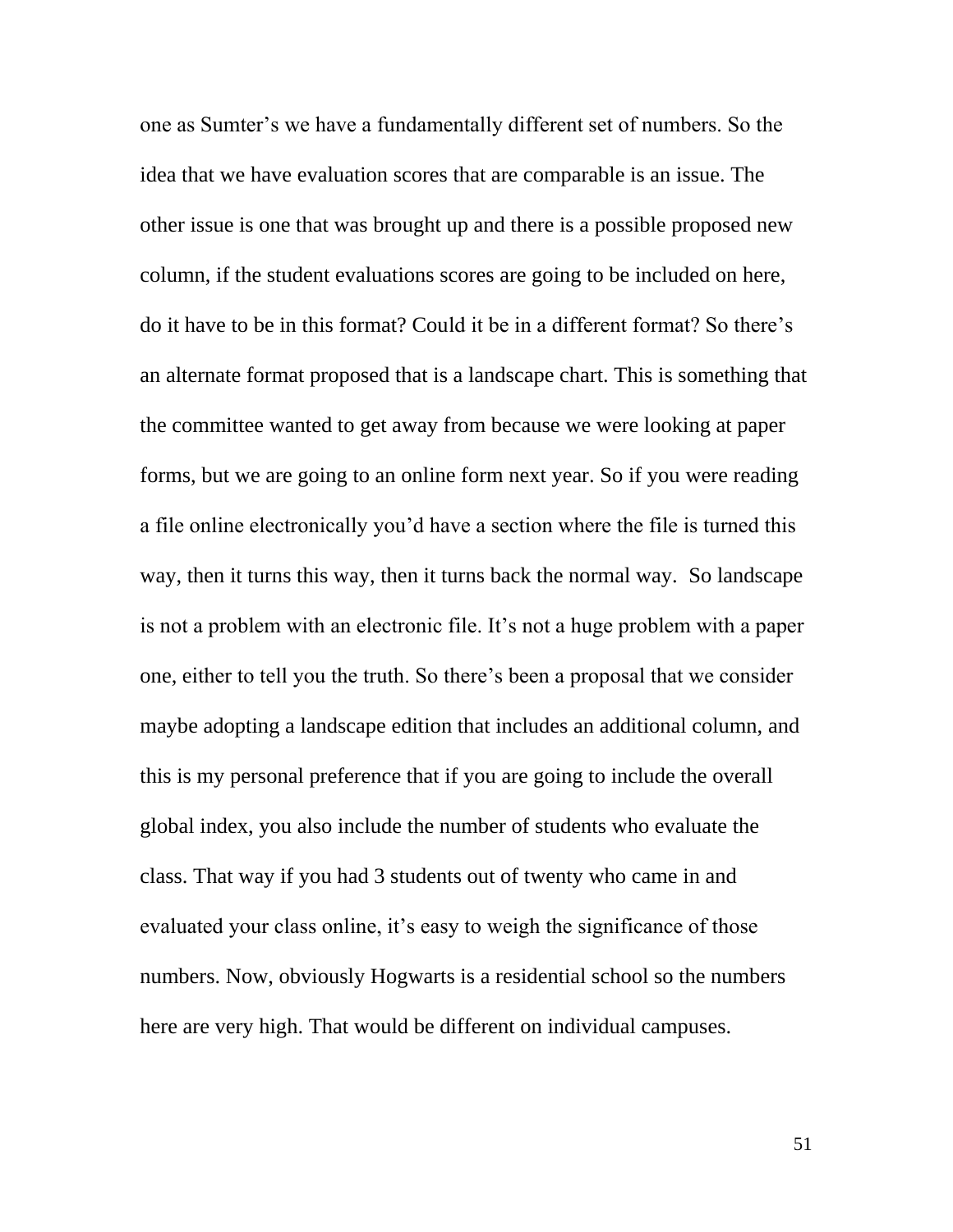one as Sumter's we have a fundamentally different set of numbers. So the idea that we have evaluation scores that are comparable is an issue. The other issue is one that was brought up and there is a possible proposed new column, if the student evaluations scores are going to be included on here, do it have to be in this format? Could it be in a different format? So there's an alternate format proposed that is a landscape chart. This is something that the committee wanted to get away from because we were looking at paper forms, but we are going to an online form next year. So if you were reading a file online electronically you'd have a section where the file is turned this way, then it turns this way, then it turns back the normal way. So landscape is not a problem with an electronic file. It's not a huge problem with a paper one, either to tell you the truth. So there's been a proposal that we consider maybe adopting a landscape edition that includes an additional column, and this is my personal preference that if you are going to include the overall global index, you also include the number of students who evaluate the class. That way if you had 3 students out of twenty who came in and evaluated your class online, it's easy to weigh the significance of those numbers. Now, obviously Hogwarts is a residential school so the numbers here are very high. That would be different on individual campuses.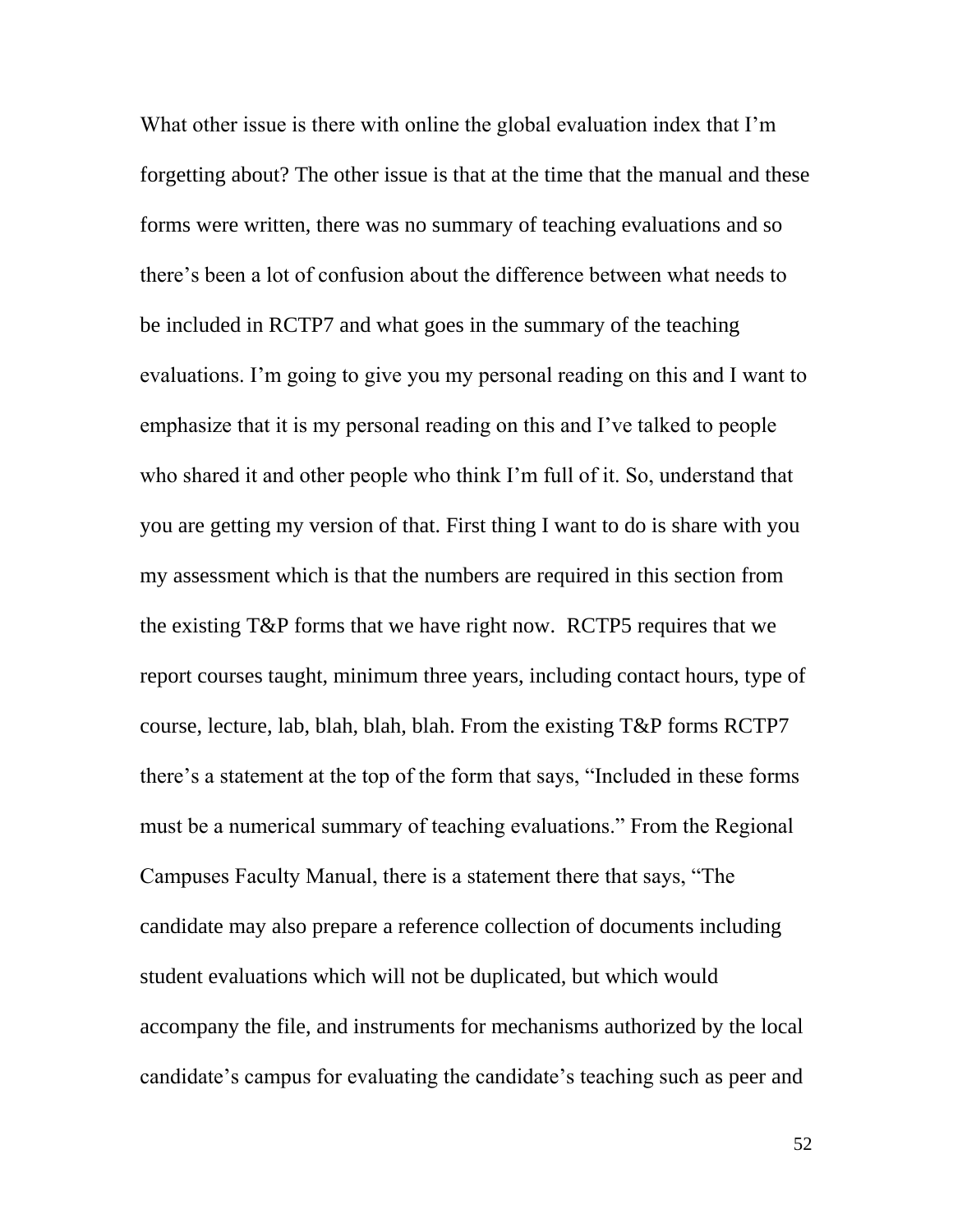What other issue is there with online the global evaluation index that I'm forgetting about? The other issue is that at the time that the manual and these forms were written, there was no summary of teaching evaluations and so there's been a lot of confusion about the difference between what needs to be included in RCTP7 and what goes in the summary of the teaching evaluations. I'm going to give you my personal reading on this and I want to emphasize that it is my personal reading on this and I've talked to people who shared it and other people who think I'm full of it. So, understand that you are getting my version of that. First thing I want to do is share with you my assessment which is that the numbers are required in this section from the existing T&P forms that we have right now. RCTP5 requires that we report courses taught, minimum three years, including contact hours, type of course, lecture, lab, blah, blah, blah. From the existing T&P forms RCTP7 there's a statement at the top of the form that says, "Included in these forms must be a numerical summary of teaching evaluations." From the Regional Campuses Faculty Manual, there is a statement there that says, "The candidate may also prepare a reference collection of documents including student evaluations which will not be duplicated, but which would accompany the file, and instruments for mechanisms authorized by the local candidate's campus for evaluating the candidate's teaching such as peer and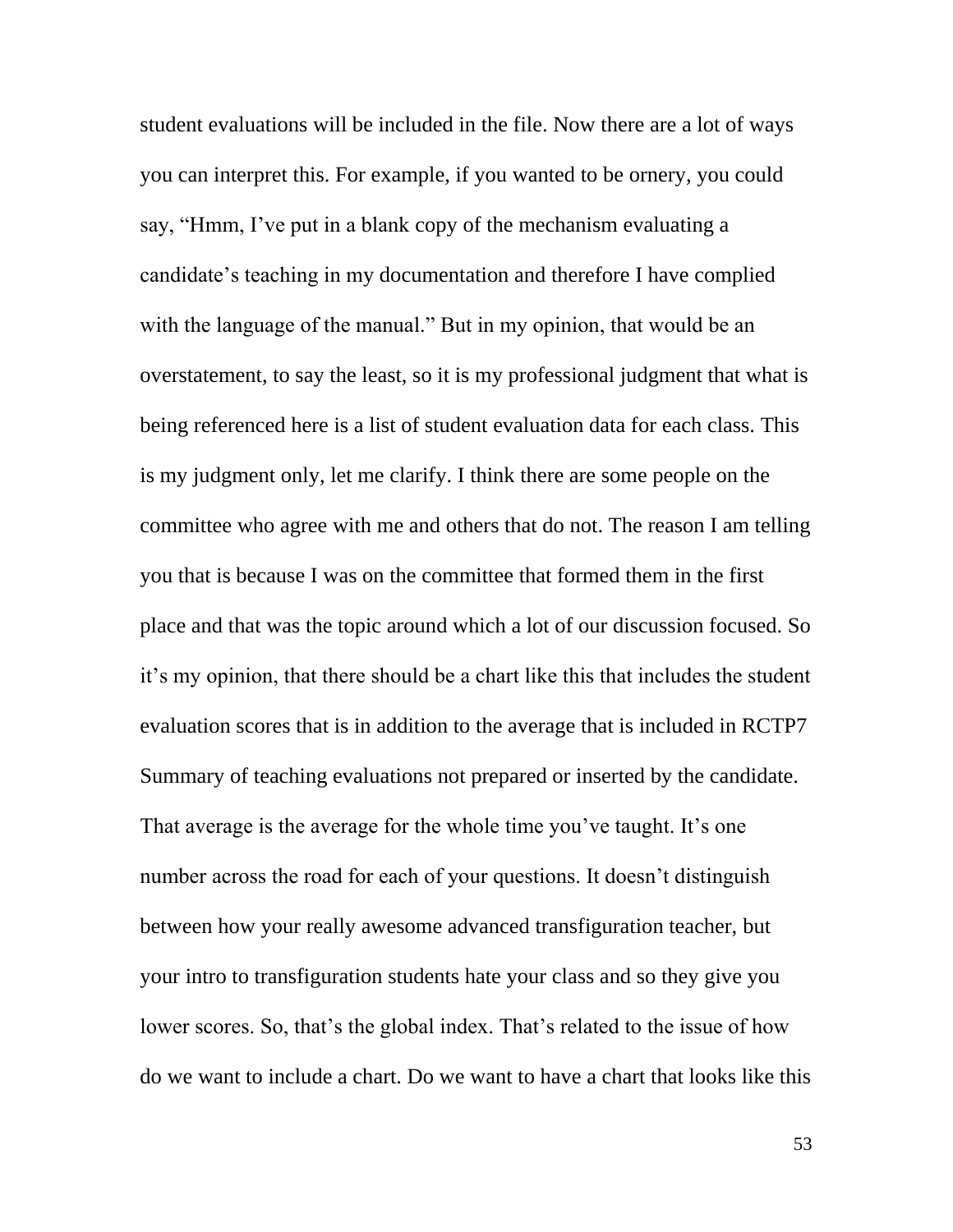student evaluations will be included in the file. Now there are a lot of ways you can interpret this. For example, if you wanted to be ornery, you could say, "Hmm, I've put in a blank copy of the mechanism evaluating a candidate's teaching in my documentation and therefore I have complied with the language of the manual." But in my opinion, that would be an overstatement, to say the least, so it is my professional judgment that what is being referenced here is a list of student evaluation data for each class. This is my judgment only, let me clarify. I think there are some people on the committee who agree with me and others that do not. The reason I am telling you that is because I was on the committee that formed them in the first place and that was the topic around which a lot of our discussion focused. So it's my opinion, that there should be a chart like this that includes the student evaluation scores that is in addition to the average that is included in RCTP7 Summary of teaching evaluations not prepared or inserted by the candidate. That average is the average for the whole time you've taught. It's one number across the road for each of your questions. It doesn't distinguish between how your really awesome advanced transfiguration teacher, but your intro to transfiguration students hate your class and so they give you lower scores. So, that's the global index. That's related to the issue of how do we want to include a chart. Do we want to have a chart that looks like this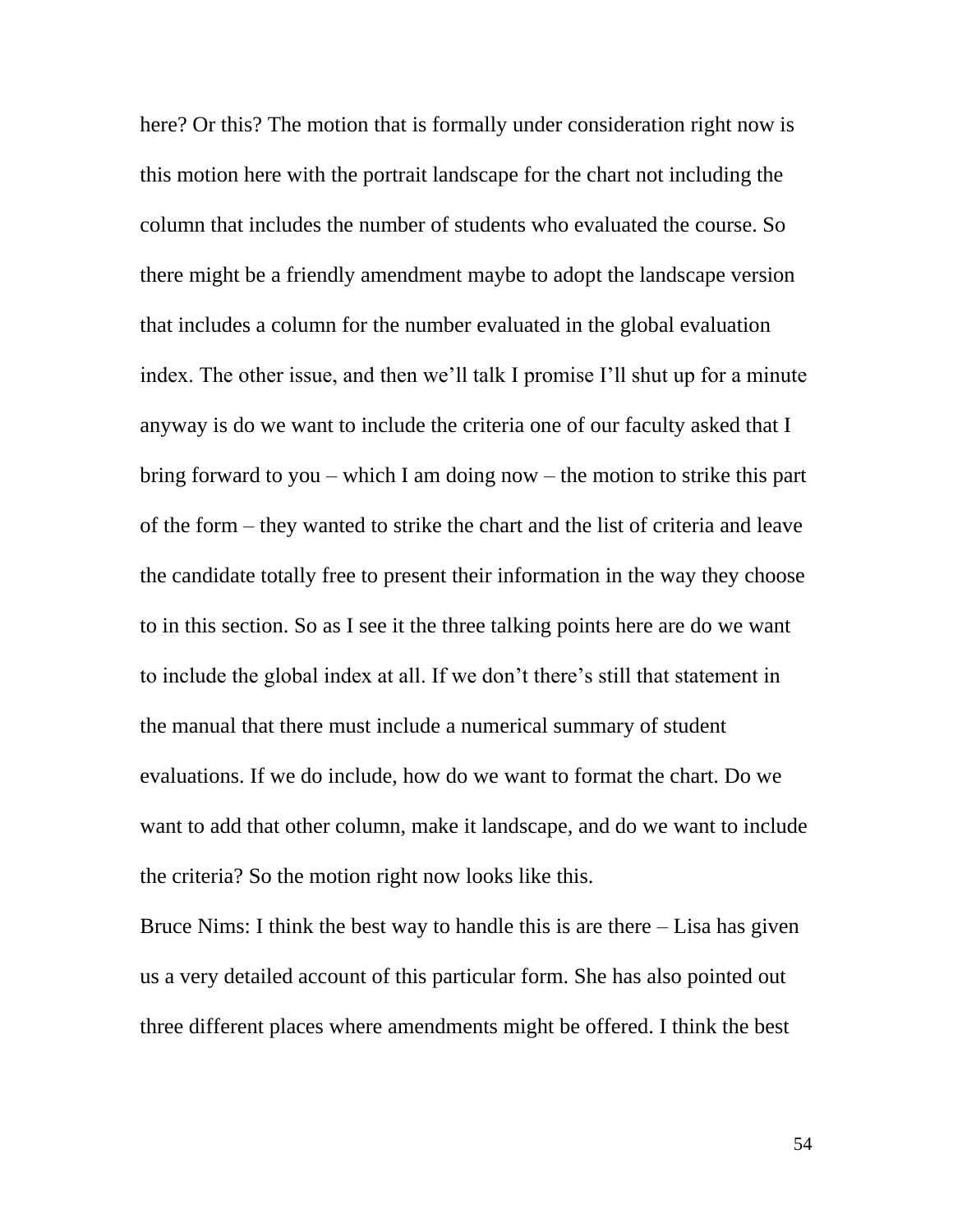here? Or this? The motion that is formally under consideration right now is this motion here with the portrait landscape for the chart not including the column that includes the number of students who evaluated the course. So there might be a friendly amendment maybe to adopt the landscape version that includes a column for the number evaluated in the global evaluation index. The other issue, and then we'll talk I promise I'll shut up for a minute anyway is do we want to include the criteria one of our faculty asked that I bring forward to you – which I am doing now – the motion to strike this part of the form – they wanted to strike the chart and the list of criteria and leave the candidate totally free to present their information in the way they choose to in this section. So as I see it the three talking points here are do we want to include the global index at all. If we don't there's still that statement in the manual that there must include a numerical summary of student evaluations. If we do include, how do we want to format the chart. Do we want to add that other column, make it landscape, and do we want to include the criteria? So the motion right now looks like this.

Bruce Nims: I think the best way to handle this is are there – Lisa has given us a very detailed account of this particular form. She has also pointed out three different places where amendments might be offered. I think the best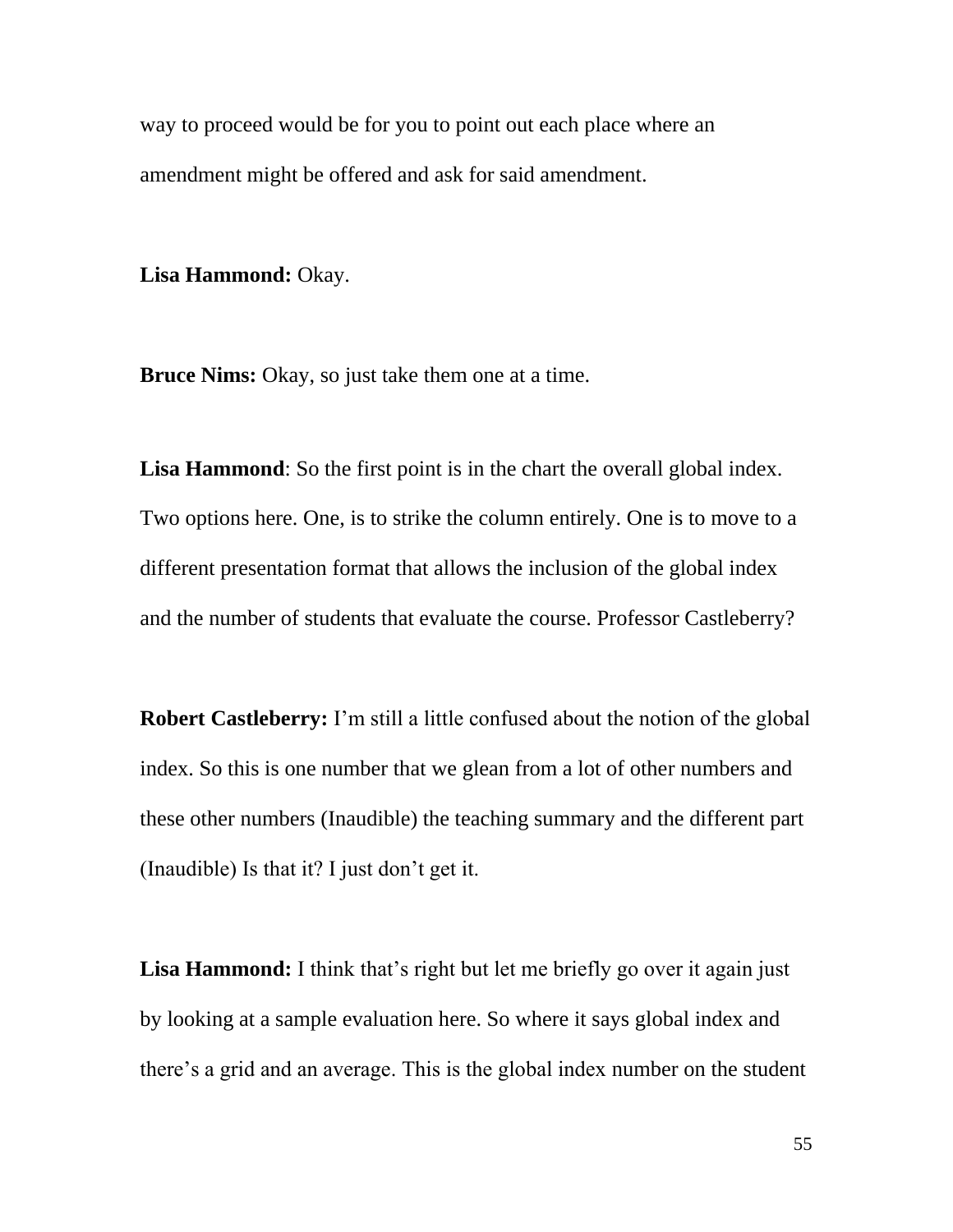way to proceed would be for you to point out each place where an amendment might be offered and ask for said amendment.

**Lisa Hammond:** Okay.

**Bruce Nims:** Okay, so just take them one at a time.

Lisa **Hammond**: So the first point is in the chart the overall global index. Two options here. One, is to strike the column entirely. One is to move to a different presentation format that allows the inclusion of the global index and the number of students that evaluate the course. Professor Castleberry?

**Robert Castleberry:** I'm still a little confused about the notion of the global index. So this is one number that we glean from a lot of other numbers and these other numbers (Inaudible) the teaching summary and the different part (Inaudible) Is that it? I just don't get it.

**Lisa Hammond:** I think that's right but let me briefly go over it again just by looking at a sample evaluation here. So where it says global index and there's a grid and an average. This is the global index number on the student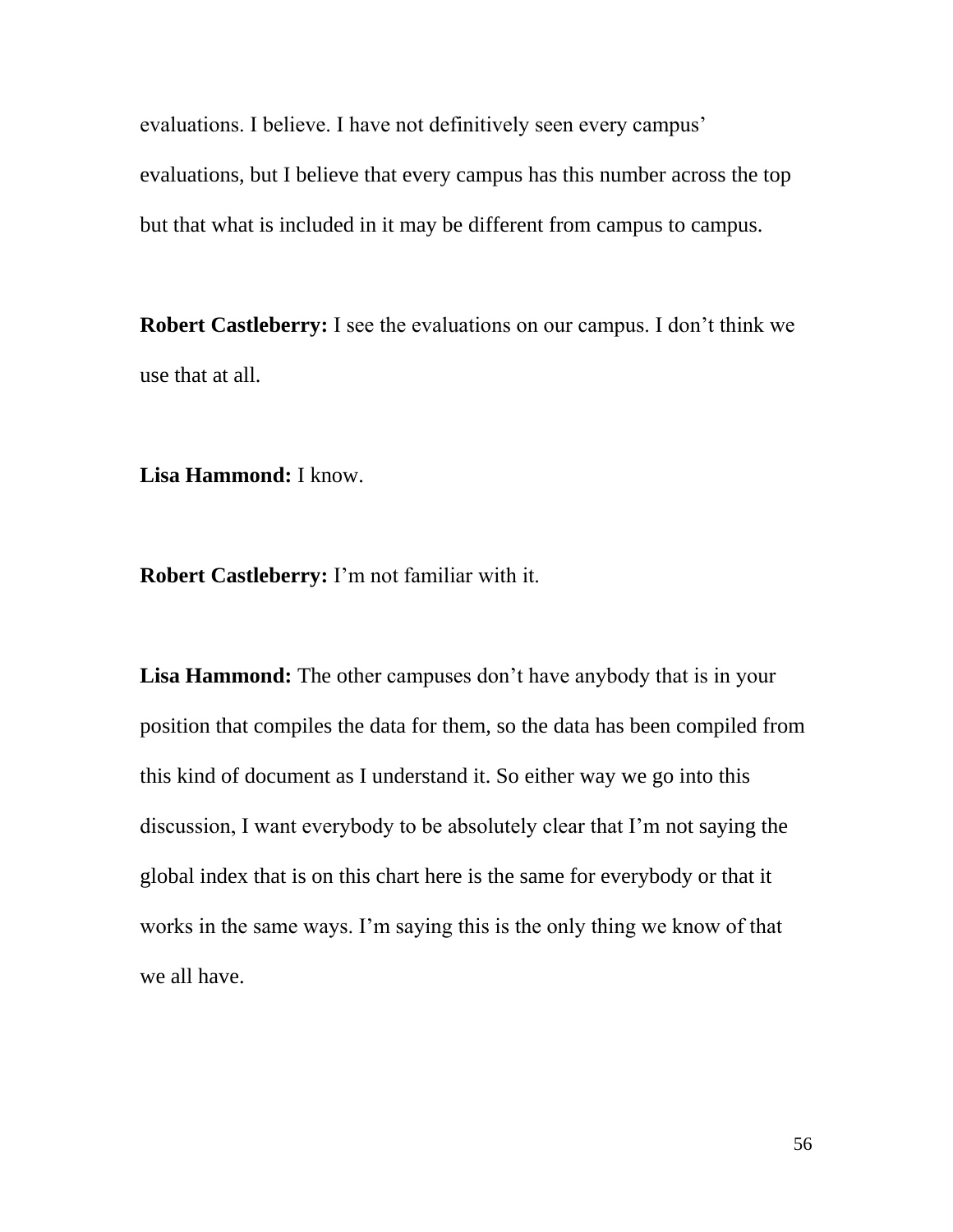evaluations. I believe. I have not definitively seen every campus' evaluations, but I believe that every campus has this number across the top but that what is included in it may be different from campus to campus.

**Robert Castleberry:** I see the evaluations on our campus. I don't think we use that at all.

**Lisa Hammond:** I know.

**Robert Castleberry:** I'm not familiar with it.

**Lisa Hammond:** The other campuses don't have anybody that is in your position that compiles the data for them, so the data has been compiled from this kind of document as I understand it. So either way we go into this discussion, I want everybody to be absolutely clear that I'm not saying the global index that is on this chart here is the same for everybody or that it works in the same ways. I'm saying this is the only thing we know of that we all have.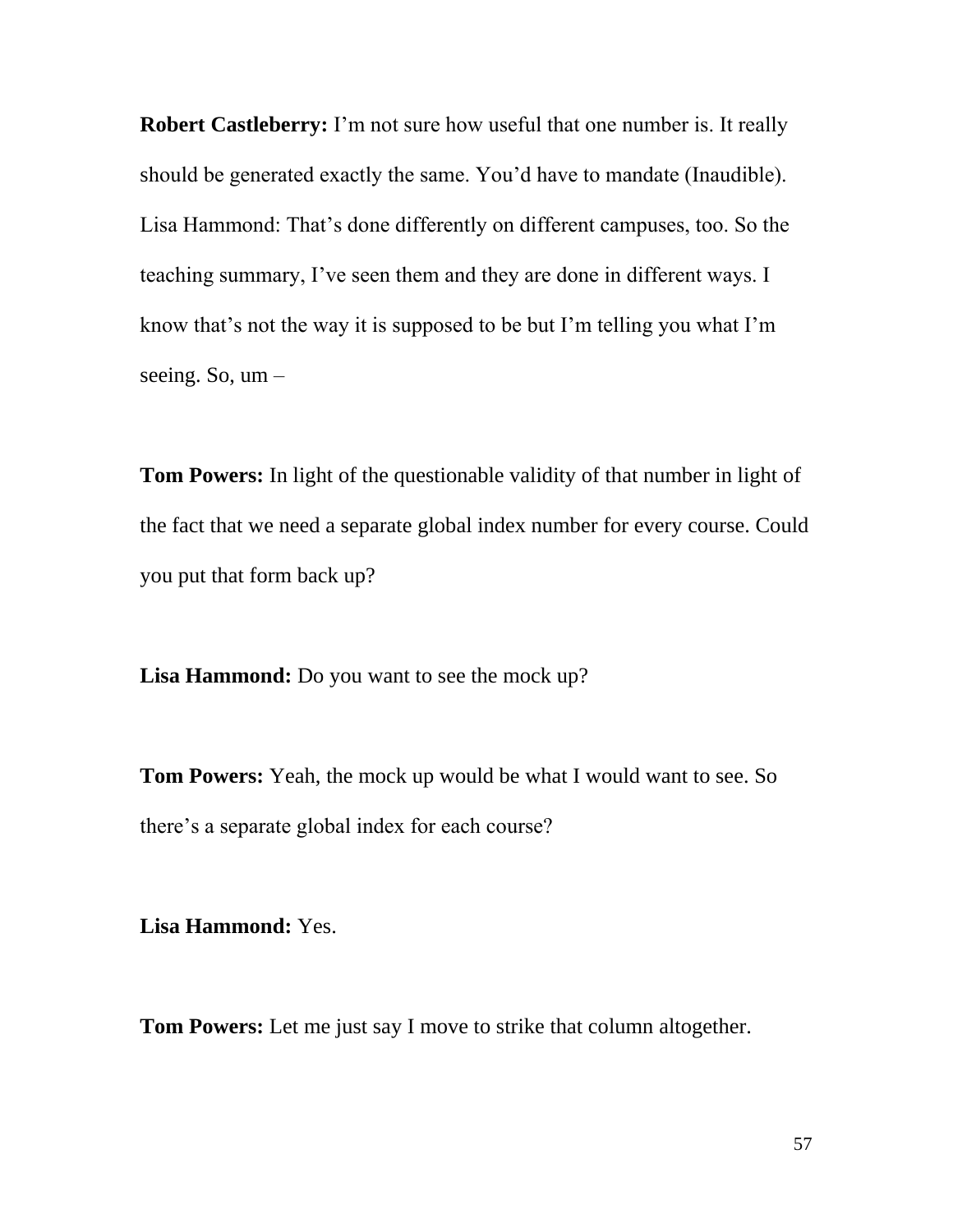**Robert Castleberry:** I'm not sure how useful that one number is. It really should be generated exactly the same. You'd have to mandate (Inaudible). Lisa Hammond: That's done differently on different campuses, too. So the teaching summary, I've seen them and they are done in different ways. I know that's not the way it is supposed to be but I'm telling you what I'm seeing. So, um –

**Tom Powers:** In light of the questionable validity of that number in light of the fact that we need a separate global index number for every course. Could you put that form back up?

**Lisa Hammond:** Do you want to see the mock up?

**Tom Powers:** Yeah, the mock up would be what I would want to see. So there's a separate global index for each course?

**Lisa Hammond:** Yes.

**Tom Powers:** Let me just say I move to strike that column altogether.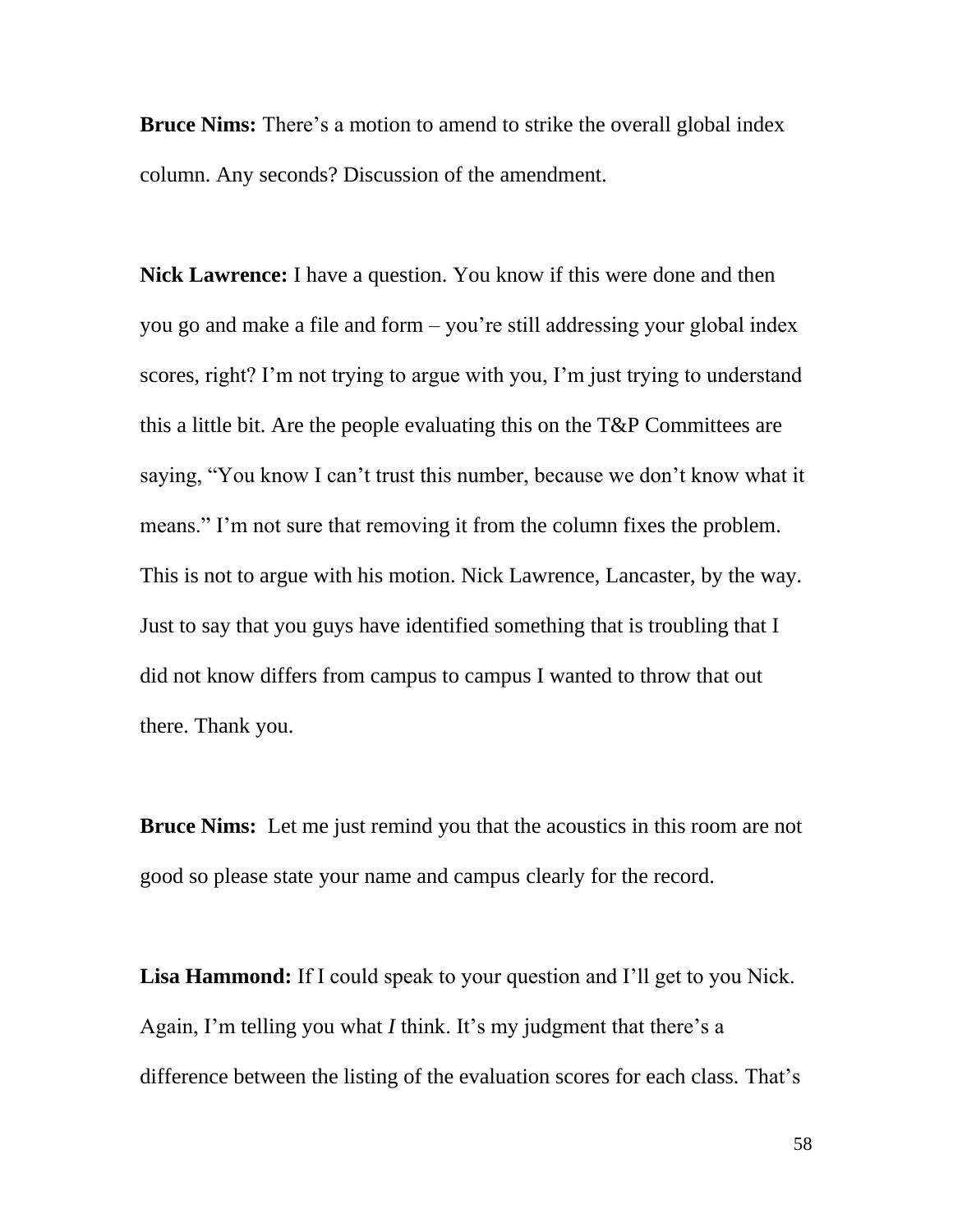**Bruce Nims:** There's a motion to amend to strike the overall global index column. Any seconds? Discussion of the amendment.

**Nick Lawrence:** I have a question. You know if this were done and then you go and make a file and form – you're still addressing your global index scores, right? I'm not trying to argue with you, I'm just trying to understand this a little bit. Are the people evaluating this on the T&P Committees are saying, "You know I can't trust this number, because we don't know what it means." I'm not sure that removing it from the column fixes the problem. This is not to argue with his motion. Nick Lawrence, Lancaster, by the way. Just to say that you guys have identified something that is troubling that I did not know differs from campus to campus I wanted to throw that out there. Thank you.

**Bruce Nims:** Let me just remind you that the acoustics in this room are not good so please state your name and campus clearly for the record.

Lisa **Hammond:** If I could speak to your question and I'll get to you Nick. Again, I'm telling you what *I* think. It's my judgment that there's a difference between the listing of the evaluation scores for each class. That's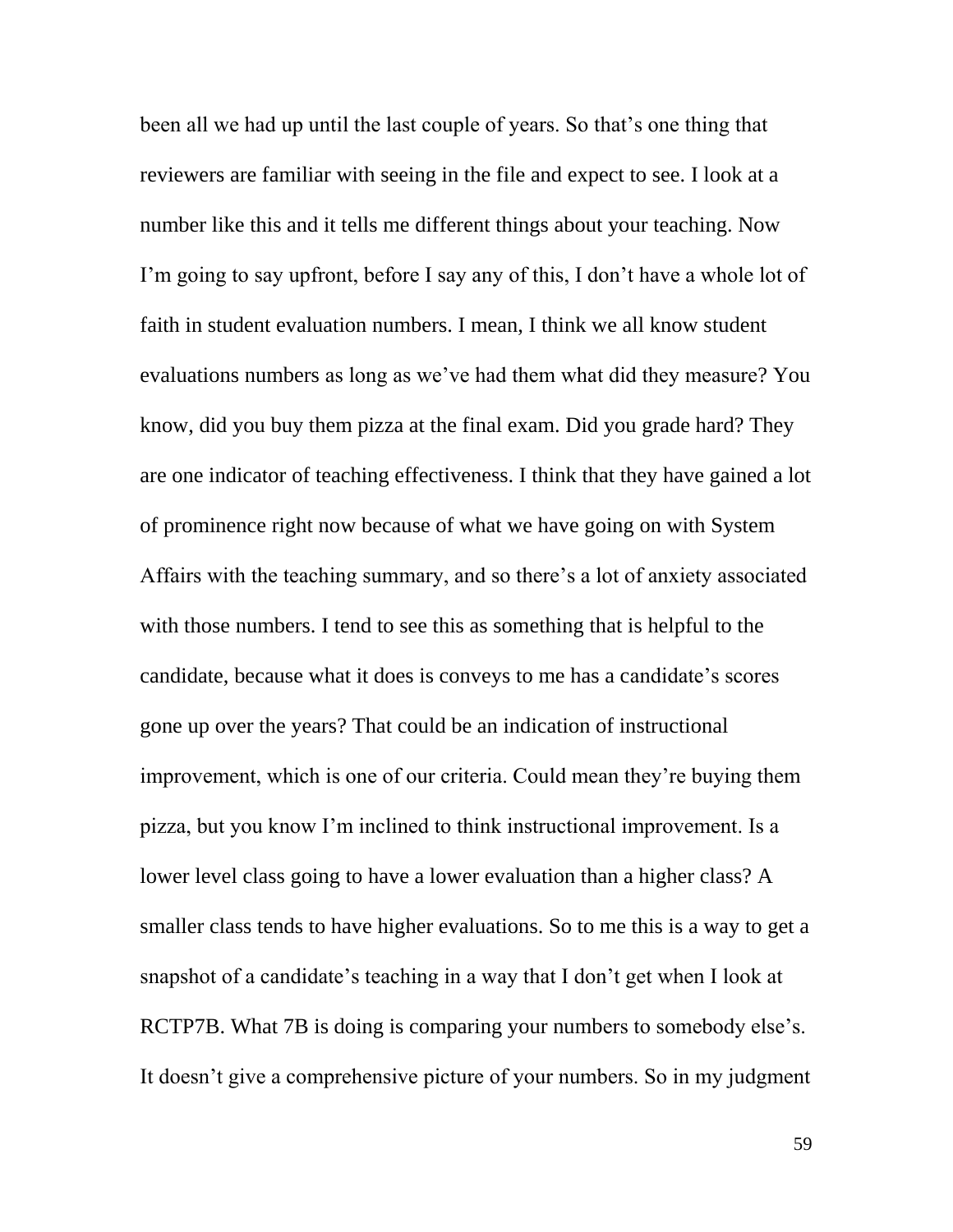been all we had up until the last couple of years. So that's one thing that reviewers are familiar with seeing in the file and expect to see. I look at a number like this and it tells me different things about your teaching. Now I'm going to say upfront, before I say any of this, I don't have a whole lot of faith in student evaluation numbers. I mean, I think we all know student evaluations numbers as long as we've had them what did they measure? You know, did you buy them pizza at the final exam. Did you grade hard? They are one indicator of teaching effectiveness. I think that they have gained a lot of prominence right now because of what we have going on with System Affairs with the teaching summary, and so there's a lot of anxiety associated with those numbers. I tend to see this as something that is helpful to the candidate, because what it does is conveys to me has a candidate's scores gone up over the years? That could be an indication of instructional improvement, which is one of our criteria. Could mean they're buying them pizza, but you know I'm inclined to think instructional improvement. Is a lower level class going to have a lower evaluation than a higher class? A smaller class tends to have higher evaluations. So to me this is a way to get a snapshot of a candidate's teaching in a way that I don't get when I look at RCTP7B. What 7B is doing is comparing your numbers to somebody else's. It doesn't give a comprehensive picture of your numbers. So in my judgment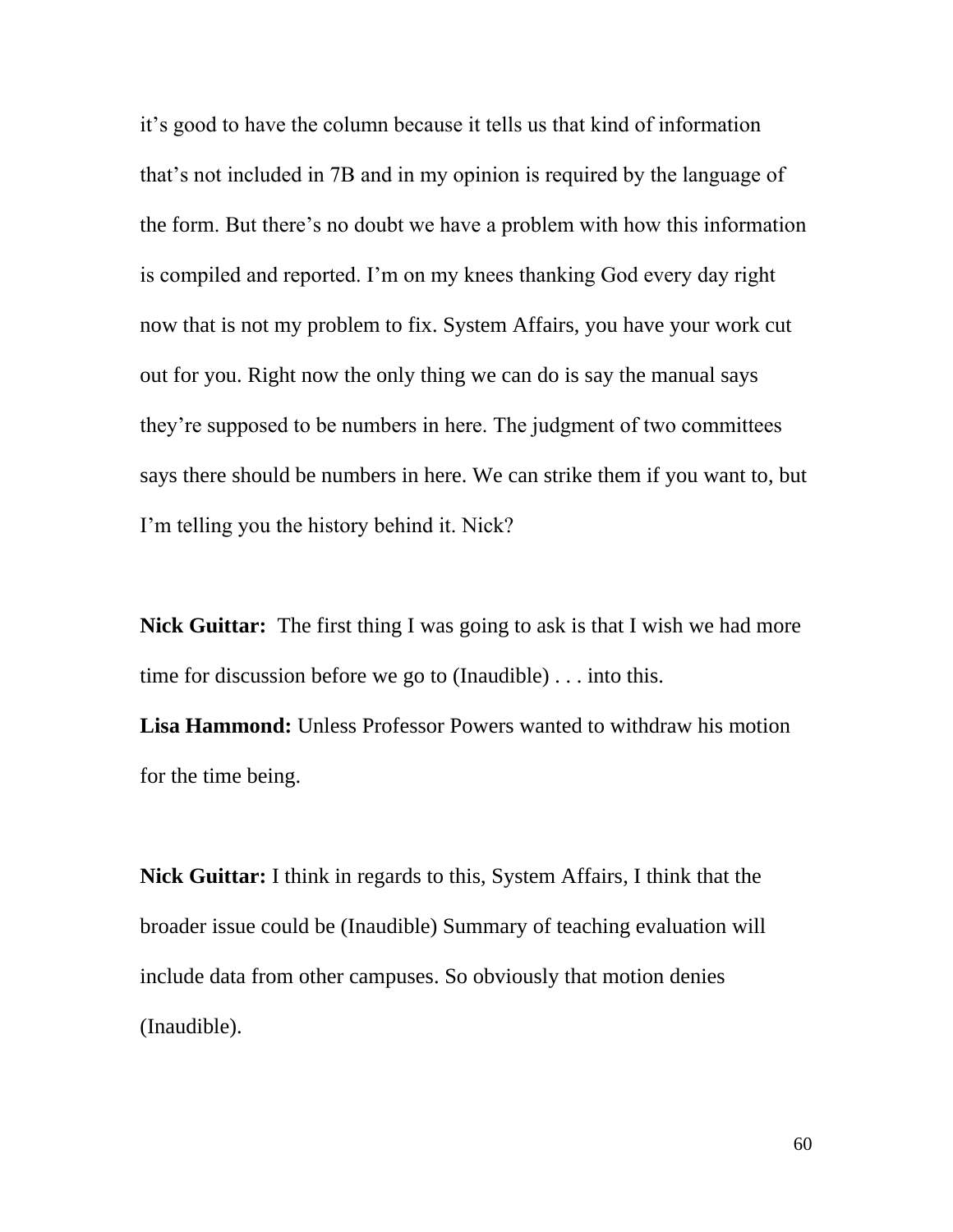it's good to have the column because it tells us that kind of information that's not included in 7B and in my opinion is required by the language of the form. But there's no doubt we have a problem with how this information is compiled and reported. I'm on my knees thanking God every day right now that is not my problem to fix. System Affairs, you have your work cut out for you. Right now the only thing we can do is say the manual says they're supposed to be numbers in here. The judgment of two committees says there should be numbers in here. We can strike them if you want to, but I'm telling you the history behind it. Nick?

**Nick Guittar:** The first thing I was going to ask is that I wish we had more time for discussion before we go to (Inaudible) . . . into this.

**Lisa Hammond:** Unless Professor Powers wanted to withdraw his motion for the time being.

**Nick Guittar:** I think in regards to this, System Affairs, I think that the broader issue could be (Inaudible) Summary of teaching evaluation will include data from other campuses. So obviously that motion denies (Inaudible).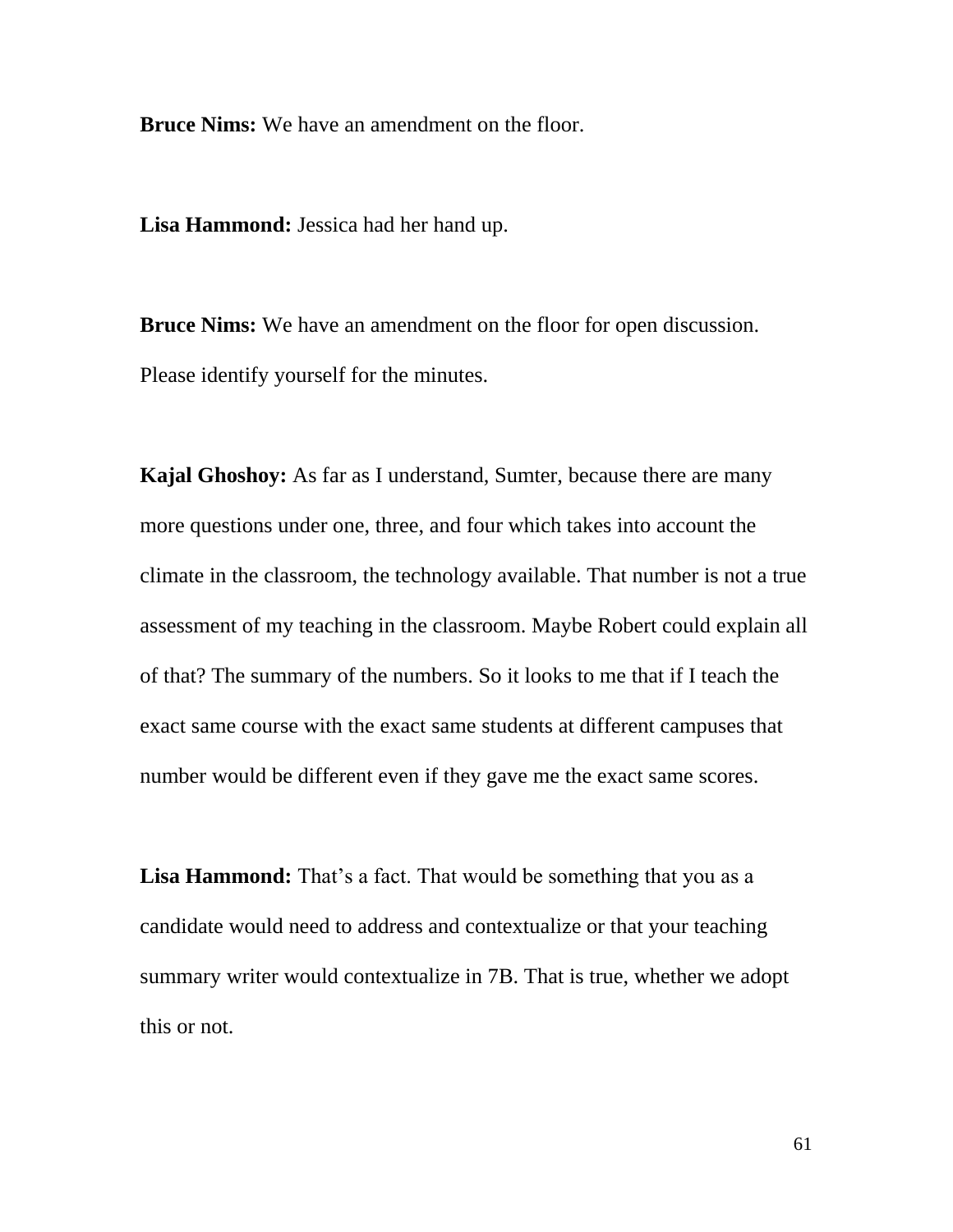**Bruce Nims:** We have an amendment on the floor.

**Lisa Hammond:** Jessica had her hand up.

**Bruce Nims:** We have an amendment on the floor for open discussion. Please identify yourself for the minutes.

**Kajal Ghoshoy:** As far as I understand, Sumter, because there are many more questions under one, three, and four which takes into account the climate in the classroom, the technology available. That number is not a true assessment of my teaching in the classroom. Maybe Robert could explain all of that? The summary of the numbers. So it looks to me that if I teach the exact same course with the exact same students at different campuses that number would be different even if they gave me the exact same scores.

Lisa Hammond: That's a fact. That would be something that you as a candidate would need to address and contextualize or that your teaching summary writer would contextualize in 7B. That is true, whether we adopt this or not.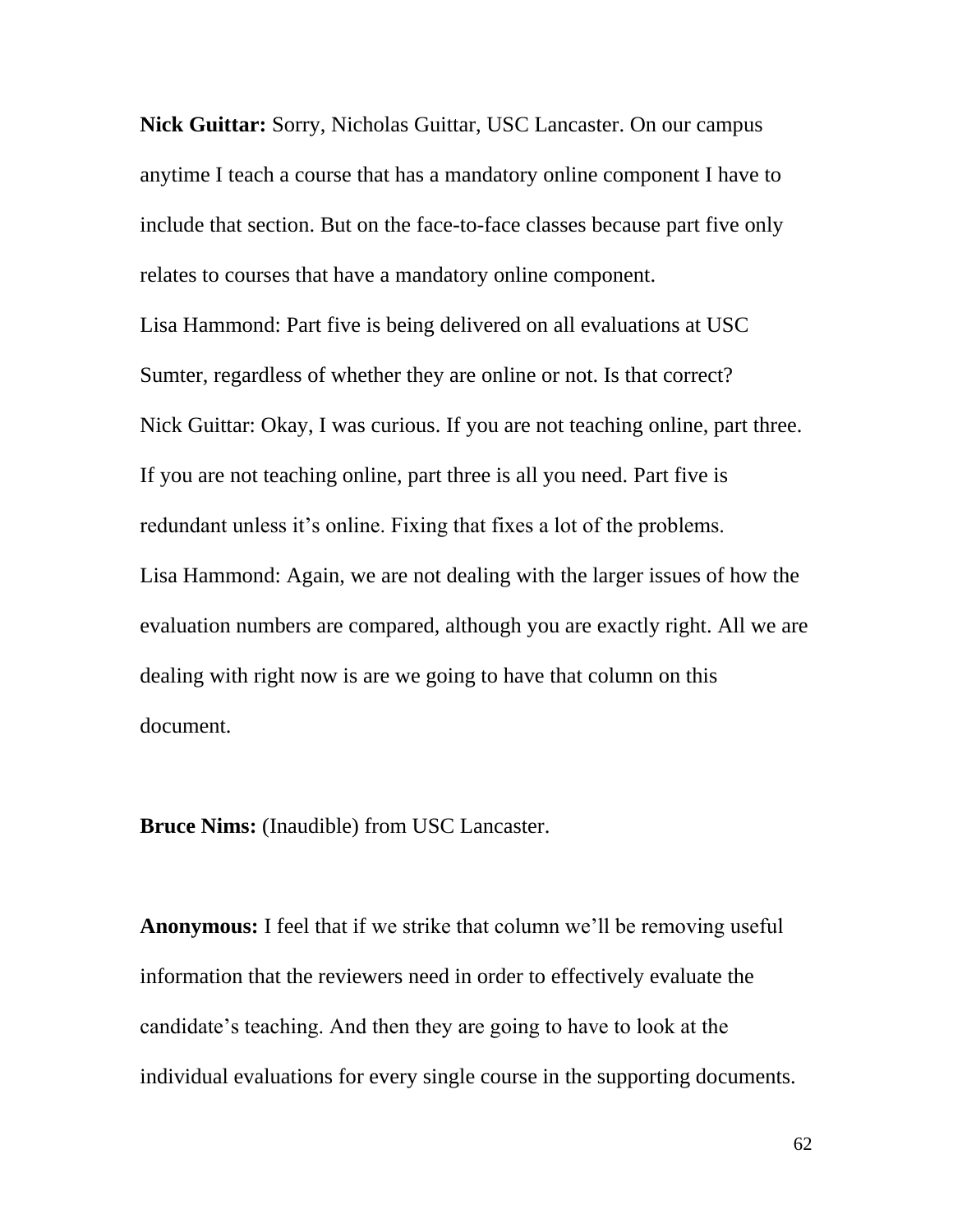**Nick Guittar:** Sorry, Nicholas Guittar, USC Lancaster. On our campus anytime I teach a course that has a mandatory online component I have to include that section. But on the face-to-face classes because part five only relates to courses that have a mandatory online component.

Lisa Hammond: Part five is being delivered on all evaluations at USC Sumter, regardless of whether they are online or not. Is that correct? Nick Guittar: Okay, I was curious. If you are not teaching online, part three. If you are not teaching online, part three is all you need. Part five is redundant unless it's online. Fixing that fixes a lot of the problems. Lisa Hammond: Again, we are not dealing with the larger issues of how the evaluation numbers are compared, although you are exactly right. All we are dealing with right now is are we going to have that column on this document.

**Bruce Nims:** (Inaudible) from USC Lancaster.

**Anonymous:** I feel that if we strike that column we'll be removing useful information that the reviewers need in order to effectively evaluate the candidate's teaching. And then they are going to have to look at the individual evaluations for every single course in the supporting documents.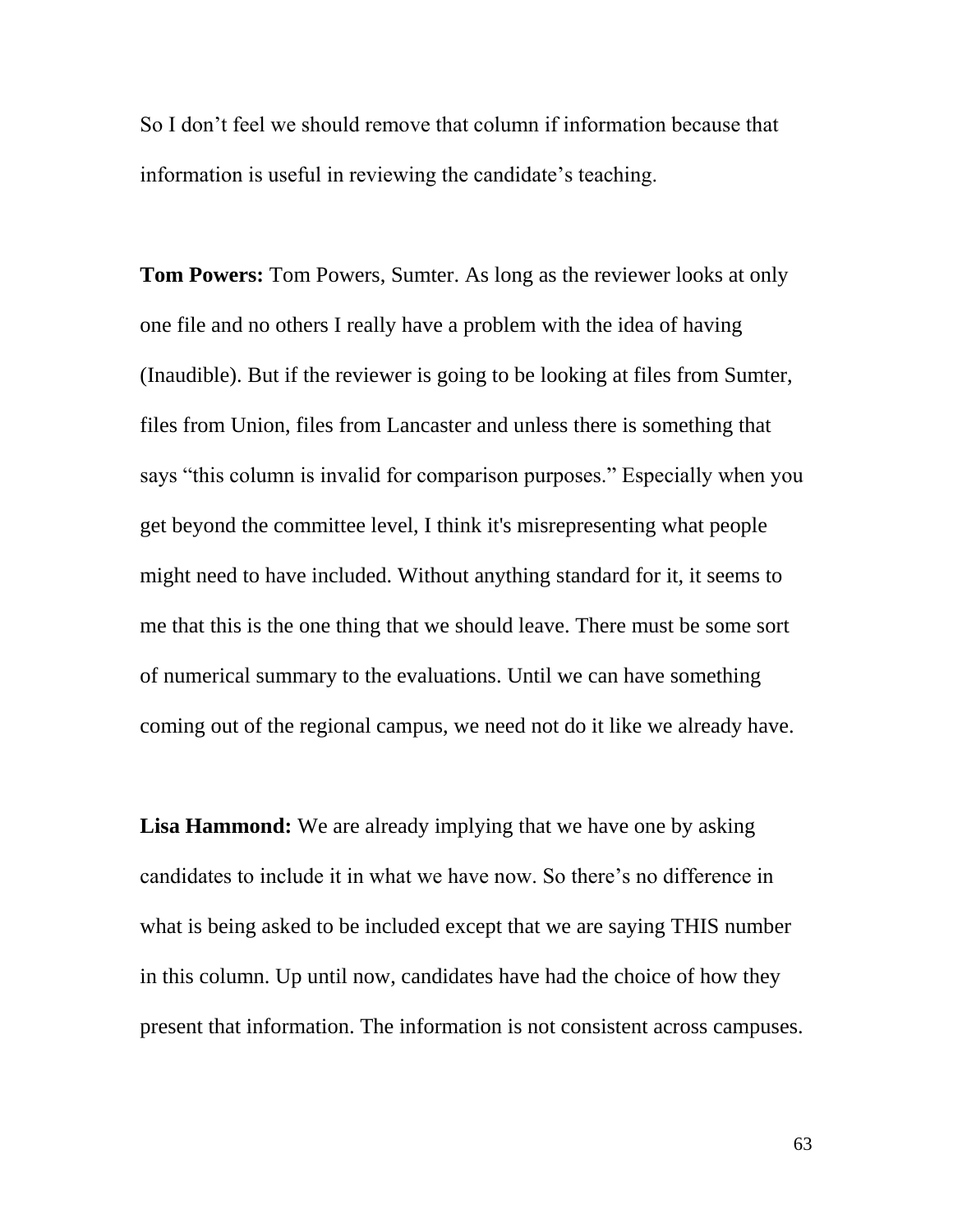So I don't feel we should remove that column if information because that information is useful in reviewing the candidate's teaching.

**Tom Powers:** Tom Powers, Sumter. As long as the reviewer looks at only one file and no others I really have a problem with the idea of having (Inaudible). But if the reviewer is going to be looking at files from Sumter, files from Union, files from Lancaster and unless there is something that says "this column is invalid for comparison purposes." Especially when you get beyond the committee level, I think it's misrepresenting what people might need to have included. Without anything standard for it, it seems to me that this is the one thing that we should leave. There must be some sort of numerical summary to the evaluations. Until we can have something coming out of the regional campus, we need not do it like we already have.

**Lisa Hammond:** We are already implying that we have one by asking candidates to include it in what we have now. So there's no difference in what is being asked to be included except that we are saying THIS number in this column. Up until now, candidates have had the choice of how they present that information. The information is not consistent across campuses.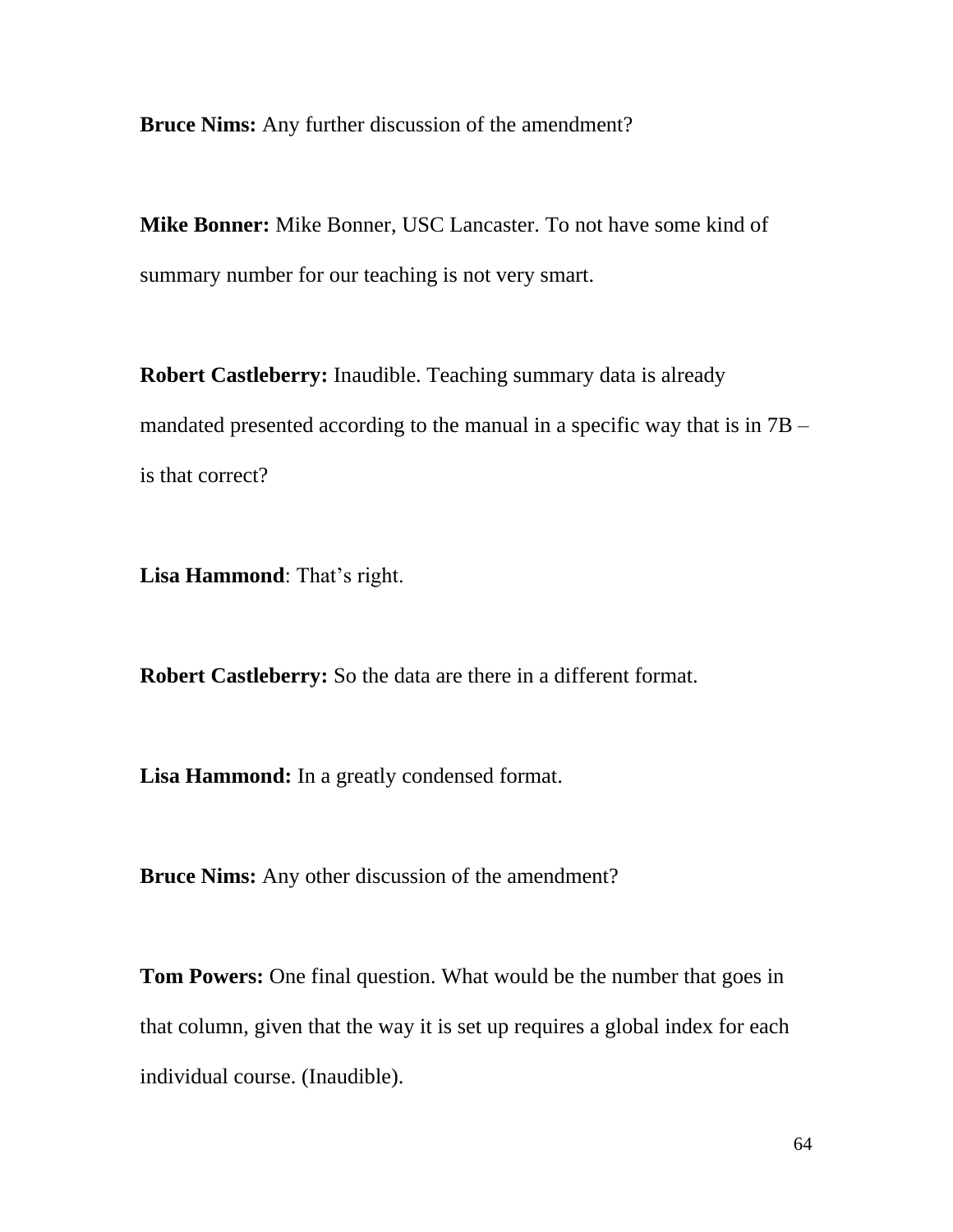**Bruce Nims:** Any further discussion of the amendment?

**Mike Bonner:** Mike Bonner, USC Lancaster. To not have some kind of summary number for our teaching is not very smart.

**Robert Castleberry:** Inaudible. Teaching summary data is already mandated presented according to the manual in a specific way that is in 7B – is that correct?

**Lisa Hammond**: That's right.

**Robert Castleberry:** So the data are there in a different format.

**Lisa Hammond:** In a greatly condensed format.

**Bruce Nims:** Any other discussion of the amendment?

**Tom Powers:** One final question. What would be the number that goes in that column, given that the way it is set up requires a global index for each individual course. (Inaudible).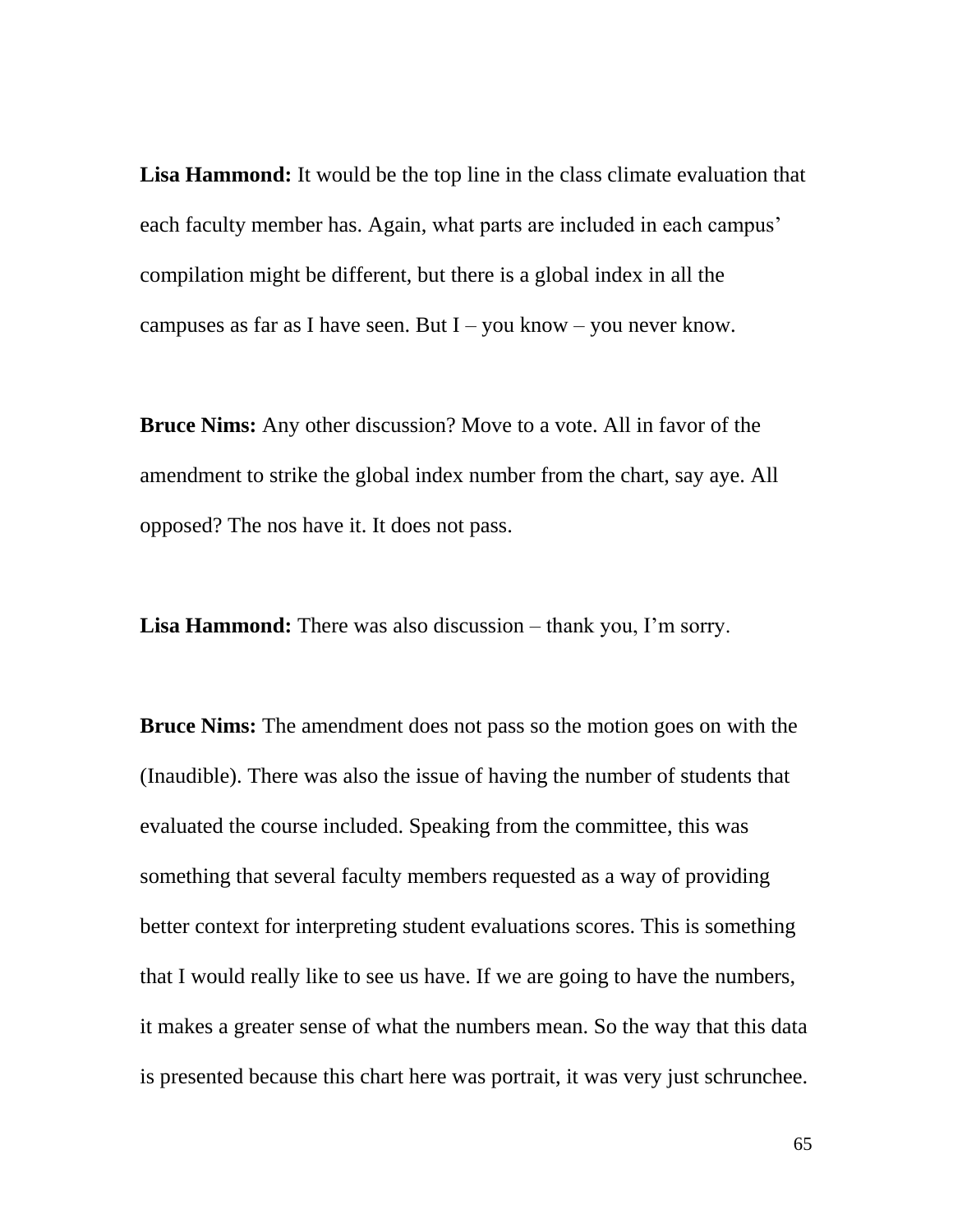**Lisa Hammond:** It would be the top line in the class climate evaluation that each faculty member has. Again, what parts are included in each campus' compilation might be different, but there is a global index in all the campuses as far as I have seen. But  $I - you know - you never know.$ 

**Bruce Nims:** Any other discussion? Move to a vote. All in favor of the amendment to strike the global index number from the chart, say aye. All opposed? The nos have it. It does not pass.

**Lisa Hammond:** There was also discussion – thank you, I'm sorry.

**Bruce Nims:** The amendment does not pass so the motion goes on with the (Inaudible). There was also the issue of having the number of students that evaluated the course included. Speaking from the committee, this was something that several faculty members requested as a way of providing better context for interpreting student evaluations scores. This is something that I would really like to see us have. If we are going to have the numbers, it makes a greater sense of what the numbers mean. So the way that this data is presented because this chart here was portrait, it was very just schrunchee.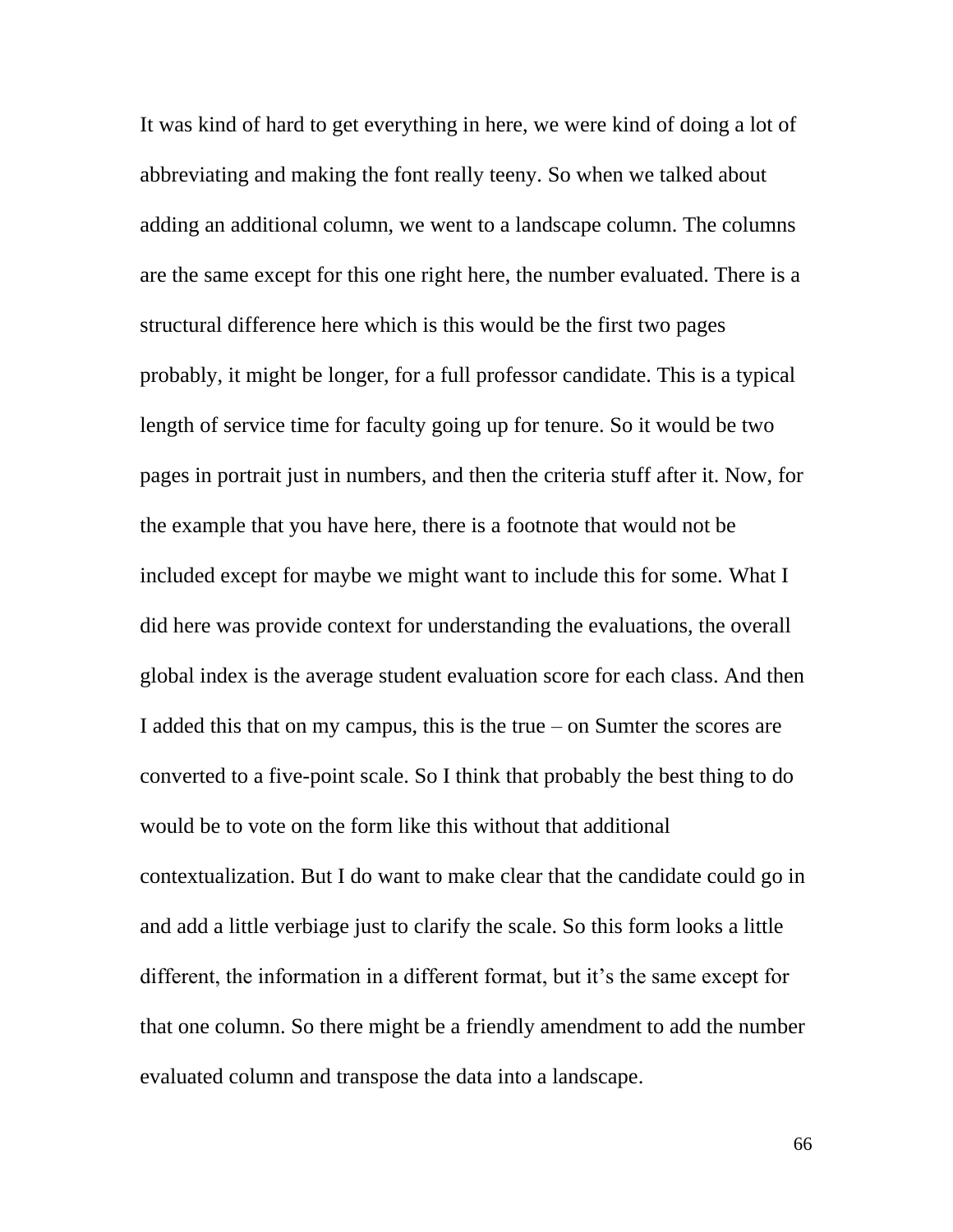It was kind of hard to get everything in here, we were kind of doing a lot of abbreviating and making the font really teeny. So when we talked about adding an additional column, we went to a landscape column. The columns are the same except for this one right here, the number evaluated. There is a structural difference here which is this would be the first two pages probably, it might be longer, for a full professor candidate. This is a typical length of service time for faculty going up for tenure. So it would be two pages in portrait just in numbers, and then the criteria stuff after it. Now, for the example that you have here, there is a footnote that would not be included except for maybe we might want to include this for some. What I did here was provide context for understanding the evaluations, the overall global index is the average student evaluation score for each class. And then I added this that on my campus, this is the true – on Sumter the scores are converted to a five-point scale. So I think that probably the best thing to do would be to vote on the form like this without that additional contextualization. But I do want to make clear that the candidate could go in and add a little verbiage just to clarify the scale. So this form looks a little different, the information in a different format, but it's the same except for that one column. So there might be a friendly amendment to add the number evaluated column and transpose the data into a landscape.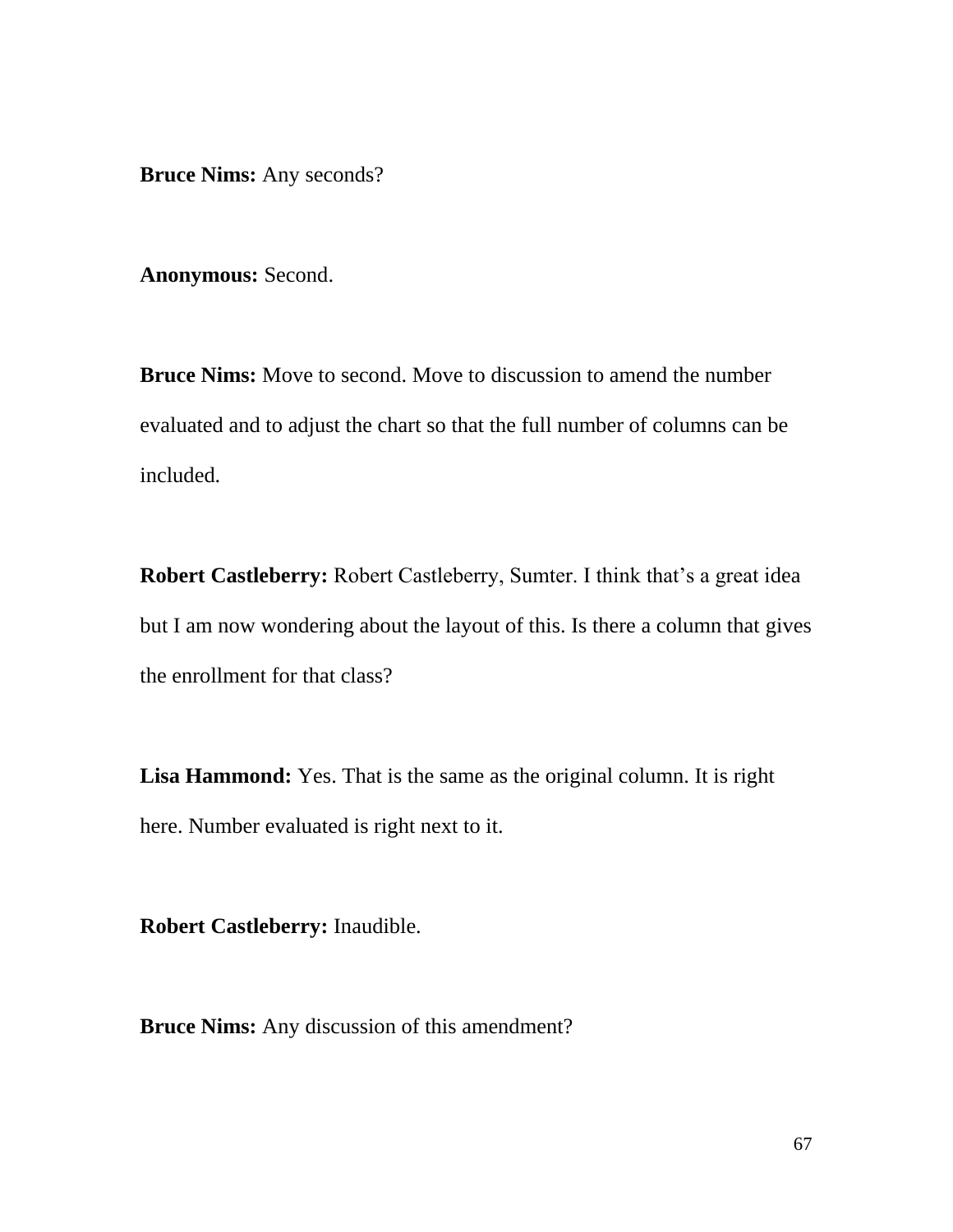**Bruce Nims:** Any seconds?

**Anonymous:** Second.

**Bruce Nims:** Move to second. Move to discussion to amend the number evaluated and to adjust the chart so that the full number of columns can be included.

**Robert Castleberry:** Robert Castleberry, Sumter. I think that's a great idea but I am now wondering about the layout of this. Is there a column that gives the enrollment for that class?

**Lisa Hammond:** Yes. That is the same as the original column. It is right here. Number evaluated is right next to it.

**Robert Castleberry:** Inaudible.

**Bruce Nims:** Any discussion of this amendment?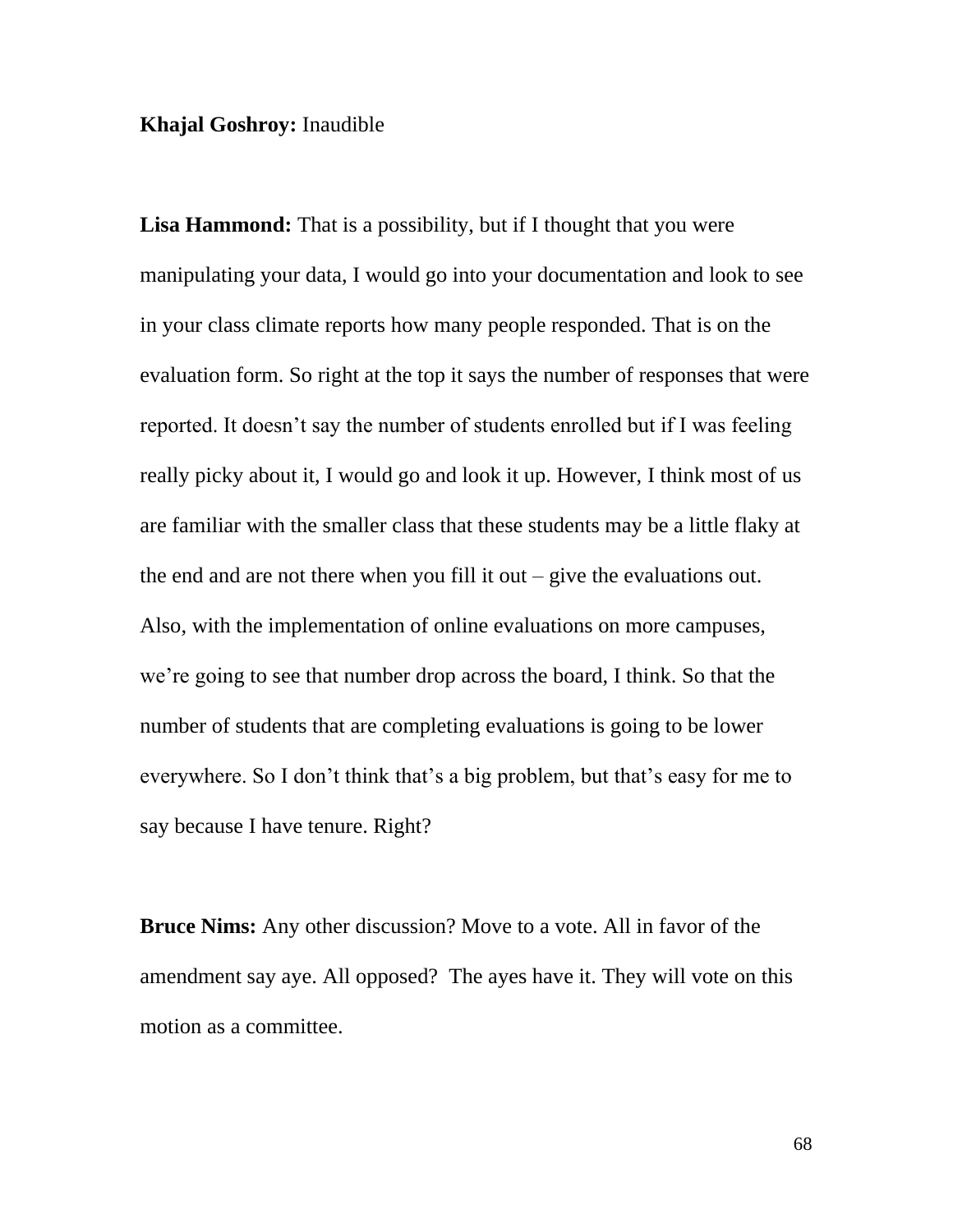**Khajal Goshroy:** Inaudible

**Lisa Hammond:** That is a possibility, but if I thought that you were manipulating your data, I would go into your documentation and look to see in your class climate reports how many people responded. That is on the evaluation form. So right at the top it says the number of responses that were reported. It doesn't say the number of students enrolled but if I was feeling really picky about it, I would go and look it up. However, I think most of us are familiar with the smaller class that these students may be a little flaky at the end and are not there when you fill it out  $-$  give the evaluations out. Also, with the implementation of online evaluations on more campuses, we're going to see that number drop across the board, I think. So that the number of students that are completing evaluations is going to be lower everywhere. So I don't think that's a big problem, but that's easy for me to say because I have tenure. Right?

**Bruce Nims:** Any other discussion? Move to a vote. All in favor of the amendment say aye. All opposed? The ayes have it. They will vote on this motion as a committee.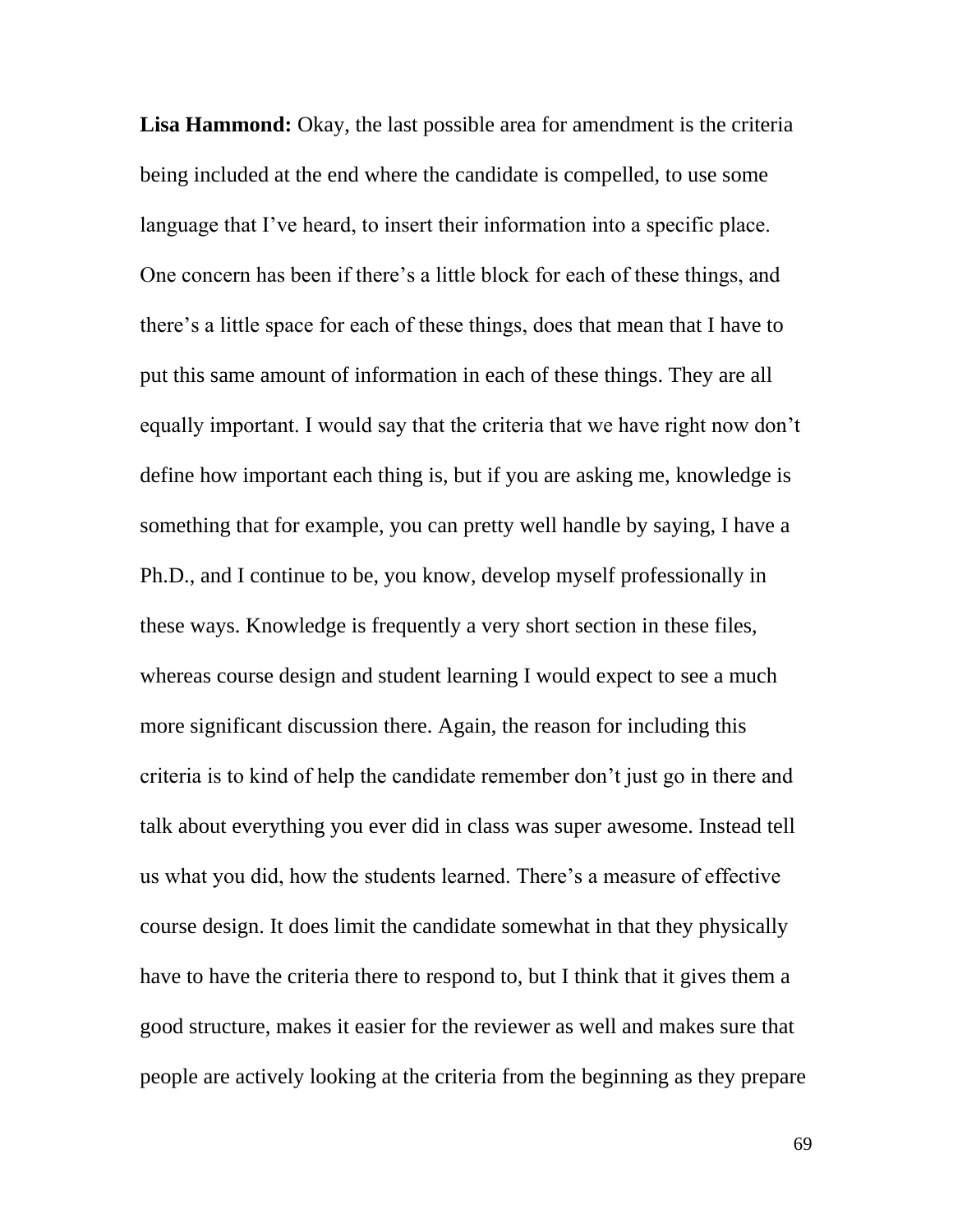**Lisa Hammond:** Okay, the last possible area for amendment is the criteria being included at the end where the candidate is compelled, to use some language that I've heard, to insert their information into a specific place. One concern has been if there's a little block for each of these things, and there's a little space for each of these things, does that mean that I have to put this same amount of information in each of these things. They are all equally important. I would say that the criteria that we have right now don't define how important each thing is, but if you are asking me, knowledge is something that for example, you can pretty well handle by saying, I have a Ph.D., and I continue to be, you know, develop myself professionally in these ways. Knowledge is frequently a very short section in these files, whereas course design and student learning I would expect to see a much more significant discussion there. Again, the reason for including this criteria is to kind of help the candidate remember don't just go in there and talk about everything you ever did in class was super awesome. Instead tell us what you did, how the students learned. There's a measure of effective course design. It does limit the candidate somewhat in that they physically have to have the criteria there to respond to, but I think that it gives them a good structure, makes it easier for the reviewer as well and makes sure that people are actively looking at the criteria from the beginning as they prepare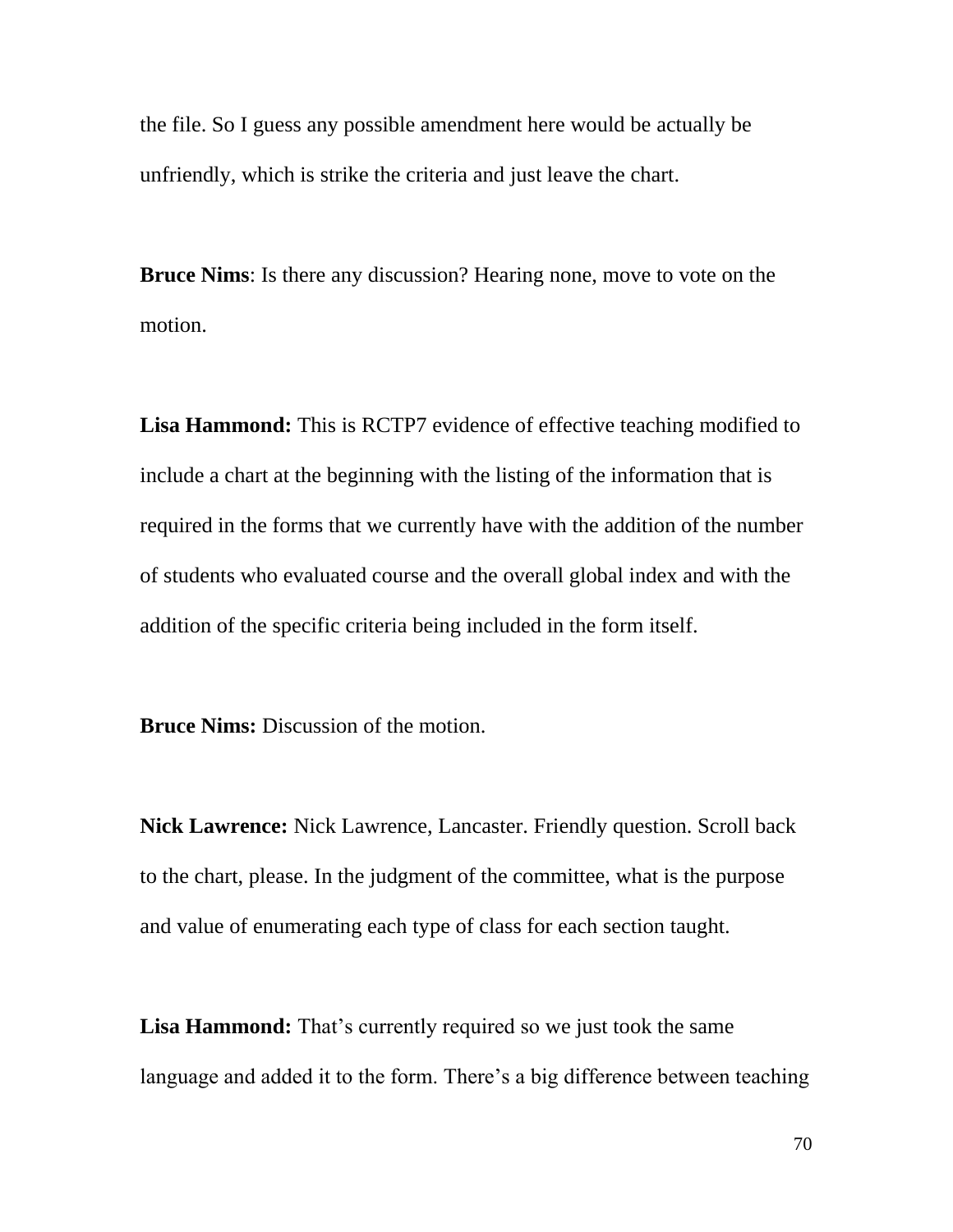the file. So I guess any possible amendment here would be actually be unfriendly, which is strike the criteria and just leave the chart.

**Bruce Nims**: Is there any discussion? Hearing none, move to vote on the motion.

**Lisa Hammond:** This is RCTP7 evidence of effective teaching modified to include a chart at the beginning with the listing of the information that is required in the forms that we currently have with the addition of the number of students who evaluated course and the overall global index and with the addition of the specific criteria being included in the form itself.

**Bruce Nims:** Discussion of the motion.

**Nick Lawrence:** Nick Lawrence, Lancaster. Friendly question. Scroll back to the chart, please. In the judgment of the committee, what is the purpose and value of enumerating each type of class for each section taught.

**Lisa Hammond:** That's currently required so we just took the same language and added it to the form. There's a big difference between teaching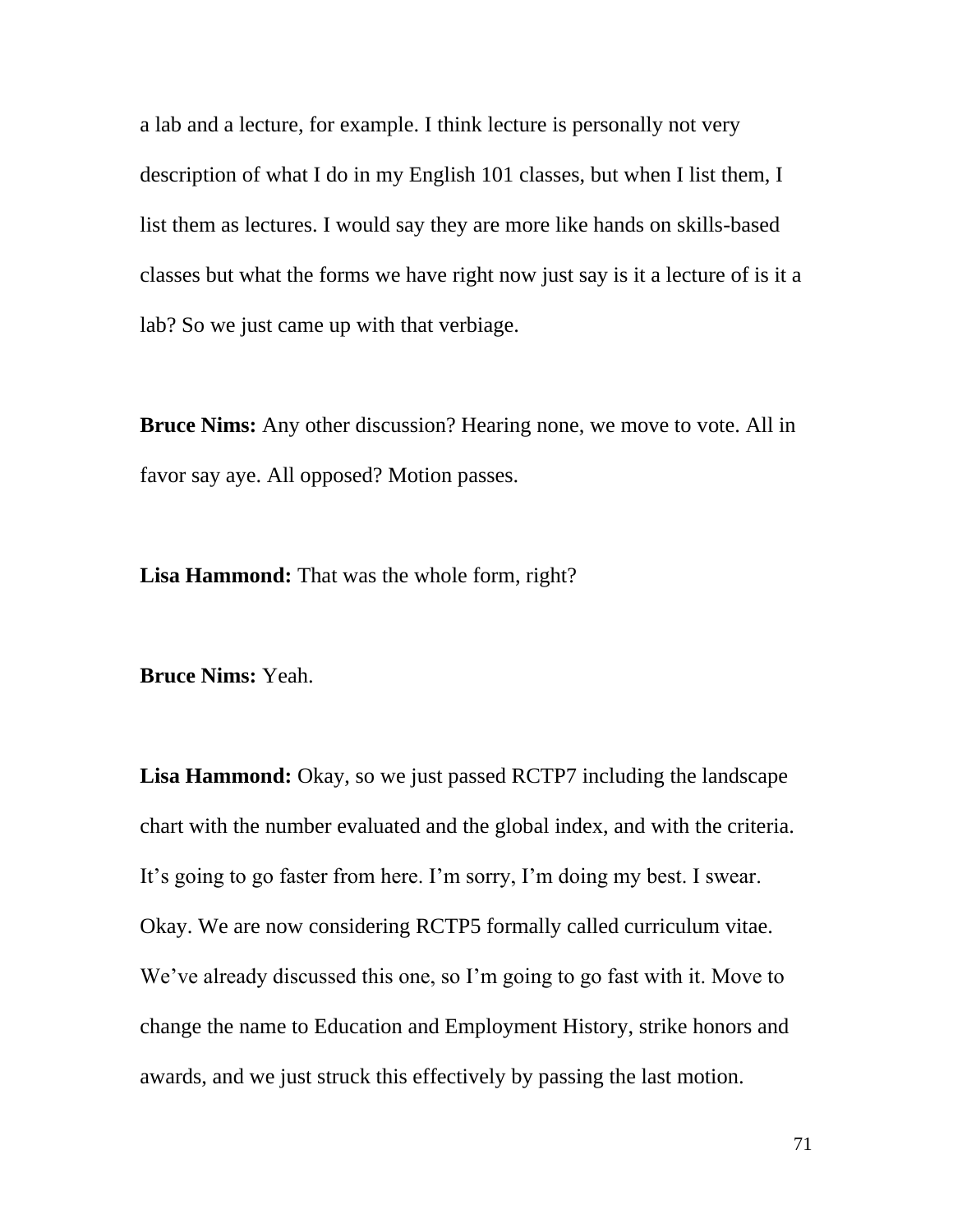a lab and a lecture, for example. I think lecture is personally not very description of what I do in my English 101 classes, but when I list them, I list them as lectures. I would say they are more like hands on skills-based classes but what the forms we have right now just say is it a lecture of is it a lab? So we just came up with that verbiage.

**Bruce Nims:** Any other discussion? Hearing none, we move to vote. All in favor say aye. All opposed? Motion passes.

**Lisa Hammond:** That was the whole form, right?

**Bruce Nims:** Yeah.

Lisa Hammond: Okay, so we just passed RCTP7 including the landscape chart with the number evaluated and the global index, and with the criteria. It's going to go faster from here. I'm sorry, I'm doing my best. I swear. Okay. We are now considering RCTP5 formally called curriculum vitae. We've already discussed this one, so I'm going to go fast with it. Move to change the name to Education and Employment History, strike honors and awards, and we just struck this effectively by passing the last motion.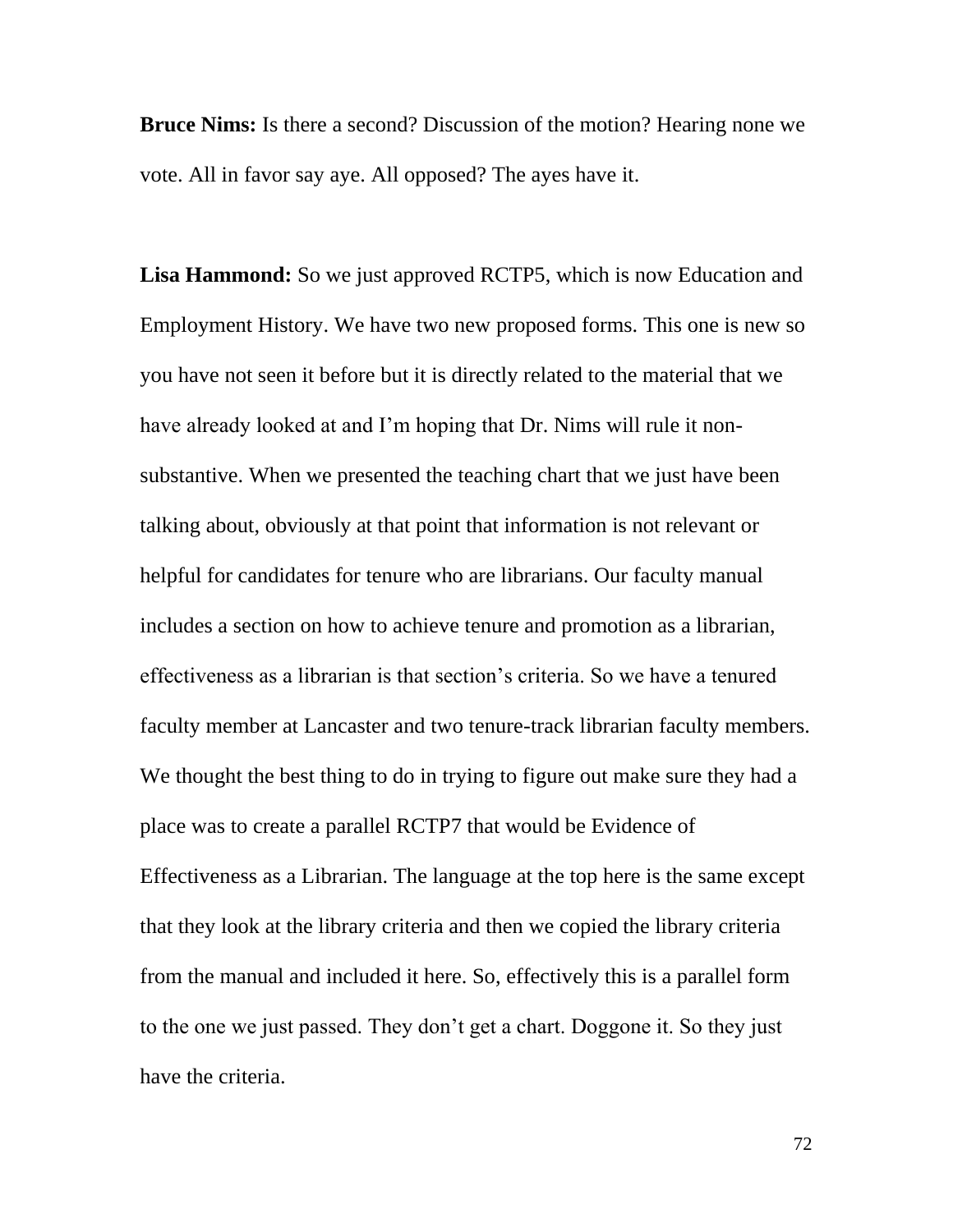**Bruce Nims:** Is there a second? Discussion of the motion? Hearing none we vote. All in favor say aye. All opposed? The ayes have it.

Lisa **Hammond:** So we just approved RCTP5, which is now Education and Employment History. We have two new proposed forms. This one is new so you have not seen it before but it is directly related to the material that we have already looked at and I'm hoping that Dr. Nims will rule it nonsubstantive. When we presented the teaching chart that we just have been talking about, obviously at that point that information is not relevant or helpful for candidates for tenure who are librarians. Our faculty manual includes a section on how to achieve tenure and promotion as a librarian, effectiveness as a librarian is that section's criteria. So we have a tenured faculty member at Lancaster and two tenure-track librarian faculty members. We thought the best thing to do in trying to figure out make sure they had a place was to create a parallel RCTP7 that would be Evidence of Effectiveness as a Librarian. The language at the top here is the same except that they look at the library criteria and then we copied the library criteria from the manual and included it here. So, effectively this is a parallel form to the one we just passed. They don't get a chart. Doggone it. So they just have the criteria.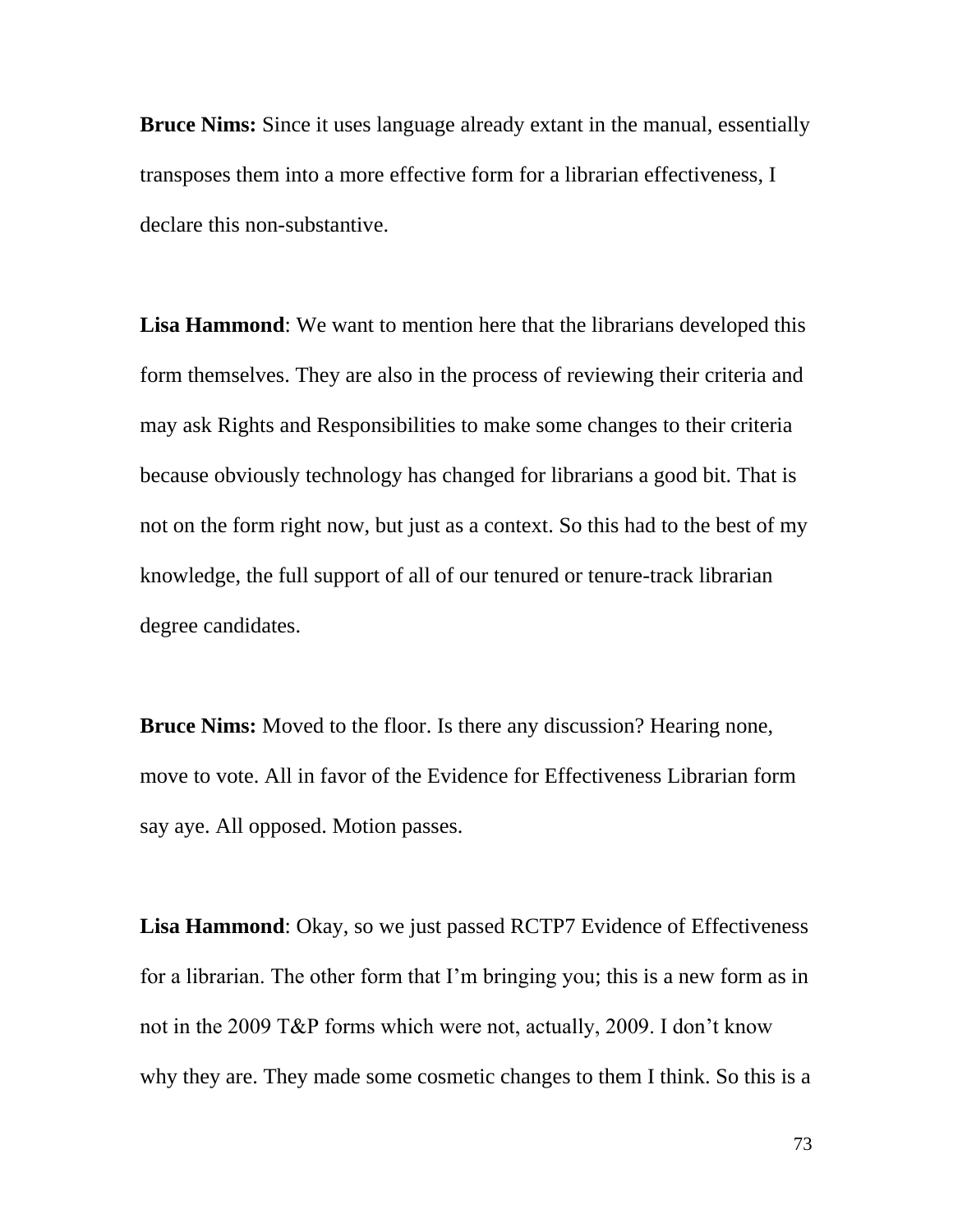**Bruce Nims:** Since it uses language already extant in the manual, essentially transposes them into a more effective form for a librarian effectiveness, I declare this non-substantive.

**Lisa Hammond**: We want to mention here that the librarians developed this form themselves. They are also in the process of reviewing their criteria and may ask Rights and Responsibilities to make some changes to their criteria because obviously technology has changed for librarians a good bit. That is not on the form right now, but just as a context. So this had to the best of my knowledge, the full support of all of our tenured or tenure-track librarian degree candidates.

**Bruce Nims:** Moved to the floor. Is there any discussion? Hearing none, move to vote. All in favor of the Evidence for Effectiveness Librarian form say aye. All opposed. Motion passes.

**Lisa Hammond**: Okay, so we just passed RCTP7 Evidence of Effectiveness for a librarian. The other form that I'm bringing you; this is a new form as in not in the 2009 T&P forms which were not, actually, 2009. I don't know why they are. They made some cosmetic changes to them I think. So this is a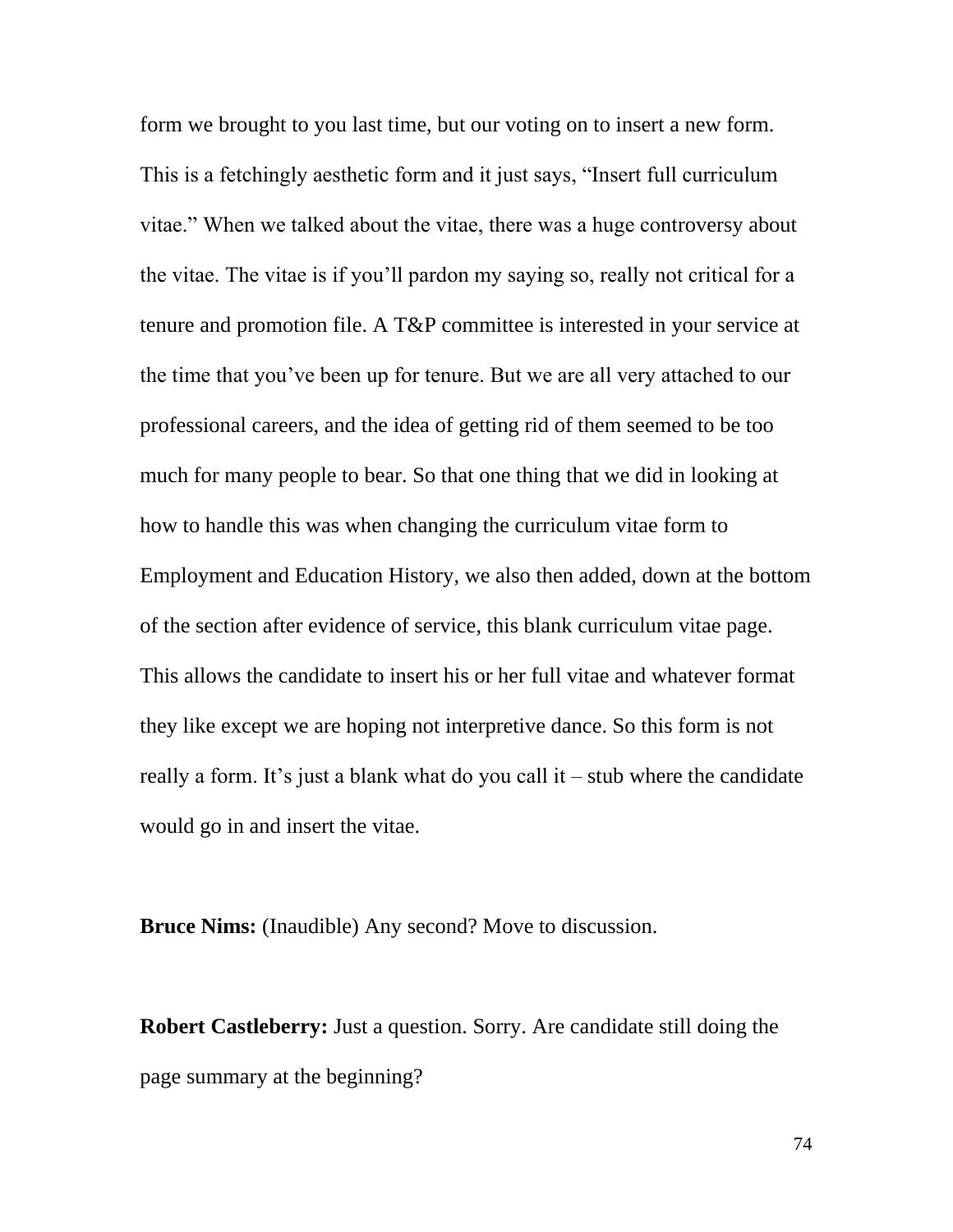form we brought to you last time, but our voting on to insert a new form. This is a fetchingly aesthetic form and it just says, "Insert full curriculum vitae." When we talked about the vitae, there was a huge controversy about the vitae. The vitae is if you'll pardon my saying so, really not critical for a tenure and promotion file. A T&P committee is interested in your service at the time that you've been up for tenure. But we are all very attached to our professional careers, and the idea of getting rid of them seemed to be too much for many people to bear. So that one thing that we did in looking at how to handle this was when changing the curriculum vitae form to Employment and Education History, we also then added, down at the bottom of the section after evidence of service, this blank curriculum vitae page. This allows the candidate to insert his or her full vitae and whatever format they like except we are hoping not interpretive dance. So this form is not really a form. It's just a blank what do you call it – stub where the candidate would go in and insert the vitae.

**Bruce Nims:** (Inaudible) Any second? Move to discussion.

**Robert Castleberry:** Just a question. Sorry. Are candidate still doing the page summary at the beginning?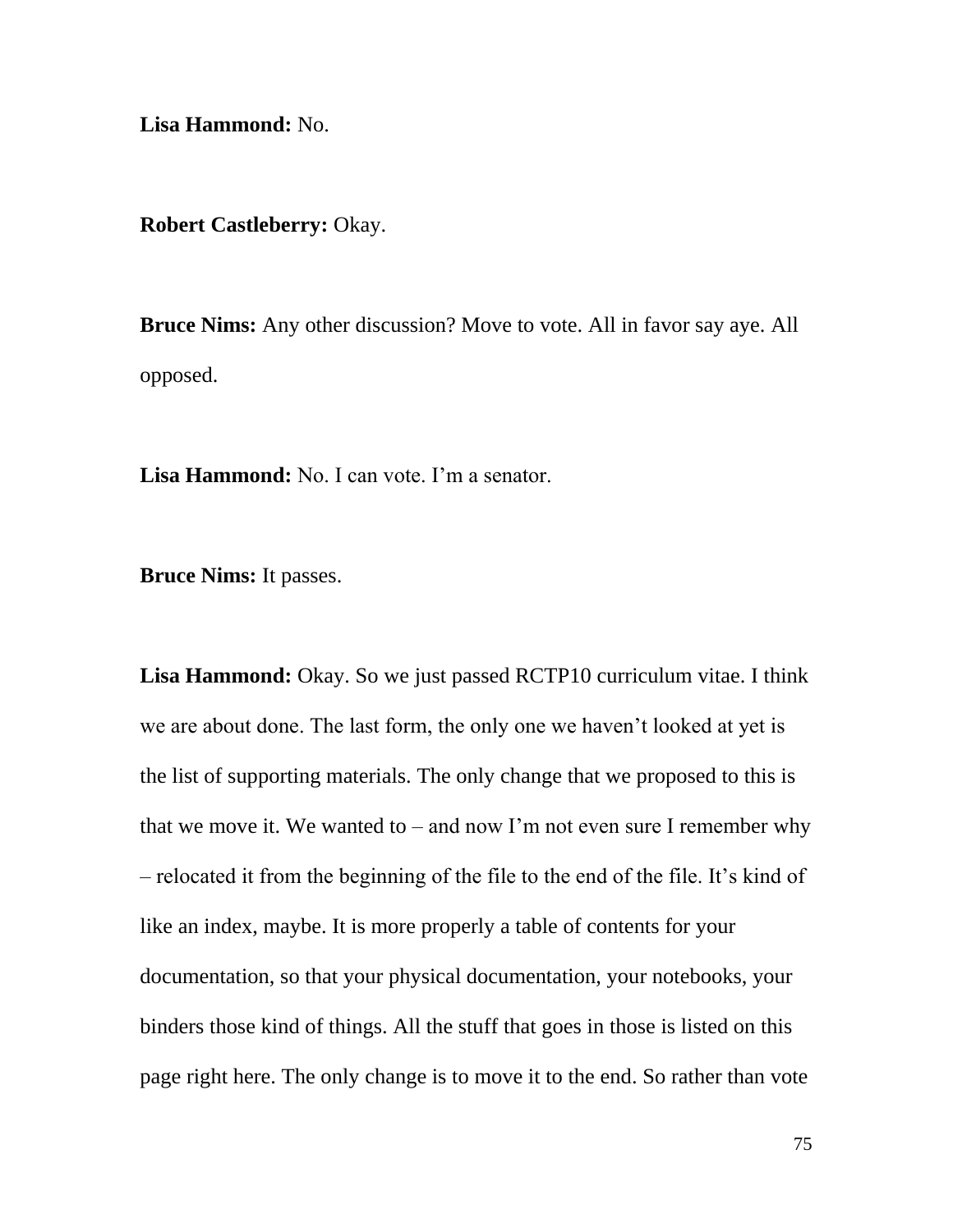**Lisa Hammond:** No.

**Robert Castleberry:** Okay.

**Bruce Nims:** Any other discussion? Move to vote. All in favor say aye. All opposed.

**Lisa Hammond:** No. I can vote. I'm a senator.

**Bruce Nims:** It passes.

**Lisa Hammond:** Okay. So we just passed RCTP10 curriculum vitae. I think we are about done. The last form, the only one we haven't looked at yet is the list of supporting materials. The only change that we proposed to this is that we move it. We wanted to – and now I'm not even sure I remember why – relocated it from the beginning of the file to the end of the file. It's kind of like an index, maybe. It is more properly a table of contents for your documentation, so that your physical documentation, your notebooks, your binders those kind of things. All the stuff that goes in those is listed on this page right here. The only change is to move it to the end. So rather than vote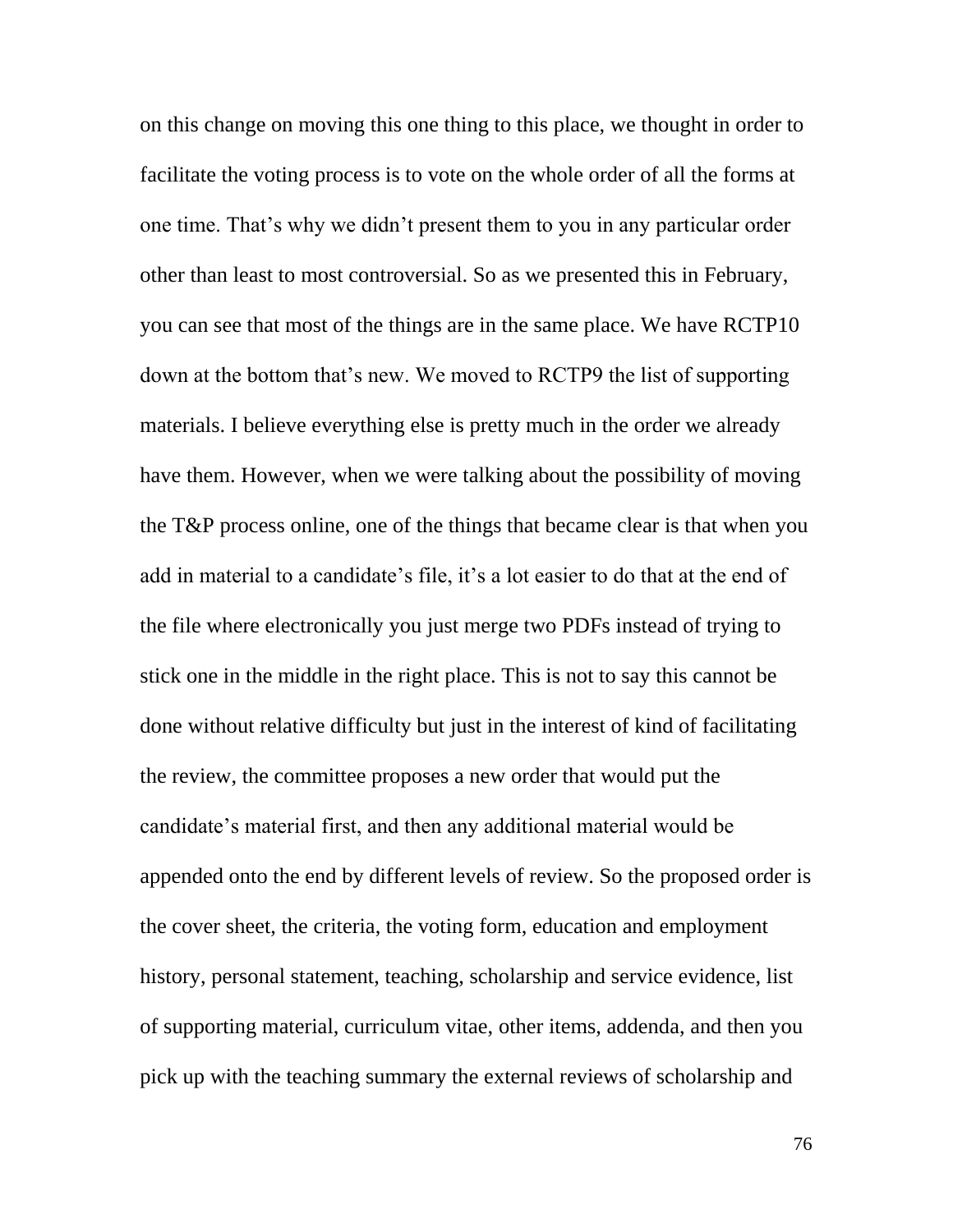on this change on moving this one thing to this place, we thought in order to facilitate the voting process is to vote on the whole order of all the forms at one time. That's why we didn't present them to you in any particular order other than least to most controversial. So as we presented this in February, you can see that most of the things are in the same place. We have RCTP10 down at the bottom that's new. We moved to RCTP9 the list of supporting materials. I believe everything else is pretty much in the order we already have them. However, when we were talking about the possibility of moving the T&P process online, one of the things that became clear is that when you add in material to a candidate's file, it's a lot easier to do that at the end of the file where electronically you just merge two PDFs instead of trying to stick one in the middle in the right place. This is not to say this cannot be done without relative difficulty but just in the interest of kind of facilitating the review, the committee proposes a new order that would put the candidate's material first, and then any additional material would be appended onto the end by different levels of review. So the proposed order is the cover sheet, the criteria, the voting form, education and employment history, personal statement, teaching, scholarship and service evidence, list of supporting material, curriculum vitae, other items, addenda, and then you pick up with the teaching summary the external reviews of scholarship and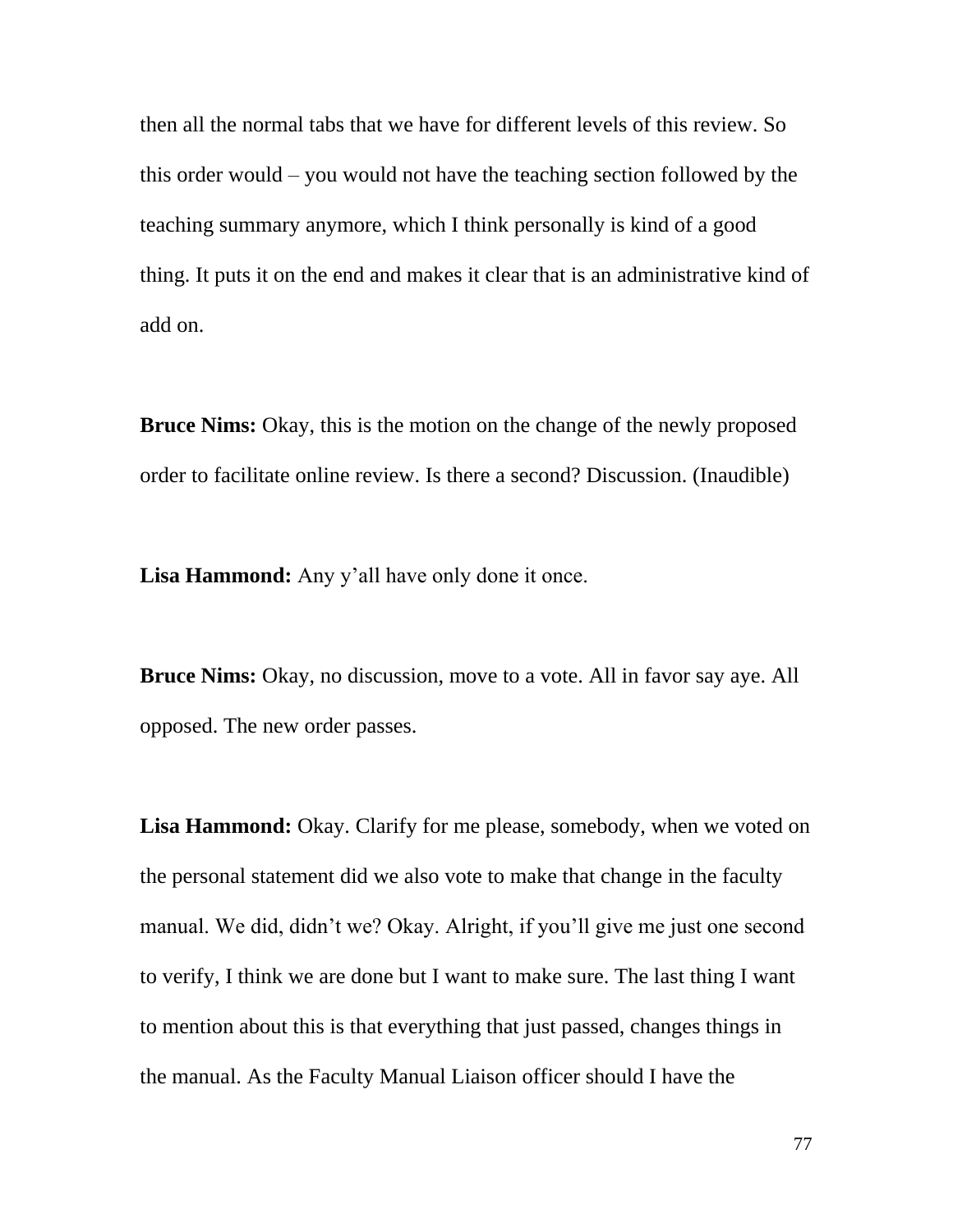then all the normal tabs that we have for different levels of this review. So this order would – you would not have the teaching section followed by the teaching summary anymore, which I think personally is kind of a good thing. It puts it on the end and makes it clear that is an administrative kind of add on.

**Bruce Nims:** Okay, this is the motion on the change of the newly proposed order to facilitate online review. Is there a second? Discussion. (Inaudible)

**Lisa Hammond:** Any y'all have only done it once.

**Bruce Nims:** Okay, no discussion, move to a vote. All in favor say aye. All opposed. The new order passes.

**Lisa Hammond:** Okay. Clarify for me please, somebody, when we voted on the personal statement did we also vote to make that change in the faculty manual. We did, didn't we? Okay. Alright, if you'll give me just one second to verify, I think we are done but I want to make sure. The last thing I want to mention about this is that everything that just passed, changes things in the manual. As the Faculty Manual Liaison officer should I have the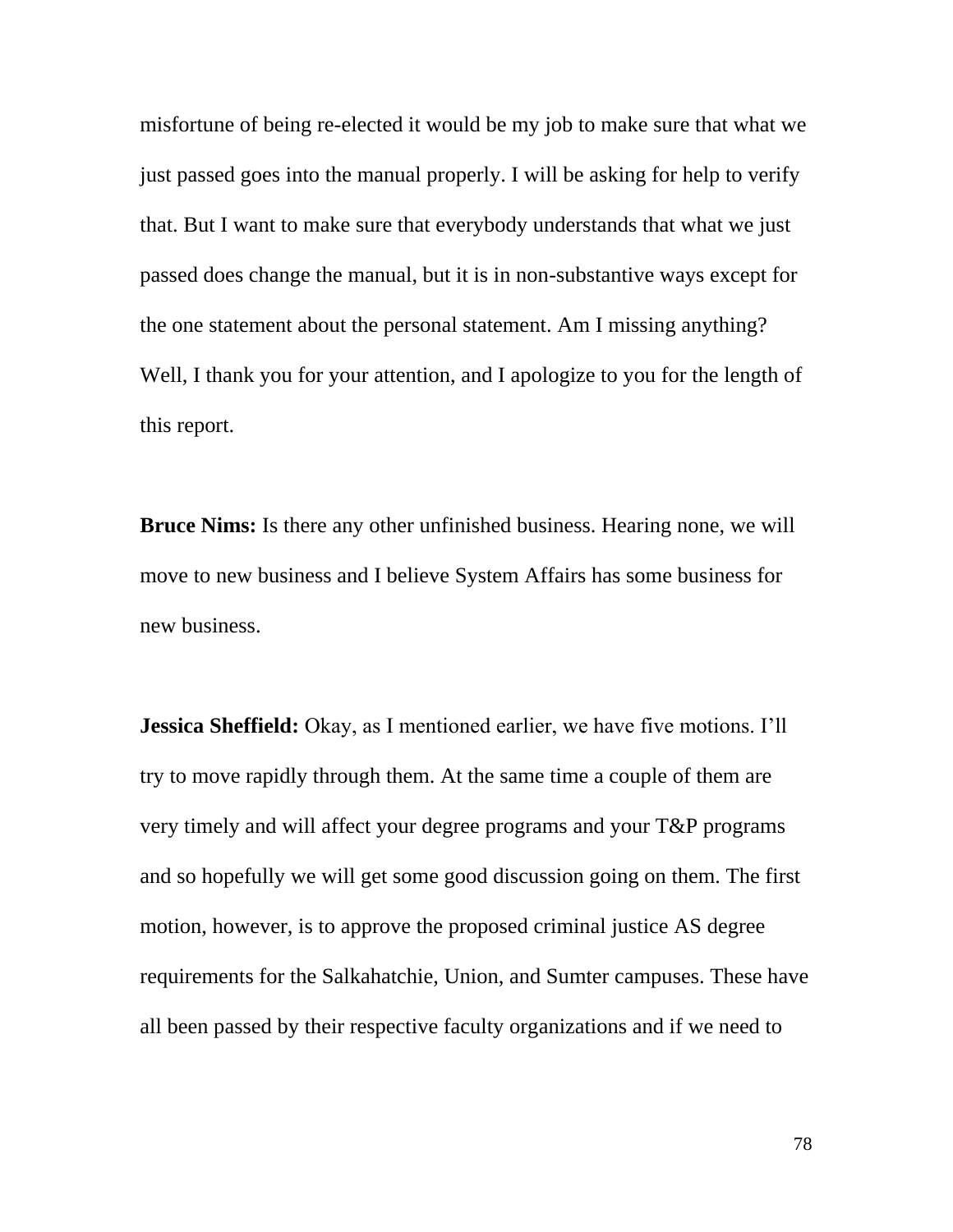misfortune of being re-elected it would be my job to make sure that what we just passed goes into the manual properly. I will be asking for help to verify that. But I want to make sure that everybody understands that what we just passed does change the manual, but it is in non-substantive ways except for the one statement about the personal statement. Am I missing anything? Well, I thank you for your attention, and I apologize to you for the length of this report.

**Bruce Nims:** Is there any other unfinished business. Hearing none, we will move to new business and I believe System Affairs has some business for new business.

**Jessica Sheffield:** Okay, as I mentioned earlier, we have five motions. I'll try to move rapidly through them. At the same time a couple of them are very timely and will affect your degree programs and your T&P programs and so hopefully we will get some good discussion going on them. The first motion, however, is to approve the proposed criminal justice AS degree requirements for the Salkahatchie, Union, and Sumter campuses. These have all been passed by their respective faculty organizations and if we need to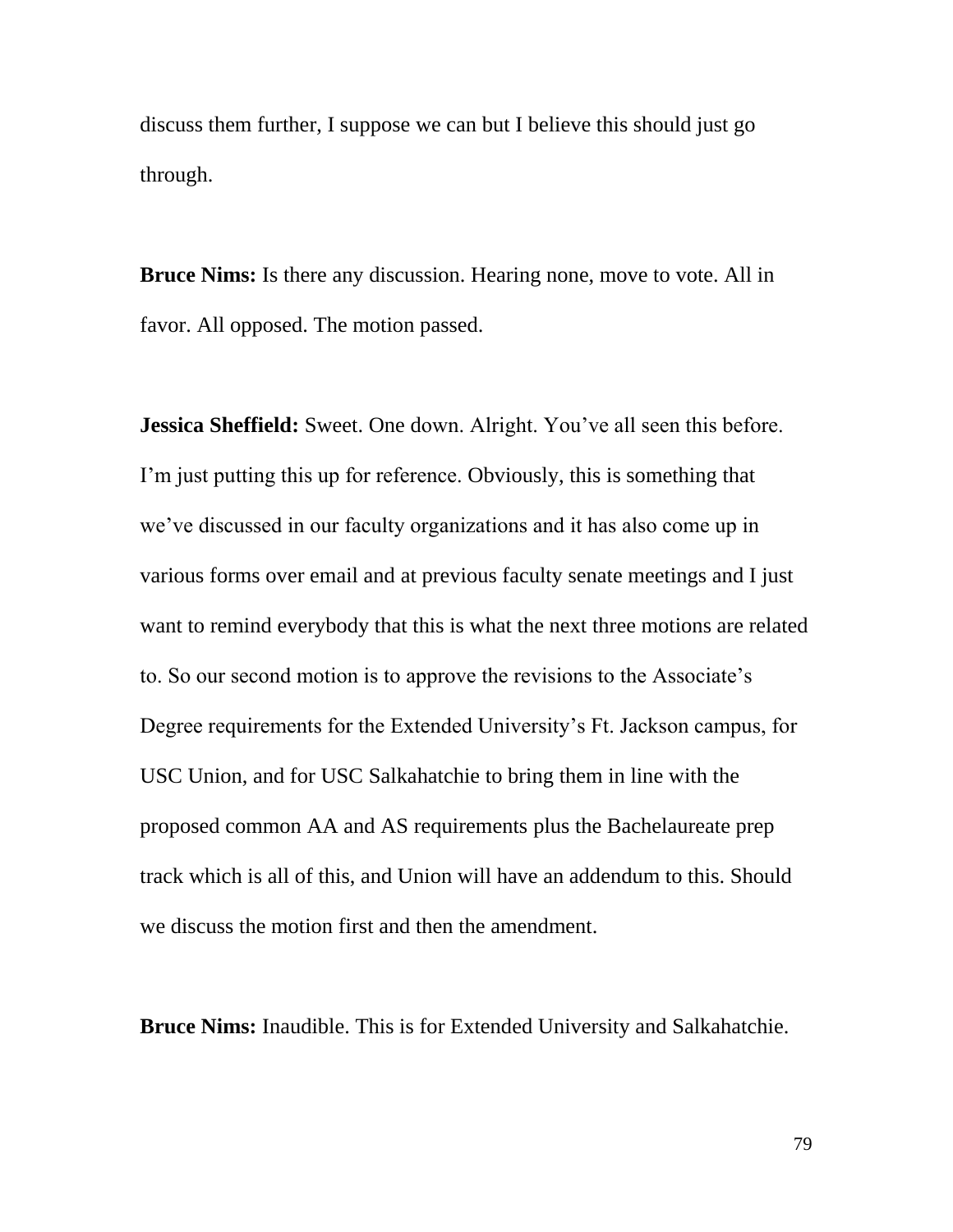discuss them further, I suppose we can but I believe this should just go through.

**Bruce Nims:** Is there any discussion. Hearing none, move to vote. All in favor. All opposed. The motion passed.

**Jessica Sheffield:** Sweet. One down. Alright. You've all seen this before. I'm just putting this up for reference. Obviously, this is something that we've discussed in our faculty organizations and it has also come up in various forms over email and at previous faculty senate meetings and I just want to remind everybody that this is what the next three motions are related to. So our second motion is to approve the revisions to the Associate's Degree requirements for the Extended University's Ft. Jackson campus, for USC Union, and for USC Salkahatchie to bring them in line with the proposed common AA and AS requirements plus the Bachelaureate prep track which is all of this, and Union will have an addendum to this. Should we discuss the motion first and then the amendment.

**Bruce Nims:** Inaudible. This is for Extended University and Salkahatchie.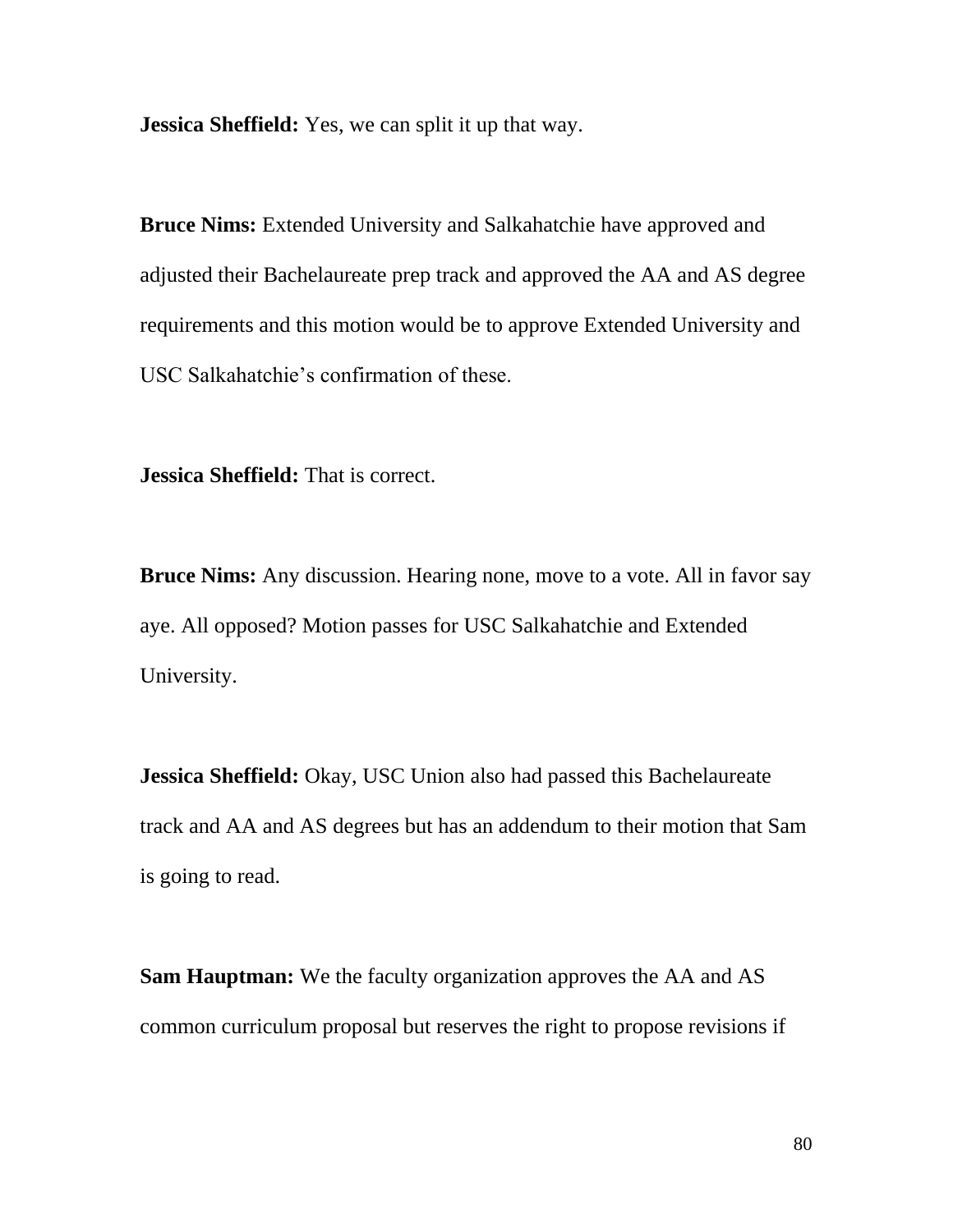**Jessica Sheffield:** Yes, we can split it up that way.

**Bruce Nims:** Extended University and Salkahatchie have approved and adjusted their Bachelaureate prep track and approved the AA and AS degree requirements and this motion would be to approve Extended University and USC Salkahatchie's confirmation of these.

**Jessica Sheffield:** That is correct.

**Bruce Nims:** Any discussion. Hearing none, move to a vote. All in favor say aye. All opposed? Motion passes for USC Salkahatchie and Extended University.

**Jessica Sheffield:** Okay, USC Union also had passed this Bachelaureate track and AA and AS degrees but has an addendum to their motion that Sam is going to read.

**Sam Hauptman:** We the faculty organization approves the AA and AS common curriculum proposal but reserves the right to propose revisions if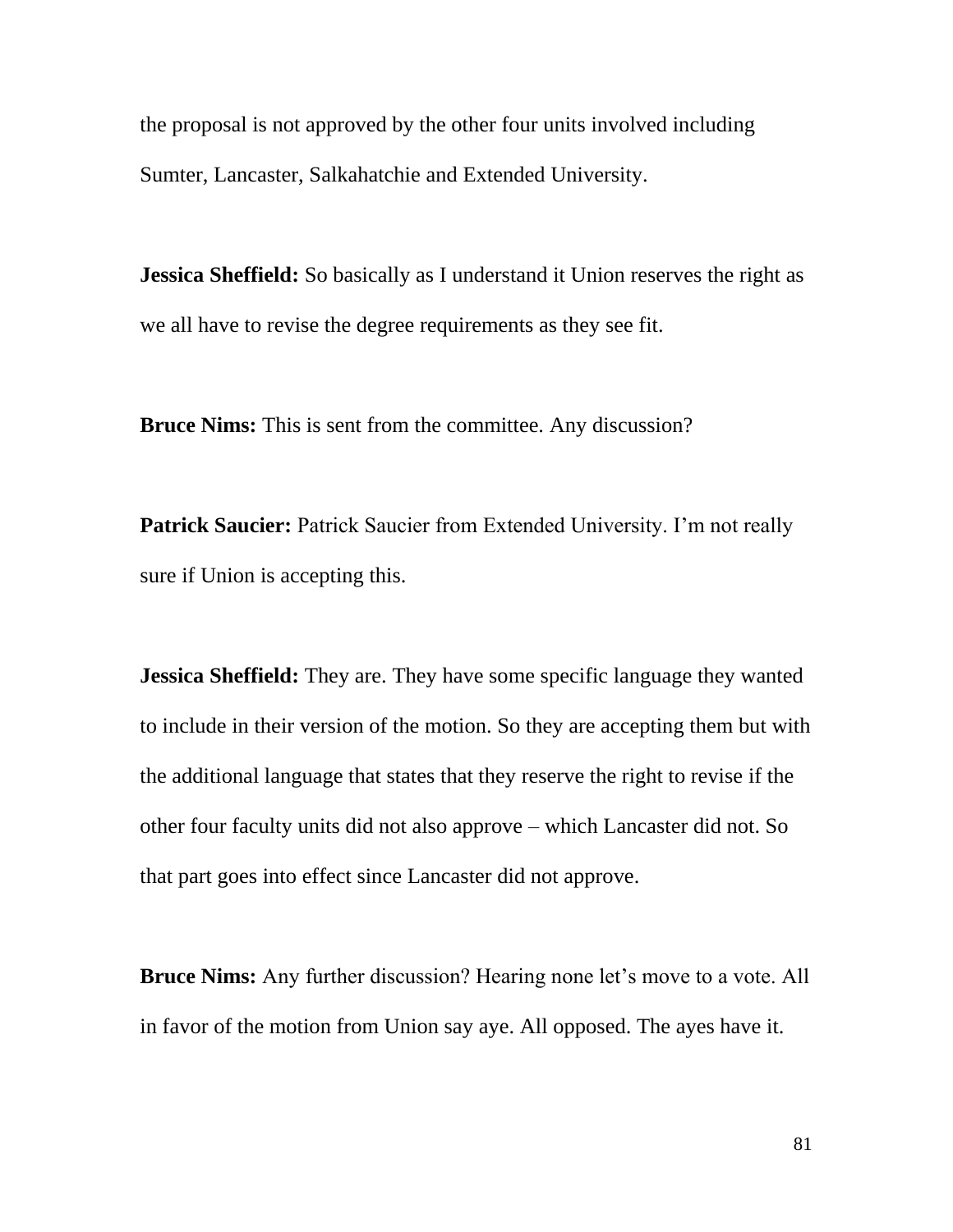the proposal is not approved by the other four units involved including Sumter, Lancaster, Salkahatchie and Extended University.

**Jessica Sheffield:** So basically as I understand it Union reserves the right as we all have to revise the degree requirements as they see fit.

**Bruce Nims:** This is sent from the committee. Any discussion?

**Patrick Saucier:** Patrick Saucier from Extended University. I'm not really sure if Union is accepting this.

**Jessica Sheffield:** They are. They have some specific language they wanted to include in their version of the motion. So they are accepting them but with the additional language that states that they reserve the right to revise if the other four faculty units did not also approve – which Lancaster did not. So that part goes into effect since Lancaster did not approve.

**Bruce Nims:** Any further discussion? Hearing none let's move to a vote. All in favor of the motion from Union say aye. All opposed. The ayes have it.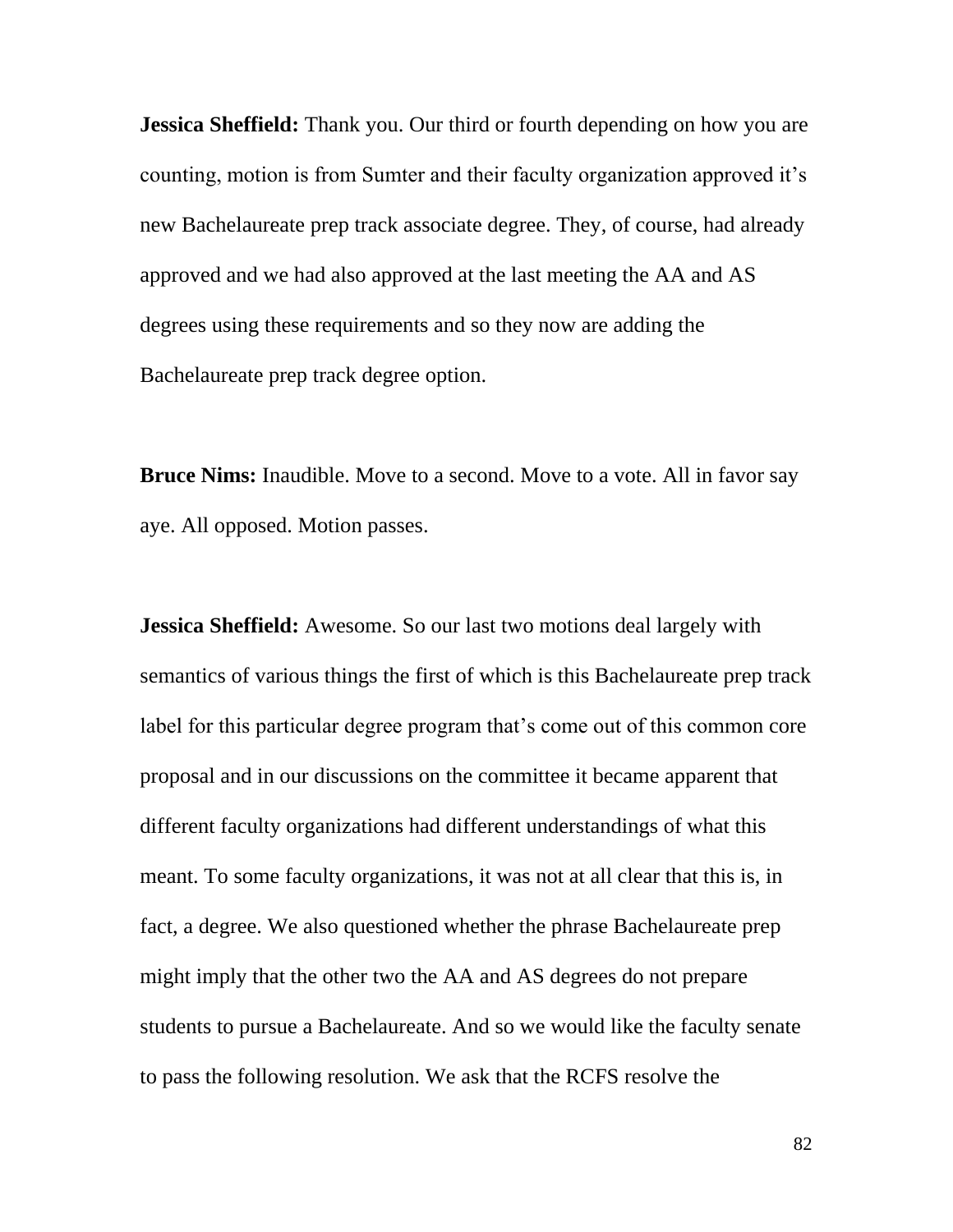**Jessica Sheffield:** Thank you. Our third or fourth depending on how you are counting, motion is from Sumter and their faculty organization approved it's new Bachelaureate prep track associate degree. They, of course, had already approved and we had also approved at the last meeting the AA and AS degrees using these requirements and so they now are adding the Bachelaureate prep track degree option.

**Bruce Nims:** Inaudible. Move to a second. Move to a vote. All in favor say aye. All opposed. Motion passes.

**Jessica Sheffield:** Awesome. So our last two motions deal largely with semantics of various things the first of which is this Bachelaureate prep track label for this particular degree program that's come out of this common core proposal and in our discussions on the committee it became apparent that different faculty organizations had different understandings of what this meant. To some faculty organizations, it was not at all clear that this is, in fact, a degree. We also questioned whether the phrase Bachelaureate prep might imply that the other two the AA and AS degrees do not prepare students to pursue a Bachelaureate. And so we would like the faculty senate to pass the following resolution. We ask that the RCFS resolve the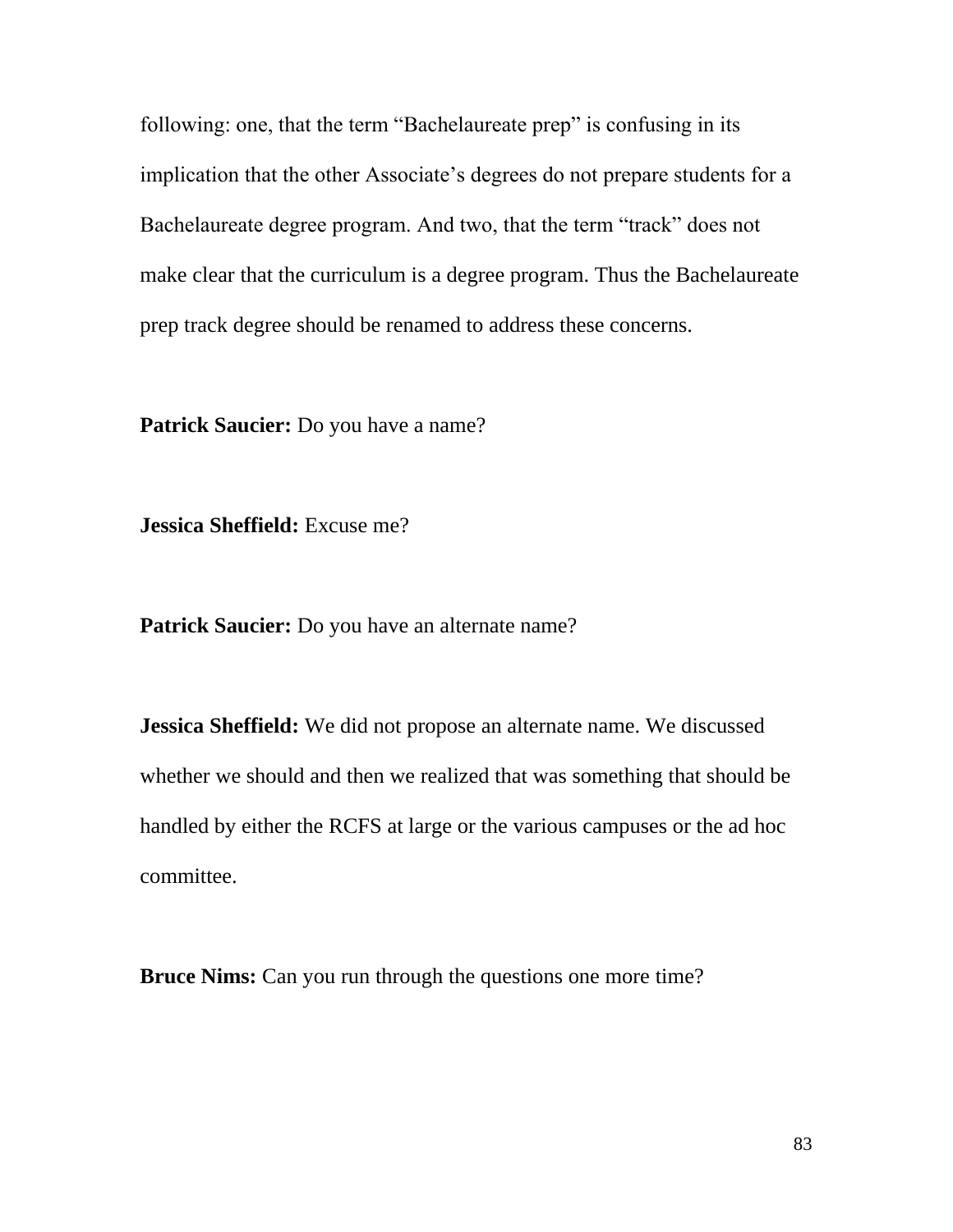following: one, that the term "Bachelaureate prep" is confusing in its implication that the other Associate's degrees do not prepare students for a Bachelaureate degree program. And two, that the term "track" does not make clear that the curriculum is a degree program. Thus the Bachelaureate prep track degree should be renamed to address these concerns.

**Patrick Saucier:** Do you have a name?

**Jessica Sheffield:** Excuse me?

Patrick Saucier: Do you have an alternate name?

**Jessica Sheffield:** We did not propose an alternate name. We discussed whether we should and then we realized that was something that should be handled by either the RCFS at large or the various campuses or the ad hoc committee.

**Bruce Nims:** Can you run through the questions one more time?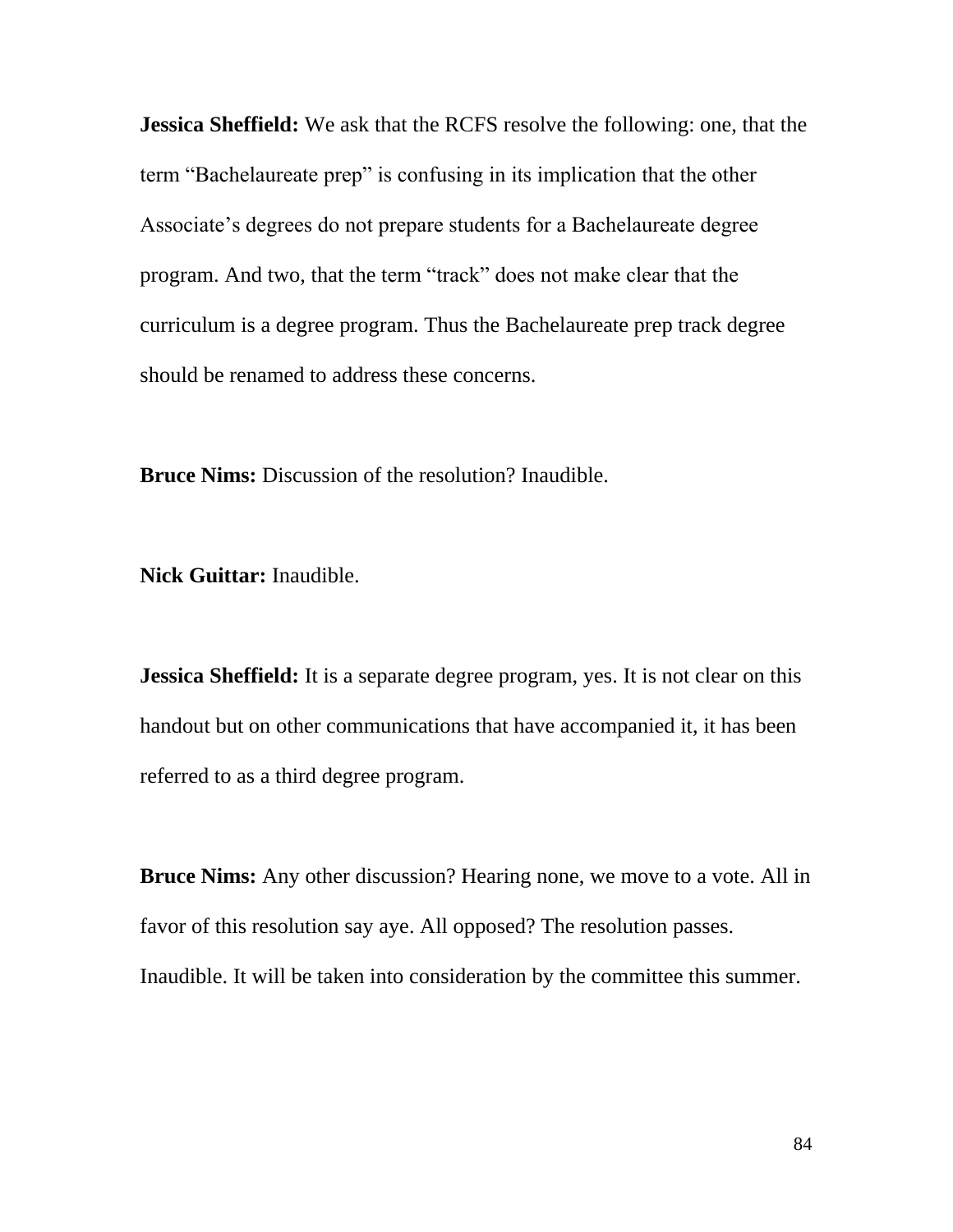**Jessica Sheffield:** We ask that the RCFS resolve the following: one, that the term "Bachelaureate prep" is confusing in its implication that the other Associate's degrees do not prepare students for a Bachelaureate degree program. And two, that the term "track" does not make clear that the curriculum is a degree program. Thus the Bachelaureate prep track degree should be renamed to address these concerns.

**Bruce Nims:** Discussion of the resolution? Inaudible.

**Nick Guittar:** Inaudible.

**Jessica Sheffield:** It is a separate degree program, yes. It is not clear on this handout but on other communications that have accompanied it, it has been referred to as a third degree program.

**Bruce Nims:** Any other discussion? Hearing none, we move to a vote. All in favor of this resolution say aye. All opposed? The resolution passes. Inaudible. It will be taken into consideration by the committee this summer.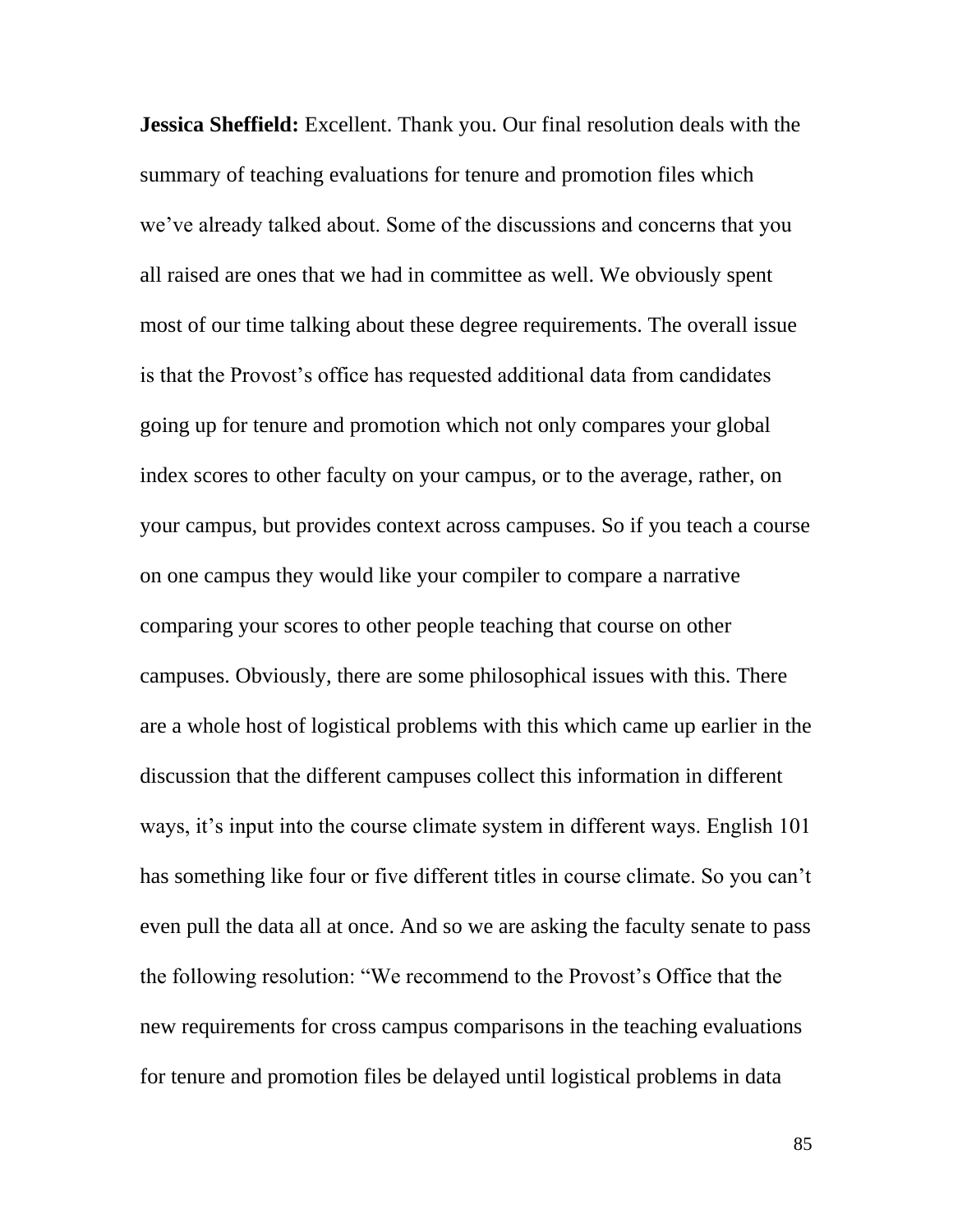**Jessica Sheffield:** Excellent. Thank you. Our final resolution deals with the summary of teaching evaluations for tenure and promotion files which we've already talked about. Some of the discussions and concerns that you all raised are ones that we had in committee as well. We obviously spent most of our time talking about these degree requirements. The overall issue is that the Provost's office has requested additional data from candidates going up for tenure and promotion which not only compares your global index scores to other faculty on your campus, or to the average, rather, on your campus, but provides context across campuses. So if you teach a course on one campus they would like your compiler to compare a narrative comparing your scores to other people teaching that course on other campuses. Obviously, there are some philosophical issues with this. There are a whole host of logistical problems with this which came up earlier in the discussion that the different campuses collect this information in different ways, it's input into the course climate system in different ways. English 101 has something like four or five different titles in course climate. So you can't even pull the data all at once. And so we are asking the faculty senate to pass the following resolution: "We recommend to the Provost's Office that the new requirements for cross campus comparisons in the teaching evaluations for tenure and promotion files be delayed until logistical problems in data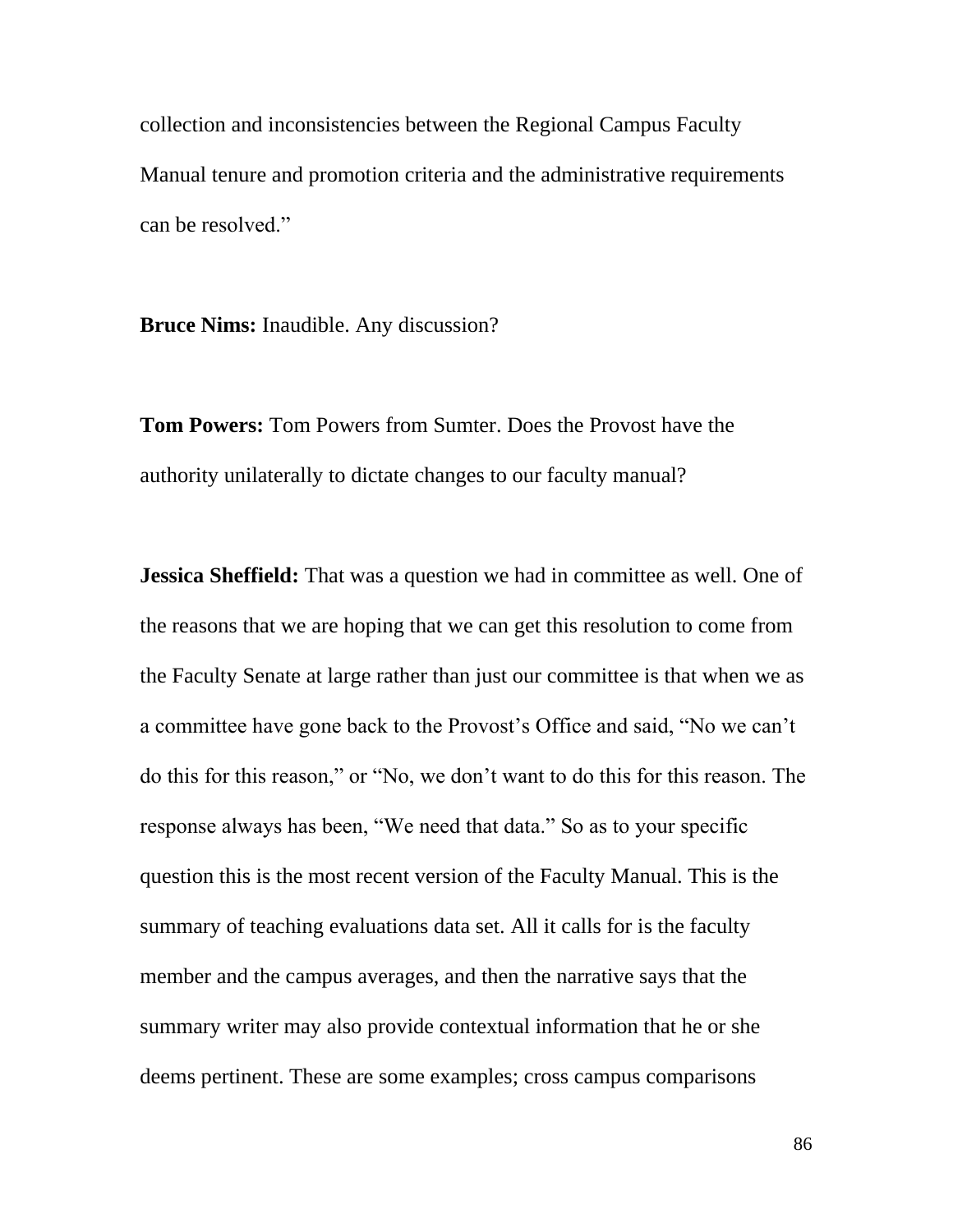collection and inconsistencies between the Regional Campus Faculty Manual tenure and promotion criteria and the administrative requirements can be resolved."

**Bruce Nims:** Inaudible. Any discussion?

**Tom Powers:** Tom Powers from Sumter. Does the Provost have the authority unilaterally to dictate changes to our faculty manual?

**Jessica Sheffield:** That was a question we had in committee as well. One of the reasons that we are hoping that we can get this resolution to come from the Faculty Senate at large rather than just our committee is that when we as a committee have gone back to the Provost's Office and said, "No we can't do this for this reason," or "No, we don't want to do this for this reason. The response always has been, "We need that data." So as to your specific question this is the most recent version of the Faculty Manual. This is the summary of teaching evaluations data set. All it calls for is the faculty member and the campus averages, and then the narrative says that the summary writer may also provide contextual information that he or she deems pertinent. These are some examples; cross campus comparisons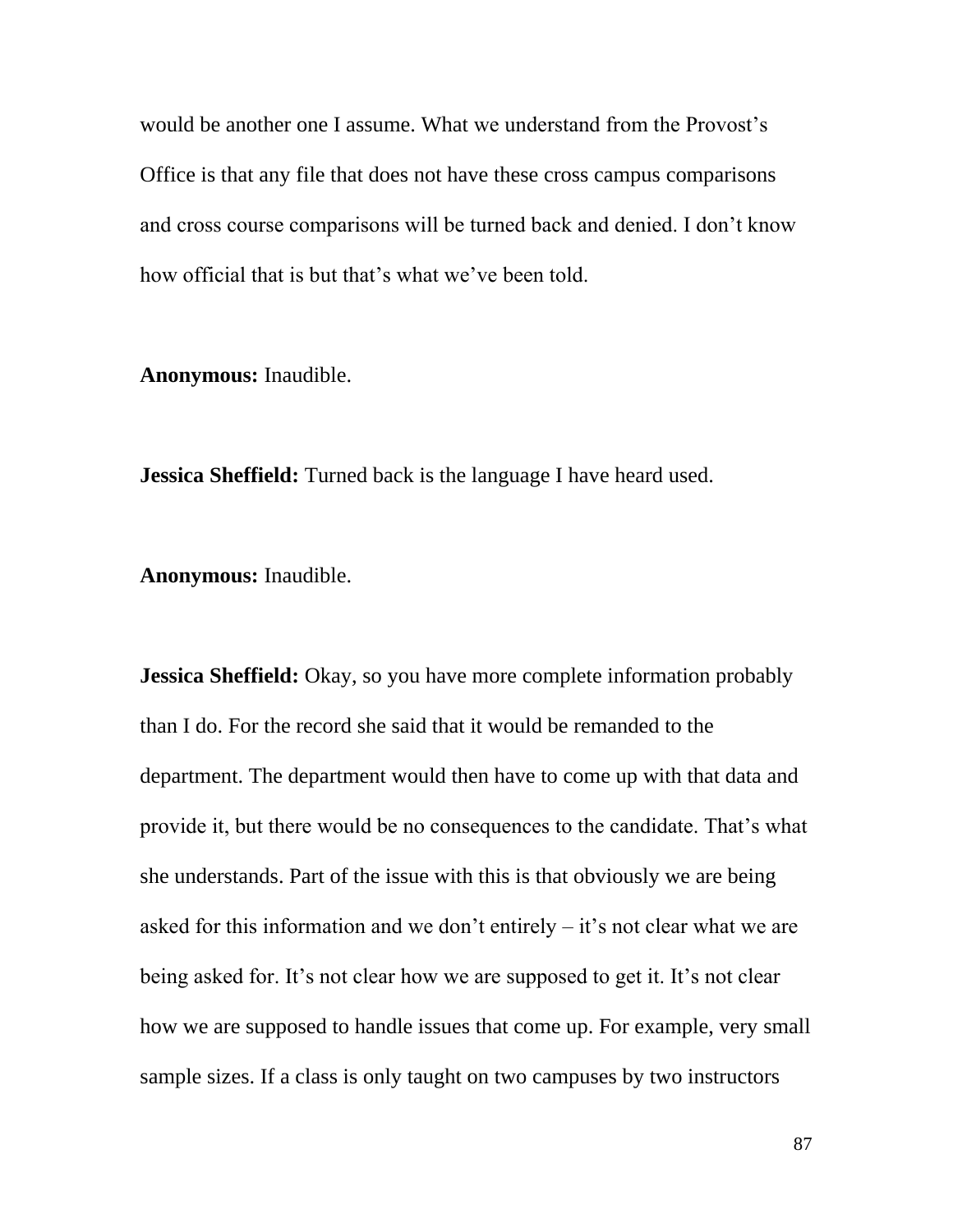would be another one I assume. What we understand from the Provost's Office is that any file that does not have these cross campus comparisons and cross course comparisons will be turned back and denied. I don't know how official that is but that's what we've been told.

**Anonymous:** Inaudible.

**Jessica Sheffield:** Turned back is the language I have heard used.

**Anonymous:** Inaudible.

**Jessica Sheffield:** Okay, so you have more complete information probably than I do. For the record she said that it would be remanded to the department. The department would then have to come up with that data and provide it, but there would be no consequences to the candidate. That's what she understands. Part of the issue with this is that obviously we are being asked for this information and we don't entirely – it's not clear what we are being asked for. It's not clear how we are supposed to get it. It's not clear how we are supposed to handle issues that come up. For example, very small sample sizes. If a class is only taught on two campuses by two instructors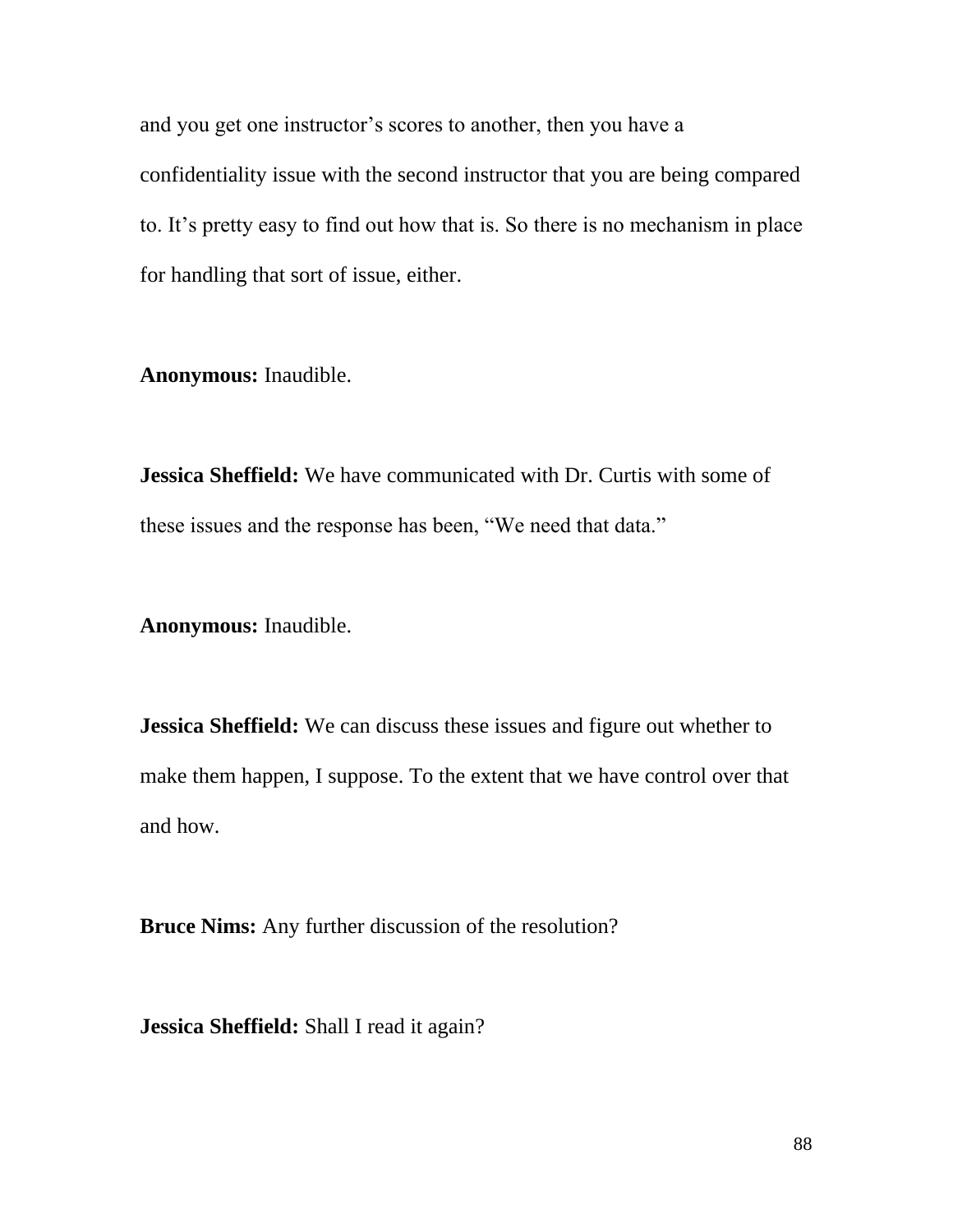and you get one instructor's scores to another, then you have a confidentiality issue with the second instructor that you are being compared to. It's pretty easy to find out how that is. So there is no mechanism in place for handling that sort of issue, either.

**Anonymous:** Inaudible.

**Jessica Sheffield:** We have communicated with Dr. Curtis with some of these issues and the response has been, "We need that data."

**Anonymous:** Inaudible.

**Jessica Sheffield:** We can discuss these issues and figure out whether to make them happen, I suppose. To the extent that we have control over that and how.

**Bruce Nims:** Any further discussion of the resolution?

**Jessica Sheffield:** Shall I read it again?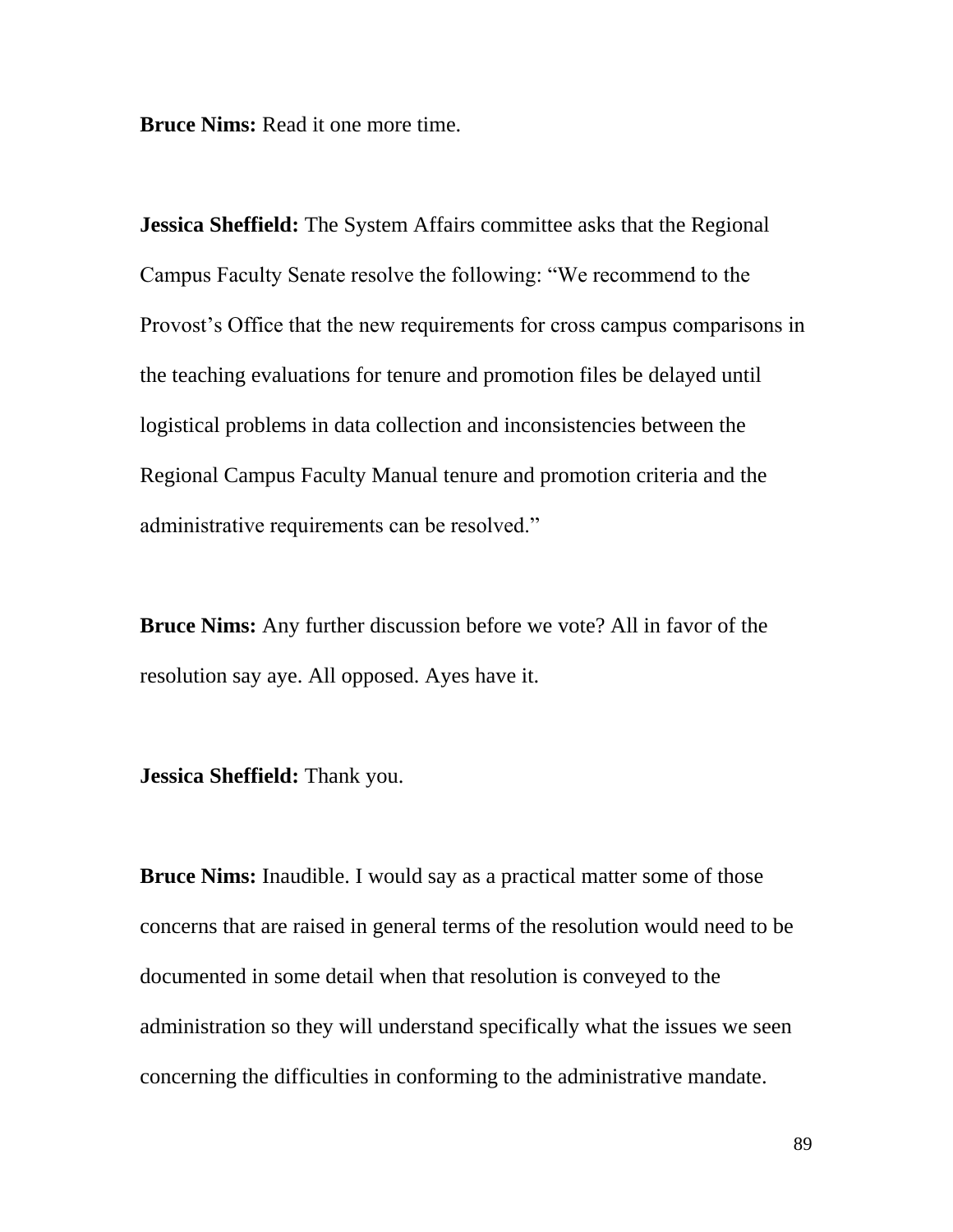**Bruce Nims:** Read it one more time.

**Jessica Sheffield:** The System Affairs committee asks that the Regional Campus Faculty Senate resolve the following: "We recommend to the Provost's Office that the new requirements for cross campus comparisons in the teaching evaluations for tenure and promotion files be delayed until logistical problems in data collection and inconsistencies between the Regional Campus Faculty Manual tenure and promotion criteria and the administrative requirements can be resolved."

**Bruce Nims:** Any further discussion before we vote? All in favor of the resolution say aye. All opposed. Ayes have it.

**Jessica Sheffield:** Thank you.

**Bruce Nims:** Inaudible. I would say as a practical matter some of those concerns that are raised in general terms of the resolution would need to be documented in some detail when that resolution is conveyed to the administration so they will understand specifically what the issues we seen concerning the difficulties in conforming to the administrative mandate.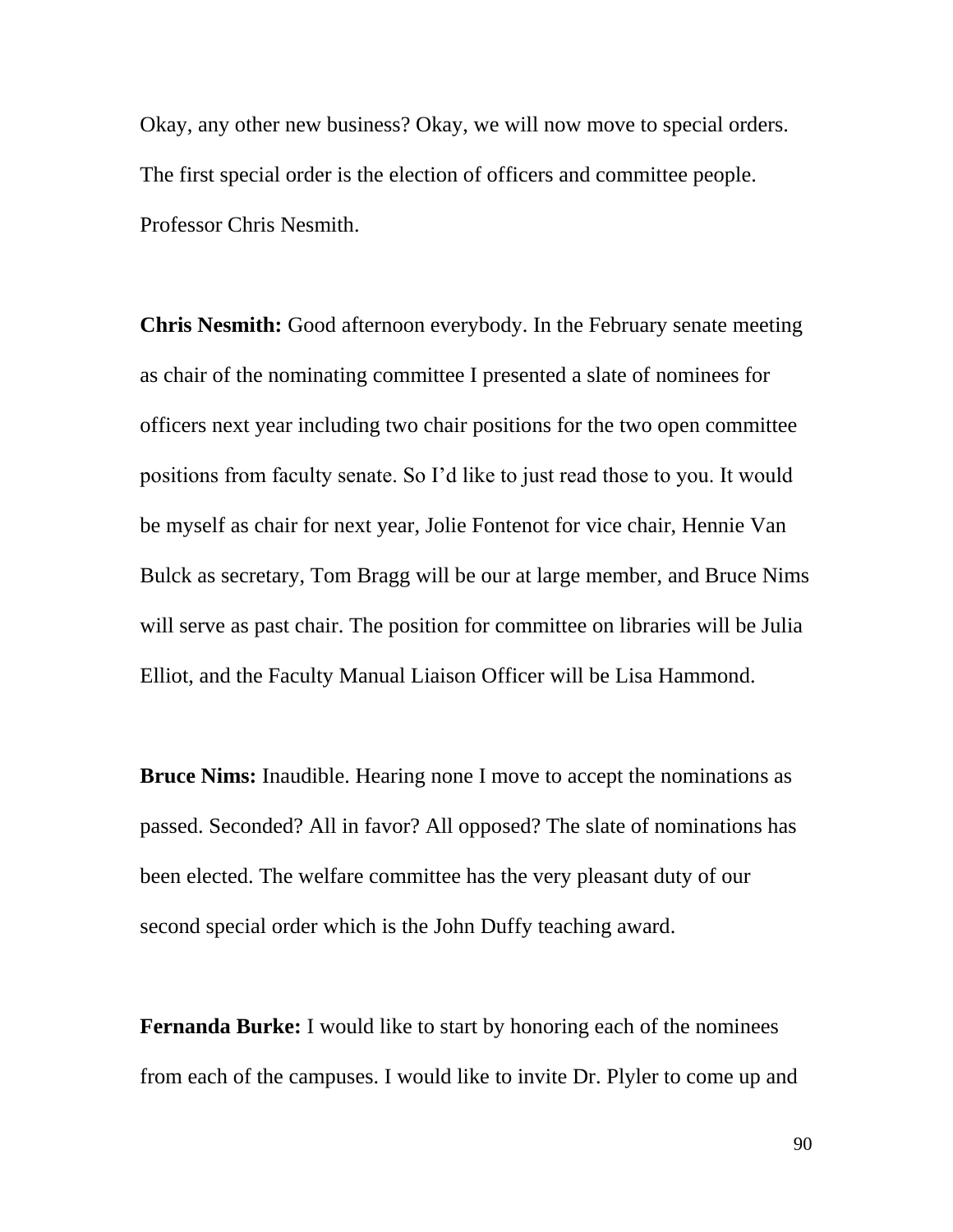Okay, any other new business? Okay, we will now move to special orders. The first special order is the election of officers and committee people. Professor Chris Nesmith.

**Chris Nesmith:** Good afternoon everybody. In the February senate meeting as chair of the nominating committee I presented a slate of nominees for officers next year including two chair positions for the two open committee positions from faculty senate. So I'd like to just read those to you. It would be myself as chair for next year, Jolie Fontenot for vice chair, Hennie Van Bulck as secretary, Tom Bragg will be our at large member, and Bruce Nims will serve as past chair. The position for committee on libraries will be Julia Elliot, and the Faculty Manual Liaison Officer will be Lisa Hammond.

**Bruce Nims:** Inaudible. Hearing none I move to accept the nominations as passed. Seconded? All in favor? All opposed? The slate of nominations has been elected. The welfare committee has the very pleasant duty of our second special order which is the John Duffy teaching award.

**Fernanda Burke:** I would like to start by honoring each of the nominees from each of the campuses. I would like to invite Dr. Plyler to come up and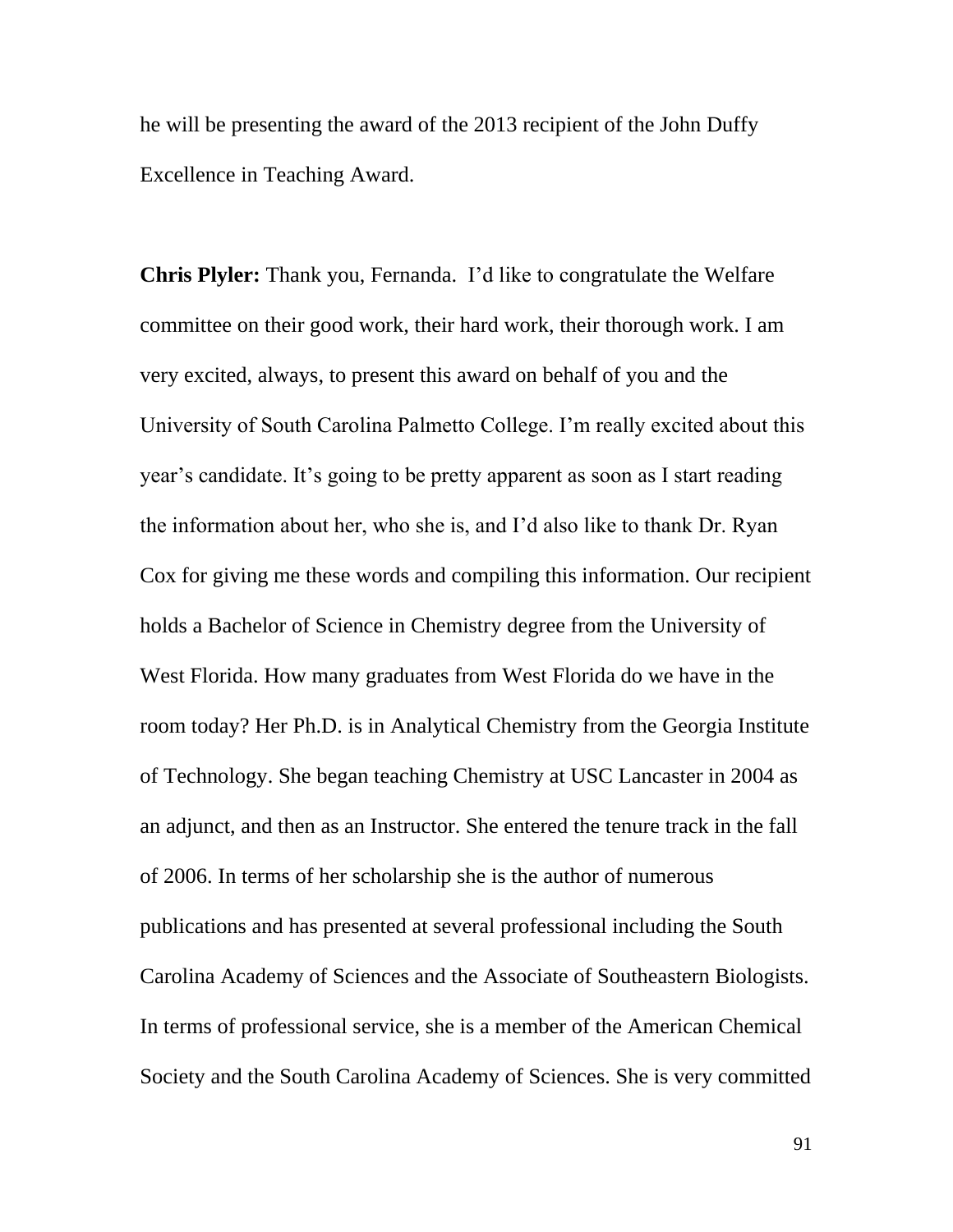he will be presenting the award of the 2013 recipient of the John Duffy Excellence in Teaching Award.

**Chris Plyler:** Thank you, Fernanda. I'd like to congratulate the Welfare committee on their good work, their hard work, their thorough work. I am very excited, always, to present this award on behalf of you and the University of South Carolina Palmetto College. I'm really excited about this year's candidate. It's going to be pretty apparent as soon as I start reading the information about her, who she is, and I'd also like to thank Dr. Ryan Cox for giving me these words and compiling this information. Our recipient holds a Bachelor of Science in Chemistry degree from the University of West Florida. How many graduates from West Florida do we have in the room today? Her Ph.D. is in Analytical Chemistry from the Georgia Institute of Technology. She began teaching Chemistry at USC Lancaster in 2004 as an adjunct, and then as an Instructor. She entered the tenure track in the fall of 2006. In terms of her scholarship she is the author of numerous publications and has presented at several professional including the South Carolina Academy of Sciences and the Associate of Southeastern Biologists. In terms of professional service, she is a member of the American Chemical Society and the South Carolina Academy of Sciences. She is very committed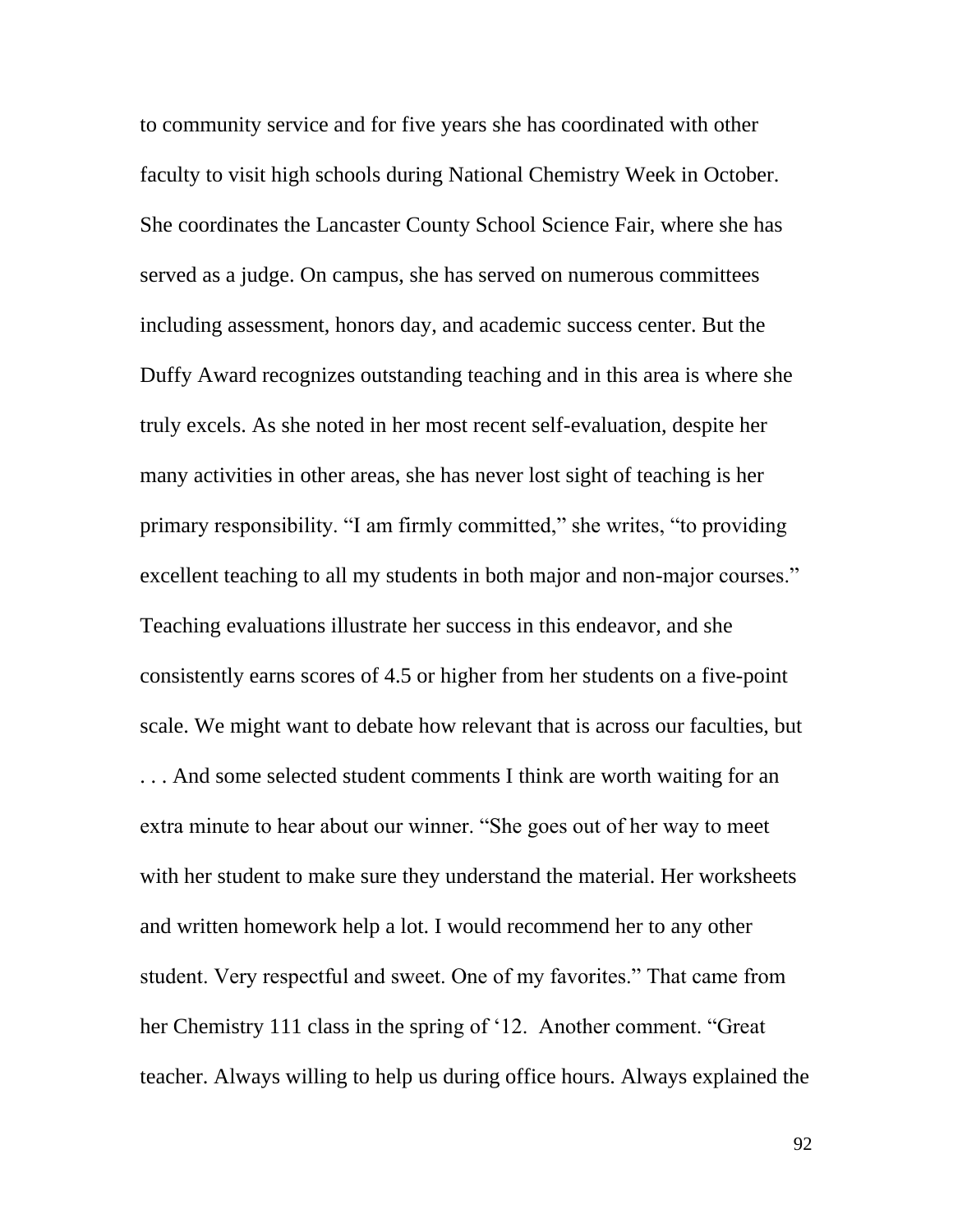to community service and for five years she has coordinated with other faculty to visit high schools during National Chemistry Week in October. She coordinates the Lancaster County School Science Fair, where she has served as a judge. On campus, she has served on numerous committees including assessment, honors day, and academic success center. But the Duffy Award recognizes outstanding teaching and in this area is where she truly excels. As she noted in her most recent self-evaluation, despite her many activities in other areas, she has never lost sight of teaching is her primary responsibility. "I am firmly committed," she writes, "to providing excellent teaching to all my students in both major and non-major courses." Teaching evaluations illustrate her success in this endeavor, and she consistently earns scores of 4.5 or higher from her students on a five-point scale. We might want to debate how relevant that is across our faculties, but . . . And some selected student comments I think are worth waiting for an extra minute to hear about our winner. "She goes out of her way to meet with her student to make sure they understand the material. Her worksheets and written homework help a lot. I would recommend her to any other student. Very respectful and sweet. One of my favorites." That came from her Chemistry 111 class in the spring of '12. Another comment. "Great teacher. Always willing to help us during office hours. Always explained the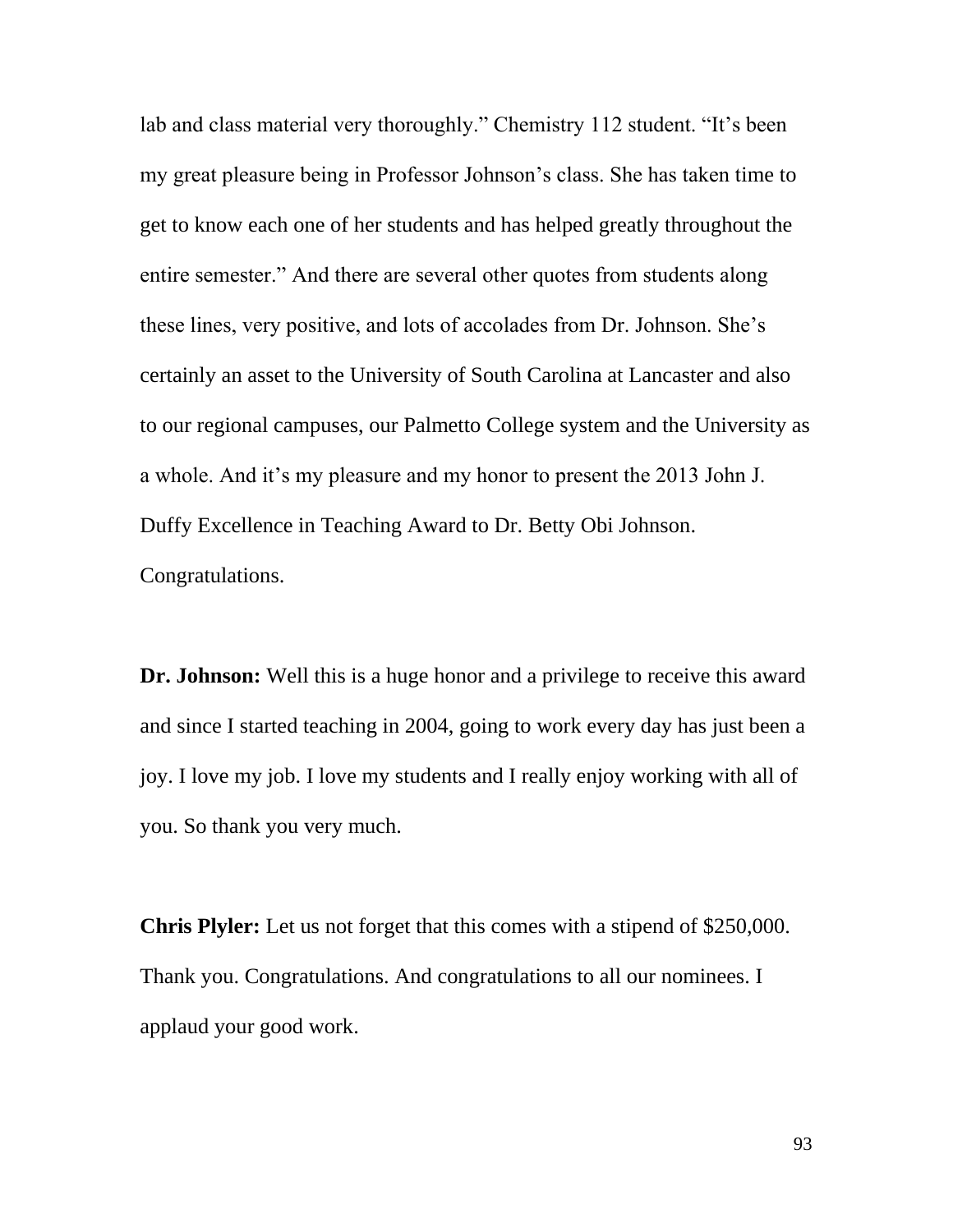lab and class material very thoroughly." Chemistry 112 student. "It's been my great pleasure being in Professor Johnson's class. She has taken time to get to know each one of her students and has helped greatly throughout the entire semester." And there are several other quotes from students along these lines, very positive, and lots of accolades from Dr. Johnson. She's certainly an asset to the University of South Carolina at Lancaster and also to our regional campuses, our Palmetto College system and the University as a whole. And it's my pleasure and my honor to present the 2013 John J. Duffy Excellence in Teaching Award to Dr. Betty Obi Johnson. Congratulations.

**Dr. Johnson:** Well this is a huge honor and a privilege to receive this award and since I started teaching in 2004, going to work every day has just been a joy. I love my job. I love my students and I really enjoy working with all of you. So thank you very much.

**Chris Plyler:** Let us not forget that this comes with a stipend of \$250,000. Thank you. Congratulations. And congratulations to all our nominees. I applaud your good work.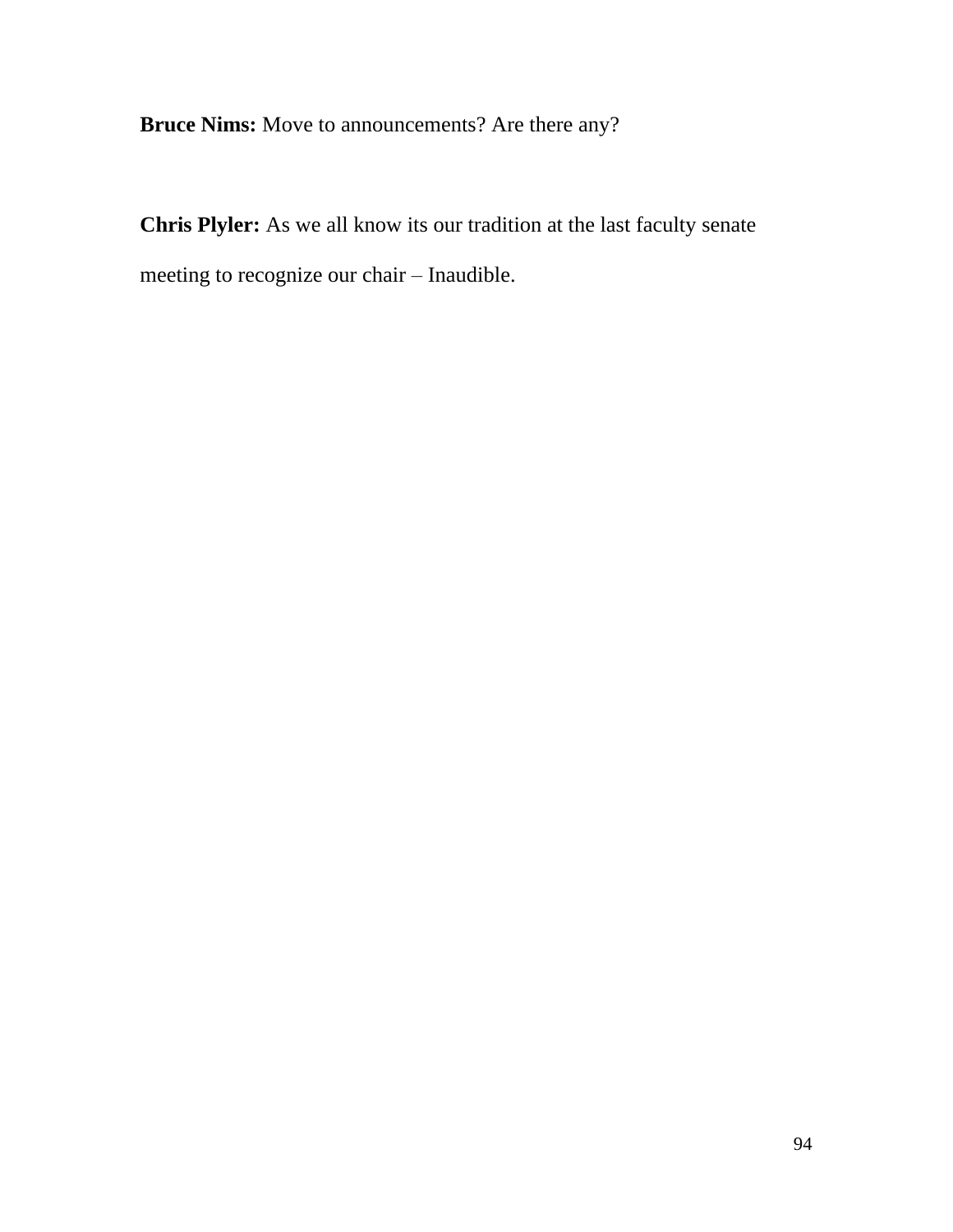**Bruce Nims:** Move to announcements? Are there any?

**Chris Plyler:** As we all know its our tradition at the last faculty senate meeting to recognize our chair – Inaudible.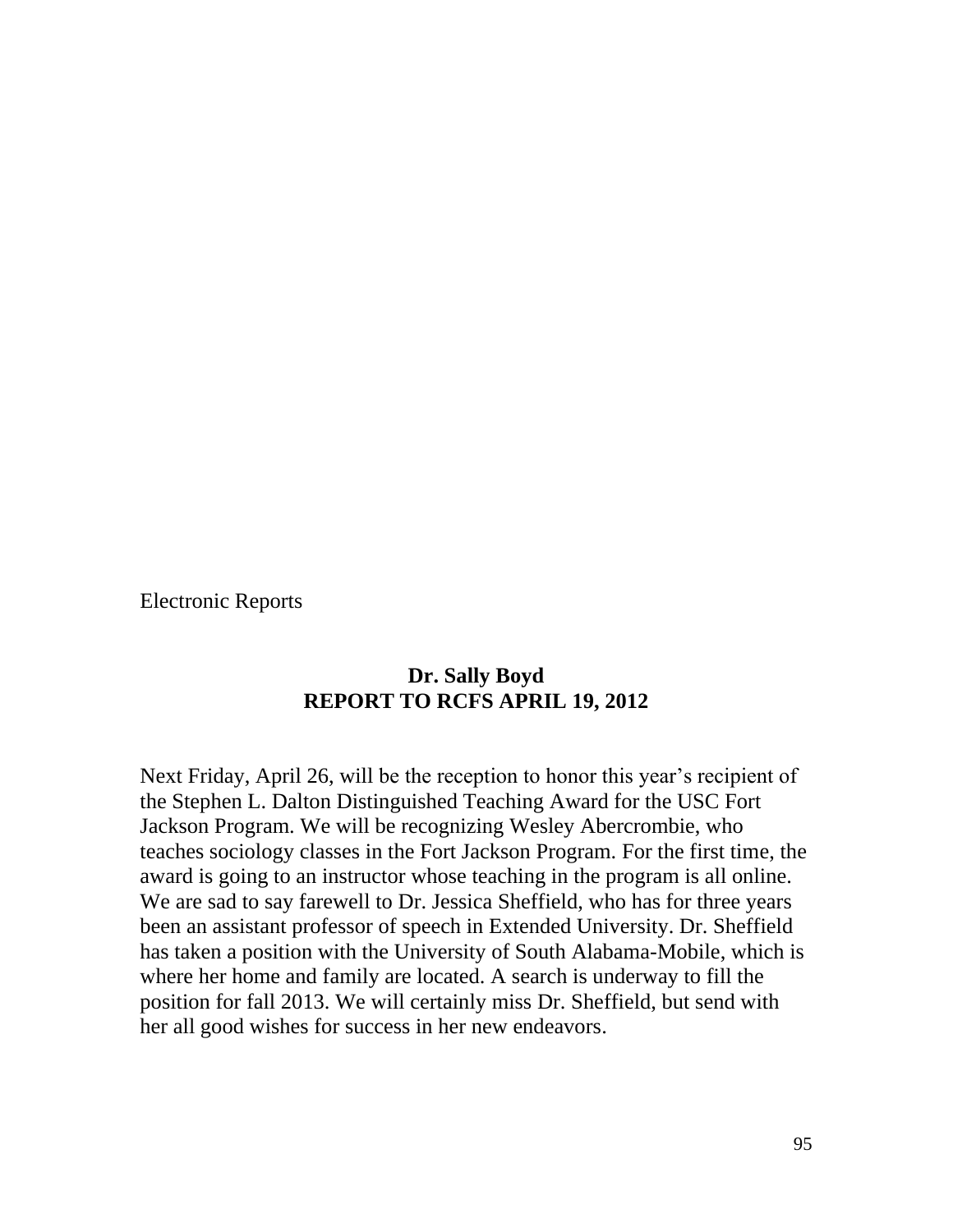Electronic Reports

# **Dr. Sally Boyd REPORT TO RCFS APRIL 19, 2012**

Next Friday, April 26, will be the reception to honor this year's recipient of the Stephen L. Dalton Distinguished Teaching Award for the USC Fort Jackson Program. We will be recognizing Wesley Abercrombie, who teaches sociology classes in the Fort Jackson Program. For the first time, the award is going to an instructor whose teaching in the program is all online. We are sad to say farewell to Dr. Jessica Sheffield, who has for three years been an assistant professor of speech in Extended University. Dr. Sheffield has taken a position with the University of South Alabama-Mobile, which is where her home and family are located. A search is underway to fill the position for fall 2013. We will certainly miss Dr. Sheffield, but send with her all good wishes for success in her new endeavors.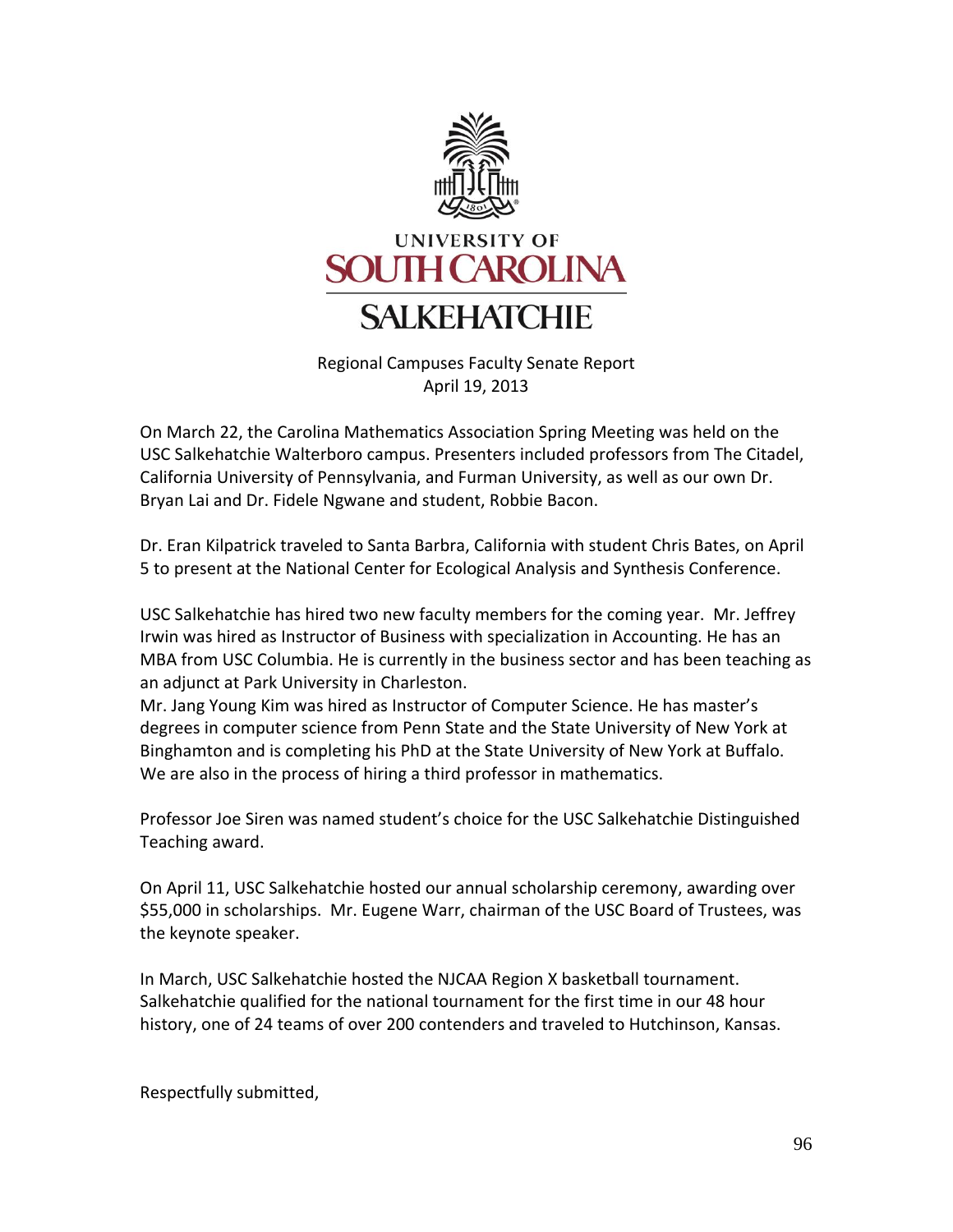

Regional Campuses Faculty Senate Report April 19, 2013

On March 22, the Carolina Mathematics Association Spring Meeting was held on the USC Salkehatchie Walterboro campus. Presenters included professors from The Citadel, California University of Pennsylvania, and Furman University, as well as our own Dr. Bryan Lai and Dr. Fidele Ngwane and student, Robbie Bacon.

Dr. Eran Kilpatrick traveled to Santa Barbra, California with student Chris Bates, on April 5 to present at the National Center for Ecological Analysis and Synthesis Conference.

USC Salkehatchie has hired two new faculty members for the coming year. Mr. Jeffrey Irwin was hired as Instructor of Business with specialization in Accounting. He has an MBA from USC Columbia. He is currently in the business sector and has been teaching as an adjunct at Park University in Charleston.

Mr. Jang Young Kim was hired as Instructor of Computer Science. He has master's degrees in computer science from Penn State and the State University of New York at Binghamton and is completing his PhD at the State University of New York at Buffalo. We are also in the process of hiring a third professor in mathematics.

Professor Joe Siren was named student's choice for the USC Salkehatchie Distinguished Teaching award.

On April 11, USC Salkehatchie hosted our annual scholarship ceremony, awarding over \$55,000 in scholarships. Mr. Eugene Warr, chairman of the USC Board of Trustees, was the keynote speaker.

In March, USC Salkehatchie hosted the NJCAA Region X basketball tournament. Salkehatchie qualified for the national tournament for the first time in our 48 hour history, one of 24 teams of over 200 contenders and traveled to Hutchinson, Kansas.

Respectfully submitted,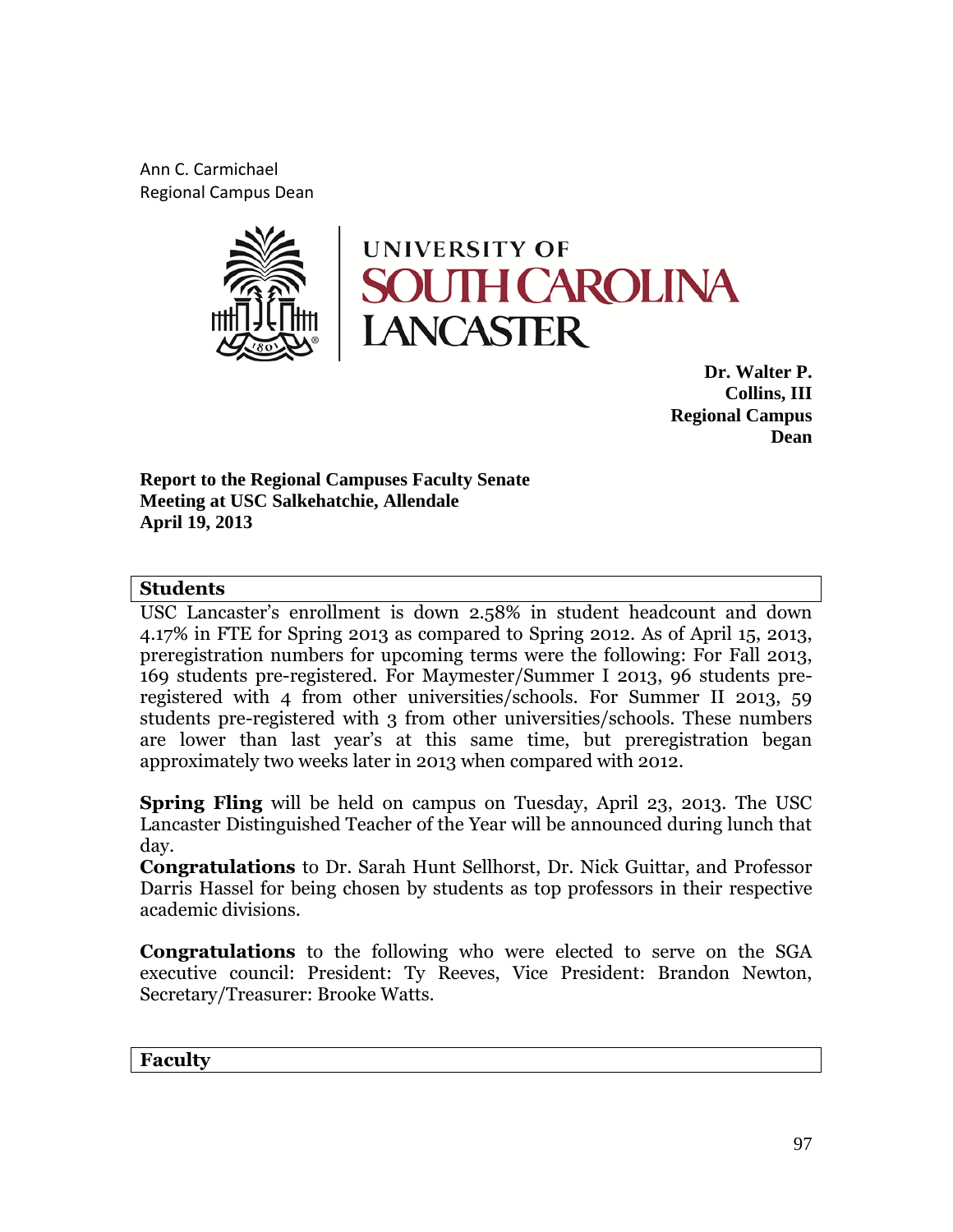Ann C. Carmichael Regional Campus Dean



**Dr. Walter P. Collins, III Regional Campus Dean**

**Report to the Regional Campuses Faculty Senate Meeting at USC Salkehatchie, Allendale April 19, 2013**

### **Students**

USC Lancaster's enrollment is down 2.58% in student headcount and down 4.17% in FTE for Spring 2013 as compared to Spring 2012. As of April 15, 2013, preregistration numbers for upcoming terms were the following: For Fall 2013, 169 students pre-registered. For Maymester/Summer I 2013, 96 students preregistered with 4 from other universities/schools. For Summer II 2013, 59 students pre-registered with 3 from other universities/schools. These numbers are lower than last year's at this same time, but preregistration began approximately two weeks later in 2013 when compared with 2012.

**Spring Fling** will be held on campus on Tuesday, April 23, 2013. The USC Lancaster Distinguished Teacher of the Year will be announced during lunch that day.

**Congratulations** to Dr. Sarah Hunt Sellhorst, Dr. Nick Guittar, and Professor Darris Hassel for being chosen by students as top professors in their respective academic divisions.

**Congratulations** to the following who were elected to serve on the SGA executive council: President: Ty Reeves, Vice President: Brandon Newton, Secretary/Treasurer: Brooke Watts.

**Faculty**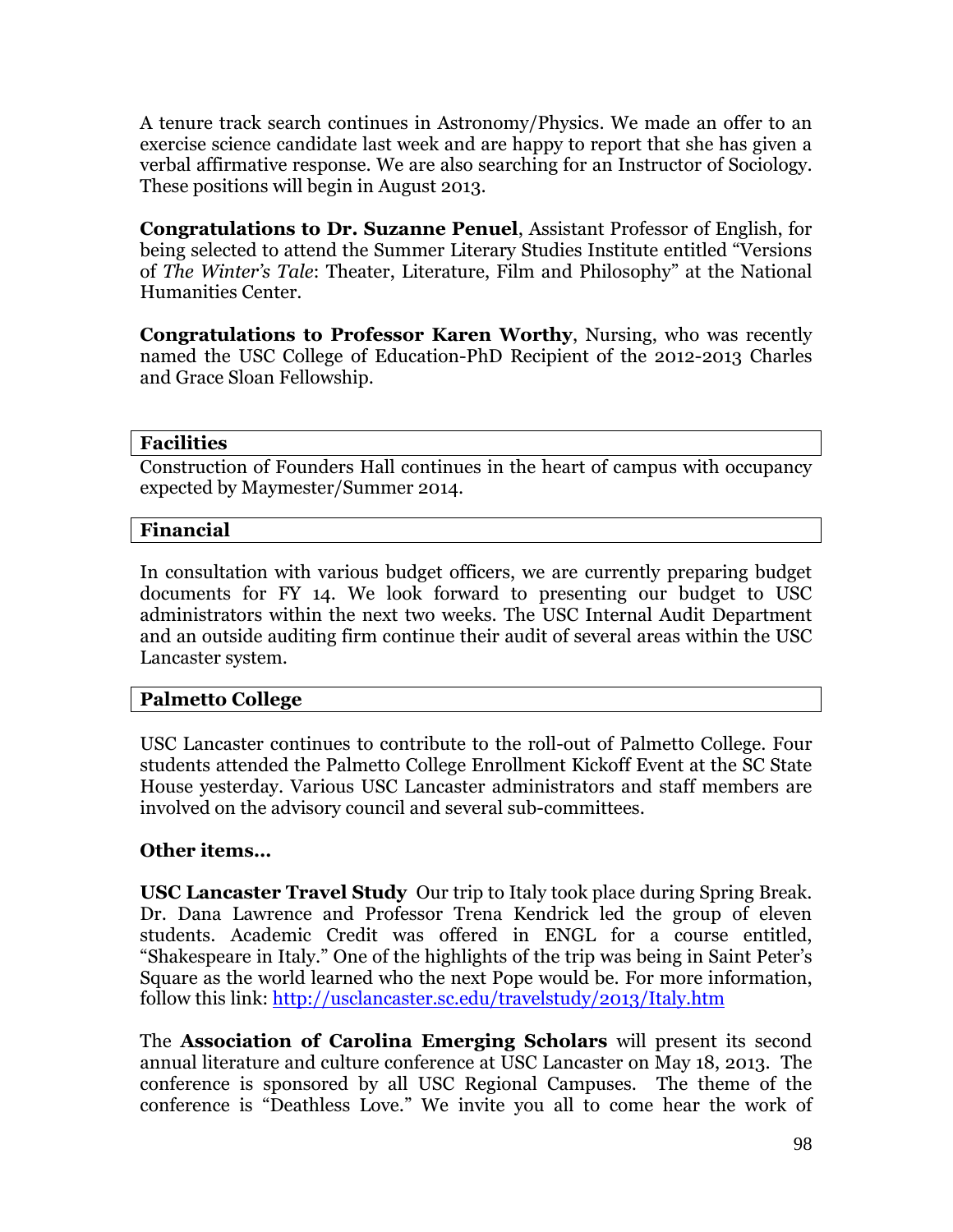A tenure track search continues in Astronomy/Physics. We made an offer to an exercise science candidate last week and are happy to report that she has given a verbal affirmative response. We are also searching for an Instructor of Sociology. These positions will begin in August 2013.

**Congratulations to Dr. Suzanne Penuel**, Assistant Professor of English, for being selected to attend the Summer Literary Studies Institute entitled "Versions of *The Winter's Tale*: Theater, Literature, Film and Philosophy" at the National Humanities Center.

**Congratulations to Professor Karen Worthy**, Nursing, who was recently named the USC College of Education-PhD Recipient of the 2012-2013 Charles and Grace Sloan Fellowship.

### **Facilities**

Construction of Founders Hall continues in the heart of campus with occupancy expected by Maymester/Summer 2014.

## **Financial**

In consultation with various budget officers, we are currently preparing budget documents for FY 14. We look forward to presenting our budget to USC administrators within the next two weeks. The USC Internal Audit Department and an outside auditing firm continue their audit of several areas within the USC Lancaster system.

## **Palmetto College**

USC Lancaster continues to contribute to the roll-out of Palmetto College. Four students attended the Palmetto College Enrollment Kickoff Event at the SC State House yesterday. Various USC Lancaster administrators and staff members are involved on the advisory council and several sub-committees.

## **Other items…**

**USC Lancaster Travel Study** Our trip to Italy took place during Spring Break. Dr. Dana Lawrence and Professor Trena Kendrick led the group of eleven students. Academic Credit was offered in ENGL for a course entitled, "Shakespeare in Italy." One of the highlights of the trip was being in Saint Peter's Square as the world learned who the next Pope would be. For more information, follow this link:<http://usclancaster.sc.edu/travelstudy/2013/Italy.htm>

The **Association of Carolina Emerging Scholars** will present its second annual literature and culture conference at USC Lancaster on May 18, 2013. The conference is sponsored by all USC Regional Campuses. The theme of the conference is "Deathless Love." We invite you all to come hear the work of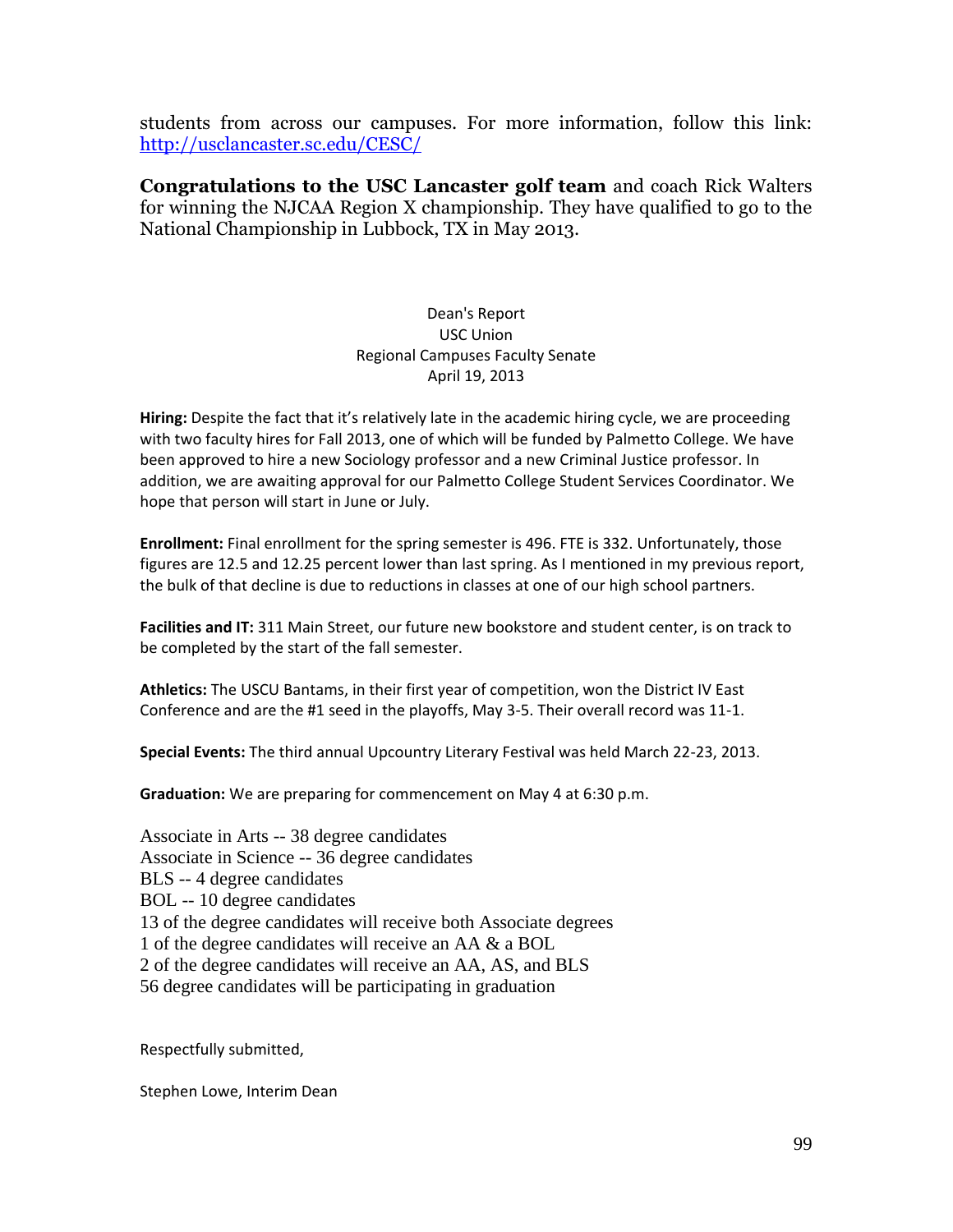students from across our campuses. For more information, follow this link: <http://usclancaster.sc.edu/CESC/>

**Congratulations to the USC Lancaster golf team** and coach Rick Walters for winning the NJCAA Region X championship. They have qualified to go to the National Championship in Lubbock, TX in May 2013.

> Dean's Report USC Union Regional Campuses Faculty Senate April 19, 2013

**Hiring:** Despite the fact that it's relatively late in the academic hiring cycle, we are proceeding with two faculty hires for Fall 2013, one of which will be funded by Palmetto College. We have been approved to hire a new Sociology professor and a new Criminal Justice professor. In addition, we are awaiting approval for our Palmetto College Student Services Coordinator. We hope that person will start in June or July.

**Enrollment:** Final enrollment for the spring semester is 496. FTE is 332. Unfortunately, those figures are 12.5 and 12.25 percent lower than last spring. As I mentioned in my previous report, the bulk of that decline is due to reductions in classes at one of our high school partners.

**Facilities and IT:** 311 Main Street, our future new bookstore and student center, is on track to be completed by the start of the fall semester.

**Athletics:** The USCU Bantams, in their first year of competition, won the District IV East Conference and are the #1 seed in the playoffs, May 3-5. Their overall record was 11-1.

**Special Events:** The third annual Upcountry Literary Festival was held March 22-23, 2013.

**Graduation:** We are preparing for commencement on May 4 at 6:30 p.m.

Associate in Arts -- 38 degree candidates Associate in Science -- 36 degree candidates BLS -- 4 degree candidates BOL -- 10 degree candidates 13 of the degree candidates will receive both Associate degrees 1 of the degree candidates will receive an AA & a BOL 2 of the degree candidates will receive an AA, AS, and BLS 56 degree candidates will be participating in graduation

Respectfully submitted,

Stephen Lowe, Interim Dean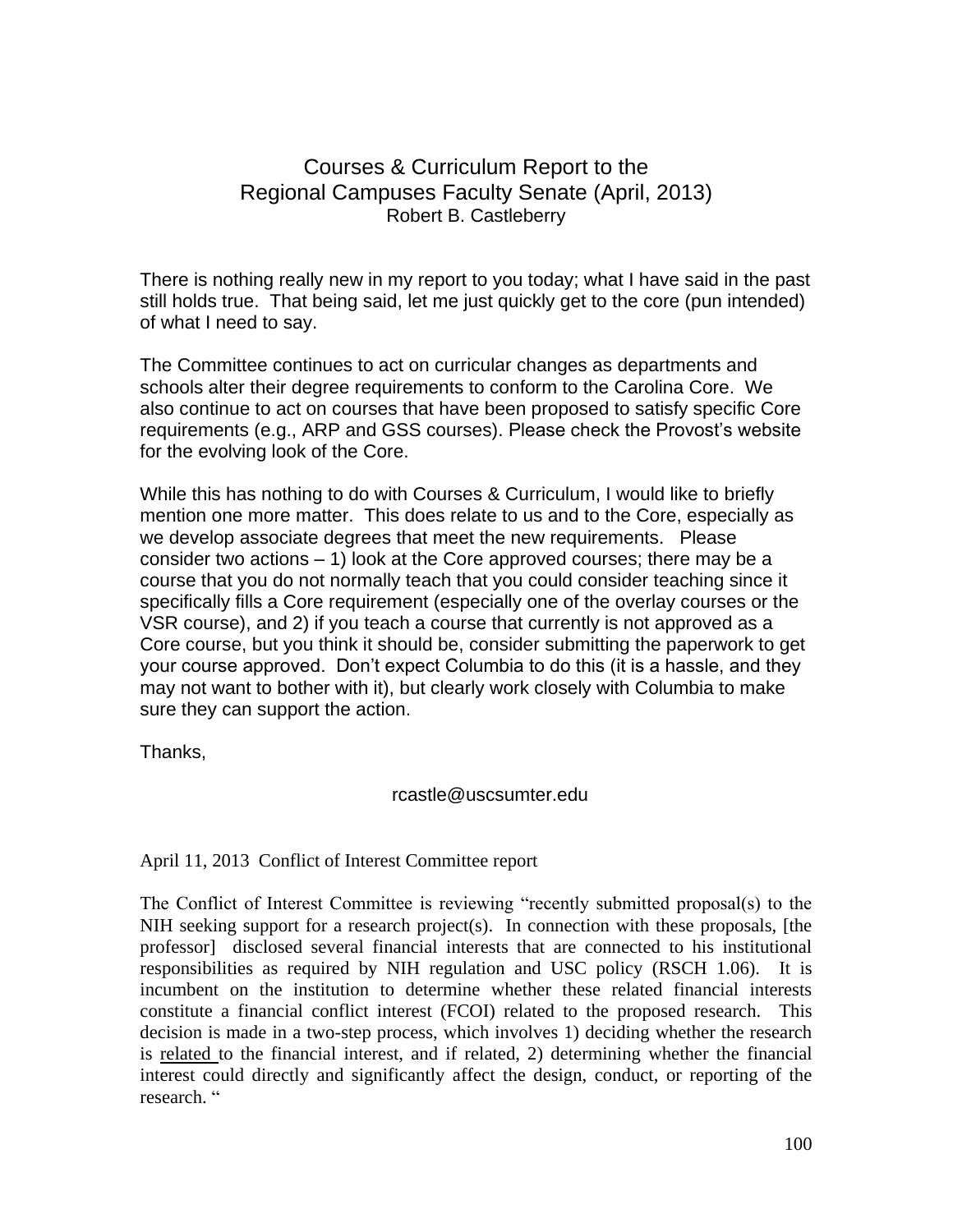# Courses & Curriculum Report to the Regional Campuses Faculty Senate (April, 2013) Robert B. Castleberry

There is nothing really new in my report to you today; what I have said in the past still holds true. That being said, let me just quickly get to the core (pun intended) of what I need to say.

The Committee continues to act on curricular changes as departments and schools alter their degree requirements to conform to the Carolina Core. We also continue to act on courses that have been proposed to satisfy specific Core requirements (e.g., ARP and GSS courses). Please check the Provost's website for the evolving look of the Core.

While this has nothing to do with Courses & Curriculum, I would like to briefly mention one more matter. This does relate to us and to the Core, especially as we develop associate degrees that meet the new requirements. Please consider two actions – 1) look at the Core approved courses; there may be a course that you do not normally teach that you could consider teaching since it specifically fills a Core requirement (especially one of the overlay courses or the VSR course), and 2) if you teach a course that currently is not approved as a Core course, but you think it should be, consider submitting the paperwork to get your course approved. Don't expect Columbia to do this (it is a hassle, and they may not want to bother with it), but clearly work closely with Columbia to make sure they can support the action.

Thanks,

rcastle@uscsumter.edu

April 11, 2013 Conflict of Interest Committee report

The Conflict of Interest Committee is reviewing "recently submitted proposal(s) to the NIH seeking support for a research project(s). In connection with these proposals, [the professor] disclosed several financial interests that are connected to his institutional responsibilities as required by NIH regulation and USC policy (RSCH 1.06). It is incumbent on the institution to determine whether these related financial interests constitute a financial conflict interest (FCOI) related to the proposed research. This decision is made in a two-step process, which involves 1) deciding whether the research is related to the financial interest, and if related, 2) determining whether the financial interest could directly and significantly affect the design, conduct, or reporting of the research. "